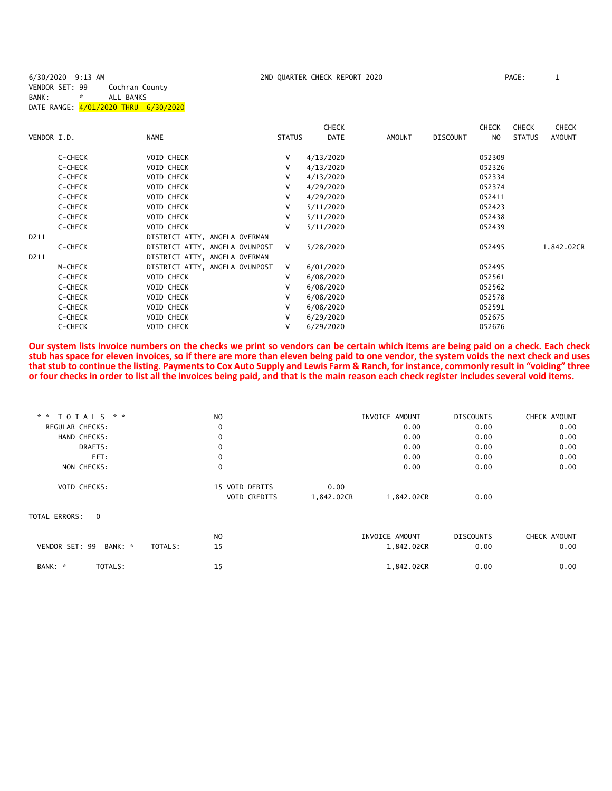6/30/2020 9:13 AM 2ND QUARTER CHECK REPORT 2020 PAGE: 1

VENDOR SET: 99 Cochran County BANK: \* ALL BANKS DATE RANGE: 4/01/2020 THRU 6/30/2020

|             |         |                                |               | <b>CHECK</b> |        |                 | <b>CHECK</b> | <b>CHECK</b>  | <b>CHECK</b> |
|-------------|---------|--------------------------------|---------------|--------------|--------|-----------------|--------------|---------------|--------------|
| VENDOR I.D. |         | <b>NAME</b>                    | <b>STATUS</b> | DATE         | AMOUNT | <b>DISCOUNT</b> | NO.          | <b>STATUS</b> | AMOUNT       |
|             | C-CHECK | <b>VOID CHECK</b>              | V             | 4/13/2020    |        |                 | 052309       |               |              |
|             | C-CHECK | <b>VOID CHECK</b>              | V             | 4/13/2020    |        |                 | 052326       |               |              |
|             | C-CHECK | VOID CHECK                     | V             | 4/13/2020    |        |                 | 052334       |               |              |
|             | C-CHECK | <b>VOID CHECK</b>              | V             | 4/29/2020    |        |                 | 052374       |               |              |
|             | C-CHECK | VOID CHECK                     | V             | 4/29/2020    |        |                 | 052411       |               |              |
|             | C-CHECK | <b>VOID CHECK</b>              | v             | 5/11/2020    |        |                 | 052423       |               |              |
|             | C-CHECK | <b>VOID CHECK</b>              | v             | 5/11/2020    |        |                 | 052438       |               |              |
|             | C-CHECK | VOID CHECK                     | v             | 5/11/2020    |        |                 | 052439       |               |              |
| D211        |         | DISTRICT ATTY, ANGELA OVERMAN  |               |              |        |                 |              |               |              |
|             | C-CHECK | DISTRICT ATTY, ANGELA OVUNPOST | $\vee$        | 5/28/2020    |        |                 | 052495       |               | 1,842.02CR   |
| D211        |         | DISTRICT ATTY, ANGELA OVERMAN  |               |              |        |                 |              |               |              |
|             | M-CHECK | DISTRICT ATTY, ANGELA OVUNPOST | $\vee$        | 6/01/2020    |        |                 | 052495       |               |              |
|             | C-CHECK | <b>VOID CHECK</b>              | v             | 6/08/2020    |        |                 | 052561       |               |              |
|             | C-CHECK | VOID CHECK                     | V             | 6/08/2020    |        |                 | 052562       |               |              |
|             | C-CHECK | <b>VOID CHECK</b>              | v             | 6/08/2020    |        |                 | 052578       |               |              |
|             | C-CHECK | <b>VOID CHECK</b>              | v             | 6/08/2020    |        |                 | 052591       |               |              |
|             | C-CHECK | <b>VOID CHECK</b>              | V             | 6/29/2020    |        |                 | 052675       |               |              |
|             | C-CHECK | <b>VOID CHECK</b>              | v             | 6/29/2020    |        |                 | 052676       |               |              |
|             |         |                                |               |              |        |                 |              |               |              |

**Our system lists invoice numbers on the checks we print so vendors can be certain which items are being paid on a check. Each check stub has space for eleven invoices, so if there are more than eleven being paid to one vendor, the system voids the next check and uses that stub to continue the listing. Payments to Cox Auto Supply and Lewis Farm & Ranch, for instance, commonly result in "voiding" three or four checks in order to list all the invoices being paid, and that is the main reason each check register includes several void items.**

| * * TOTALS * *            |                    | N <sub>O</sub> |            | INVOICE AMOUNT | <b>DISCOUNTS</b> | CHECK AMOUNT |
|---------------------------|--------------------|----------------|------------|----------------|------------------|--------------|
| REGULAR CHECKS:           |                    | 0              |            | 0.00           | 0.00             | 0.00         |
| HAND CHECKS:              |                    | $\mathbf 0$    |            | 0.00           | 0.00             | 0.00         |
| DRAFTS:                   |                    | 0              |            | 0.00           | 0.00             | 0.00         |
| EFT:                      |                    | 0              |            | 0.00           | 0.00             | 0.00         |
| NON CHECKS:               |                    | $\mathbf 0$    |            | 0.00           | 0.00             | 0.00         |
| VOID CHECKS:              |                    | 15 VOID DEBITS | 0.00       |                |                  |              |
|                           |                    | VOID CREDITS   | 1,842.02CR | 1,842.02CR     | 0.00             |              |
| TOTAL ERRORS:<br>$\Omega$ |                    |                |            |                |                  |              |
|                           |                    | N <sub>O</sub> |            | INVOICE AMOUNT | <b>DISCOUNTS</b> | CHECK AMOUNT |
| VENDOR SET: 99            | BANK: *<br>TOTALS: | 15             |            | 1,842.02CR     | 0.00             | 0.00         |
| TOTALS:<br>BANK: *        |                    | 15             |            | 1,842.02CR     | 0.00             | 0.00         |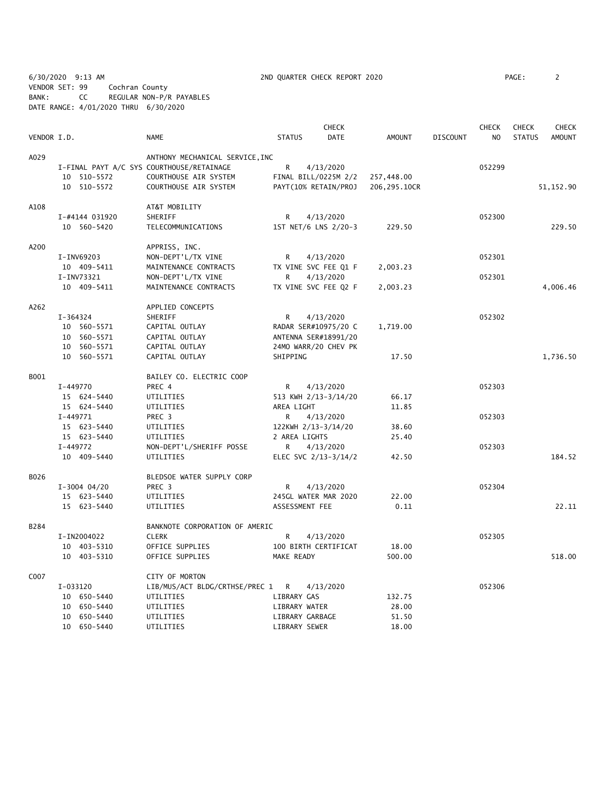6/30/2020 9:13 AM 2ND QUARTER CHECK REPORT 2020 PAGE: 2 VENDOR SET: 99 Cochran County BANK: CC REGULAR NON-P/R PAYABLES DATE RANGE: 4/01/2020 THRU 6/30/2020

|             |          |                |                                           |               |                 | <b>CHECK</b>         |               |                 | <b>CHECK</b>   | <b>CHECK</b>  | <b>CHECK</b>  |
|-------------|----------|----------------|-------------------------------------------|---------------|-----------------|----------------------|---------------|-----------------|----------------|---------------|---------------|
| VENDOR I.D. |          |                | <b>NAME</b>                               | <b>STATUS</b> |                 | <b>DATE</b>          | <b>AMOUNT</b> | <b>DISCOUNT</b> | N <sub>O</sub> | <b>STATUS</b> | <b>AMOUNT</b> |
| A029        |          |                | ANTHONY MECHANICAL SERVICE, INC           |               |                 |                      |               |                 |                |               |               |
|             |          |                | I-FINAL PAYT A/C SYS COURTHOUSE/RETAINAGE | R             |                 | 4/13/2020            |               |                 | 052299         |               |               |
|             |          | 10 510-5572    | COURTHOUSE AIR SYSTEM                     |               |                 | FINAL BILL/0225M 2/2 | 257,448.00    |                 |                |               |               |
|             |          | 10 510-5572    | COURTHOUSE AIR SYSTEM                     |               |                 | PAYT(10% RETAIN/PROJ | 206,295.10CR  |                 |                |               | 51, 152.90    |
| A108        |          |                | AT&T MOBILITY                             |               |                 |                      |               |                 |                |               |               |
|             |          | I-#4144 031920 | SHERIFF                                   | R             |                 | 4/13/2020            |               |                 | 052300         |               |               |
|             |          | 10 560-5420    | TELECOMMUNICATIONS                        |               |                 | 1ST NET/6 LNS 2/20-3 | 229.50        |                 |                |               | 229.50        |
| A200        |          |                | APPRISS, INC.                             |               |                 |                      |               |                 |                |               |               |
|             |          | I-INV69203     | NON-DEPT'L/TX VINE                        | R             |                 | 4/13/2020            |               |                 | 052301         |               |               |
|             |          | 10 409-5411    | MAINTENANCE CONTRACTS                     |               |                 | TX VINE SVC FEE Q1 F | 2,003.23      |                 |                |               |               |
|             |          | I-INV73321     | NON-DEPT'L/TX VINE                        | R             |                 | 4/13/2020            |               |                 | 052301         |               |               |
|             |          | 10 409-5411    | MAINTENANCE CONTRACTS                     |               |                 | TX VINE SVC FEE Q2 F | 2,003.23      |                 |                |               | 4,006.46      |
| A262        |          |                | APPLIED CONCEPTS                          |               |                 |                      |               |                 |                |               |               |
|             | I-364324 |                | SHERIFF                                   | R             |                 | 4/13/2020            |               |                 | 052302         |               |               |
|             |          | 10 560-5571    | CAPITAL OUTLAY                            |               |                 | RADAR SER#10975/20 C | 1,719.00      |                 |                |               |               |
|             |          | 10 560-5571    | CAPITAL OUTLAY                            |               |                 | ANTENNA SER#18991/20 |               |                 |                |               |               |
|             |          | 10 560-5571    | CAPITAL OUTLAY                            |               |                 | 24MO WARR/20 CHEV PK |               |                 |                |               |               |
|             |          | 10 560-5571    | CAPITAL OUTLAY                            | SHIPPING      |                 |                      | 17.50         |                 |                |               | 1,736.50      |
| B001        |          |                | BAILEY CO. ELECTRIC COOP                  |               |                 |                      |               |                 |                |               |               |
|             | I-449770 |                | PREC 4                                    | R             |                 | 4/13/2020            |               |                 | 052303         |               |               |
|             |          | 15 624-5440    | UTILITIES                                 |               |                 | 513 KWH 2/13-3/14/20 | 66.17         |                 |                |               |               |
|             |          | 15 624-5440    | UTILITIES                                 | AREA LIGHT    |                 |                      | 11.85         |                 |                |               |               |
|             | I-449771 |                | PREC 3                                    | R             |                 | 4/13/2020            |               |                 | 052303         |               |               |
|             |          | 15 623-5440    | UTILITIES                                 |               |                 | 122KWH 2/13-3/14/20  | 38.60         |                 |                |               |               |
|             |          | 15 623-5440    | UTILITIES                                 |               | 2 AREA LIGHTS   |                      | 25.40         |                 |                |               |               |
|             | I-449772 |                | NON-DEPT'L/SHERIFF POSSE                  | R             |                 | 4/13/2020            |               |                 | 052303         |               |               |
|             |          | 10 409-5440    | UTILITIES                                 |               |                 | ELEC SVC 2/13-3/14/2 | 42.50         |                 |                |               | 184.52        |
| B026        |          |                | BLEDSOE WATER SUPPLY CORP                 |               |                 |                      |               |                 |                |               |               |
|             |          | $I-3004$ 04/20 | PREC 3                                    | R             |                 | 4/13/2020            |               |                 | 052304         |               |               |
|             |          | 15 623-5440    | UTILITIES                                 |               |                 | 245GL WATER MAR 2020 | 22.00         |                 |                |               |               |
|             |          | 15 623-5440    | UTILITIES                                 |               | ASSESSMENT FEE  |                      | 0.11          |                 |                |               | 22.11         |
| B284        |          |                | BANKNOTE CORPORATION OF AMERIC            |               |                 |                      |               |                 |                |               |               |
|             |          | I-IN2004022    | <b>CLERK</b>                              | R             |                 | 4/13/2020            |               |                 | 052305         |               |               |
|             |          | 10 403-5310    | OFFICE SUPPLIES                           |               |                 | 100 BIRTH CERTIFICAT | 18.00         |                 |                |               |               |
|             |          | 10 403-5310    | OFFICE SUPPLIES                           | MAKE READY    |                 |                      | 500.00        |                 |                |               | 518.00        |
| C007        |          |                | CITY OF MORTON                            |               |                 |                      |               |                 |                |               |               |
|             | I-033120 |                | LIB/MUS/ACT BLDG/CRTHSE/PREC 1 R          |               |                 | 4/13/2020            |               |                 | 052306         |               |               |
|             | 10       | 650-5440       | UTILITIES                                 |               | LIBRARY GAS     |                      | 132.75        |                 |                |               |               |
|             |          | 10 650-5440    | UTILITIES                                 |               | LIBRARY WATER   |                      | 28.00         |                 |                |               |               |
|             |          | 10 650-5440    | UTILITIES                                 |               | LIBRARY GARBAGE |                      | 51.50         |                 |                |               |               |
|             |          | 10 650-5440    | UTILITIES                                 |               | LIBRARY SEWER   |                      | 18.00         |                 |                |               |               |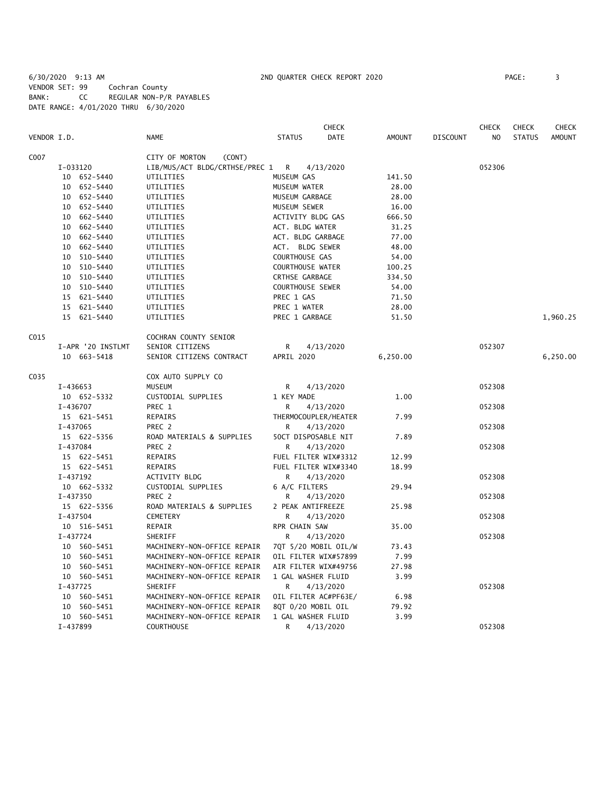6/30/2020 9:13 AM 2ND QUARTER CHECK REPORT 2020 PAGE: 3 VENDOR SET: 99 Cochran County BANK: CC REGULAR NON-P/R PAYABLES DATE RANGE: 4/01/2020 THRU 6/30/2020

|             |                   |                                | <b>CHECK</b>                 |               |                 | <b>CHECK</b>   | <b>CHECK</b>  | CHECK         |
|-------------|-------------------|--------------------------------|------------------------------|---------------|-----------------|----------------|---------------|---------------|
| VENDOR I.D. |                   | <b>NAME</b>                    | <b>STATUS</b><br><b>DATE</b> | <b>AMOUNT</b> | <b>DISCOUNT</b> | N <sub>O</sub> | <b>STATUS</b> | <b>AMOUNT</b> |
| C007        |                   | CITY OF MORTON<br>(CONT)       |                              |               |                 |                |               |               |
|             | I-033120          | LIB/MUS/ACT BLDG/CRTHSE/PREC 1 | R<br>4/13/2020               |               |                 | 052306         |               |               |
|             | 10 652-5440       | UTILITIES                      | MUSEUM GAS                   | 141.50        |                 |                |               |               |
|             | 10 652-5440       | UTILITIES                      | MUSEUM WATER                 | 28.00         |                 |                |               |               |
|             | 10 652-5440       | UTILITIES                      | MUSEUM GARBAGE               | 28.00         |                 |                |               |               |
|             | 652-5440<br>10    | UTILITIES                      | MUSEUM SEWER                 | 16.00         |                 |                |               |               |
|             | 662-5440<br>10    | UTILITIES                      | ACTIVITY BLDG GAS            | 666.50        |                 |                |               |               |
|             | 10<br>662-5440    | UTILITIES                      | ACT. BLDG WATER              | 31.25         |                 |                |               |               |
|             | 10 662-5440       | UTILITIES                      | ACT. BLDG GARBAGE            | 77.00         |                 |                |               |               |
|             | 662-5440<br>10    | UTILITIES                      | ACT. BLDG SEWER              | 48.00         |                 |                |               |               |
|             | 10 510-5440       | UTILITIES                      | COURTHOUSE GAS               | 54.00         |                 |                |               |               |
|             | 10 510-5440       | UTILITIES                      | COURTHOUSE WATER             | 100.25        |                 |                |               |               |
|             | 10 510-5440       | UTILITIES                      | CRTHSE GARBAGE               | 334.50        |                 |                |               |               |
|             | 10 510-5440       | UTILITIES                      | <b>COURTHOUSE SEWER</b>      | 54.00         |                 |                |               |               |
|             | 15 621-5440       | UTILITIES                      | PREC 1 GAS                   | 71.50         |                 |                |               |               |
|             | 15 621-5440       | UTILITIES                      | PREC 1 WATER                 | 28.00         |                 |                |               |               |
|             | 15 621-5440       | UTILITIES                      | PREC 1 GARBAGE               | 51.50         |                 |                |               | 1,960.25      |
| C015        |                   | COCHRAN COUNTY SENIOR          |                              |               |                 |                |               |               |
|             | I-APR '20 INSTLMT | SENIOR CITIZENS                | R<br>4/13/2020               |               |                 | 052307         |               |               |
|             | 10 663-5418       | SENIOR CITIZENS CONTRACT       | APRIL 2020                   | 6,250.00      |                 |                |               | 6,250.00      |
| C035        |                   | COX AUTO SUPPLY CO             |                              |               |                 |                |               |               |
|             | I-436653          | <b>MUSEUM</b>                  | R<br>4/13/2020               |               |                 | 052308         |               |               |
|             | 10 652-5332       | CUSTODIAL SUPPLIES             | 1 KEY MADE                   | 1.00          |                 |                |               |               |
|             | I-436707          | PREC 1                         | 4/13/2020<br>R               |               |                 | 052308         |               |               |
|             | 15 621-5451       | REPAIRS                        | THERMOCOUPLER/HEATER         | 7.99          |                 |                |               |               |
|             | I-437065          | PREC 2                         | R<br>4/13/2020               |               |                 | 052308         |               |               |
|             | 15 622-5356       | ROAD MATERIALS & SUPPLIES      | 50CT DISPOSABLE NIT          | 7.89          |                 |                |               |               |
|             | I-437084          | PREC 2                         | R<br>4/13/2020               |               |                 | 052308         |               |               |
|             | 15 622-5451       | <b>REPAIRS</b>                 | FUEL FILTER WIX#3312         | 12.99         |                 |                |               |               |
|             | 15 622-5451       | REPAIRS                        | FUEL FILTER WIX#3340         | 18.99         |                 |                |               |               |
|             | I-437192          | <b>ACTIVITY BLDG</b>           | R<br>4/13/2020               |               |                 | 052308         |               |               |
|             | 10 662-5332       | CUSTODIAL SUPPLIES             | 6 A/C FILTERS                | 29.94         |                 |                |               |               |
|             | I-437350          | PREC 2                         | 4/13/2020<br>R               |               |                 | 052308         |               |               |
|             | 15 622-5356       | ROAD MATERIALS & SUPPLIES      | 2 PEAK ANTIFREEZE            | 25.98         |                 |                |               |               |
|             | I-437504          | <b>CEMETERY</b>                | 4/13/2020<br>R               |               |                 | 052308         |               |               |
|             | 10 516-5451       | REPAIR                         | RPR CHAIN SAW                | 35.00         |                 |                |               |               |
|             | I-437724          | SHERIFF                        | R<br>4/13/2020               |               |                 | 052308         |               |               |
|             | 10 560-5451       | MACHINERY-NON-OFFICE REPAIR    | 7QT 5/20 MOBIL OIL/W         | 73.43         |                 |                |               |               |
|             | 10 560-5451       | MACHINERY-NON-OFFICE REPAIR    | OIL FILTER WIX#57899         | 7.99          |                 |                |               |               |
|             | 560-5451<br>10    | MACHINERY-NON-OFFICE REPAIR    | AIR FILTER WIX#49756         | 27.98         |                 |                |               |               |
|             | 10 560-5451       | MACHINERY-NON-OFFICE REPAIR    | 1 GAL WASHER FLUID           | 3.99          |                 |                |               |               |
|             | I-437725          | SHERIFF                        | 4/13/2020<br>R               |               |                 | 052308         |               |               |
|             | 10<br>560-5451    | MACHINERY-NON-OFFICE REPAIR    | OIL FILTER AC#PF63E/         | 6.98          |                 |                |               |               |
|             | 560-5451<br>10    | MACHINERY-NON-OFFICE REPAIR    | 8QT 0/20 MOBIL OIL           | 79.92         |                 |                |               |               |
|             | 10 560-5451       | MACHINERY-NON-OFFICE REPAIR    | 1 GAL WASHER FLUID           | 3.99          |                 |                |               |               |
|             | I-437899          | <b>COURTHOUSE</b>              | R<br>4/13/2020               |               |                 | 052308         |               |               |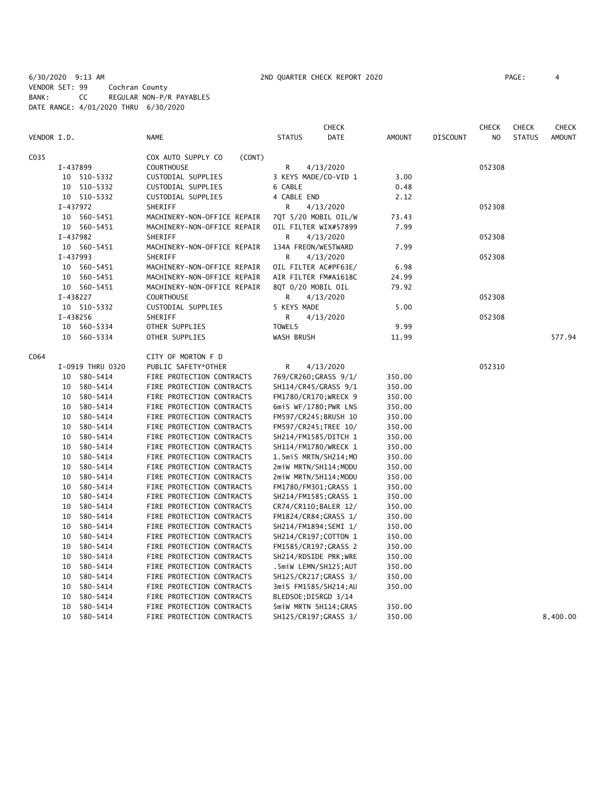6/30/2020 9:13 AM 2ND QUARTER CHECK REPORT 2020 PAGE: 4 VENDOR SET: 99 Cochran County BANK: CC REGULAR NON-P/R PAYABLES DATE RANGE: 4/01/2020 THRU 6/30/2020

|             |          |                      |                                                        |                       | <b>CHECK</b>          |                  |          | <b>CHECK</b>   | <b>CHECK</b>  | <b>CHECK</b>  |
|-------------|----------|----------------------|--------------------------------------------------------|-----------------------|-----------------------|------------------|----------|----------------|---------------|---------------|
| VENDOR I.D. |          |                      | <b>NAME</b>                                            | <b>STATUS</b>         | <b>DATE</b>           | <b>AMOUNT</b>    | DISCOUNT | N <sub>O</sub> | <b>STATUS</b> | <b>AMOUNT</b> |
| C035        |          |                      | COX AUTO SUPPLY CO<br>(CONT)                           |                       |                       |                  |          |                |               |               |
|             |          | I-437899             | <b>COURTHOUSE</b>                                      | R                     | 4/13/2020             |                  |          | 052308         |               |               |
|             |          | 10 510-5332          | CUSTODIAL SUPPLIES                                     | 3 KEYS MADE/CO-VID 1  |                       | 3.00             |          |                |               |               |
|             | 10       | 510-5332             | CUSTODIAL SUPPLIES                                     | 6 CABLE               |                       | 0.48             |          |                |               |               |
|             |          | 10 510-5332          | CUSTODIAL SUPPLIES                                     | 4 CABLE END           |                       | 2.12             |          |                |               |               |
|             |          | I-437972             | SHERIFF                                                | R                     | 4/13/2020             |                  |          | 052308         |               |               |
|             |          | 10 560-5451          | MACHINERY-NON-OFFICE REPAIR                            | 7QT 5/20 MOBIL OIL/W  |                       | 73.43            |          |                |               |               |
|             |          | 10 560-5451          | MACHINERY-NON-OFFICE REPAIR                            | OIL FILTER WIX#57899  |                       | 7.99             |          |                |               |               |
|             |          | I-437982             | SHERIFF                                                | R                     | 4/13/2020             |                  |          | 052308         |               |               |
|             |          | 10 560-5451          | MACHINERY-NON-OFFICE REPAIR                            | 134A FREON/WESTWARD   |                       | 7.99             |          |                |               |               |
|             |          | I-437993             | SHERIFF                                                | R                     | 4/13/2020             |                  |          | 052308         |               |               |
|             | 10       | 560-5451             | MACHINERY-NON-OFFICE REPAIR                            | OIL FILTER AC#PF63E/  |                       | 6.98             |          |                |               |               |
|             |          | 10 560-5451          | MACHINERY-NON-OFFICE REPAIR                            | AIR FILTER FM#A1618C  |                       | 24.99            |          |                |               |               |
|             |          | 10 560-5451          | MACHINERY-NON-OFFICE REPAIR                            | 8QT 0/20 MOBIL OIL    |                       | 79.92            |          |                |               |               |
|             |          | I-438227             | <b>COURTHOUSE</b>                                      | R                     | 4/13/2020             |                  |          | 052308         |               |               |
|             |          | 10 510-5332          | CUSTODIAL SUPPLIES                                     | 5 KEYS MADE           |                       | 5.00             |          |                |               |               |
|             |          | I-438256             | SHERIFF                                                | R                     | 4/13/2020             |                  |          | 052308         |               |               |
|             | 10       | 560-5334             | OTHER SUPPLIES                                         | <b>TOWELS</b>         |                       | 9.99             |          |                |               |               |
|             | 10       | 560-5334             | OTHER SUPPLIES                                         | WASH BRUSH            |                       | 11.99            |          |                |               | 577.94        |
| C064        |          |                      | CITY OF MORTON F D                                     |                       |                       |                  |          |                |               |               |
|             |          | I-0919 THRU 0320     | PUBLIC SAFETY*OTHER                                    | R                     | 4/13/2020             |                  |          | 052310         |               |               |
|             | 10       | 580-5414             | FIRE PROTECTION CONTRACTS                              | 769/CR260; GRASS 9/1/ |                       | 350.00           |          |                |               |               |
|             | 10       | 580-5414             | FIRE PROTECTION CONTRACTS                              | SH114/CR45/GRASS 9/1  |                       | 350.00           |          |                |               |               |
|             | 10       | 580-5414             | FIRE PROTECTION CONTRACTS                              | FM1780/CR170; WRECK 9 |                       | 350.00           |          |                |               |               |
|             | 10       | 580-5414             | FIRE PROTECTION CONTRACTS                              |                       | 6miS WF/1780;PWR LNS  | 350.00           |          |                |               |               |
|             | 10       | 580-5414             | FIRE PROTECTION CONTRACTS                              |                       | FM597/CR245; BRUSH 10 | 350.00           |          |                |               |               |
|             | 10       | 580-5414             | FIRE PROTECTION CONTRACTS                              |                       | FM597/CR245; TREE 10/ | 350.00           |          |                |               |               |
|             | 10       | 580-5414             | FIRE PROTECTION CONTRACTS                              | SH214/FM1585/DITCH 1  |                       | 350.00           |          |                |               |               |
|             | 10       | 580-5414             | FIRE PROTECTION CONTRACTS                              | SH114/FM1780/WRECK 1  |                       | 350.00           |          |                |               |               |
|             | 10       | 580-5414             | FIRE PROTECTION CONTRACTS                              | 1.5miS MRTN/SH214;MO  |                       | 350.00           |          |                |               |               |
|             | 10       | 580-5414             | FIRE PROTECTION CONTRACTS                              | 2miW MRTN/SH114;MODU  |                       | 350.00           |          |                |               |               |
|             | 10       | 580-5414             | FIRE PROTECTION CONTRACTS                              | 2miW MRTN/SH114;MODU  |                       | 350.00           |          |                |               |               |
|             | 10       | 580-5414             | FIRE PROTECTION CONTRACTS                              |                       | FM1780/FM301; GRASS 1 | 350.00           |          |                |               |               |
|             | 10       | 580-5414             | FIRE PROTECTION CONTRACTS                              |                       | SH214/FM1585; GRASS 1 | 350.00           |          |                |               |               |
|             | 10       | 580-5414             | FIRE PROTECTION CONTRACTS                              | CR74/CR110;BALER 12/  |                       | 350.00           |          |                |               |               |
|             | 10       | 580-5414             | FIRE PROTECTION CONTRACTS                              |                       | FM1824/CR84;GRASS 1/  | 350.00           |          |                |               |               |
|             | 10       | 580-5414             | FIRE PROTECTION CONTRACTS                              | SH214/FM1894; SEMI 1/ |                       | 350.00           |          |                |               |               |
|             | 10       | 580-5414             | FIRE PROTECTION CONTRACTS                              | SH214/CR197; COTTON 1 |                       | 350.00           |          |                |               |               |
|             | 10       | 580-5414             | FIRE PROTECTION CONTRACTS                              | FM1585/CR197; GRASS 2 |                       | 350.00           |          |                |               |               |
|             | 10<br>10 | 580-5414             | FIRE PROTECTION CONTRACTS                              | SH214/RDSIDE PRK;WRE  |                       | 350.00           |          |                |               |               |
|             |          | 580-5414             | FIRE PROTECTION CONTRACTS                              |                       | .5miW LEMN/SH125;AUT  | 350.00           |          |                |               |               |
|             | 10<br>10 | 580-5414<br>580-5414 | FIRE PROTECTION CONTRACTS<br>FIRE PROTECTION CONTRACTS | SH125/CR217; GRASS 3/ |                       | 350.00<br>350.00 |          |                |               |               |
|             | 10       | 580-5414             | FIRE PROTECTION CONTRACTS                              | BLEDSOE; DISRGD 3/14  | 3miS FM1585/SH214;AU  |                  |          |                |               |               |
|             | 10       | 580-5414             | FIRE PROTECTION CONTRACTS                              |                       | 5miW MRTN SH114; GRAS | 350.00           |          |                |               |               |
|             | 10       | 580-5414             | FIRE PROTECTION CONTRACTS                              | SH125/CR197; GRASS 3/ |                       | 350.00           |          |                |               | 8,400.00      |
|             |          |                      |                                                        |                       |                       |                  |          |                |               |               |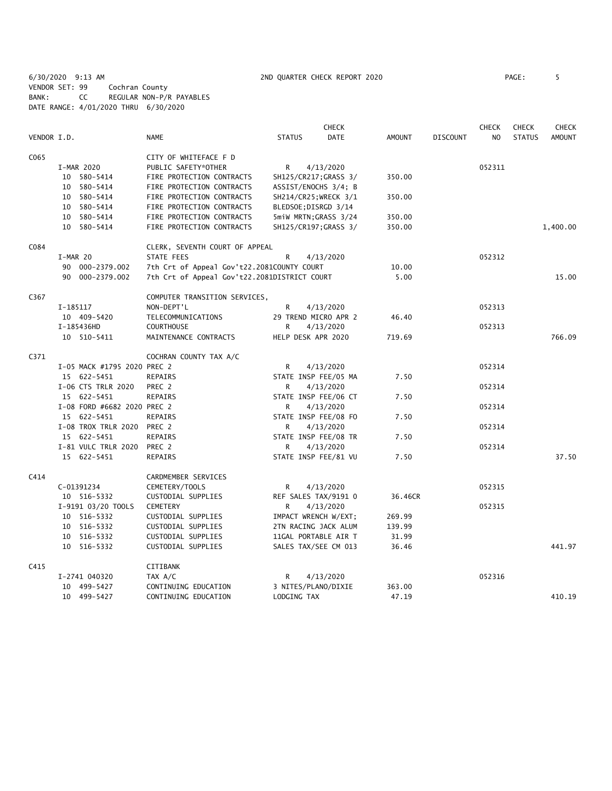6/30/2020 9:13 AM 2ND QUARTER CHECK REPORT 2020 PAGE: 5 VENDOR SET: 99 Cochran County BANK: CC REGULAR NON-P/R PAYABLES DATE RANGE: 4/01/2020 THRU 6/30/2020

|             |                             |                                              |                       | <b>CHECK</b>         |         |                 | <b>CHECK</b> | <b>CHECK</b>  | <b>CHECK</b>  |
|-------------|-----------------------------|----------------------------------------------|-----------------------|----------------------|---------|-----------------|--------------|---------------|---------------|
| VENDOR I.D. |                             | <b>NAME</b>                                  | <b>STATUS</b>         | <b>DATE</b>          | AMOUNT  | <b>DISCOUNT</b> | NO.          | <b>STATUS</b> | <b>AMOUNT</b> |
| C065        |                             | CITY OF WHITEFACE F D                        |                       |                      |         |                 |              |               |               |
|             | I-MAR 2020                  | PUBLIC SAFETY*OTHER                          | R                     | 4/13/2020            |         |                 | 052311       |               |               |
|             | 10 580-5414                 | FIRE PROTECTION CONTRACTS                    | SH125/CR217; GRASS 3/ |                      | 350.00  |                 |              |               |               |
|             | 10 580-5414                 | FIRE PROTECTION CONTRACTS                    | ASSIST/ENOCHS 3/4; B  |                      |         |                 |              |               |               |
|             | 10 580-5414                 | FIRE PROTECTION CONTRACTS                    | SH214/CR25; WRECK 3/1 |                      | 350.00  |                 |              |               |               |
|             | 10 580-5414                 | FIRE PROTECTION CONTRACTS                    | BLEDSOE; DISRGD 3/14  |                      |         |                 |              |               |               |
|             | 10 580-5414                 | FIRE PROTECTION CONTRACTS                    | 5miW MRTN; GRASS 3/24 |                      | 350.00  |                 |              |               |               |
|             | 10 580-5414                 | FIRE PROTECTION CONTRACTS                    |                       | SH125/CR197;GRASS 3/ | 350.00  |                 |              |               | 1,400.00      |
| C084        |                             | CLERK, SEVENTH COURT OF APPEAL               |                       |                      |         |                 |              |               |               |
|             | I-MAR 20                    | STATE FEES                                   | R                     | 4/13/2020            |         |                 | 052312       |               |               |
|             | 90 000-2379.002             | 7th Crt of Appeal Gov't22.2081COUNTY COURT   |                       |                      | 10.00   |                 |              |               |               |
|             | 90 000-2379.002             | 7th Crt of Appeal Gov't22.2081DISTRICT COURT |                       |                      | 5.00    |                 |              |               | 15.00         |
| C367        |                             | COMPUTER TRANSITION SERVICES,                |                       |                      |         |                 |              |               |               |
|             | I-185117                    | NON-DEPT'L                                   | R                     | 4/13/2020            |         |                 | 052313       |               |               |
|             | 10 409-5420                 | TELECOMMUNICATIONS                           | 29 TREND MICRO APR 2  |                      | 46.40   |                 |              |               |               |
|             | I-185436HD                  | <b>COURTHOUSE</b>                            | R                     | 4/13/2020            |         |                 | 052313       |               |               |
|             | 10 510-5411                 | MAINTENANCE CONTRACTS                        | HELP DESK APR 2020    |                      | 719.69  |                 |              |               | 766.09        |
| C371        |                             | COCHRAN COUNTY TAX A/C                       |                       |                      |         |                 |              |               |               |
|             | I-05 MACK #1795 2020 PREC 2 |                                              | R                     | 4/13/2020            |         |                 | 052314       |               |               |
|             | 15 622-5451                 | REPAIRS                                      | STATE INSP FEE/05 MA  |                      | 7.50    |                 |              |               |               |
|             | I-06 CTS TRLR 2020          | PREC 2                                       | R                     | 4/13/2020            |         |                 | 052314       |               |               |
|             | 15 622-5451                 | REPAIRS                                      | STATE INSP FEE/06 CT  |                      | 7.50    |                 |              |               |               |
|             | I-08 FORD #6682 2020 PREC 2 |                                              | R                     | 4/13/2020            |         |                 | 052314       |               |               |
|             | 15 622-5451                 | <b>REPAIRS</b>                               | STATE INSP FEE/08 FO  |                      | 7.50    |                 |              |               |               |
|             | I-08 TROX TRLR 2020         | PREC 2                                       | R                     | 4/13/2020            |         |                 | 052314       |               |               |
|             | 15 622-5451                 | REPAIRS                                      | STATE INSP FEE/08 TR  |                      | 7.50    |                 |              |               |               |
|             | I-81 VULC TRLR 2020         | PREC 2                                       | R.                    | 4/13/2020            |         |                 | 052314       |               |               |
|             | 15 622-5451                 | REPAIRS                                      | STATE INSP FEE/81 VU  |                      | 7.50    |                 |              |               | 37.50         |
| C414        |                             | CARDMEMBER SERVICES                          |                       |                      |         |                 |              |               |               |
|             | C-01391234                  | CEMETERY/TOOLS                               | R                     | 4/13/2020            |         |                 | 052315       |               |               |
|             | 10 516-5332                 | CUSTODIAL SUPPLIES                           | REF SALES TAX/9191 0  |                      | 36.46CR |                 |              |               |               |
|             | I-9191 03/20 TOOLS          | CEMETERY                                     | R                     | 4/13/2020            |         |                 | 052315       |               |               |
|             | 10 516-5332                 | CUSTODIAL SUPPLIES                           | IMPACT WRENCH W/EXT;  |                      | 269.99  |                 |              |               |               |
|             | 10 516-5332                 | CUSTODIAL SUPPLIES                           | 2TN RACING JACK ALUM  |                      | 139.99  |                 |              |               |               |
|             | 10 516-5332                 | CUSTODIAL SUPPLIES                           | 11GAL PORTABLE AIR T  |                      | 31.99   |                 |              |               |               |
|             | 10 516-5332                 | CUSTODIAL SUPPLIES                           | SALES TAX/SEE CM 013  |                      | 36.46   |                 |              |               | 441.97        |
| C415        |                             | CITIBANK                                     |                       |                      |         |                 |              |               |               |
|             | I-2741 040320               | TAX A/C                                      | R                     | 4/13/2020            |         |                 | 052316       |               |               |
|             | 10 499-5427                 | CONTINUING EDUCATION                         | 3 NITES/PLANO/DIXIE   |                      | 363.00  |                 |              |               |               |
|             | 10 499-5427                 | CONTINUING EDUCATION                         | LODGING TAX           |                      | 47.19   |                 |              |               | 410.19        |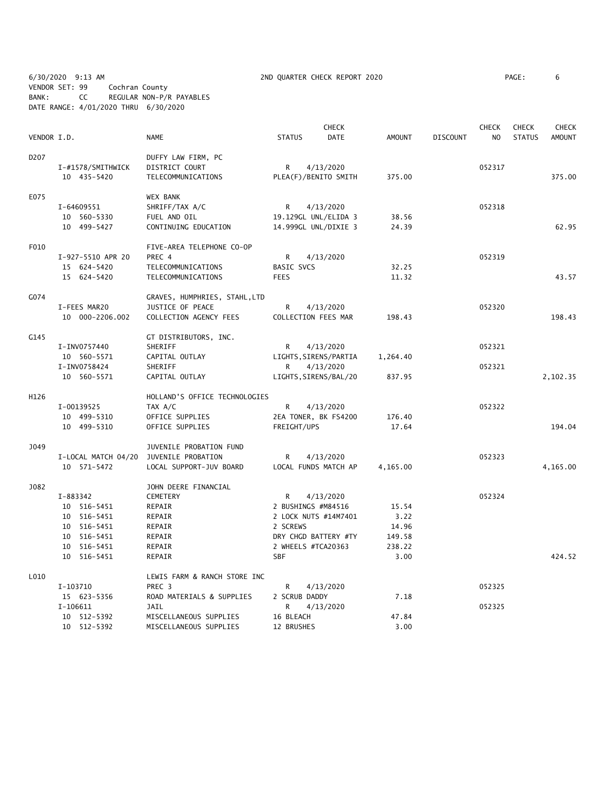6/30/2020 9:13 AM 2ND QUARTER CHECK REPORT 2020 PAGE: 6 VENDOR SET: 99 Cochran County BANK: CC REGULAR NON-P/R PAYABLES DATE RANGE: 4/01/2020 THRU 6/30/2020

|                   |                     |                               |                       | <b>CHECK</b> |               |                 | <b>CHECK</b>   | <b>CHECK</b>  | <b>CHECK</b>  |
|-------------------|---------------------|-------------------------------|-----------------------|--------------|---------------|-----------------|----------------|---------------|---------------|
| VENDOR I.D.       |                     | <b>NAME</b>                   | <b>STATUS</b>         | DATE         | <b>AMOUNT</b> | <b>DISCOUNT</b> | N <sub>O</sub> | <b>STATUS</b> | <b>AMOUNT</b> |
| D <sub>2</sub> 07 |                     | DUFFY LAW FIRM, PC            |                       |              |               |                 |                |               |               |
|                   | I-#1578/SMITHWICK   | DISTRICT COURT                | $\mathsf{R}$          | 4/13/2020    |               |                 | 052317         |               |               |
|                   | 10 435-5420         | TELECOMMUNICATIONS            | PLEA(F)/BENITO SMITH  |              | 375.00        |                 |                |               | 375.00        |
| E075              |                     | WEX BANK                      |                       |              |               |                 |                |               |               |
|                   | I-64609551          | SHRIFF/TAX A/C                | R                     | 4/13/2020    |               |                 | 052318         |               |               |
|                   | 10 560-5330         | FUEL AND OIL                  | 19.129GL UNL/ELIDA 3  |              | 38.56         |                 |                |               |               |
|                   | 10 499-5427         | CONTINUING EDUCATION          | 14.999GL UNL/DIXIE 3  |              | 24.39         |                 |                |               | 62.95         |
| F010              |                     | FIVE-AREA TELEPHONE CO-OP     |                       |              |               |                 |                |               |               |
|                   | I-927-5510 APR 20   | PREC 4                        | R                     | 4/13/2020    |               |                 | 052319         |               |               |
|                   | 15 624-5420         | TELECOMMUNICATIONS            | <b>BASIC SVCS</b>     |              | 32.25         |                 |                |               |               |
|                   | 15 624-5420         | TELECOMMUNICATIONS            | <b>FEES</b>           |              | 11.32         |                 |                |               | 43.57         |
| G074              |                     | GRAVES, HUMPHRIES, STAHL,LTD  |                       |              |               |                 |                |               |               |
|                   | I-FEES MAR20        | JUSTICE OF PEACE              | R                     | 4/13/2020    |               |                 | 052320         |               |               |
|                   | 10 000-2206.002     | COLLECTION AGENCY FEES        | COLLECTION FEES MAR   |              | 198.43        |                 |                |               | 198.43        |
| G145              |                     | GT DISTRIBUTORS, INC.         |                       |              |               |                 |                |               |               |
|                   | I-INV0757440        | SHERIFF                       | R                     | 4/13/2020    |               |                 | 052321         |               |               |
|                   | 10 560-5571         | CAPITAL OUTLAY                | LIGHTS, SIRENS/PARTIA |              | 1,264.40      |                 |                |               |               |
|                   | I-INV0758424        | SHERIFF                       | R                     | 4/13/2020    |               |                 | 052321         |               |               |
|                   | 10 560-5571         | CAPITAL OUTLAY                | LIGHTS, SIRENS/BAL/20 |              | 837.95        |                 |                |               | 2,102.35      |
| H126              |                     | HOLLAND'S OFFICE TECHNOLOGIES |                       |              |               |                 |                |               |               |
|                   | I-00139525          | TAX A/C                       | R                     | 4/13/2020    |               |                 | 052322         |               |               |
|                   | 10 499-5310         | OFFICE SUPPLIES               | 2EA TONER, BK FS4200  |              | 176.40        |                 |                |               |               |
|                   | 10 499-5310         | OFFICE SUPPLIES               | FREIGHT/UPS           |              | 17.64         |                 |                |               | 194.04        |
| J049              |                     | JUVENILE PROBATION FUND       |                       |              |               |                 |                |               |               |
|                   | I-LOCAL MATCH 04/20 | JUVENILE PROBATION            | R                     | 4/13/2020    |               |                 | 052323         |               |               |
|                   | 10 571-5472         | LOCAL SUPPORT-JUV BOARD       | LOCAL FUNDS MATCH AP  |              | 4,165.00      |                 |                |               | 4,165.00      |
| J082              |                     | JOHN DEERE FINANCIAL          |                       |              |               |                 |                |               |               |
|                   | I-883342            | CEMETERY                      | R                     | 4/13/2020    |               |                 | 052324         |               |               |
|                   | 10 516-5451         | REPAIR                        | 2 BUSHINGS #M84516    |              | 15.54         |                 |                |               |               |
|                   | 10 516-5451         | REPAIR                        | 2 LOCK NUTS #14M7401  |              | 3.22          |                 |                |               |               |
|                   | 10 516-5451         | REPAIR                        | 2 SCREWS              |              | 14.96         |                 |                |               |               |
|                   | 10 516-5451         | REPAIR                        | DRY CHGD BATTERY #TY  |              | 149.58        |                 |                |               |               |
|                   | 10 516-5451         | REPAIR                        | 2 WHEELS #TCA20363    |              | 238.22        |                 |                |               |               |
|                   | 10 516-5451         | REPAIR                        | <b>SBF</b>            |              | 3.00          |                 |                |               | 424.52        |
| L010              |                     | LEWIS FARM & RANCH STORE INC  |                       |              |               |                 |                |               |               |
|                   | I-103710            | PREC 3                        | R                     | 4/13/2020    |               |                 | 052325         |               |               |
|                   | 15 623-5356         | ROAD MATERIALS & SUPPLIES     | 2 SCRUB DADDY         |              | 7.18          |                 |                |               |               |
|                   | I-106611            | JAIL                          | R                     | 4/13/2020    |               |                 | 052325         |               |               |
|                   | 10 512-5392         | MISCELLANEOUS SUPPLIES        | 16 BLEACH             |              | 47.84         |                 |                |               |               |
|                   | 10 512-5392         | MISCELLANEOUS SUPPLIES        | 12 BRUSHES            |              | 3.00          |                 |                |               |               |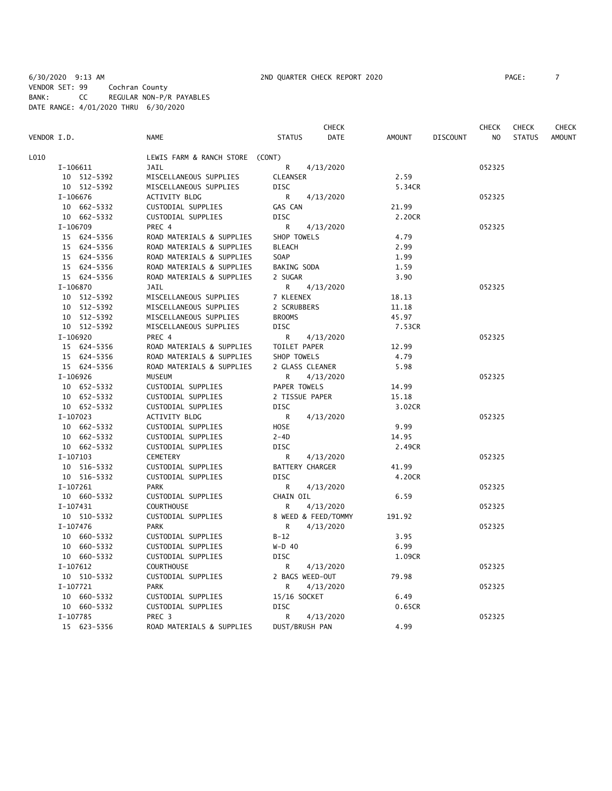6/30/2020 9:13 AM 2ND QUARTER CHECK REPORT 2020 PAGE: 7 VENDOR SET: 99 Cochran County BANK: CC REGULAR NON-P/R PAYABLES DATE RANGE: 4/01/2020 THRU 6/30/2020

**CHECK CHECK CHECK CHECK CHECK CHECK CHECK** VENDOR I.D. NAME STATUS DATE AMOUNT DISCOUNT NO STATUS AMOUNT L010 LEWIS FARM & RANCH STORE (CONT) I-106611 JAIL R 4/13/2020 052325 10 512-5392 MISCELLANEOUS SUPPLIES CLEANSER 2.59 10 512-5392 MISCELLANEOUS SUPPLIES DISC 65.34CR I-106676 ACTIVITY BLDG R 4/13/2020 052325 10 662-5332 CUSTODIAL SUPPLIES GAS CAN 21.99 10 662-5332 CUSTODIAL SUPPLIES DISC 2.20CR I-106709 PREC 4 R 4/13/2020 052325 15 624-5356 ROAD MATERIALS & SUPPLIES SHOP TOWELS 4.79 15 624-5356 ROAD MATERIALS & SUPPLIES BLEACH 2.99 ROAD MATERIALS & SUPPLIES SOAP 1.99 15 624-5356 ROAD MATERIALS & SUPPLIES BAKING SODA 1.59 15 624-5356 ROAD MATERIALS & SUPPLIES 2 SUGAR 3.90 I-106870 JAIL R 4/13/2020 052325 10 512-5392 MISCELLANEOUS SUPPLIES 7 KLEENEX 18.13 10 512-5392 MISCELLANEOUS SUPPLIES 2 SCRUBBERS 11.18 10 512-5392 MISCELLANEOUS SUPPLIES BROOMS 45.97 10 512-5392 MISCELLANEOUS SUPPLIES DISC 7.53CR I-106920 PREC 4 R 4/13/2020<br>15 624-5356 ROAD MATERIALS & SUPPLIES TOILET PAPER 12.99 ROAD MATERIALS & SUPPLIES TOILET PAPER 12.99 15 624-5356 ROAD MATERIALS & SUPPLIES SHOP TOWELS 4.79 15 624-5356 ROAD MATERIALS & SUPPLIES 2 GLASS CLEANER 5.98 I-106926 MUSEUM R 4/13/2020 052325 10 652-5332 CUSTODIAL SUPPLIES PAPER TOWELS 14.99 10 652-5332 CUSTODIAL SUPPLIES 2 TISSUE PAPER 15.18 CUSTODIAL SUPPLIES DISC 3.02CR I-107023 ACTIVITY BLDG R 4/13/2020 052325 10 662-5332 CUSTODIAL SUPPLIES HOSE 9.99 10 662-5332 CUSTODIAL SUPPLIES 2-4D 14.95 10 662-5332 CUSTODIAL SUPPLIES DISC 2.49CR I-107103 CEMETERY R 4/13/2020 052325 10 516-5332 CUSTODIAL SUPPLIES BATTERY CHARGER 41.99 10 516-5332 CUSTODIAL SUPPLIES DISC 4.20CR I-107261 PARK R 4/13/2020 052325 10 660-5332 CUSTODIAL SUPPLIES CHAIN OIL 6.59 I-107431 COURTHOUSE R 4/13/2020 052325 10 510-5332 CUSTODIAL SUPPLIES 8 WEED & FEED/TOMMY 191.92 I-107476 PARK R 4/13/2020 052325 10 660-5332 CUSTODIAL SUPPLIES B-12 3.95 10 660-5332 CUSTODIAL SUPPLIES W-D 40 6.99 10 660-5332 CUSTODIAL SUPPLIES DISC 1.09CR I-107612 COURTHOUSE R 4/13/2020 052325 10 510-5332 CUSTODIAL SUPPLIES 2 BAGS WEED-OUT 79.98 I-107721 PARK R 4/13/2020 052325 10 660-5332 CUSTODIAL SUPPLIES 15/16 SOCKET 6.49 10 660-5332 CUSTODIAL SUPPLIES DISC 0.65CR I-107785 PREC 3<br>15 623-5356 ROAD MATERIALS & SUPPLIES DUST/BRUSH PAN 4.99 4.99 ROAD MATERIALS & SUPPLIES DUST/BRUSH PAN 4.99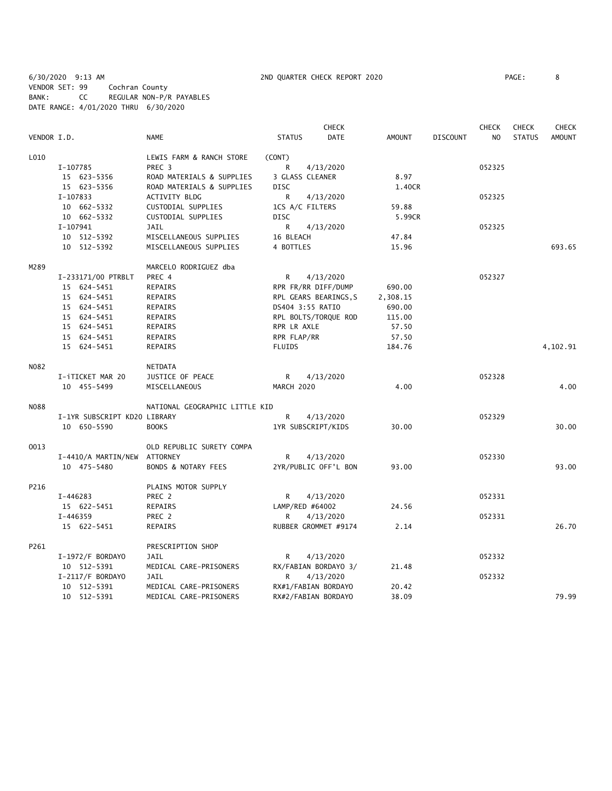6/30/2020 9:13 AM 2ND QUARTER CHECK REPORT 2020 PAGE: 8 VENDOR SET: 99 Cochran County BANK: CC REGULAR NON-P/R PAYABLES DATE RANGE: 4/01/2020 THRU 6/30/2020

|             |                              |                                |                       | <b>CHECK</b>         |               |                 | <b>CHECK</b>   | <b>CHECK</b>  | <b>CHECK</b>  |
|-------------|------------------------------|--------------------------------|-----------------------|----------------------|---------------|-----------------|----------------|---------------|---------------|
| VENDOR I.D. |                              | <b>NAME</b>                    | <b>STATUS</b>         | <b>DATE</b>          | <b>AMOUNT</b> | <b>DISCOUNT</b> | N <sub>O</sub> | <b>STATUS</b> | <b>AMOUNT</b> |
| L010        |                              | LEWIS FARM & RANCH STORE       | (CONT)                |                      |               |                 |                |               |               |
|             | I-107785                     | PREC <sub>3</sub>              | R                     | 4/13/2020            |               |                 | 052325         |               |               |
|             | 15 623-5356                  | ROAD MATERIALS & SUPPLIES      | 3 GLASS CLEANER       |                      | 8.97          |                 |                |               |               |
|             | 15 623-5356                  | ROAD MATERIALS & SUPPLIES      | <b>DISC</b>           |                      | 1.40CR        |                 |                |               |               |
|             | I-107833                     | <b>ACTIVITY BLDG</b>           | R                     | 4/13/2020            |               |                 | 052325         |               |               |
|             | 10 662-5332                  | CUSTODIAL SUPPLIES             | 1CS A/C FILTERS       |                      | 59.88         |                 |                |               |               |
|             | 10 662-5332                  | CUSTODIAL SUPPLIES             | <b>DISC</b>           |                      | 5.99CR        |                 |                |               |               |
|             | I-107941                     | JAIL                           | R                     | 4/13/2020            |               |                 | 052325         |               |               |
|             | 10 512-5392                  | MISCELLANEOUS SUPPLIES         | 16 BLEACH             |                      | 47.84         |                 |                |               |               |
|             | 10 512-5392                  | MISCELLANEOUS SUPPLIES         | 4 BOTTLES             |                      | 15.96         |                 |                |               | 693.65        |
| M289        |                              | MARCELO RODRIGUEZ dba          |                       |                      |               |                 |                |               |               |
|             | I-233171/00 PTRBLT           | PREC 4                         | R                     | 4/13/2020            |               |                 | 052327         |               |               |
|             | 15 624-5451                  | <b>REPAIRS</b>                 | RPR FR/RR DIFF/DUMP   |                      | 690.00        |                 |                |               |               |
|             | 15 624-5451                  | REPAIRS                        | RPL GEARS BEARINGS, S |                      | 2,308.15      |                 |                |               |               |
|             | 15 624-5451                  | REPAIRS                        | DS404 3:55 RATIO      |                      | 690.00        |                 |                |               |               |
|             | 15 624-5451                  | REPAIRS                        | RPL BOLTS/TORQUE ROD  |                      | 115.00        |                 |                |               |               |
|             | 15 624-5451                  | REPAIRS                        | RPR LR AXLE           |                      | 57.50         |                 |                |               |               |
|             | 15 624-5451                  | REPAIRS                        | RPR FLAP/RR           |                      | 57.50         |                 |                |               |               |
|             | 15 624-5451                  | <b>REPAIRS</b>                 | <b>FLUIDS</b>         |                      | 184.76        |                 |                |               | 4,102.91      |
| N082        |                              | NETDATA                        |                       |                      |               |                 |                |               |               |
|             | I-iTICKET MAR 20             | JUSTICE OF PEACE               | R                     | 4/13/2020            |               |                 | 052328         |               |               |
|             | 10 455-5499                  | MISCELLANEOUS                  | MARCH 2020            |                      | 4.00          |                 |                |               | 4.00          |
| <b>NO88</b> |                              | NATIONAL GEOGRAPHIC LITTLE KID |                       |                      |               |                 |                |               |               |
|             | I-1YR SUBSCRIPT KD20 LIBRARY |                                | R                     | 4/13/2020            |               |                 | 052329         |               |               |
|             | 10 650-5590                  | <b>BOOKS</b>                   | 1YR SUBSCRIPT/KIDS    |                      | 30.00         |                 |                |               | 30.00         |
| 0013        |                              | OLD REPUBLIC SURETY COMPA      |                       |                      |               |                 |                |               |               |
|             | I-4410/A MARTIN/NEW ATTORNEY |                                | R                     | 4/13/2020            |               |                 | 052330         |               |               |
|             | 10 475-5480                  | BONDS & NOTARY FEES            |                       | 2YR/PUBLIC OFF'L BON | 93.00         |                 |                |               | 93.00         |
| P216        |                              | PLAINS MOTOR SUPPLY            |                       |                      |               |                 |                |               |               |
|             | I-446283                     | PREC 2                         | R                     | 4/13/2020            |               |                 | 052331         |               |               |
|             | 15 622-5451                  | REPAIRS                        | LAMP/RED #64002       |                      | 24.56         |                 |                |               |               |
|             | I-446359                     | PREC 2                         | R                     | 4/13/2020            |               |                 | 052331         |               |               |
|             | 15 622-5451                  | REPAIRS                        |                       | RUBBER GROMMET #9174 | 2.14          |                 |                |               | 26.70         |
| P261        |                              | PRESCRIPTION SHOP              |                       |                      |               |                 |                |               |               |
|             | I-1972/F BORDAYO             | <b>JAIL</b>                    | R                     | 4/13/2020            |               |                 | 052332         |               |               |
|             | 10 512-5391                  | MEDICAL CARE-PRISONERS         |                       | RX/FABIAN BORDAYO 3/ | 21.48         |                 |                |               |               |
|             | I-2117/F BORDAYO             | JAIL                           | R                     | 4/13/2020            |               |                 | 052332         |               |               |
|             | 10 512-5391                  | MEDICAL CARE-PRISONERS         | RX#1/FABIAN BORDAYO   |                      | 20.42         |                 |                |               |               |
|             | 10 512-5391                  | MEDICAL CARE-PRISONERS         | RX#2/FABIAN BORDAYO   |                      | 38.09         |                 |                |               | 79.99         |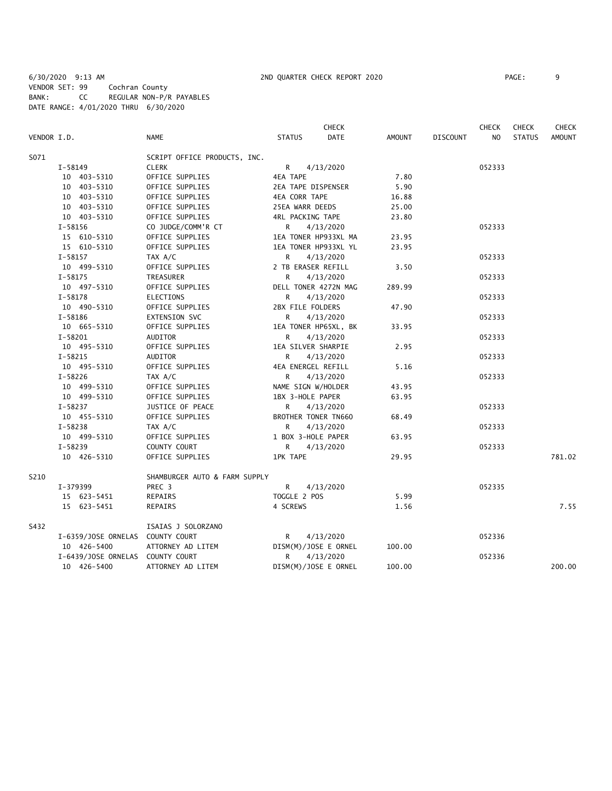6/30/2020 9:13 AM 2ND QUARTER CHECK REPORT 2020 PAGE: 9 VENDOR SET: 99 Cochran County BANK: CC REGULAR NON-P/R PAYABLES DATE RANGE: 4/01/2020 THRU 6/30/2020

|             |                                  |                               |                         | <b>CHECK</b>         |        |                 | <b>CHECK</b>   | <b>CHECK</b>  | <b>CHECK</b>  |
|-------------|----------------------------------|-------------------------------|-------------------------|----------------------|--------|-----------------|----------------|---------------|---------------|
| VENDOR I.D. |                                  | <b>NAME</b>                   | <b>STATUS</b>           | <b>DATE</b>          | AMOUNT | <b>DISCOUNT</b> | N <sub>O</sub> | <b>STATUS</b> | <b>AMOUNT</b> |
| S071        |                                  | SCRIPT OFFICE PRODUCTS, INC.  |                         |                      |        |                 |                |               |               |
|             | $I-58149$                        | <b>CLERK</b>                  | $R \sim$                | 4/13/2020            |        |                 | 052333         |               |               |
|             | 10 403-5310                      | OFFICE SUPPLIES               | <b>4EA TAPE</b>         |                      | 7.80   |                 |                |               |               |
|             | 10 403-5310                      | OFFICE SUPPLIES               | 2EA TAPE DISPENSER      |                      | 5.90   |                 |                |               |               |
|             | 10 403-5310                      | OFFICE SUPPLIES               | <b>4EA CORR TAPE</b>    |                      | 16.88  |                 |                |               |               |
|             | 10 403-5310                      | OFFICE SUPPLIES               | 25EA WARR DEEDS         |                      | 25.00  |                 |                |               |               |
|             | 10 403-5310                      | OFFICE SUPPLIES               | <b>4RL PACKING TAPE</b> |                      | 23.80  |                 |                |               |               |
|             | $I-58156$                        | CO JUDGE/COMM'R CT            | R                       | 4/13/2020            |        |                 | 052333         |               |               |
|             | 15 610-5310                      | OFFICE SUPPLIES               |                         | 1EA TONER HP933XL MA | 23.95  |                 |                |               |               |
|             | 15 610-5310                      | OFFICE SUPPLIES               |                         | 1EA TONER HP933XL YL | 23.95  |                 |                |               |               |
|             | $I-58157$                        | TAX A/C                       | R                       | 4/13/2020            |        |                 | 052333         |               |               |
|             | 10 499-5310                      | OFFICE SUPPLIES               | 2 TB ERASER REFILL      |                      | 3.50   |                 |                |               |               |
|             | $I-58175$                        | TREASURER                     | R.                      | 4/13/2020            |        |                 | 052333         |               |               |
|             | 10 497-5310                      | OFFICE SUPPLIES               |                         | DELL TONER 4272N MAG | 289.99 |                 |                |               |               |
|             | $I - 58178$                      | <b>ELECTIONS</b>              | R                       | 4/13/2020            |        |                 | 052333         |               |               |
|             | 10 490-5310                      | OFFICE SUPPLIES               | 2BX FILE FOLDERS        |                      | 47.90  |                 |                |               |               |
|             | $I - 58186$                      | <b>EXTENSION SVC</b>          | R                       | 4/13/2020            |        |                 | 052333         |               |               |
|             | 10 665-5310                      | OFFICE SUPPLIES               |                         | 1EA TONER HP65XL, BK | 33.95  |                 |                |               |               |
|             | $I-58201$                        | AUDITOR                       | R                       | 4/13/2020            |        |                 | 052333         |               |               |
|             | 10 495-5310                      | OFFICE SUPPLIES               | 1EA SILVER SHARPIE      |                      | 2.95   |                 |                |               |               |
|             | $I - 58215$                      | AUDITOR                       | R                       | 4/13/2020            |        |                 | 052333         |               |               |
|             | 10 495-5310                      | OFFICE SUPPLIES               | 4EA ENERGEL REFILL      |                      | 5.16   |                 |                |               |               |
|             | $I-58226$                        | TAX A/C                       | R                       | 4/13/2020            |        |                 | 052333         |               |               |
|             | 10 499-5310                      | OFFICE SUPPLIES               | NAME SIGN W/HOLDER      |                      | 43.95  |                 |                |               |               |
|             | 10 499-5310                      | OFFICE SUPPLIES               | 1BX 3-HOLE PAPER        |                      | 63.95  |                 |                |               |               |
|             | I-58237                          | JUSTICE OF PEACE              | R                       | 4/13/2020            |        |                 | 052333         |               |               |
|             | 10 455-5310                      | OFFICE SUPPLIES               | BROTHER TONER TN660     |                      | 68.49  |                 |                |               |               |
|             | $I-58238$                        | TAX A/C                       | R                       | 4/13/2020            |        |                 | 052333         |               |               |
|             | 10 499-5310                      | OFFICE SUPPLIES               | 1 BOX 3-HOLE PAPER      |                      | 63.95  |                 |                |               |               |
|             | I-58239                          | COUNTY COURT                  | R                       | 4/13/2020            |        |                 | 052333         |               |               |
|             | 10 426-5310                      | OFFICE SUPPLIES               | <b>1PK TAPE</b>         |                      | 29.95  |                 |                |               | 781.02        |
| S210        |                                  | SHAMBURGER AUTO & FARM SUPPLY |                         |                      |        |                 |                |               |               |
|             | I-379399                         | PREC <sub>3</sub>             | $\mathsf{R}$            | 4/13/2020            |        |                 | 052335         |               |               |
|             | 15 623-5451                      | REPAIRS                       | TOGGLE 2 POS            |                      | 5.99   |                 |                |               |               |
|             | 15 623-5451                      | REPAIRS                       | 4 SCREWS                |                      | 1.56   |                 |                |               | 7.55          |
| S432        |                                  | ISAIAS J SOLORZANO            |                         |                      |        |                 |                |               |               |
|             | I-6359/JOSE ORNELAS COUNTY COURT |                               | R                       | 4/13/2020            |        |                 | 052336         |               |               |
|             | 10 426-5400                      | ATTORNEY AD LITEM             |                         | DISM(M)/JOSE E ORNEL | 100.00 |                 |                |               |               |
|             | I-6439/JOSE ORNELAS COUNTY COURT |                               | R                       | 4/13/2020            |        |                 | 052336         |               |               |
|             | 10 426-5400                      | ATTORNEY AD LITEM             |                         | DISM(M)/JOSE E ORNEL | 100.00 |                 |                |               | 200.00        |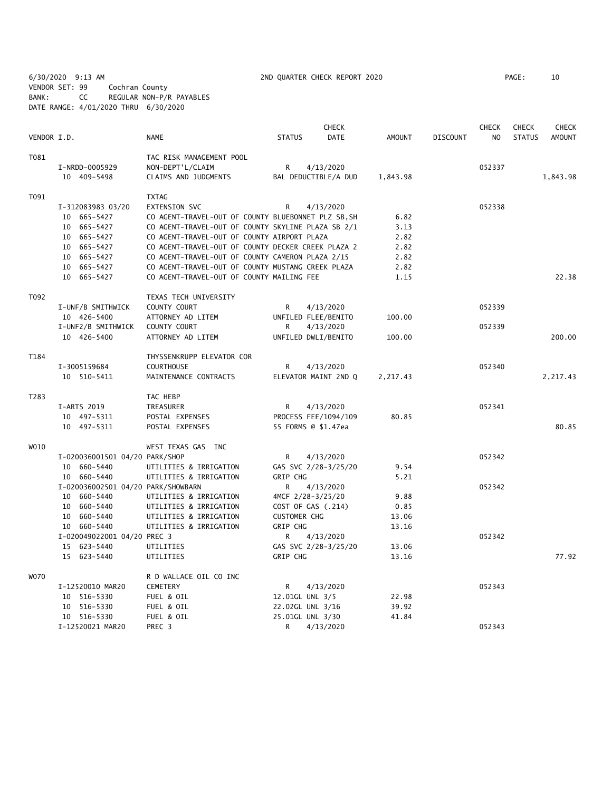6/30/2020 9:13 AM 2ND QUARTER CHECK REPORT 2020 PAGE: 10 VENDOR SET: 99 Cochran County BANK: CC REGULAR NON-P/R PAYABLES DATE RANGE: 4/01/2020 THRU 6/30/2020

|             |                                    |                                                     |                                 | <b>CHECK</b>         |                |                 | <b>CHECK</b>   | <b>CHECK</b>  | <b>CHECK</b>  |
|-------------|------------------------------------|-----------------------------------------------------|---------------------------------|----------------------|----------------|-----------------|----------------|---------------|---------------|
| VENDOR I.D. |                                    | <b>NAME</b>                                         | <b>STATUS</b>                   | <b>DATE</b>          | <b>AMOUNT</b>  | <b>DISCOUNT</b> | N <sub>O</sub> | <b>STATUS</b> | <b>AMOUNT</b> |
| T081        |                                    | TAC RISK MANAGEMENT POOL                            |                                 |                      |                |                 |                |               |               |
|             | I-NRDD-0005929                     | NON-DEPT'L/CLAIM                                    | $\mathsf{R}$                    | 4/13/2020            |                |                 | 052337         |               |               |
|             | 10 409-5498                        | CLAIMS AND JUDGMENTS                                |                                 | BAL DEDUCTIBLE/A DUD | 1,843.98       |                 |                |               | 1,843.98      |
| T091        |                                    | <b>TXTAG</b>                                        |                                 |                      |                |                 |                |               |               |
|             | I-312083983 03/20                  | <b>EXTENSION SVC</b>                                | R                               | 4/13/2020            |                |                 | 052338         |               |               |
|             | 10 665-5427                        | CO AGENT-TRAVEL-OUT OF COUNTY BLUEBONNET PLZ SB, SH |                                 |                      | 6.82           |                 |                |               |               |
|             | 10 665-5427                        | CO AGENT-TRAVEL-OUT OF COUNTY SKYLINE PLAZA SB 2/1  |                                 |                      | 3.13           |                 |                |               |               |
|             | 10 665-5427                        | CO AGENT-TRAVEL-OUT OF COUNTY AIRPORT PLAZA         |                                 |                      | 2.82           |                 |                |               |               |
|             | 10 665-5427                        | CO AGENT-TRAVEL-OUT OF COUNTY DECKER CREEK PLAZA 2  |                                 |                      | 2.82           |                 |                |               |               |
|             | 10 665-5427                        | CO AGENT-TRAVEL-OUT OF COUNTY CAMERON PLAZA 2/15    |                                 |                      | 2.82           |                 |                |               |               |
|             | 10 665-5427                        | CO AGENT-TRAVEL-OUT OF COUNTY MUSTANG CREEK PLAZA   |                                 |                      | 2.82           |                 |                |               |               |
|             | 10 665-5427                        | CO AGENT-TRAVEL-OUT OF COUNTY MAILING FEE           |                                 |                      | 1.15           |                 |                |               | 22.38         |
| T092        |                                    | TEXAS TECH UNIVERSITY                               |                                 |                      |                |                 |                |               |               |
|             | I-UNF/B SMITHWICK                  | COUNTY COURT                                        | R                               | 4/13/2020            |                |                 | 052339         |               |               |
|             | 10 426-5400                        | ATTORNEY AD LITEM                                   | UNFILED FLEE/BENITO             |                      | 100.00         |                 |                |               |               |
|             | I-UNF2/B SMITHWICK                 | COUNTY COURT                                        | R                               | 4/13/2020            |                |                 | 052339         |               |               |
|             | 10 426-5400                        | ATTORNEY AD LITEM                                   | UNFILED DWLI/BENITO             |                      | 100.00         |                 |                |               | 200.00        |
| T184        |                                    | THYSSENKRUPP ELEVATOR COR                           |                                 |                      |                |                 |                |               |               |
|             | I-3005159684                       | <b>COURTHOUSE</b>                                   | R                               | 4/13/2020            |                |                 | 052340         |               |               |
|             | 10 510-5411                        | MAINTENANCE CONTRACTS                               |                                 | ELEVATOR MAINT 2ND Q | 2,217.43       |                 |                |               | 2,217.43      |
| T283        |                                    | TAC HEBP                                            |                                 |                      |                |                 |                |               |               |
|             | I-ARTS 2019                        | TREASURER                                           | R                               | 4/13/2020            |                |                 | 052341         |               |               |
|             | 10 497-5311                        | POSTAL EXPENSES                                     |                                 | PROCESS FEE/1094/109 | 80.85          |                 |                |               |               |
|             | 10 497-5311                        | POSTAL EXPENSES                                     | 55 FORMS @ \$1.47ea             |                      |                |                 |                |               | 80.85         |
| W010        |                                    | WEST TEXAS GAS INC                                  |                                 |                      |                |                 |                |               |               |
|             | I-020036001501 04/20 PARK/SHOP     |                                                     | R                               | 4/13/2020            |                |                 | 052342         |               |               |
|             | 10 660-5440                        | UTILITIES & IRRIGATION                              |                                 | GAS SVC 2/28-3/25/20 | 9.54           |                 |                |               |               |
|             | 10 660-5440                        | UTILITIES & IRRIGATION                              | GRIP CHG                        |                      | 5.21           |                 |                |               |               |
|             | I-020036002501 04/20 PARK/SHOWBARN |                                                     | R                               | 4/13/2020            |                |                 | 052342         |               |               |
|             | 10 660-5440                        | UTILITIES & IRRIGATION                              | 4MCF 2/28-3/25/20               |                      | 9.88           |                 |                |               |               |
|             | 10 660-5440                        | UTILITIES & IRRIGATION                              | COST OF GAS (.214)              |                      | 0.85           |                 |                |               |               |
|             | 10 660-5440<br>10 660-5440         | UTILITIES & IRRIGATION<br>UTILITIES & IRRIGATION    | <b>CUSTOMER CHG</b><br>GRIP CHG |                      | 13.06<br>13.16 |                 |                |               |               |
|             | I-020049022001 04/20 PREC 3        |                                                     | R                               | 4/13/2020            |                |                 | 052342         |               |               |
|             | 15 623-5440                        | UTILITIES                                           |                                 | GAS SVC 2/28-3/25/20 | 13.06          |                 |                |               |               |
|             | 15 623-5440                        | UTILITIES                                           | GRIP CHG                        |                      | 13.16          |                 |                |               | 77.92         |
|             |                                    |                                                     |                                 |                      |                |                 |                |               |               |
| <b>WO70</b> |                                    | R D WALLACE OIL CO INC                              |                                 |                      |                |                 |                |               |               |
|             | I-12520010 MAR20                   | CEMETERY                                            | R                               | 4/13/2020            |                |                 | 052343         |               |               |
|             | 10 516-5330                        | FUEL & OIL                                          | 12.01GL UNL 3/5                 |                      | 22.98          |                 |                |               |               |
|             | 10 516-5330                        | FUEL & OIL                                          | 22.02GL UNL 3/16                |                      | 39.92          |                 |                |               |               |
|             | 10 516-5330                        | FUEL & OIL                                          | 25.01GL UNL 3/30                |                      | 41.84          |                 |                |               |               |
|             | I-12520021 MAR20                   | PREC 3                                              | R                               | 4/13/2020            |                |                 | 052343         |               |               |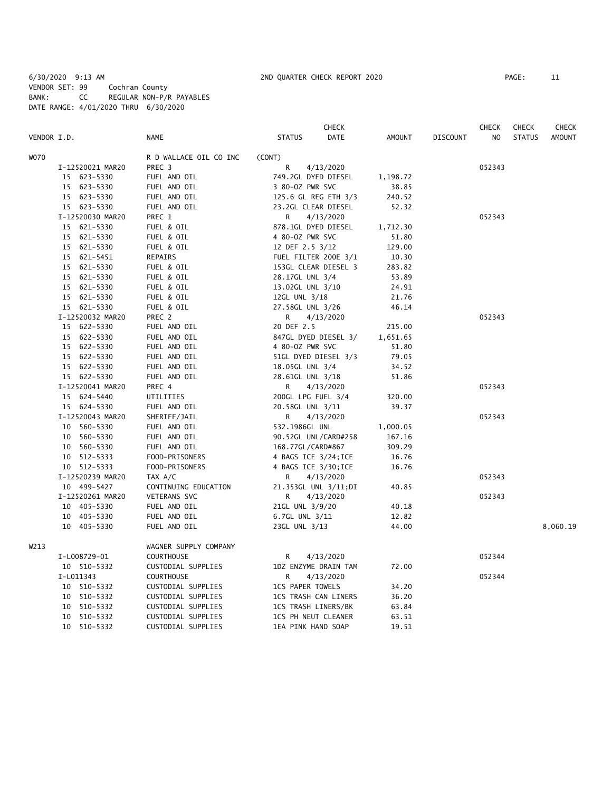6/30/2020 9:13 AM 2ND QUARTER CHECK REPORT 2020 PAGE: 11 VENDOR SET: 99 Cochran County BANK: CC REGULAR NON-P/R PAYABLES DATE RANGE: 4/01/2020 THRU 6/30/2020

|                  |                        | CHECK                   |          |                 | <b>CHECK</b> | <b>CHECK</b>  | CHECK         |
|------------------|------------------------|-------------------------|----------|-----------------|--------------|---------------|---------------|
| VENDOR I.D.      | <b>NAME</b>            | <b>STATUS</b><br>DATE   | AMOUNT   | <b>DISCOUNT</b> | NO           | <b>STATUS</b> | <b>AMOUNT</b> |
| <b>WO70</b>      | R D WALLACE OIL CO INC | (CONT)                  |          |                 |              |               |               |
| I-12520021 MAR20 | PREC <sub>3</sub>      | R<br>4/13/2020          |          |                 | 052343       |               |               |
| 15 623-5330      | FUEL AND OIL           | 749.2GL DYED DIESEL     | 1,198.72 |                 |              |               |               |
| 15 623-5330      | FUEL AND OIL           | 3 80-0Z PWR SVC         | 38.85    |                 |              |               |               |
| 15 623-5330      | FUEL AND OIL           | 125.6 GL REG ETH 3/3    | 240.52   |                 |              |               |               |
| 15 623-5330      | FUEL AND OIL           | 23.2GL CLEAR DIESEL     | 52.32    |                 |              |               |               |
| I-12520030 MAR20 | PREC 1                 | 4/13/2020<br>R          |          |                 | 052343       |               |               |
| 15 621-5330      | FUEL & OIL             | 878.1GL DYED DIESEL     | 1,712.30 |                 |              |               |               |
| 15 621-5330      | FUEL & OIL             | 4 80-0Z PWR SVC         | 51.80    |                 |              |               |               |
| 15 621-5330      | FUEL & OIL             | 12 DEF 2.5 3/12         | 129.00   |                 |              |               |               |
| 15 621-5451      | REPAIRS                | FUEL FILTER 200E 3/1    | 10.30    |                 |              |               |               |
| 15 621-5330      | FUEL & OIL             | 153GL CLEAR DIESEL 3    | 283.82   |                 |              |               |               |
| 15 621-5330      | FUEL & OIL             | 28.17GL UNL 3/4         | 53.89    |                 |              |               |               |
| 15 621-5330      | FUEL & OIL             | 13.02GL UNL 3/10        | 24.91    |                 |              |               |               |
| 15 621-5330      | FUEL & OIL             | 12GL UNL 3/18           | 21.76    |                 |              |               |               |
| 15 621-5330      | FUEL & OIL             | 27.58GL UNL 3/26        | 46.14    |                 |              |               |               |
| I-12520032 MAR20 | PREC 2                 | R<br>4/13/2020          |          |                 | 052343       |               |               |
| 15 622-5330      | FUEL AND OIL           | 20 DEF 2.5              | 215.00   |                 |              |               |               |
| 15 622-5330      | FUEL AND OIL           | 847GL DYED DIESEL 3/    | 1,651.65 |                 |              |               |               |
| 15 622-5330      | FUEL AND OIL           | 4 80-0Z PWR SVC         | 51.80    |                 |              |               |               |
| 15 622-5330      | FUEL AND OIL           | 51GL DYED DIESEL 3/3    | 79.05    |                 |              |               |               |
| 15 622-5330      | FUEL AND OIL           | 18.05GL UNL 3/4         | 34.52    |                 |              |               |               |
| 15 622-5330      | FUEL AND OIL           | 28.61GL UNL 3/18        | 51.86    |                 |              |               |               |
| I-12520041 MAR20 | PREC 4                 | R<br>4/13/2020          |          |                 | 052343       |               |               |
| 15 624-5440      | UTILITIES              | 200GL LPG FUEL 3/4      | 320.00   |                 |              |               |               |
| 15 624-5330      | FUEL AND OIL           | 20.58GL UNL 3/11        | 39.37    |                 |              |               |               |
| I-12520043 MAR20 | SHERIFF/JAIL           | R<br>4/13/2020          |          |                 | 052343       |               |               |
| 10 560-5330      | FUEL AND OIL           | 532.1986GL UNL          | 1,000.05 |                 |              |               |               |
| 10 560-5330      | FUEL AND OIL           | 90.52GL UNL/CARD#258    | 167.16   |                 |              |               |               |
| 10 560-5330      | FUEL AND OIL           | 168.77GL/CARD#867       | 309.29   |                 |              |               |               |
| 10 512-5333      | FOOD-PRISONERS         | 4 BAGS ICE 3/24; ICE    | 16.76    |                 |              |               |               |
| 10 512-5333      | FOOD-PRISONERS         | 4 BAGS ICE 3/30; ICE    | 16.76    |                 |              |               |               |
| I-12520239 MAR20 | TAX A/C                | R<br>4/13/2020          |          |                 | 052343       |               |               |
| 10 499-5427      | CONTINUING EDUCATION   | 21.353GL UNL 3/11;DI    | 40.85    |                 |              |               |               |
| I-12520261 MAR20 | <b>VETERANS SVC</b>    | R<br>4/13/2020          |          |                 | 052343       |               |               |
| 10 405-5330      | FUEL AND OIL           | 21GL UNL 3/9/20         | 40.18    |                 |              |               |               |
| 10 405-5330      | FUEL AND OIL           | 6.7GL UNL 3/11          | 12.82    |                 |              |               |               |
| 10 405-5330      | FUEL AND OIL           | 23GL UNL 3/13           | 44.00    |                 |              |               | 8,060.19      |
| W213             | WAGNER SUPPLY COMPANY  |                         |          |                 |              |               |               |
| I-L008729-01     | <b>COURTHOUSE</b>      | R<br>4/13/2020          |          |                 | 052344       |               |               |
| 10 510-5332      | CUSTODIAL SUPPLIES     | 1DZ ENZYME DRAIN TAM    | 72.00    |                 |              |               |               |
| I-L011343        | <b>COURTHOUSE</b>      | R<br>4/13/2020          |          |                 | 052344       |               |               |
| 10 510-5332      | CUSTODIAL SUPPLIES     | <b>1CS PAPER TOWELS</b> | 34.20    |                 |              |               |               |
| 10 510-5332      | CUSTODIAL SUPPLIES     | 1CS TRASH CAN LINERS    | 36.20    |                 |              |               |               |
| 510-5332<br>10   | CUSTODIAL SUPPLIES     | 1CS TRASH LINERS/BK     | 63.84    |                 |              |               |               |
| 10 510-5332      | CUSTODIAL SUPPLIES     | 1CS PH NEUT CLEANER     | 63.51    |                 |              |               |               |
| 10 510-5332      | CUSTODIAL SUPPLIES     | 1EA PINK HAND SOAP      | 19.51    |                 |              |               |               |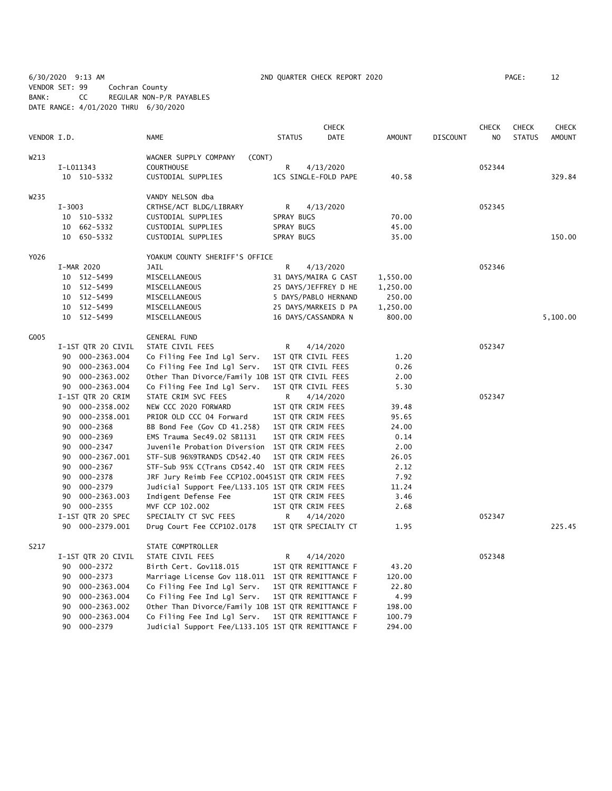6/30/2020 9:13 AM 2ND QUARTER CHECK REPORT 2020 PAGE: 12 VENDOR SET: 99 Cochran County BANK: CC REGULAR NON-P/R PAYABLES DATE RANGE: 4/01/2020 THRU 6/30/2020

|                  |                    |                                                    |               | CHECK                |               |                 | <b>CHECK</b>   | <b>CHECK</b>  | <b>CHECK</b>  |
|------------------|--------------------|----------------------------------------------------|---------------|----------------------|---------------|-----------------|----------------|---------------|---------------|
| VENDOR I.D.      |                    | <b>NAME</b>                                        | <b>STATUS</b> | <b>DATE</b>          | <b>AMOUNT</b> | <b>DISCOUNT</b> | N <sub>O</sub> | <b>STATUS</b> | <b>AMOUNT</b> |
| W213             |                    | WAGNER SUPPLY COMPANY<br>(CONT)                    |               |                      |               |                 |                |               |               |
|                  | I-L011343          | <b>COURTHOUSE</b>                                  | R             | 4/13/2020            |               |                 | 052344         |               |               |
|                  | 10 510-5332        | CUSTODIAL SUPPLIES                                 |               | 1CS SINGLE-FOLD PAPE | 40.58         |                 |                |               | 329.84        |
| W <sub>235</sub> |                    | VANDY NELSON dba                                   |               |                      |               |                 |                |               |               |
|                  | $I - 3003$         | CRTHSE/ACT BLDG/LIBRARY                            | R             | 4/13/2020            |               |                 | 052345         |               |               |
|                  | 10 510-5332        | CUSTODIAL SUPPLIES                                 | SPRAY BUGS    |                      | 70.00         |                 |                |               |               |
|                  | 10 662-5332        | CUSTODIAL SUPPLIES                                 | SPRAY BUGS    |                      | 45.00         |                 |                |               |               |
|                  | 10 650-5332        | CUSTODIAL SUPPLIES                                 | SPRAY BUGS    |                      | 35.00         |                 |                |               | 150.00        |
| Y026             |                    | YOAKUM COUNTY SHERIFF'S OFFICE                     |               |                      |               |                 |                |               |               |
|                  | I-MAR 2020         | <b>JAIL</b>                                        | R             | 4/13/2020            |               |                 | 052346         |               |               |
|                  | 10 512-5499        | MISCELLANEOUS                                      |               | 31 DAYS/MAIRA G CAST | 1,550.00      |                 |                |               |               |
|                  | 10 512-5499        | MISCELLANEOUS                                      |               | 25 DAYS/JEFFREY D HE | 1,250.00      |                 |                |               |               |
|                  | 10 512-5499        | MISCELLANEOUS                                      |               | 5 DAYS/PABLO HERNAND | 250.00        |                 |                |               |               |
|                  | 10 512-5499        | MISCELLANEOUS                                      |               | 25 DAYS/MARKEIS D PA | 1,250.00      |                 |                |               |               |
|                  | 10 512-5499        | MISCELLANEOUS                                      |               | 16 DAYS/CASSANDRA N  | 800.00        |                 |                |               | 5,100.00      |
| G005             |                    | <b>GENERAL FUND</b>                                |               |                      |               |                 |                |               |               |
|                  | I-1ST QTR 20 CIVIL | STATE CIVIL FEES                                   | R             | 4/14/2020            |               |                 | 052347         |               |               |
|                  | 90 000-2363.004    | Co Filing Fee Ind Lgl Serv.                        |               | 1ST QTR CIVIL FEES   | 1.20          |                 |                |               |               |
|                  | 90 000-2363.004    | Co Filing Fee Ind Lgl Serv.                        |               | 1ST QTR CIVIL FEES   | 0.26          |                 |                |               |               |
|                  | 90 000-2363.002    | Other Than Divorce/Family 10B 1ST QTR CIVIL FEES   |               |                      | 2.00          |                 |                |               |               |
|                  | 90 000-2363.004    | Co Filing Fee Ind Lgl Serv.                        |               | 1ST QTR CIVIL FEES   | 5.30          |                 |                |               |               |
|                  | I-1ST QTR 20 CRIM  | STATE CRIM SVC FEES                                | R             | 4/14/2020            |               |                 | 052347         |               |               |
|                  | 90 000-2358.002    | NEW CCC 2020 FORWARD                               |               | 1ST QTR CRIM FEES    | 39.48         |                 |                |               |               |
|                  | 000-2358.001<br>90 | PRIOR OLD CCC 04 Forward                           |               | 1ST QTR CRIM FEES    | 95.65         |                 |                |               |               |
|                  | 000-2368<br>90     | BB Bond Fee (Gov CD 41.258)                        |               | 1ST QTR CRIM FEES    | 24.00         |                 |                |               |               |
|                  | 000-2369<br>90     | EMS Trauma Sec49.02 SB1131                         |               | 1ST QTR CRIM FEES    | 0.14          |                 |                |               |               |
|                  | 90<br>000-2347     | Juvenile Probation Diversion                       |               | 1ST QTR CRIM FEES    | 2.00          |                 |                |               |               |
|                  | 000-2367.001<br>90 | STF-SUB 96%9TRANDS CD542.40                        |               | 1ST QTR CRIM FEES    | 26.05         |                 |                |               |               |
|                  | 000-2367<br>90     | STF-Sub 95% C(Trans CD542.40                       |               | 1ST QTR CRIM FEES    | 2.12          |                 |                |               |               |
|                  | 000-2378<br>90     | JRF Jury Reimb Fee CCP102.00451ST QTR CRIM FEES    |               |                      | 7.92          |                 |                |               |               |
|                  | 000-2379<br>90     | Judicial Support Fee/L133.105 1ST QTR CRIM FEES    |               |                      | 11.24         |                 |                |               |               |
|                  | 000-2363.003<br>90 | Indigent Defense Fee                               |               | 1ST QTR CRIM FEES    | 3.46          |                 |                |               |               |
|                  | 90 000-2355        | MVF CCP 102.002                                    |               | 1ST QTR CRIM FEES    | 2.68          |                 |                |               |               |
|                  | I-1ST QTR 20 SPEC  | SPECIALTY CT SVC FEES                              | R             | 4/14/2020            |               |                 | 052347         |               |               |
|                  | 90 000-2379.001    | Drug Court Fee CCP102.0178                         |               | 1ST QTR SPECIALTY CT | 1.95          |                 |                |               | 225.45        |
| S217             |                    | STATE COMPTROLLER                                  |               |                      |               |                 |                |               |               |
|                  | I-1ST QTR 20 CIVIL | STATE CIVIL FEES                                   | R             | 4/14/2020            |               |                 | 052348         |               |               |
|                  | 90 000-2372        | Birth Cert. Gov118.015                             |               | 1ST QTR REMITTANCE F | 43.20         |                 |                |               |               |
|                  | 000-2373<br>90     | Marriage License Gov 118.011 1ST QTR REMITTANCE F  |               |                      | 120.00        |                 |                |               |               |
|                  | 000-2363.004<br>90 | Co Filing Fee Ind Lgl Serv.                        |               | 1ST QTR REMITTANCE F | 22.80         |                 |                |               |               |
|                  | 000-2363.004<br>90 | Co Filing Fee Ind Lgl Serv.                        |               | 1ST QTR REMITTANCE F | 4.99          |                 |                |               |               |
|                  | 90<br>000-2363.002 | Other Than Divorce/Family 10B 1ST QTR REMITTANCE F |               |                      | 198.00        |                 |                |               |               |
|                  | 90<br>000-2363.004 | Co Filing Fee Ind Lgl Serv.                        |               | 1ST QTR REMITTANCE F | 100.79        |                 |                |               |               |

90 000-2379 Judicial Support Fee/L133.105 1ST QTR REMITTANCE F 294.00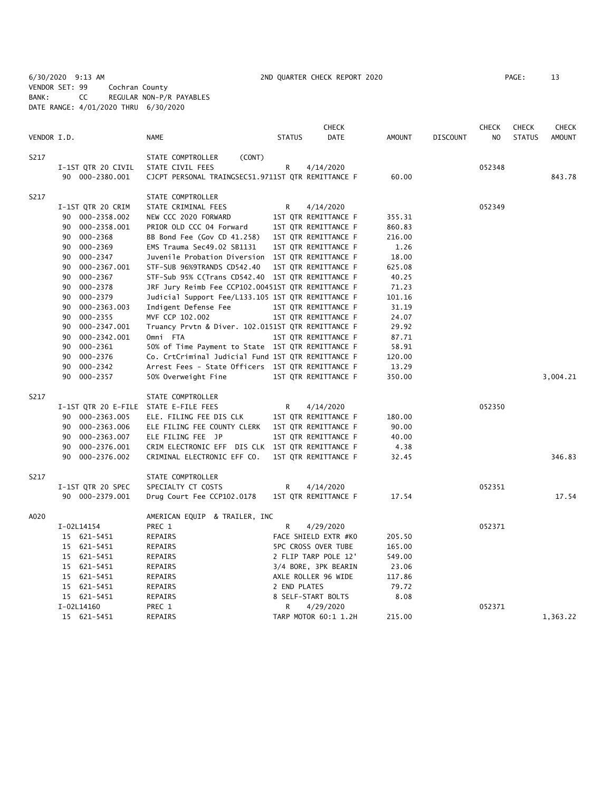6/30/2020 9:13 AM 2ND QUARTER CHECK REPORT 2020 PAGE: 13 VENDOR SET: 99 Cochran County BANK: CC REGULAR NON-P/R PAYABLES DATE RANGE: 4/01/2020 THRU 6/30/2020

|             |                                       |                                                    |               | <b>CHECK</b>               |               |                 | <b>CHECK</b>   | <b>CHECK</b>  | <b>CHECK</b>  |
|-------------|---------------------------------------|----------------------------------------------------|---------------|----------------------------|---------------|-----------------|----------------|---------------|---------------|
| VENDOR I.D. |                                       | <b>NAME</b>                                        | <b>STATUS</b> | <b>DATE</b>                | <b>AMOUNT</b> | <b>DISCOUNT</b> | N <sub>O</sub> | <b>STATUS</b> | <b>AMOUNT</b> |
| S217        |                                       | STATE COMPTROLLER<br>(CONT)                        |               |                            |               |                 |                |               |               |
|             | I-1ST QTR 20 CIVIL                    | STATE CIVIL FEES                                   | R             | 4/14/2020                  |               |                 | 052348         |               |               |
|             | 90 000-2380.001                       | CJCPT PERSONAL TRAINGSEC51.9711ST QTR REMITTANCE F |               |                            | 60.00         |                 |                |               | 843.78        |
| S217        |                                       | STATE COMPTROLLER                                  |               |                            |               |                 |                |               |               |
|             | I-1ST QTR 20 CRIM                     | STATE CRIMINAL FEES                                | R             | 4/14/2020                  |               |                 | 052349         |               |               |
|             | 90 000-2358.002                       | NEW CCC 2020 FORWARD                               |               | 1ST QTR REMITTANCE F       | 355.31        |                 |                |               |               |
|             | 000-2358.001<br>90                    | PRIOR OLD CCC 04 Forward                           |               | 1ST QTR REMITTANCE F       | 860.83        |                 |                |               |               |
|             | 000-2368<br>90                        | BB Bond Fee (Gov CD 41.258)                        |               | 1ST QTR REMITTANCE F       | 216.00        |                 |                |               |               |
|             | 000-2369<br>90                        | EMS Trauma Sec49.02 SB1131                         |               | 1ST QTR REMITTANCE F       | 1.26          |                 |                |               |               |
|             | 90<br>000-2347                        | Juvenile Probation Diversion 1ST QTR REMITTANCE F  |               |                            | 18.00         |                 |                |               |               |
|             | 90<br>000-2367.001                    | STF-SUB 96%9TRANDS CD542.40                        |               | 1ST QTR REMITTANCE F       | 625.08        |                 |                |               |               |
|             | 90<br>000-2367                        | STF-Sub 95% C(Trans CD542.40 1ST QTR REMITTANCE F  |               |                            | 40.25         |                 |                |               |               |
|             | 000-2378<br>90                        | JRF Jury Reimb Fee CCP102.00451ST QTR REMITTANCE F |               |                            | 71.23         |                 |                |               |               |
|             | 90<br>000-2379                        | Judicial Support Fee/L133.105 1ST QTR REMITTANCE F |               |                            | 101.16        |                 |                |               |               |
|             | 90<br>000-2363.003                    | Indigent Defense Fee                               |               | 1ST QTR REMITTANCE F       | 31.19         |                 |                |               |               |
|             | 90<br>000-2355                        | MVF CCP 102.002                                    |               | 1ST QTR REMITTANCE F       | 24.07         |                 |                |               |               |
|             | 000-2347.001<br>90                    | Truancy Prvtn & Diver. 102.0151ST QTR REMITTANCE F |               |                            | 29.92         |                 |                |               |               |
|             | 000-2342.001<br>90                    | Omni FTA                                           |               | 1ST QTR REMITTANCE F       | 87.71         |                 |                |               |               |
|             | 90<br>000-2361                        | 50% of Time Payment to State 1ST QTR REMITTANCE F  |               |                            | 58.91         |                 |                |               |               |
|             | 90<br>000-2376                        | Co. CrtCriminal Judicial Fund 1ST QTR REMITTANCE F |               |                            | 120.00        |                 |                |               |               |
|             | 000-2342<br>90                        | Arrest Fees - State Officers 1ST QTR REMITTANCE F  |               |                            | 13.29         |                 |                |               |               |
|             | 90<br>000-2357                        | 50% Overweight Fine                                |               | 1ST QTR REMITTANCE F       | 350.00        |                 |                |               | 3,004.21      |
| S217        |                                       | STATE COMPTROLLER                                  |               |                            |               |                 |                |               |               |
|             | I-1ST QTR 20 E-FILE STATE E-FILE FEES |                                                    | R             | 4/14/2020                  |               |                 | 052350         |               |               |
|             | 90 000-2363.005                       | ELE. FILING FEE DIS CLK                            |               | 1ST QTR REMITTANCE F       | 180.00        |                 |                |               |               |
|             | 90 000-2363.006                       | ELE FILING FEE COUNTY CLERK                        |               | 1ST QTR REMITTANCE F       | 90.00         |                 |                |               |               |
|             | 90<br>000-2363.007                    | ELE FILING FEE JP                                  |               | 1ST QTR REMITTANCE F       | 40.00         |                 |                |               |               |
|             | 90<br>000-2376.001                    | CRIM ELECTRONIC EFF DIS CLK 1ST QTR REMITTANCE F   |               |                            | 4.38          |                 |                |               |               |
|             | 000-2376.002<br>90                    | CRIMINAL ELECTRONIC EFF CO.                        |               | 1ST QTR REMITTANCE F       | 32.45         |                 |                |               | 346.83        |
| S217        |                                       | STATE COMPTROLLER                                  |               |                            |               |                 |                |               |               |
|             | I-1ST QTR 20 SPEC                     | SPECIALTY CT COSTS                                 | R             | 4/14/2020                  |               |                 | 052351         |               |               |
|             | 90 000-2379.001                       | Drug Court Fee CCP102.0178                         |               | 1ST QTR REMITTANCE F       | 17.54         |                 |                |               | 17.54         |
| A020        |                                       | AMERICAN EQUIP & TRAILER, INC                      |               |                            |               |                 |                |               |               |
|             | I-02L14154                            | PREC 1                                             | R             | 4/29/2020                  |               |                 | 052371         |               |               |
|             | 15 621-5451                           | REPAIRS                                            |               | FACE SHIELD EXTR #KO       | 205.50        |                 |                |               |               |
|             | 15 621-5451                           | REPAIRS                                            |               | <b>5PC CROSS OVER TUBE</b> | 165.00        |                 |                |               |               |
|             | 15 621-5451                           | REPAIRS                                            |               | 2 FLIP TARP POLE 12'       | 549.00        |                 |                |               |               |
|             | 15 621-5451                           | REPAIRS                                            |               | 3/4 BORE, 3PK BEARIN       | 23.06         |                 |                |               |               |
|             | 15 621-5451                           | REPAIRS                                            |               | AXLE ROLLER 96 WIDE        | 117.86        |                 |                |               |               |
|             | 15 621-5451                           | REPAIRS                                            | 2 END PLATES  |                            | 79.72         |                 |                |               |               |
|             | 15 621-5451                           | REPAIRS                                            |               | 8 SELF-START BOLTS         | 8.08          |                 |                |               |               |
|             | I-02L14160                            | PREC 1                                             | R             | 4/29/2020                  |               |                 | 052371         |               |               |
|             | 15 621-5451                           | <b>REPAIRS</b>                                     |               | TARP MOTOR 60:1 1.2H       | 215.00        |                 |                |               | 1,363.22      |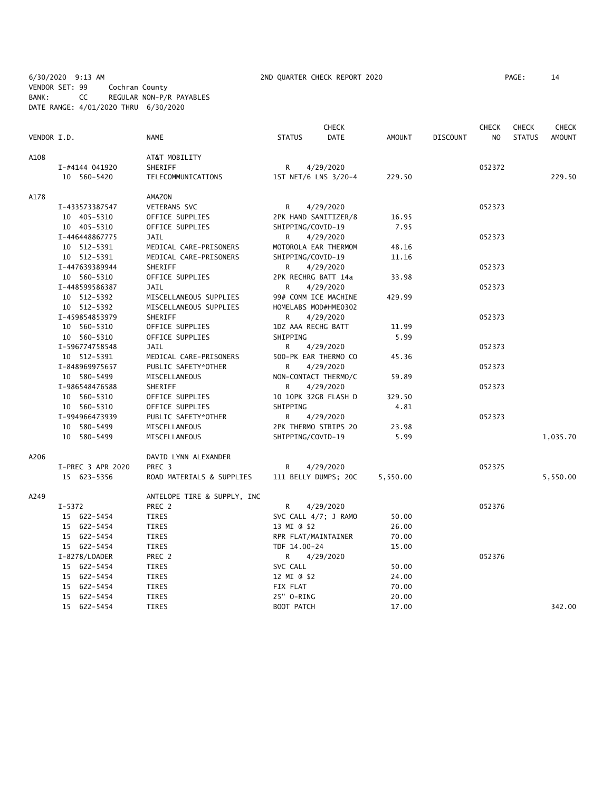6/30/2020 9:13 AM 2ND QUARTER CHECK REPORT 2020 PAGE: 14 VENDOR SET: 99 Cochran County BANK: CC REGULAR NON-P/R PAYABLES DATE RANGE: 4/01/2020 THRU 6/30/2020

|             |                   |                             |                     | CHECK                |               |                 | <b>CHECK</b>   | <b>CHECK</b>  | <b>CHECK</b>  |
|-------------|-------------------|-----------------------------|---------------------|----------------------|---------------|-----------------|----------------|---------------|---------------|
| VENDOR I.D. |                   | <b>NAME</b>                 | <b>STATUS</b>       | <b>DATE</b>          | <b>AMOUNT</b> | <b>DISCOUNT</b> | N <sub>O</sub> | <b>STATUS</b> | <b>AMOUNT</b> |
| A108        |                   | AT&T MOBILITY               |                     |                      |               |                 |                |               |               |
|             | I-#4144 041920    | SHERIFF                     | R                   | 4/29/2020            |               |                 | 052372         |               |               |
|             | 10 560-5420       | TELECOMMUNICATIONS          |                     | 1ST NET/6 LNS 3/20-4 | 229.50        |                 |                |               | 229.50        |
| A178        |                   | AMAZON                      |                     |                      |               |                 |                |               |               |
|             | I-433573387547    | VETERANS SVC                | R                   | 4/29/2020            |               |                 | 052373         |               |               |
|             | 10 405-5310       | OFFICE SUPPLIES             |                     | 2PK HAND SANITIZER/8 | 16.95         |                 |                |               |               |
|             | 10 405-5310       | OFFICE SUPPLIES             | SHIPPING/COVID-19   |                      | 7.95          |                 |                |               |               |
|             | I-446448867775    | <b>JAIL</b>                 | R                   | 4/29/2020            |               |                 | 052373         |               |               |
|             | 10 512-5391       | MEDICAL CARE-PRISONERS      |                     | MOTOROLA EAR THERMOM | 48.16         |                 |                |               |               |
|             | 10 512-5391       | MEDICAL CARE-PRISONERS      | SHIPPING/COVID-19   |                      | 11.16         |                 |                |               |               |
|             | I-447639389944    | SHERIFF                     | R                   | 4/29/2020            |               |                 | 052373         |               |               |
|             | 10 560-5310       | OFFICE SUPPLIES             | 2PK RECHRG BATT 14a |                      | 33.98         |                 |                |               |               |
|             | I-448599586387    | JAIL                        | R                   | 4/29/2020            |               |                 | 052373         |               |               |
|             | 10 512-5392       | MISCELLANEOUS SUPPLIES      |                     | 99# COMM ICE MACHINE | 429.99        |                 |                |               |               |
|             | 10 512-5392       | MISCELLANEOUS SUPPLIES      |                     | HOMELABS MOD#HME0302 |               |                 |                |               |               |
|             | I-459854853979    | SHERIFF                     | R                   | 4/29/2020            |               |                 | 052373         |               |               |
|             | 10 560-5310       | OFFICE SUPPLIES             | 1DZ AAA RECHG BATT  |                      | 11.99         |                 |                |               |               |
|             | 10 560-5310       | OFFICE SUPPLIES             | SHIPPING            |                      | 5.99          |                 |                |               |               |
|             | I-596774758548    | JAIL                        | R                   | 4/29/2020            |               |                 | 052373         |               |               |
|             | 10 512-5391       | MEDICAL CARE-PRISONERS      |                     | 500-PK EAR THERMO CO | 45.36         |                 |                |               |               |
|             | I-848969975657    | PUBLIC SAFETY*OTHER         | R                   | 4/29/2020            |               |                 | 052373         |               |               |
|             | 10 580-5499       | MISCELLANEOUS               |                     | NON-CONTACT THERMO/C | 59.89         |                 |                |               |               |
|             | I-986548476588    | SHERIFF                     | R.                  | 4/29/2020            |               |                 | 052373         |               |               |
|             | 10 560-5310       | OFFICE SUPPLIES             |                     | 10 10PK 32GB FLASH D | 329.50        |                 |                |               |               |
|             | 10 560-5310       | OFFICE SUPPLIES             | SHIPPING            |                      | 4.81          |                 |                |               |               |
|             | I-994966473939    | PUBLIC SAFETY*OTHER         | R                   | 4/29/2020            |               |                 | 052373         |               |               |
|             | 10 580-5499       | MISCELLANEOUS               |                     | 2PK THERMO STRIPS 20 | 23.98         |                 |                |               |               |
|             | 10 580-5499       | MISCELLANEOUS               | SHIPPING/COVID-19   |                      | 5.99          |                 |                |               | 1,035.70      |
| A206        |                   | DAVID LYNN ALEXANDER        |                     |                      |               |                 |                |               |               |
|             | I-PREC 3 APR 2020 | PREC <sub>3</sub>           | R                   | 4/29/2020            |               |                 | 052375         |               |               |
|             | 15 623-5356       | ROAD MATERIALS & SUPPLIES   |                     | 111 BELLY DUMPS; 20C | 5,550.00      |                 |                |               | 5,550.00      |
| A249        |                   | ANTELOPE TIRE & SUPPLY, INC |                     |                      |               |                 |                |               |               |
|             | $I - 5372$        | PREC 2                      | R                   | 4/29/2020            |               |                 | 052376         |               |               |
|             | 15 622-5454       | TIRES                       |                     | SVC CALL 4/7; J RAMO | 50.00         |                 |                |               |               |
|             | 15 622-5454       | TIRES                       | 13 MI @ \$2         |                      | 26.00         |                 |                |               |               |
|             | 15 622-5454       | <b>TIRES</b>                | RPR FLAT/MAINTAINER |                      | 70.00         |                 |                |               |               |
|             | 15 622-5454       | TIRES                       | TDF 14.00-24        |                      | 15.00         |                 |                |               |               |
|             | I-8278/LOADER     | PREC 2                      | R.                  | 4/29/2020            |               |                 | 052376         |               |               |
|             | 15 622-5454       | TIRES                       | SVC CALL            |                      | 50.00         |                 |                |               |               |
|             | 15 622-5454       | TIRES                       | 12 MI @ \$2         |                      | 24.00         |                 |                |               |               |
|             | 15 622-5454       | TIRES                       | FIX FLAT            |                      | 70.00         |                 |                |               |               |
|             | 15 622-5454       | <b>TIRES</b>                | 25" O-RING          |                      | 20.00         |                 |                |               |               |
|             | 15 622-5454       | <b>TIRES</b>                | <b>BOOT PATCH</b>   |                      | 17.00         |                 |                |               | 342.00        |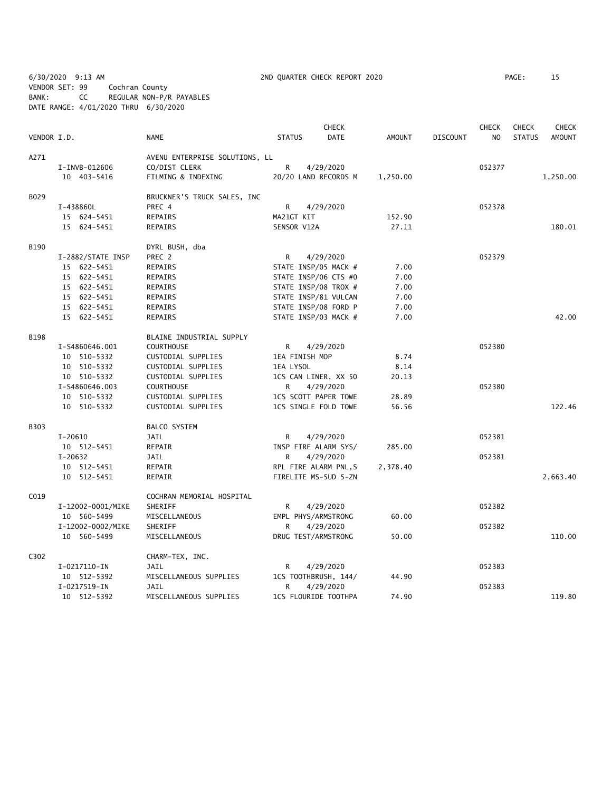6/30/2020 9:13 AM 2ND QUARTER CHECK REPORT 2020 PAGE: 15 VENDOR SET: 99 Cochran County BANK: CC REGULAR NON-P/R PAYABLES DATE RANGE: 4/01/2020 THRU 6/30/2020

|             |                   |                                |                      | <b>CHECK</b>         |               |                 | <b>CHECK</b>   | <b>CHECK</b>  | <b>CHECK</b> |
|-------------|-------------------|--------------------------------|----------------------|----------------------|---------------|-----------------|----------------|---------------|--------------|
| VENDOR I.D. |                   | NAME                           | <b>STATUS</b>        | <b>DATE</b>          | <b>AMOUNT</b> | <b>DISCOUNT</b> | N <sub>O</sub> | <b>STATUS</b> | AMOUNT       |
| A271        |                   | AVENU ENTERPRISE SOLUTIONS, LL |                      |                      |               |                 |                |               |              |
|             | I-INVB-012606     | CO/DIST CLERK                  | R                    | 4/29/2020            |               |                 | 052377         |               |              |
|             | 10 403-5416       | FILMING & INDEXING             |                      | 20/20 LAND RECORDS M | 1,250.00      |                 |                |               | 1,250.00     |
| B029        |                   | BRUCKNER'S TRUCK SALES, INC    |                      |                      |               |                 |                |               |              |
|             | I-438860L         | PREC 4                         | R                    | 4/29/2020            |               |                 | 052378         |               |              |
|             | 15 624-5451       | REPAIRS                        | MA21GT KIT           |                      | 152.90        |                 |                |               |              |
|             | 15 624-5451       | REPAIRS                        | SENSOR V12A          |                      | 27.11         |                 |                |               | 180.01       |
| B190        |                   | DYRL BUSH, dba                 |                      |                      |               |                 |                |               |              |
|             | I-2882/STATE INSP | PREC 2                         | R                    | 4/29/2020            |               |                 | 052379         |               |              |
|             | 15 622-5451       | REPAIRS                        | STATE INSP/05 MACK # |                      | 7.00          |                 |                |               |              |
|             | 15 622-5451       | REPAIRS                        | STATE INSP/06 CTS #0 |                      | 7.00          |                 |                |               |              |
|             | 15 622-5451       | REPAIRS                        | STATE INSP/08 TROX # |                      | 7.00          |                 |                |               |              |
|             | 15 622-5451       | REPAIRS                        |                      | STATE INSP/81 VULCAN | 7.00          |                 |                |               |              |
|             | 15 622-5451       | REPAIRS                        |                      | STATE INSP/08 FORD P | 7.00          |                 |                |               |              |
|             | 15 622-5451       | REPAIRS                        |                      | STATE INSP/03 MACK # | 7.00          |                 |                |               | 42.00        |
| <b>B198</b> |                   | BLAINE INDUSTRIAL SUPPLY       |                      |                      |               |                 |                |               |              |
|             | I-S4860646.001    | <b>COURTHOUSE</b>              | R                    | 4/29/2020            |               |                 | 052380         |               |              |
|             | 10 510-5332       | CUSTODIAL SUPPLIES             | 1EA FINISH MOP       |                      | 8.74          |                 |                |               |              |
|             | 10 510-5332       | CUSTODIAL SUPPLIES             | 1EA LYSOL            |                      | 8.14          |                 |                |               |              |
|             | 10 510-5332       | CUSTODIAL SUPPLIES             |                      | 1CS CAN LINER, XX 50 | 20.13         |                 |                |               |              |
|             | I-S4860646.003    | <b>COURTHOUSE</b>              | R                    | 4/29/2020            |               |                 | 052380         |               |              |
|             | 10 510-5332       | CUSTODIAL SUPPLIES             | 1CS SCOTT PAPER TOWE |                      | 28.89         |                 |                |               |              |
|             | 10 510-5332       | CUSTODIAL SUPPLIES             | 1CS SINGLE FOLD TOWE |                      | 56.56         |                 |                |               | 122.46       |
| B303        |                   | BALCO SYSTEM                   |                      |                      |               |                 |                |               |              |
|             | $I-20610$         | JAIL                           | R                    | 4/29/2020            |               |                 | 052381         |               |              |
|             | 10 512-5451       | REPAIR                         | INSP FIRE ALARM SYS/ |                      | 285.00        |                 |                |               |              |
|             | I-20632           | JAIL                           | R                    | 4/29/2020            |               |                 | 052381         |               |              |
|             | 10 512-5451       | REPAIR                         |                      | RPL FIRE ALARM PNL,S | 2,378.40      |                 |                |               |              |
|             | 10 512-5451       | REPAIR                         |                      | FIRELITE MS-5UD 5-ZN |               |                 |                |               | 2,663.40     |
| C019        |                   | COCHRAN MEMORIAL HOSPITAL      |                      |                      |               |                 |                |               |              |
|             | I-12002-0001/MIKE | SHERIFF                        | R                    | 4/29/2020            |               |                 | 052382         |               |              |
|             | 10 560-5499       | MISCELLANEOUS                  | EMPL PHYS/ARMSTRONG  |                      | 60.00         |                 |                |               |              |
|             | I-12002-0002/MIKE | SHERIFF                        | R                    | 4/29/2020            |               |                 | 052382         |               |              |
|             | 10 560-5499       | MISCELLANEOUS                  | DRUG TEST/ARMSTRONG  |                      | 50.00         |                 |                |               | 110.00       |
| C302        |                   | CHARM-TEX, INC.                |                      |                      |               |                 |                |               |              |
|             | I-0217110-IN      | JAIL                           | R                    | 4/29/2020            |               |                 | 052383         |               |              |
|             | 10 512-5392       | MISCELLANEOUS SUPPLIES         |                      | 1CS TOOTHBRUSH, 144/ | 44.90         |                 |                |               |              |
|             | I-0217519-IN      | JAIL                           | R                    | 4/29/2020            |               |                 | 052383         |               |              |
|             | 10 512-5392       | MISCELLANEOUS SUPPLIES         |                      | 1CS FLOURIDE TOOTHPA | 74.90         |                 |                |               | 119.80       |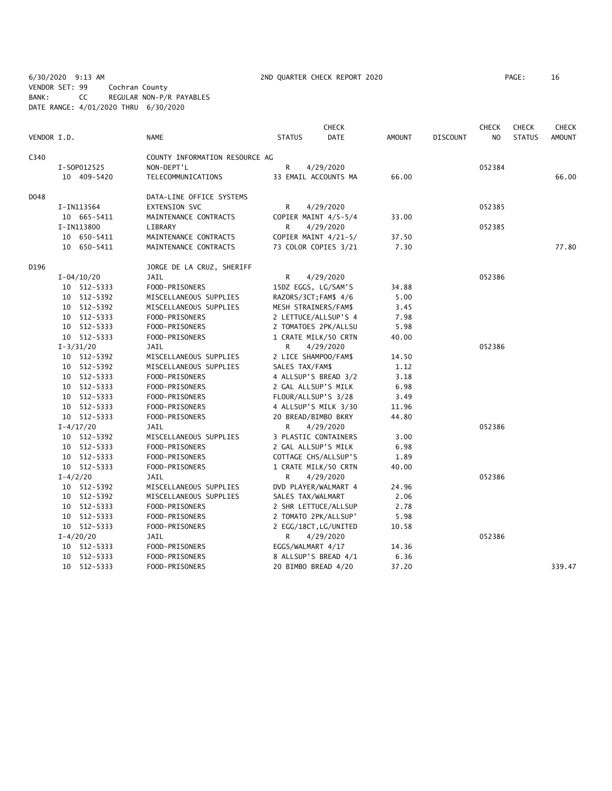6/30/2020 9:13 AM 2ND QUARTER CHECK REPORT 2020 PAGE: 16 VENDOR SET: 99 Cochran County BANK: CC REGULAR NON-P/R PAYABLES DATE RANGE: 4/01/2020 THRU 6/30/2020

|             |                |             |                                | <b>CHECK</b>          |                       |               |                 |        |               | <b>CHECK</b>  |
|-------------|----------------|-------------|--------------------------------|-----------------------|-----------------------|---------------|-----------------|--------|---------------|---------------|
| VENDOR I.D. |                |             | NAME                           | <b>STATUS</b>         | <b>DATE</b>           | <b>AMOUNT</b> | <b>DISCOUNT</b> | NO.    | <b>STATUS</b> | <b>AMOUNT</b> |
| C340        |                |             | COUNTY INFORMATION RESOURCE AG |                       |                       |               |                 |        |               |               |
|             |                | I-S0P012525 | NON-DEPT'L                     | R                     | 4/29/2020             |               |                 | 052384 |               |               |
|             |                | 10 409-5420 | TELECOMMUNICATIONS             |                       | 33 EMAIL ACCOUNTS MA  | 66.00         |                 |        |               | 66.00         |
| D048        |                |             | DATA-LINE OFFICE SYSTEMS       |                       |                       |               |                 |        |               |               |
|             | I-IN113564     |             | EXTENSION SVC                  | R                     | 4/29/2020             |               |                 | 052385 |               |               |
|             |                | 10 665-5411 | MAINTENANCE CONTRACTS          |                       | COPIER MAINT 4/5-5/4  | 33.00         |                 |        |               |               |
|             | I-IN113800     |             | LIBRARY                        | R                     | 4/29/2020             |               |                 | 052385 |               |               |
|             |                | 10 650-5411 | MAINTENANCE CONTRACTS          |                       | COPIER MAINT 4/21-5/  | 37.50         |                 |        |               |               |
|             |                | 10 650-5411 | MAINTENANCE CONTRACTS          |                       | 73 COLOR COPIES 3/21  | 7.30          |                 |        |               | 77.80         |
| D196        |                |             | JORGE DE LA CRUZ, SHERIFF      |                       |                       |               |                 |        |               |               |
|             | $I - 04/10/20$ |             | JAIL                           | R                     | 4/29/2020             |               |                 | 052386 |               |               |
|             |                | 10 512-5333 | FOOD-PRISONERS                 | 15DZ EGGS, LG/SAM'S   |                       | 34.88         |                 |        |               |               |
|             |                | 10 512-5392 | MISCELLANEOUS SUPPLIES         | RAZORS/3CT; FAM\$ 4/6 |                       | 5.00          |                 |        |               |               |
|             |                | 10 512-5392 | MISCELLANEOUS SUPPLIES         | MESH STRAINERS/FAM\$  |                       | 3.45          |                 |        |               |               |
|             |                | 10 512-5333 | FOOD-PRISONERS                 |                       | 2 LETTUCE/ALLSUP'S 4  | 7.98          |                 |        |               |               |
|             |                | 10 512-5333 | FOOD-PRISONERS                 |                       | 2 TOMATOES 2PK/ALLSU  | 5.98          |                 |        |               |               |
|             |                | 10 512-5333 | FOOD-PRISONERS                 |                       | 1 CRATE MILK/50 CRTN  | 40.00         |                 |        |               |               |
|             | $I-3/31/20$    |             | <b>JAIL</b>                    | R                     | 4/29/2020             |               |                 | 052386 |               |               |
|             |                | 10 512-5392 | MISCELLANEOUS SUPPLIES         | 2 LICE SHAMPOO/FAM\$  |                       | 14.50         |                 |        |               |               |
|             |                | 10 512-5392 | MISCELLANEOUS SUPPLIES         | SALES TAX/FAM\$       |                       | 1.12          |                 |        |               |               |
|             |                | 10 512-5333 | FOOD-PRISONERS                 |                       | 4 ALLSUP'S BREAD 3/2  | 3.18          |                 |        |               |               |
|             |                | 10 512-5333 | FOOD-PRISONERS                 |                       | 2 GAL ALLSUP'S MILK   | 6.98          |                 |        |               |               |
|             |                | 10 512-5333 | FOOD-PRISONERS                 | FLOUR/ALLSUP'S 3/28   |                       | 3.49          |                 |        |               |               |
|             |                | 10 512-5333 | FOOD-PRISONERS                 |                       | 4 ALLSUP'S MILK 3/30  | 11.96         |                 |        |               |               |
|             |                | 10 512-5333 | FOOD-PRISONERS                 | 20 BREAD/BIMBO BKRY   |                       | 44.80         |                 |        |               |               |
|             | $I - 4/17/20$  |             | JAIL                           | R                     | 4/29/2020             |               |                 | 052386 |               |               |
|             |                | 10 512-5392 | MISCELLANEOUS SUPPLIES         |                       | 3 PLASTIC CONTAINERS  | 3.00          |                 |        |               |               |
|             |                | 10 512-5333 | FOOD-PRISONERS                 | 2 GAL ALLSUP'S MILK   |                       | 6.98          |                 |        |               |               |
|             |                | 10 512-5333 | FOOD-PRISONERS                 |                       | COTTAGE CHS/ALLSUP'S  | 1.89          |                 |        |               |               |
|             |                | 10 512-5333 | FOOD-PRISONERS                 |                       | 1 CRATE MILK/50 CRTN  | 40.00         |                 |        |               |               |
|             | $I - 4/2/20$   |             | JAIL                           | R                     | 4/29/2020             |               |                 | 052386 |               |               |
|             |                | 10 512-5392 | MISCELLANEOUS SUPPLIES         |                       | DVD PLAYER/WALMART 4  | 24.96         |                 |        |               |               |
|             |                | 10 512-5392 | MISCELLANEOUS SUPPLIES         | SALES TAX/WALMART     |                       | 2.06          |                 |        |               |               |
|             |                | 10 512-5333 | FOOD-PRISONERS                 |                       | 2 SHR LETTUCE/ALLSUP  | 2.78          |                 |        |               |               |
|             |                | 10 512-5333 | FOOD-PRISONERS                 |                       | 2 TOMATO 2PK/ALLSUP'  | 5.98          |                 |        |               |               |
|             |                | 10 512-5333 | FOOD-PRISONERS                 |                       | 2 EGG/18CT, LG/UNITED | 10.58         |                 |        |               |               |
|             | $I - 4/20/20$  |             | JAIL                           | R                     | 4/29/2020             |               |                 | 052386 |               |               |
|             |                | 10 512-5333 | FOOD-PRISONERS                 | EGGS/WALMART 4/17     |                       | 14.36         |                 |        |               |               |
|             |                | 10 512-5333 | FOOD-PRISONERS                 |                       | 8 ALLSUP'S BREAD 4/1  | 6.36          |                 |        |               |               |
|             |                | 10 512-5333 | FOOD-PRISONERS                 | 20 BIMBO BREAD 4/20   |                       | 37.20         |                 |        |               | 339.47        |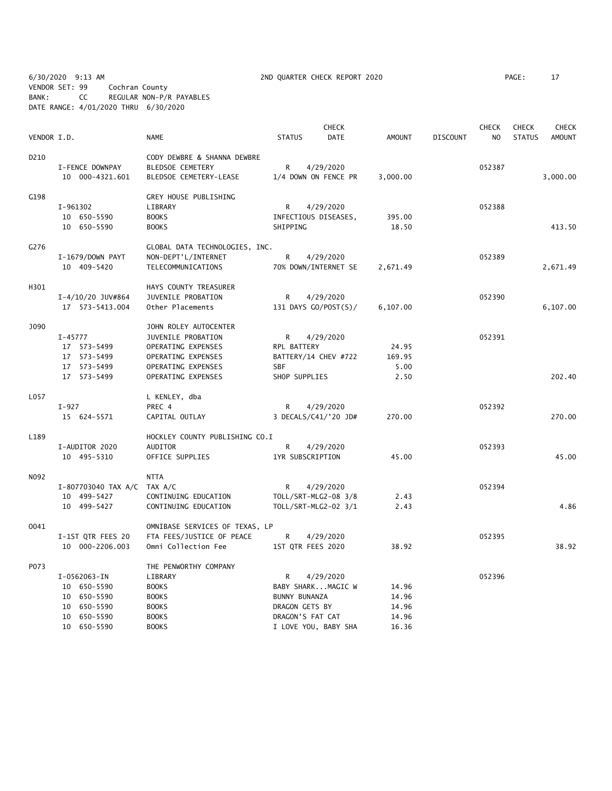6/30/2020 9:13 AM 2ND QUARTER CHECK REPORT 2020 PAGE: 17 VENDOR SET: 99 Cochran County BANK: CC REGULAR NON-P/R PAYABLES DATE RANGE: 4/01/2020 THRU 6/30/2020

| VENDOR I.D.      |                                                                                            | <b>NAME</b>                                                                                                                         | <b>STATUS</b>                                                                                         | <b>CHECK</b><br><b>DATE</b>       | <b>AMOUNT</b>                             | <b>DISCOUNT</b> | <b>CHECK</b><br>N <sub>O</sub> | <b>CHECK</b><br><b>STATUS</b> | CHECK<br><b>AMOUNT</b> |
|------------------|--------------------------------------------------------------------------------------------|-------------------------------------------------------------------------------------------------------------------------------------|-------------------------------------------------------------------------------------------------------|-----------------------------------|-------------------------------------------|-----------------|--------------------------------|-------------------------------|------------------------|
| D <sub>210</sub> | I-FENCE DOWNPAY<br>10 000-4321.601                                                         | CODY DEWBRE & SHANNA DEWBRE<br>BLEDSOE CEMETERY<br>BLEDSOE CEMETERY-LEASE                                                           | R<br>1/4 DOWN ON FENCE PR                                                                             | 4/29/2020                         | 3,000.00                                  |                 | 052387                         |                               | 3,000.00               |
| G198             | I-961302<br>10 650-5590<br>10 650-5590                                                     | GREY HOUSE PUBLISHING<br>LIBRARY<br><b>BOOKS</b><br><b>BOOKS</b>                                                                    | R<br>INFECTIOUS DISEASES,<br>SHIPPING                                                                 | 4/29/2020                         | 395.00<br>18.50                           |                 | 052388                         |                               | 413.50                 |
| G276             | I-1679/DOWN PAYT<br>10 409-5420                                                            | GLOBAL DATA TECHNOLOGIES, INC.<br>NON-DEPT'L/INTERNET<br>TELECOMMUNICATIONS                                                         | R                                                                                                     | 4/29/2020<br>70% DOWN/INTERNET SE | 2,671.49                                  |                 | 052389                         |                               | 2,671.49               |
| H301             | I-4/10/20 JUV#864<br>17  573-5413.004                                                      | HAYS COUNTY TREASURER<br>JUVENILE PROBATION<br>Other Placements                                                                     | R                                                                                                     | 4/29/2020<br>131 DAYS GO/POST(S)/ | 6,107.00                                  |                 | 052390                         |                               | 6,107.00               |
| J090             | $I - 45777$<br>17 573-5499<br>17 573-5499<br>17 573-5499<br>17 573-5499                    | JOHN ROLEY AUTOCENTER<br>JUVENILE PROBATION<br>OPERATING EXPENSES<br>OPERATING EXPENSES<br>OPERATING EXPENSES<br>OPERATING EXPENSES | R<br>RPL BATTERY<br>BATTERY/14 CHEV #722<br><b>SBF</b><br>SHOP SUPPLIES                               | 4/29/2020                         | 24.95<br>169.95<br>5.00<br>2.50           |                 | 052391                         |                               | 202.40                 |
| L057             | $I-927$<br>15 624-5571                                                                     | L KENLEY, dba<br>PREC 4<br>CAPITAL OUTLAY                                                                                           | R                                                                                                     | 4/29/2020<br>3 DECALS/C41/'20 JD# | 270.00                                    |                 | 052392                         |                               | 270.00                 |
| L189             | I-AUDITOR 2020<br>10 495-5310                                                              | HOCKLEY COUNTY PUBLISHING CO.I<br>AUDITOR<br>OFFICE SUPPLIES                                                                        | R<br>1YR SUBSCRIPTION                                                                                 | 4/29/2020                         | 45.00                                     |                 | 052393                         |                               | 45.00                  |
| N092             | I-807703040 TAX A/C TAX A/C<br>10 499-5427<br>10 499-5427                                  | <b>NTTA</b><br>CONTINUING EDUCATION<br>CONTINUING EDUCATION                                                                         | R<br>TOLL/SRT-MLG2-08 3/8<br>TOLL/SRT-MLG2-02 3/1                                                     | 4/29/2020                         | 2.43<br>2.43                              |                 | 052394                         |                               | 4.86                   |
| 0041             | I-1ST QTR FEES 20<br>10 000-2206.003                                                       | OMNIBASE SERVICES OF TEXAS, LP<br>FTA FEES/JUSTICE OF PEACE<br>Omni Collection Fee                                                  | R<br>1ST QTR FEES 2020                                                                                | 4/29/2020                         | 38.92                                     |                 | 052395                         |                               | 38.92                  |
| P073             | I-0562063-IN<br>10 650-5590<br>10 650-5590<br>650-5590<br>10<br>10 650-5590<br>10 650-5590 | THE PENWORTHY COMPANY<br>LIBRARY<br><b>BOOKS</b><br><b>BOOKS</b><br><b>BOOKS</b><br><b>BOOKS</b><br><b>BOOKS</b>                    | R<br>BABY SHARKMAGIC W<br>BUNNY BUNANZA<br>DRAGON GETS BY<br>DRAGON'S FAT CAT<br>I LOVE YOU, BABY SHA | 4/29/2020                         | 14.96<br>14.96<br>14.96<br>14.96<br>16.36 |                 | 052396                         |                               |                        |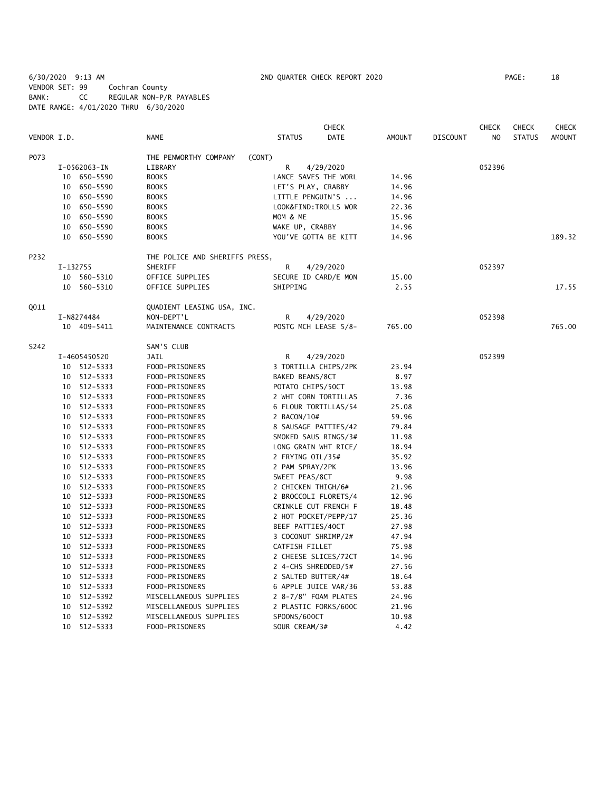6/30/2020 9:13 AM 2ND QUARTER CHECK REPORT 2020 PAGE: 18 VENDOR SET: 99 Cochran County BANK: CC REGULAR NON-P/R PAYABLES DATE RANGE: 4/01/2020 THRU 6/30/2020

|             |          |              |                                |                       | <b>CHECK</b> |               |                 | <b>CHECK</b>   | <b>CHECK</b>  | <b>CHECK</b>  |
|-------------|----------|--------------|--------------------------------|-----------------------|--------------|---------------|-----------------|----------------|---------------|---------------|
| VENDOR I.D. |          |              | <b>NAME</b>                    | <b>STATUS</b>         | DATE         | <b>AMOUNT</b> | <b>DISCOUNT</b> | N <sub>O</sub> | <b>STATUS</b> | <b>AMOUNT</b> |
| P073        |          |              | THE PENWORTHY COMPANY          | (CONT)                |              |               |                 |                |               |               |
|             |          | I-0562063-IN | LIBRARY                        | R                     | 4/29/2020    |               |                 | 052396         |               |               |
|             |          | 10 650-5590  | <b>BOOKS</b>                   | LANCE SAVES THE WORL  |              | 14.96         |                 |                |               |               |
|             |          | 10 650-5590  | <b>BOOKS</b>                   | LET'S PLAY, CRABBY    |              | 14.96         |                 |                |               |               |
|             |          | 10 650-5590  | <b>BOOKS</b>                   | LITTLE PENGUIN'S      |              | 14.96         |                 |                |               |               |
|             |          | 10 650-5590  | <b>BOOKS</b>                   | LOOK&FIND: TROLLS WOR |              | 22.36         |                 |                |               |               |
|             |          | 10 650-5590  | <b>BOOKS</b>                   | MOM & ME              |              | 15.96         |                 |                |               |               |
|             |          | 10 650-5590  | <b>BOOKS</b>                   | WAKE UP, CRABBY       |              | 14.96         |                 |                |               |               |
|             |          | 10 650-5590  | <b>BOOKS</b>                   | YOU'VE GOTTA BE KITT  |              | 14.96         |                 |                |               | 189.32        |
| P232        |          |              | THE POLICE AND SHERIFFS PRESS, |                       |              |               |                 |                |               |               |
|             | I-132755 |              | SHERIFF                        | R                     | 4/29/2020    |               |                 | 052397         |               |               |
|             |          | 10 560-5310  | OFFICE SUPPLIES                | SECURE ID CARD/E MON  |              | 15.00         |                 |                |               |               |
|             |          | 10 560-5310  | OFFICE SUPPLIES                | SHIPPING              |              | 2.55          |                 |                |               | 17.55         |
| <b>Q011</b> |          |              | QUADIENT LEASING USA, INC.     |                       |              |               |                 |                |               |               |
|             |          | I-N8274484   | NON-DEPT'L                     | R                     | 4/29/2020    |               |                 | 052398         |               |               |
|             |          | 10 409-5411  | MAINTENANCE CONTRACTS          | POSTG MCH LEASE 5/8-  |              | 765.00        |                 |                |               | 765.00        |
|             |          |              |                                |                       |              |               |                 |                |               |               |
| S242        |          |              | SAM'S CLUB                     |                       |              |               |                 |                |               |               |
|             |          | I-4605450520 | JAIL                           | R                     | 4/29/2020    |               |                 | 052399         |               |               |
|             |          | 10 512-5333  | FOOD-PRISONERS                 | 3 TORTILLA CHIPS/2PK  |              | 23.94         |                 |                |               |               |
|             |          | 10 512-5333  | FOOD-PRISONERS                 | BAKED BEANS/8CT       |              | 8.97          |                 |                |               |               |
|             |          | 10 512-5333  | FOOD-PRISONERS                 | POTATO CHIPS/50CT     |              | 13.98         |                 |                |               |               |
|             |          | 10 512-5333  | FOOD-PRISONERS                 | 2 WHT CORN TORTILLAS  |              | 7.36          |                 |                |               |               |
|             |          | 10 512-5333  | FOOD-PRISONERS                 | 6 FLOUR TORTILLAS/54  |              | 25.08         |                 |                |               |               |
|             |          | 10 512-5333  | FOOD-PRISONERS                 | 2 BACON/10#           |              | 59.96         |                 |                |               |               |
|             |          | 10 512-5333  | FOOD-PRISONERS                 | 8 SAUSAGE PATTIES/42  |              | 79.84         |                 |                |               |               |
|             |          | 10 512-5333  | FOOD-PRISONERS                 | SMOKED SAUS RINGS/3#  |              | 11.98         |                 |                |               |               |
|             |          | 10 512-5333  | FOOD-PRISONERS                 | LONG GRAIN WHT RICE/  |              | 18.94         |                 |                |               |               |
|             |          | 10 512-5333  | FOOD-PRISONERS                 | 2 FRYING OIL/35#      |              | 35.92         |                 |                |               |               |
|             |          | 10 512-5333  | FOOD-PRISONERS                 | 2 PAM SPRAY/2PK       |              | 13.96         |                 |                |               |               |
|             |          | 10 512-5333  | FOOD-PRISONERS                 | SWEET PEAS/8CT        |              | 9.98          |                 |                |               |               |
|             |          | 10 512-5333  | FOOD-PRISONERS                 | 2 CHICKEN THIGH/6#    |              | 21.96         |                 |                |               |               |
|             |          | 10 512-5333  | FOOD-PRISONERS                 | 2 BROCCOLI FLORETS/4  |              | 12.96         |                 |                |               |               |
|             |          | 10 512-5333  | FOOD-PRISONERS                 | CRINKLE CUT FRENCH F  |              | 18.48         |                 |                |               |               |
|             |          | 10 512-5333  | FOOD-PRISONERS                 | 2 HOT POCKET/PEPP/17  |              | 25.36         |                 |                |               |               |
|             |          | 10 512-5333  | FOOD-PRISONERS                 | BEEF PATTIES/40CT     |              | 27.98         |                 |                |               |               |
|             |          | 10 512-5333  | FOOD-PRISONERS                 | 3 COCONUT SHRIMP/2#   |              | 47.94         |                 |                |               |               |
|             |          | 10 512-5333  | FOOD-PRISONERS                 | CATFISH FILLET        |              | 75.98         |                 |                |               |               |
|             | 10       | 512-5333     | FOOD-PRISONERS                 | 2 CHEESE SLICES/72CT  |              | 14.96         |                 |                |               |               |
|             | 10       | 512-5333     | FOOD-PRISONERS                 | 2 4-CHS SHREDDED/5#   |              | 27.56         |                 |                |               |               |
|             | 10       | 512-5333     | FOOD-PRISONERS                 | 2 SALTED BUTTER/4#    |              | 18.64         |                 |                |               |               |
|             |          | 10 512-5333  | FOOD-PRISONERS                 | 6 APPLE JUICE VAR/36  |              | 53.88         |                 |                |               |               |
|             |          | 10 512-5392  | MISCELLANEOUS SUPPLIES         | 2 8-7/8" FOAM PLATES  |              | 24.96         |                 |                |               |               |
|             | 10       | 512-5392     | MISCELLANEOUS SUPPLIES         | 2 PLASTIC FORKS/600C  |              | 21.96         |                 |                |               |               |
|             | 10       | 512-5392     | MISCELLANEOUS SUPPLIES         | SPOONS/600CT          |              | 10.98         |                 |                |               |               |
|             |          | 10 512-5333  | FOOD-PRISONERS                 | SOUR CREAM/3#         |              | 4.42          |                 |                |               |               |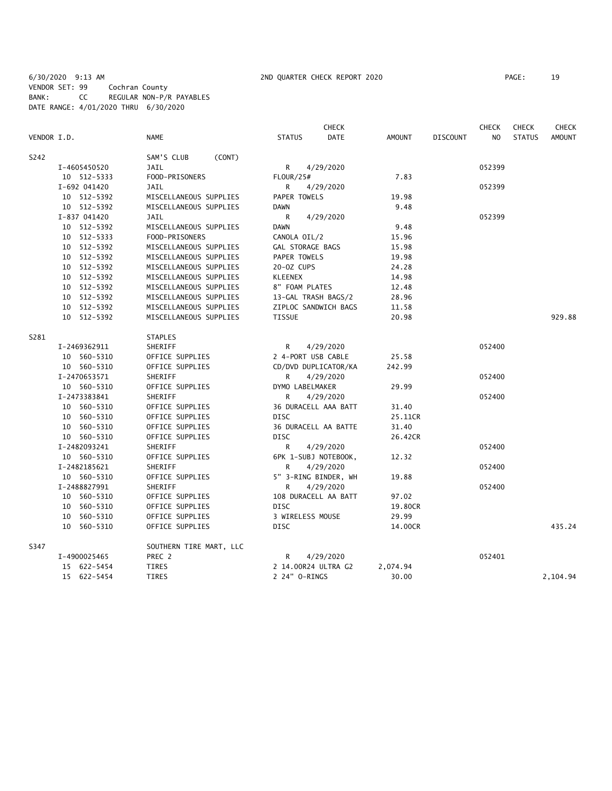## 6/30/2020 9:13 AM 2ND QUARTER CHECK REPORT 2020 PAGE: 19 VENDOR SET: 99 Cochran County BANK: CC REGULAR NON-P/R PAYABLES DATE RANGE: 4/01/2020 THRU 6/30/2020

|             | <b>CHECK</b> |                         |                              |  |               | <b>CHECK</b>    | CHECK          | <b>CHECK</b>  |               |
|-------------|--------------|-------------------------|------------------------------|--|---------------|-----------------|----------------|---------------|---------------|
| VENDOR I.D. |              | <b>NAME</b>             | <b>DATE</b><br><b>STATUS</b> |  | <b>AMOUNT</b> | <b>DISCOUNT</b> | N <sub>O</sub> | <b>STATUS</b> | <b>AMOUNT</b> |
| S242        |              | SAM'S CLUB<br>(CONT)    |                              |  |               |                 |                |               |               |
|             | I-4605450520 | JAIL                    | R<br>4/29/2020               |  |               |                 | 052399         |               |               |
|             | 10 512-5333  | FOOD-PRISONERS          | <b>FLOUR/25#</b>             |  | 7.83          |                 |                |               |               |
|             | I-692 041420 | <b>JAIL</b>             | R<br>4/29/2020               |  |               |                 | 052399         |               |               |
|             | 10 512-5392  | MISCELLANEOUS SUPPLIES  | PAPER TOWELS                 |  | 19.98         |                 |                |               |               |
|             | 10 512-5392  | MISCELLANEOUS SUPPLIES  | <b>DAWN</b>                  |  | 9.48          |                 |                |               |               |
|             | I-837 041420 | <b>JAIL</b>             | R<br>4/29/2020               |  |               |                 | 052399         |               |               |
|             | 10 512-5392  | MISCELLANEOUS SUPPLIES  | <b>DAWN</b>                  |  | 9.48          |                 |                |               |               |
|             | 10 512-5333  | FOOD-PRISONERS          | CANOLA OIL/2                 |  | 15.96         |                 |                |               |               |
|             | 10 512-5392  | MISCELLANEOUS SUPPLIES  | GAL STORAGE BAGS             |  | 15.98         |                 |                |               |               |
|             | 10 512-5392  | MISCELLANEOUS SUPPLIES  | PAPER TOWELS                 |  | 19.98         |                 |                |               |               |
|             | 10 512-5392  | MISCELLANEOUS SUPPLIES  | 20-0Z CUPS                   |  | 24.28         |                 |                |               |               |
|             | 10 512-5392  | MISCELLANEOUS SUPPLIES  | <b>KLEENEX</b>               |  | 14.98         |                 |                |               |               |
|             | 10 512-5392  | MISCELLANEOUS SUPPLIES  | 8" FOAM PLATES               |  | 12.48         |                 |                |               |               |
|             | 10 512-5392  | MISCELLANEOUS SUPPLIES  | 13-GAL TRASH BAGS/2          |  | 28.96         |                 |                |               |               |
|             | 10 512-5392  | MISCELLANEOUS SUPPLIES  | ZIPLOC SANDWICH BAGS         |  | 11.58         |                 |                |               |               |
|             | 10 512-5392  | MISCELLANEOUS SUPPLIES  | <b>TISSUE</b>                |  | 20.98         |                 |                |               | 929.88        |
|             |              |                         |                              |  |               |                 |                |               |               |
| S281        |              | <b>STAPLES</b>          |                              |  |               |                 |                |               |               |
|             | I-2469362911 | SHERIFF                 | R<br>4/29/2020               |  |               |                 | 052400         |               |               |
|             | 10 560-5310  | OFFICE SUPPLIES         | 2 4-PORT USB CABLE           |  | 25.58         |                 |                |               |               |
|             | 10 560-5310  | OFFICE SUPPLIES         | CD/DVD DUPLICATOR/KA         |  | 242.99        |                 |                |               |               |
|             | I-2470653571 | SHERIFF                 | 4/29/2020<br>R               |  |               |                 | 052400         |               |               |
|             | 10 560-5310  | OFFICE SUPPLIES         | DYMO LABELMAKER              |  | 29.99         |                 |                |               |               |
|             | I-2473383841 | SHERIFF                 | R<br>4/29/2020               |  |               |                 | 052400         |               |               |
|             | 10 560-5310  | OFFICE SUPPLIES         | 36 DURACELL AAA BATT         |  | 31.40         |                 |                |               |               |
|             | 10 560-5310  | OFFICE SUPPLIES         | <b>DISC</b>                  |  | 25.11CR       |                 |                |               |               |
|             | 10 560-5310  | OFFICE SUPPLIES         | 36 DURACELL AA BATTE         |  | 31.40         |                 |                |               |               |
|             | 10 560-5310  | OFFICE SUPPLIES         | <b>DISC</b>                  |  | 26.42CR       |                 |                |               |               |
|             | I-2482093241 | SHERIFF                 | R<br>4/29/2020               |  |               |                 | 052400         |               |               |
|             | 10 560-5310  | OFFICE SUPPLIES         | 6PK 1-SUBJ NOTEBOOK,         |  | 12.32         |                 |                |               |               |
|             | I-2482185621 | SHERIFF                 | 4/29/2020<br>R               |  |               |                 | 052400         |               |               |
|             | 10 560-5310  | OFFICE SUPPLIES         | 5" 3-RING BINDER, WH         |  | 19.88         |                 |                |               |               |
|             | I-2488827991 | SHERIFF                 | 4/29/2020<br>R               |  |               |                 | 052400         |               |               |
|             | 10 560-5310  | OFFICE SUPPLIES         | 108 DURACELL AA BATT         |  | 97.02         |                 |                |               |               |
|             | 10 560-5310  | OFFICE SUPPLIES         | <b>DISC</b>                  |  | 19.80CR       |                 |                |               |               |
|             | 10 560-5310  | OFFICE SUPPLIES         | 3 WIRELESS MOUSE             |  | 29.99         |                 |                |               |               |
|             | 10 560-5310  | OFFICE SUPPLIES         | <b>DISC</b>                  |  | 14.00CR       |                 |                |               | 435.24        |
| S347        |              | SOUTHERN TIRE MART, LLC |                              |  |               |                 |                |               |               |
|             | I-4900025465 | PREC 2                  | 4/29/2020<br>R               |  |               |                 | 052401         |               |               |
|             | 15 622-5454  | <b>TIRES</b>            | 2 14.00R24 ULTRA G2          |  | 2,074.94      |                 |                |               |               |
|             | 15 622-5454  | <b>TIRES</b>            | 2 24" 0-RINGS                |  | 30.00         |                 |                |               | 2,104.94      |
|             |              |                         |                              |  |               |                 |                |               |               |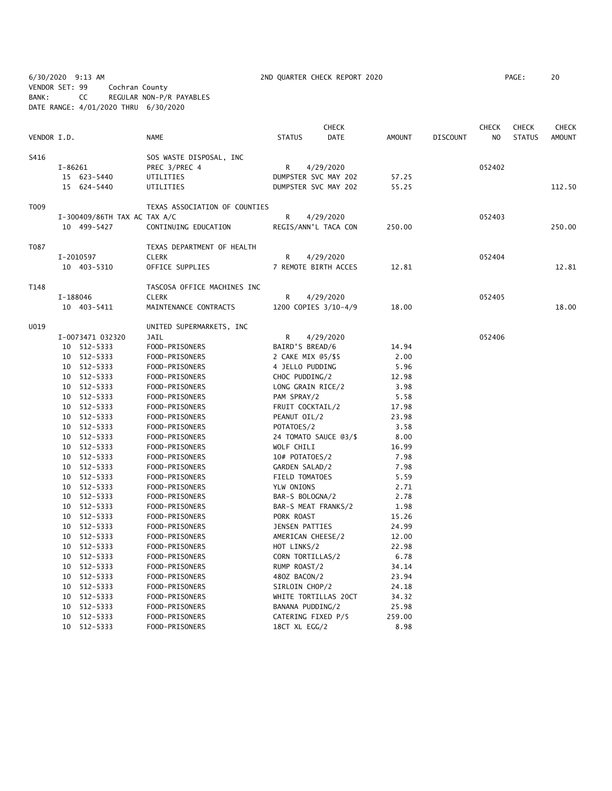6/30/2020 9:13 AM 2ND QUARTER CHECK REPORT 2020 PAGE: 20 VENDOR SET: 99 Cochran County BANK: CC REGULAR NON-P/R PAYABLES DATE RANGE: 4/01/2020 THRU 6/30/2020

|             |          |                              |                               |                    | <b>CHECK</b>          |               |                 | <b>CHECK</b>   | <b>CHECK</b>  | <b>CHECK</b>  |
|-------------|----------|------------------------------|-------------------------------|--------------------|-----------------------|---------------|-----------------|----------------|---------------|---------------|
| VENDOR I.D. |          |                              | <b>NAME</b>                   | <b>STATUS</b>      | DATE                  | <b>AMOUNT</b> | <b>DISCOUNT</b> | N <sub>O</sub> | <b>STATUS</b> | <b>AMOUNT</b> |
| S416        |          |                              | SOS WASTE DISPOSAL, INC       |                    |                       |               |                 |                |               |               |
|             | I-86261  |                              | PREC 3/PREC 4                 | R                  | 4/29/2020             |               |                 | 052402         |               |               |
|             |          | 15 623-5440                  | UTILITIES                     |                    | DUMPSTER SVC MAY 202  | 57.25         |                 |                |               |               |
|             |          | 15 624-5440                  | UTILITIES                     |                    | DUMPSTER SVC MAY 202  | 55.25         |                 |                |               | 112.50        |
| T009        |          |                              | TEXAS ASSOCIATION OF COUNTIES |                    |                       |               |                 |                |               |               |
|             |          | I-300409/86TH TAX AC TAX A/C |                               | R                  | 4/29/2020             |               |                 | 052403         |               |               |
|             |          | 10 499-5427                  | CONTINUING EDUCATION          |                    | REGIS/ANN'L TACA CON  | 250.00        |                 |                |               | 250.00        |
| T087        |          |                              | TEXAS DEPARTMENT OF HEALTH    |                    |                       |               |                 |                |               |               |
|             |          | I-2010597                    | <b>CLERK</b>                  | R                  | 4/29/2020             |               |                 | 052404         |               |               |
|             |          | 10 403-5310                  | OFFICE SUPPLIES               |                    | 7 REMOTE BIRTH ACCES  | 12.81         |                 |                |               | 12.81         |
| T148        |          |                              | TASCOSA OFFICE MACHINES INC   |                    |                       |               |                 |                |               |               |
|             | I-188046 |                              | <b>CLERK</b>                  | R                  | 4/29/2020             |               |                 | 052405         |               |               |
|             |          | 10 403-5411                  | MAINTENANCE CONTRACTS         |                    | 1200 COPIES 3/10-4/9  | 18.00         |                 |                |               | 18.00         |
| U019        |          |                              | UNITED SUPERMARKETS, INC      |                    |                       |               |                 |                |               |               |
|             |          | I-0073471 032320             | JAIL                          | R                  | 4/29/2020             |               |                 | 052406         |               |               |
|             |          | 10 512-5333                  | FOOD-PRISONERS                | BAIRD'S BREAD/6    |                       | 14.94         |                 |                |               |               |
|             |          | 10 512-5333                  | FOOD-PRISONERS                | 2 CAKE MIX @5/\$5  |                       | 2.00          |                 |                |               |               |
|             | 10       | 512-5333                     | FOOD-PRISONERS                | 4 JELLO PUDDING    |                       | 5.96          |                 |                |               |               |
|             |          | 10 512-5333                  | FOOD-PRISONERS                | CHOC PUDDING/2     |                       | 12.98         |                 |                |               |               |
|             |          | 10 512-5333                  | FOOD-PRISONERS                | LONG GRAIN RICE/2  |                       | 3.98          |                 |                |               |               |
|             |          | 10 512-5333                  | FOOD-PRISONERS                | PAM SPRAY/2        |                       | 5.58          |                 |                |               |               |
|             |          | 10 512-5333                  | FOOD-PRISONERS                | FRUIT COCKTAIL/2   |                       | 17.98         |                 |                |               |               |
|             |          | 10 512-5333                  | FOOD-PRISONERS                | PEANUT OIL/2       |                       | 23.98         |                 |                |               |               |
|             |          | 10 512-5333                  | FOOD-PRISONERS                | POTATOES/2         |                       | 3.58          |                 |                |               |               |
|             |          | 10 512-5333                  | FOOD-PRISONERS                |                    | 24 TOMATO SAUCE @3/\$ | 8.00          |                 |                |               |               |
|             |          | 10 512-5333                  | FOOD-PRISONERS                | WOLF CHILI         |                       | 16.99         |                 |                |               |               |
|             |          | 10 512-5333                  | FOOD-PRISONERS                | 10# POTATOES/2     |                       | 7.98          |                 |                |               |               |
|             |          | 10 512-5333                  | FOOD-PRISONERS                | GARDEN SALAD/2     |                       | 7.98          |                 |                |               |               |
|             |          | 10 512-5333                  | FOOD-PRISONERS                | FIELD TOMATOES     |                       | 5.59          |                 |                |               |               |
|             |          | 10 512-5333                  | FOOD-PRISONERS                | YLW ONIONS         |                       | 2.71          |                 |                |               |               |
|             |          | 10 512-5333                  | FOOD-PRISONERS                | BAR-S BOLOGNA/2    |                       | 2.78          |                 |                |               |               |
|             |          | 10 512-5333                  | FOOD-PRISONERS                |                    | BAR-S MEAT FRANKS/2   | 1.98          |                 |                |               |               |
|             |          | 10 512-5333                  | FOOD-PRISONERS                | PORK ROAST         |                       | 15.26         |                 |                |               |               |
|             |          | 10 512-5333                  | FOOD-PRISONERS                | JENSEN PATTIES     |                       | 24.99         |                 |                |               |               |
|             |          | 10 512-5333                  | FOOD-PRISONERS                | AMERICAN CHEESE/2  |                       | 12.00         |                 |                |               |               |
|             |          | 10 512-5333                  | FOOD-PRISONERS                | HOT LINKS/2        |                       | 22.98         |                 |                |               |               |
|             |          | 10 512-5333                  | FOOD-PRISONERS                | CORN TORTILLAS/2   |                       | 6.78          |                 |                |               |               |
|             |          | 10 512-5333                  | FOOD-PRISONERS                | RUMP ROAST/2       |                       | 34.14         |                 |                |               |               |
|             |          | 10 512-5333                  | FOOD-PRISONERS                | 480Z BACON/2       |                       | 23.94         |                 |                |               |               |
|             |          | 10 512-5333                  | FOOD-PRISONERS                | SIRLOIN CHOP/2     |                       | 24.18         |                 |                |               |               |
|             |          | 10 512-5333                  | FOOD-PRISONERS                |                    | WHITE TORTILLAS 20CT  | 34.32         |                 |                |               |               |
|             | 10       | 512-5333                     | FOOD-PRISONERS                | BANANA PUDDING/2   |                       | 25.98         |                 |                |               |               |
|             | 10       | 512-5333                     | FOOD-PRISONERS                | CATERING FIXED P/5 |                       | 259.00        |                 |                |               |               |
|             |          | 10 512-5333                  | FOOD-PRISONERS                | 18CT XL EGG/2      |                       | 8.98          |                 |                |               |               |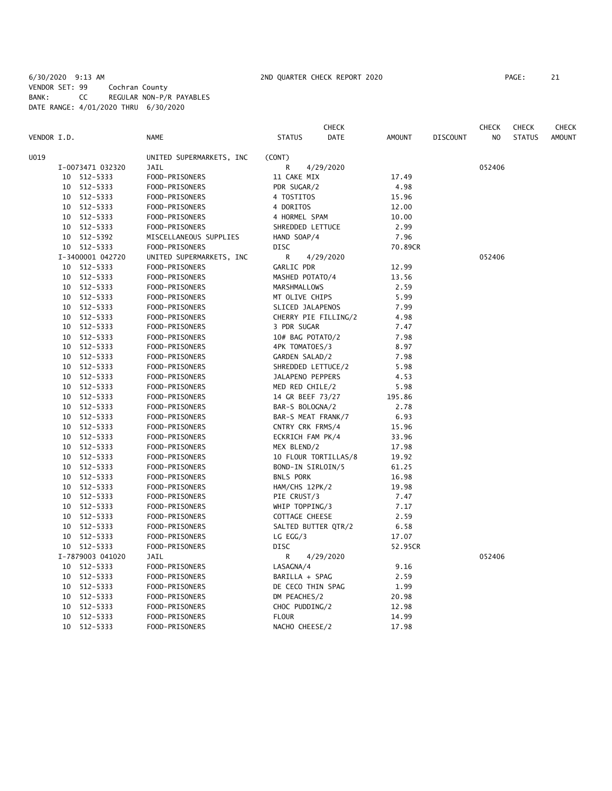# 6/30/2020 9:13 AM 2ND QUARTER CHECK REPORT 2020 PAGE: 21 VENDOR SET: 99 Cochran County BANK: CC REGULAR NON-P/R PAYABLES DATE RANGE: 4/01/2020 THRU 6/30/2020

| VENDOR I.D. |    |                  | <b>NAME</b>              | <b>STATUS</b>        | <b>CHECK</b><br>DATE | <b>AMOUNT</b> | <b>DISCOUNT</b> | <b>CHECK</b><br>NO | <b>CHECK</b><br><b>STATUS</b> | <b>CHECK</b><br><b>AMOUNT</b> |
|-------------|----|------------------|--------------------------|----------------------|----------------------|---------------|-----------------|--------------------|-------------------------------|-------------------------------|
| U019        |    |                  | UNITED SUPERMARKETS, INC | (CONT)               |                      |               |                 |                    |                               |                               |
|             |    | I-0073471 032320 | JAIL                     | R                    | 4/29/2020            |               |                 | 052406             |                               |                               |
|             | 10 | 512-5333         | FOOD-PRISONERS           | 11 CAKE MIX          |                      | 17.49         |                 |                    |                               |                               |
|             |    | 10 512-5333      | FOOD-PRISONERS           | PDR SUGAR/2          |                      | 4.98          |                 |                    |                               |                               |
|             | 10 | 512-5333         | FOOD-PRISONERS           | 4 TOSTITOS           |                      | 15.96         |                 |                    |                               |                               |
|             | 10 | 512-5333         | FOOD-PRISONERS           | 4 DORITOS            |                      | 12.00         |                 |                    |                               |                               |
|             | 10 | 512-5333         | FOOD-PRISONERS           | 4 HORMEL SPAM        |                      | 10.00         |                 |                    |                               |                               |
|             |    | 10 512-5333      | FOOD-PRISONERS           | SHREDDED LETTUCE     |                      | 2.99          |                 |                    |                               |                               |
|             |    | 10 512-5392      | MISCELLANEOUS SUPPLIES   | HAND SOAP/4          |                      | 7.96          |                 |                    |                               |                               |
|             |    | 10 512-5333      | FOOD-PRISONERS           | DISC                 |                      | 70.89CR       |                 |                    |                               |                               |
|             |    | I-3400001 042720 | UNITED SUPERMARKETS, INC | R                    | 4/29/2020            |               |                 | 052406             |                               |                               |
|             | 10 | 512-5333         | FOOD-PRISONERS           | GARLIC PDR           |                      | 12.99         |                 |                    |                               |                               |
|             |    | 10 512-5333      | FOOD-PRISONERS           | MASHED POTATO/4      |                      | 13.56         |                 |                    |                               |                               |
|             |    | 10 512-5333      | FOOD-PRISONERS           | MARSHMALLOWS         |                      | 2.59          |                 |                    |                               |                               |
|             |    | 10 512-5333      | FOOD-PRISONERS           | MT OLIVE CHIPS       |                      | 5.99          |                 |                    |                               |                               |
|             | 10 | 512-5333         | FOOD-PRISONERS           | SLICED JALAPENOS     |                      | 7.99          |                 |                    |                               |                               |
|             |    | 10 512-5333      | FOOD-PRISONERS           | CHERRY PIE FILLING/2 |                      | 4.98          |                 |                    |                               |                               |
|             |    | 10 512-5333      | FOOD-PRISONERS           | 3 PDR SUGAR          |                      | 7.47          |                 |                    |                               |                               |
|             |    | 10 512-5333      | FOOD-PRISONERS           | 10# BAG POTATO/2     |                      | 7.98          |                 |                    |                               |                               |
|             |    | 10 512-5333      | FOOD-PRISONERS           | 4PK TOMATOES/3       |                      | 8.97          |                 |                    |                               |                               |
|             | 10 | 512-5333         | FOOD-PRISONERS           | GARDEN SALAD/2       |                      | 7.98          |                 |                    |                               |                               |
|             | 10 | 512-5333         | FOOD-PRISONERS           | SHREDDED LETTUCE/2   |                      | 5.98          |                 |                    |                               |                               |
|             |    | 10 512-5333      | FOOD-PRISONERS           | JALAPENO PEPPERS     |                      | 4.53          |                 |                    |                               |                               |
|             |    | 10 512-5333      | FOOD-PRISONERS           | MED RED CHILE/2      |                      | 5.98          |                 |                    |                               |                               |
|             | 10 | 512-5333         | FOOD-PRISONERS           | 14 GR BEEF 73/27     |                      | 195.86        |                 |                    |                               |                               |
|             |    | 10 512-5333      | FOOD-PRISONERS           | BAR-S BOLOGNA/2      |                      | 2.78          |                 |                    |                               |                               |
|             |    | 10 512-5333      | FOOD-PRISONERS           | BAR-S MEAT FRANK/7   |                      | 6.93          |                 |                    |                               |                               |
|             |    | 10 512-5333      | FOOD-PRISONERS           | CNTRY CRK FRMS/4     |                      | 15.96         |                 |                    |                               |                               |
|             |    | 10 512-5333      | FOOD-PRISONERS           | ECKRICH FAM PK/4     |                      | 33.96         |                 |                    |                               |                               |
|             | 10 | 512-5333         | FOOD-PRISONERS           | MEX BLEND/2          |                      | 17.98         |                 |                    |                               |                               |
|             | 10 | 512-5333         | FOOD-PRISONERS           |                      | 10 FLOUR TORTILLAS/8 | 19.92         |                 |                    |                               |                               |
|             |    | 10 512-5333      | FOOD-PRISONERS           | BOND-IN SIRLOIN/5    |                      | 61.25         |                 |                    |                               |                               |
|             |    | 10 512-5333      | FOOD-PRISONERS           | <b>BNLS PORK</b>     |                      | 16.98         |                 |                    |                               |                               |
|             | 10 | 512-5333         | FOOD-PRISONERS           | HAM/CHS 12PK/2       |                      | 19.98         |                 |                    |                               |                               |
|             |    | 10 512-5333      | FOOD-PRISONERS           | PIE CRUST/3          |                      | 7.47          |                 |                    |                               |                               |
|             |    | 10 512-5333      | FOOD-PRISONERS           | WHIP TOPPING/3       |                      | 7.17          |                 |                    |                               |                               |
|             |    | 10 512-5333      | FOOD-PRISONERS           | COTTAGE CHEESE       |                      | 2.59          |                 |                    |                               |                               |
|             |    | 10 512-5333      | FOOD-PRISONERS           | SALTED BUTTER QTR/2  |                      | 6.58          |                 |                    |                               |                               |
|             | 10 | 512-5333         | FOOD-PRISONERS           | $LG$ EGG/3           |                      | 17.07         |                 |                    |                               |                               |
|             |    | 10 512-5333      | FOOD-PRISONERS           | DISC                 |                      | 52.95CR       |                 |                    |                               |                               |
|             |    | I-7879003 041020 | <b>JAIL</b>              | R                    | 4/29/2020            |               |                 | 052406             |                               |                               |
|             |    | 10 512-5333      | FOOD-PRISONERS           | LASAGNA/4            |                      | 9.16          |                 |                    |                               |                               |
|             | 10 | 512-5333         | FOOD-PRISONERS           | BARILLA + SPAG       |                      | 2.59          |                 |                    |                               |                               |
|             | 10 | 512-5333         | FOOD-PRISONERS           | DE CECO THIN SPAG    |                      | 1.99          |                 |                    |                               |                               |
|             | 10 | 512-5333         | FOOD-PRISONERS           | DM PEACHES/2         |                      | 20.98         |                 |                    |                               |                               |
|             | 10 | 512-5333         | FOOD-PRISONERS           | CHOC PUDDING/2       |                      | 12.98         |                 |                    |                               |                               |
|             |    | 10 512-5333      | FOOD-PRISONERS           | <b>FLOUR</b>         |                      | 14.99         |                 |                    |                               |                               |
|             | 10 | 512-5333         | FOOD-PRISONERS           | NACHO CHEESE/2       |                      | 17.98         |                 |                    |                               |                               |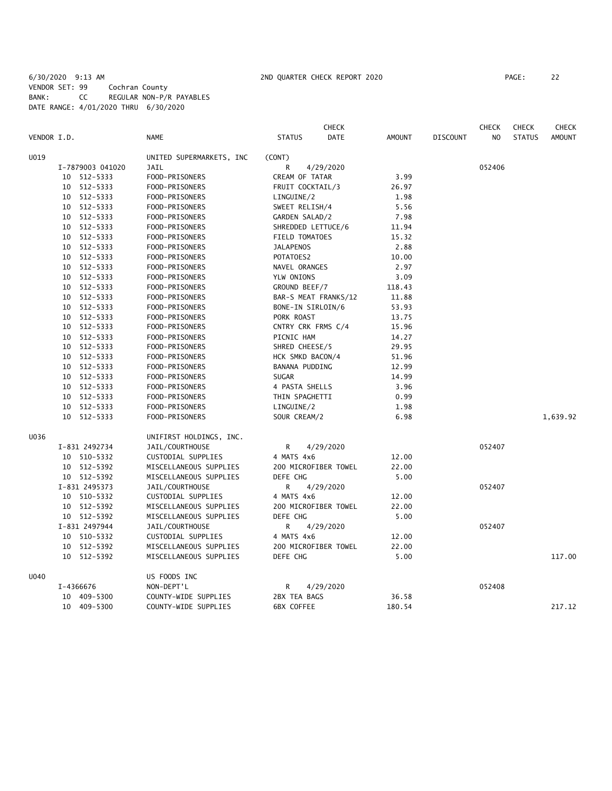# 6/30/2020 9:13 AM 2ND QUARTER CHECK REPORT 2020 PAGE: 22 VENDOR SET: 99 Cochran County BANK: CC REGULAR NON-P/R PAYABLES DATE RANGE: 4/01/2020 THRU 6/30/2020

|             |                  |                          |                    | <b>CHECK</b>         |               |                 | <b>CHECK</b>   | <b>CHECK</b>  | <b>CHECK</b>  |
|-------------|------------------|--------------------------|--------------------|----------------------|---------------|-----------------|----------------|---------------|---------------|
| VENDOR I.D. |                  | <b>NAME</b>              | <b>STATUS</b>      | <b>DATE</b>          | <b>AMOUNT</b> | <b>DISCOUNT</b> | N <sub>O</sub> | <b>STATUS</b> | <b>AMOUNT</b> |
| U019        |                  | UNITED SUPERMARKETS, INC | (CONT)             |                      |               |                 |                |               |               |
|             | I-7879003 041020 | JAIL                     | R                  | 4/29/2020            |               |                 | 052406         |               |               |
|             | 10 512-5333      | FOOD-PRISONERS           | CREAM OF TATAR     |                      | 3.99          |                 |                |               |               |
|             | 10 512-5333      | FOOD-PRISONERS           | FRUIT COCKTAIL/3   |                      | 26.97         |                 |                |               |               |
|             | 10 512-5333      | FOOD-PRISONERS           | LINGUINE/2         |                      | 1.98          |                 |                |               |               |
|             | 10 512-5333      | FOOD-PRISONERS           | SWEET RELISH/4     |                      | 5.56          |                 |                |               |               |
|             | 10 512-5333      | FOOD-PRISONERS           | GARDEN SALAD/2     |                      | 7.98          |                 |                |               |               |
|             | 10 512-5333      | FOOD-PRISONERS           | SHREDDED LETTUCE/6 |                      | 11.94         |                 |                |               |               |
|             | 10 512-5333      | FOOD-PRISONERS           | FIELD TOMATOES     |                      | 15.32         |                 |                |               |               |
|             | 10 512-5333      | FOOD-PRISONERS           | <b>JALAPENOS</b>   |                      | 2.88          |                 |                |               |               |
|             | 10 512-5333      | FOOD-PRISONERS           | POTATOES2          |                      | 10.00         |                 |                |               |               |
|             | 10 512-5333      | FOOD-PRISONERS           | NAVEL ORANGES      |                      | 2.97          |                 |                |               |               |
|             | 10 512-5333      | FOOD-PRISONERS           | YLW ONIONS         |                      | 3.09          |                 |                |               |               |
|             | 10 512-5333      | FOOD-PRISONERS           | GROUND BEEF/7      |                      | 118.43        |                 |                |               |               |
|             | 10 512-5333      | FOOD-PRISONERS           |                    | BAR-S MEAT FRANKS/12 | 11.88         |                 |                |               |               |
|             | 10 512-5333      | FOOD-PRISONERS           | BONE-IN SIRLOIN/6  |                      | 53.93         |                 |                |               |               |
|             | 10 512-5333      | FOOD-PRISONERS           | PORK ROAST         |                      | 13.75         |                 |                |               |               |
|             | 10 512-5333      | FOOD-PRISONERS           | CNTRY CRK FRMS C/4 |                      | 15.96         |                 |                |               |               |
|             | 10 512-5333      | FOOD-PRISONERS           | PICNIC HAM         |                      | 14.27         |                 |                |               |               |
|             | 10 512-5333      | FOOD-PRISONERS           | SHRED CHEESE/5     |                      | 29.95         |                 |                |               |               |
|             | 10 512-5333      | FOOD-PRISONERS           | HCK SMKD BACON/4   |                      | 51.96         |                 |                |               |               |
|             | 10 512-5333      | FOOD-PRISONERS           | BANANA PUDDING     |                      | 12.99         |                 |                |               |               |
|             | 10 512-5333      | FOOD-PRISONERS           | <b>SUGAR</b>       |                      | 14.99         |                 |                |               |               |
|             | 10 512-5333      | FOOD-PRISONERS           | 4 PASTA SHELLS     |                      | 3.96          |                 |                |               |               |
|             | 10 512-5333      | FOOD-PRISONERS           | THIN SPAGHETTI     |                      | 0.99          |                 |                |               |               |
|             | 10 512-5333      | FOOD-PRISONERS           | LINGUINE/2         |                      | 1.98          |                 |                |               |               |
|             | 10 512-5333      | FOOD-PRISONERS           | SOUR CREAM/2       |                      | 6.98          |                 |                |               | 1,639.92      |
| U036        |                  | UNIFIRST HOLDINGS, INC.  |                    |                      |               |                 |                |               |               |
|             | I-831 2492734    | JAIL/COURTHOUSE          | R                  | 4/29/2020            |               |                 | 052407         |               |               |
|             | 10 510-5332      | CUSTODIAL SUPPLIES       | 4 MATS 4x6         |                      | 12.00         |                 |                |               |               |
|             | 10 512-5392      | MISCELLANEOUS SUPPLIES   |                    | 200 MICROFIBER TOWEL | 22.00         |                 |                |               |               |
|             | 10 512-5392      | MISCELLANEOUS SUPPLIES   | DEFE CHG           |                      | 5.00          |                 |                |               |               |
|             | I-831 2495373    | JAIL/COURTHOUSE          | R                  | 4/29/2020            |               |                 | 052407         |               |               |
|             | 10 510-5332      | CUSTODIAL SUPPLIES       | 4 MATS 4x6         |                      | 12.00         |                 |                |               |               |
|             | 10 512-5392      | MISCELLANEOUS SUPPLIES   |                    | 200 MICROFIBER TOWEL | 22.00         |                 |                |               |               |
|             | 10 512-5392      | MISCELLANEOUS SUPPLIES   | DEFE CHG           |                      | 5.00          |                 |                |               |               |
|             | I-831 2497944    | JAIL/COURTHOUSE          | R                  | 4/29/2020            |               |                 | 052407         |               |               |
|             | 10 510-5332      | CUSTODIAL SUPPLIES       | 4 MATS 4x6         |                      | 12.00         |                 |                |               |               |
|             | 10 512-5392      | MISCELLANEOUS SUPPLIES   |                    | 200 MICROFIBER TOWEL | 22.00         |                 |                |               |               |
|             | 10 512-5392      | MISCELLANEOUS SUPPLIES   | DEFE CHG           |                      | 5.00          |                 |                |               | 117.00        |
| U040        |                  | US FOODS INC             |                    |                      |               |                 |                |               |               |
|             | I-4366676        | NON-DEPT'L               | R                  | 4/29/2020            |               |                 | 052408         |               |               |
|             | 10 409-5300      | COUNTY-WIDE SUPPLIES     | 2BX TEA BAGS       |                      | 36.58         |                 |                |               |               |
|             | 10 409-5300      | COUNTY-WIDE SUPPLIES     | 6BX COFFEE         |                      | 180.54        |                 |                |               | 217.12        |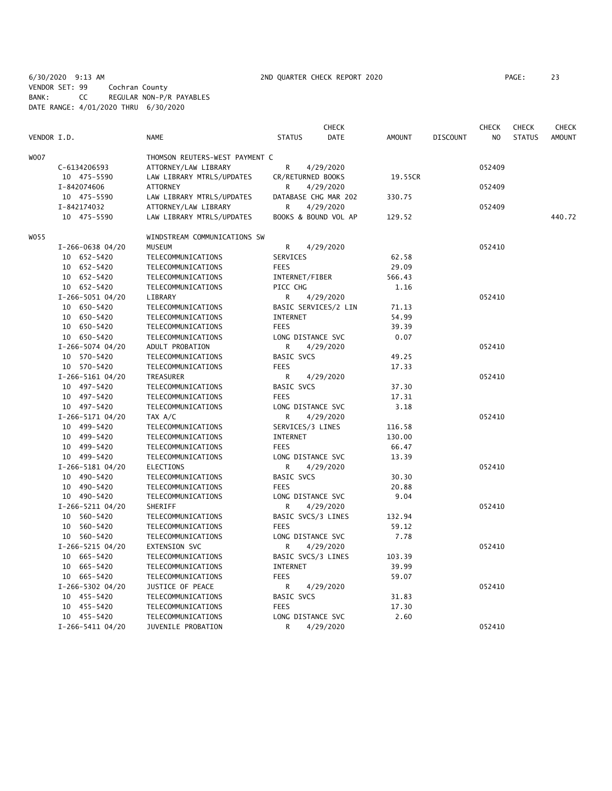6/30/2020 9:13 AM 2ND QUARTER CHECK REPORT 2020 PAGE: 23 VENDOR SET: 99 Cochran County BANK: CC REGULAR NON-P/R PAYABLES DATE RANGE: 4/01/2020 THRU 6/30/2020

|             |                                 |                                 |                    | <b>CHECK</b>         |               |                 | <b>CHECK</b>   | <b>CHECK</b>  | CHECK         |
|-------------|---------------------------------|---------------------------------|--------------------|----------------------|---------------|-----------------|----------------|---------------|---------------|
| VENDOR I.D. |                                 | <b>NAME</b>                     | <b>STATUS</b>      | <b>DATE</b>          | <b>AMOUNT</b> | <b>DISCOUNT</b> | N <sub>O</sub> | <b>STATUS</b> | <b>AMOUNT</b> |
| W007        |                                 | THOMSON REUTERS-WEST PAYMENT C  |                    |                      |               |                 |                |               |               |
|             | C-6134206593                    | ATTORNEY/LAW LIBRARY            | R                  | 4/29/2020            |               |                 | 052409         |               |               |
|             | 10 475-5590                     | LAW LIBRARY MTRLS/UPDATES       | CR/RETURNED BOOKS  |                      | 19.55CR       |                 |                |               |               |
|             | I-842074606                     | <b>ATTORNEY</b>                 | R                  | 4/29/2020            |               |                 | 052409         |               |               |
|             | 10 475-5590                     | LAW LIBRARY MTRLS/UPDATES       |                    | DATABASE CHG MAR 202 | 330.75        |                 |                |               |               |
|             | I-842174032                     | ATTORNEY/LAW LIBRARY            | R                  | 4/29/2020            |               |                 | 052409         |               |               |
|             | 10 475-5590                     | LAW LIBRARY MTRLS/UPDATES       |                    | BOOKS & BOUND VOL AP | 129.52        |                 |                |               | 440.72        |
| WO55        |                                 | WINDSTREAM COMMUNICATIONS SW    |                    |                      |               |                 |                |               |               |
|             | I-266-0638 04/20                | MUSEUM                          | R                  | 4/29/2020            |               |                 | 052410         |               |               |
|             | 10 652-5420                     | TELECOMMUNICATIONS              | SERVICES           |                      | 62.58         |                 |                |               |               |
|             | 10 652-5420                     | TELECOMMUNICATIONS              | <b>FEES</b>        |                      | 29.09         |                 |                |               |               |
|             | 10 652-5420                     | TELECOMMUNICATIONS              | INTERNET/FIBER     |                      | 566.43        |                 |                |               |               |
|             | 10 652-5420                     | TELECOMMUNICATIONS              | PICC CHG           |                      | 1.16          |                 |                |               |               |
|             | I-266-5051 04/20                | LIBRARY                         | R                  | 4/29/2020            |               |                 | 052410         |               |               |
|             | 10 650-5420                     | TELECOMMUNICATIONS              |                    | BASIC SERVICES/2 LIN | 71.13         |                 |                |               |               |
|             | 10 650-5420                     | TELECOMMUNICATIONS              | <b>INTERNET</b>    |                      | 54.99         |                 |                |               |               |
|             | 10 650-5420                     | TELECOMMUNICATIONS              | <b>FEES</b>        |                      | 39.39         |                 |                |               |               |
|             | 10 650-5420                     | TELECOMMUNICATIONS              | LONG DISTANCE SVC  |                      | 0.07          |                 |                |               |               |
|             |                                 | ADULT PROBATION                 | R                  | 4/29/2020            |               |                 | 052410         |               |               |
|             | I-266-5074 04/20<br>10 570-5420 |                                 | <b>BASIC SVCS</b>  |                      |               |                 |                |               |               |
|             |                                 | TELECOMMUNICATIONS              |                    |                      | 49.25         |                 |                |               |               |
|             | 10 570-5420                     | TELECOMMUNICATIONS<br>TREASURER | <b>FEES</b>        |                      | 17.33         |                 |                |               |               |
|             | I-266-5161 04/20                |                                 | R                  | 4/29/2020            |               |                 | 052410         |               |               |
|             | 10 497-5420                     | TELECOMMUNICATIONS              | <b>BASIC SVCS</b>  |                      | 37.30         |                 |                |               |               |
|             | 10 497-5420                     | TELECOMMUNICATIONS              | <b>FEES</b>        |                      | 17.31         |                 |                |               |               |
|             | 10 497-5420                     | TELECOMMUNICATIONS              | LONG DISTANCE SVC  |                      | 3.18          |                 |                |               |               |
|             | I-266-5171 04/20                | TAX A/C                         | R                  | 4/29/2020            |               |                 | 052410         |               |               |
|             | 10 499-5420                     | TELECOMMUNICATIONS              | SERVICES/3 LINES   |                      | 116.58        |                 |                |               |               |
|             | 10 499-5420                     | TELECOMMUNICATIONS              | <b>INTERNET</b>    |                      | 130.00        |                 |                |               |               |
|             | 10 499-5420                     | TELECOMMUNICATIONS              | <b>FEES</b>        |                      | 66.47         |                 |                |               |               |
|             | 10 499-5420                     | TELECOMMUNICATIONS              | LONG DISTANCE SVC  |                      | 13.39         |                 |                |               |               |
|             | I-266-5181 04/20                | <b>ELECTIONS</b>                | R                  | 4/29/2020            |               |                 | 052410         |               |               |
|             | 10 490-5420                     | TELECOMMUNICATIONS              | BASIC SVCS         |                      | 30.30         |                 |                |               |               |
|             | 10 490-5420                     | TELECOMMUNICATIONS              | <b>FEES</b>        |                      | 20.88         |                 |                |               |               |
|             | 10 490-5420                     | TELECOMMUNICATIONS              | LONG DISTANCE SVC  |                      | 9.04          |                 |                |               |               |
|             | I-266-5211 04/20                | SHERIFF                         | R                  | 4/29/2020            |               |                 | 052410         |               |               |
|             | 10 560-5420                     | TELECOMMUNICATIONS              | BASIC SVCS/3 LINES |                      | 132.94        |                 |                |               |               |
|             | 10 560-5420                     | TELECOMMUNICATIONS              | <b>FEES</b>        |                      | 59.12         |                 |                |               |               |
|             | 10 560-5420                     | TELECOMMUNICATIONS              | LONG DISTANCE SVC  |                      | 7.78          |                 |                |               |               |
|             | I-266-5215 04/20                | <b>EXTENSION SVC</b>            | R                  | 4/29/2020            |               |                 | 052410         |               |               |
|             | 10 665-5420                     | TELECOMMUNICATIONS              | BASIC SVCS/3 LINES |                      | 103.39        |                 |                |               |               |
|             | 10 665-5420                     | TELECOMMUNICATIONS              | INTERNET           |                      | 39.99         |                 |                |               |               |
|             | 10 665-5420                     | TELECOMMUNICATIONS              | <b>FEES</b>        |                      | 59.07         |                 |                |               |               |
|             | I-266-5302 04/20                | JUSTICE OF PEACE                | R                  | 4/29/2020            |               |                 | 052410         |               |               |
|             | 10 455-5420                     | TELECOMMUNICATIONS              | <b>BASIC SVCS</b>  |                      | 31.83         |                 |                |               |               |
|             | 10 455-5420                     | TELECOMMUNICATIONS              | <b>FEES</b>        |                      | 17.30         |                 |                |               |               |
|             | 10 455-5420                     | TELECOMMUNICATIONS              | LONG DISTANCE SVC  |                      | 2.60          |                 |                |               |               |
|             | I-266-5411 04/20                | JUVENILE PROBATION              | R                  | 4/29/2020            |               |                 | 052410         |               |               |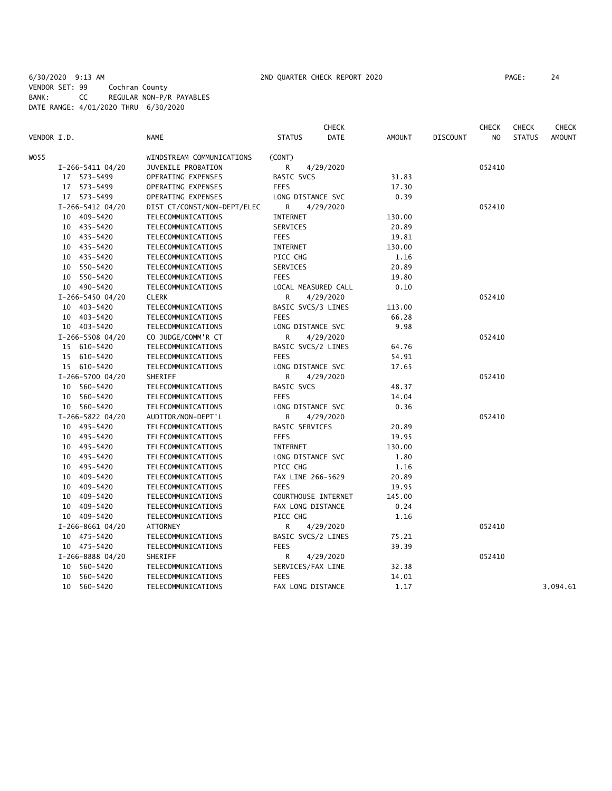6/30/2020 9:13 AM 2ND QUARTER CHECK REPORT 2020 PAGE: 24 VENDOR SET: 99 Cochran County BANK: CC REGULAR NON-P/R PAYABLES DATE RANGE: 4/01/2020 THRU 6/30/2020

|             |                    |                             |                       | <b>CHECK</b> |               |                 | <b>CHECK</b>   | <b>CHECK</b>  | <b>CHECK</b>  |
|-------------|--------------------|-----------------------------|-----------------------|--------------|---------------|-----------------|----------------|---------------|---------------|
| VENDOR I.D. |                    | <b>NAME</b>                 | <b>STATUS</b>         | DATE         | <b>AMOUNT</b> | <b>DISCOUNT</b> | N <sub>O</sub> | <b>STATUS</b> | <b>AMOUNT</b> |
| WO55        |                    | WINDSTREAM COMMUNICATIONS   | (CONT)                |              |               |                 |                |               |               |
|             | $I-266-5411$ 04/20 | JUVENILE PROBATION          | R                     | 4/29/2020    |               |                 | 052410         |               |               |
|             | 17 573-5499        | OPERATING EXPENSES          | BASIC SVCS            |              | 31.83         |                 |                |               |               |
|             | 17 573-5499        | OPERATING EXPENSES          | <b>FEES</b>           |              | 17.30         |                 |                |               |               |
|             | 17 573-5499        | OPERATING EXPENSES          | LONG DISTANCE SVC     |              | 0.39          |                 |                |               |               |
|             | I-266-5412 04/20   | DIST CT/CONST/NON-DEPT/ELEC | R                     | 4/29/2020    |               |                 | 052410         |               |               |
|             | 10 409-5420        | TELECOMMUNICATIONS          | <b>INTERNET</b>       |              | 130.00        |                 |                |               |               |
|             | 10 435-5420        | TELECOMMUNICATIONS          | SERVICES              |              | 20.89         |                 |                |               |               |
|             | 10 435-5420        | TELECOMMUNICATIONS          | <b>FEES</b>           |              | 19.81         |                 |                |               |               |
|             | 10 435-5420        | TELECOMMUNICATIONS          | <b>INTERNET</b>       |              | 130.00        |                 |                |               |               |
|             | 10 435-5420        | TELECOMMUNICATIONS          | PICC CHG              |              | 1.16          |                 |                |               |               |
|             | 10 550-5420        | TELECOMMUNICATIONS          | SERVICES              |              | 20.89         |                 |                |               |               |
|             | 10 550-5420        | TELECOMMUNICATIONS          | <b>FEES</b>           |              | 19.80         |                 |                |               |               |
|             | 10 490-5420        | TELECOMMUNICATIONS          | LOCAL MEASURED CALL   |              | 0.10          |                 |                |               |               |
|             | I-266-5450 04/20   | <b>CLERK</b>                | R                     | 4/29/2020    |               |                 | 052410         |               |               |
|             | 10 403-5420        | TELECOMMUNICATIONS          | BASIC SVCS/3 LINES    |              | 113.00        |                 |                |               |               |
|             | 10 403-5420        | TELECOMMUNICATIONS          | <b>FEES</b>           |              | 66.28         |                 |                |               |               |
|             | 10 403-5420        | TELECOMMUNICATIONS          | LONG DISTANCE SVC     |              | 9.98          |                 |                |               |               |
|             | I-266-5508 04/20   | CO JUDGE/COMM'R CT          | R                     | 4/29/2020    |               |                 | 052410         |               |               |
|             | 15 610-5420        | TELECOMMUNICATIONS          | BASIC SVCS/2 LINES    |              | 64.76         |                 |                |               |               |
|             | 15 610-5420        | TELECOMMUNICATIONS          | <b>FEES</b>           |              | 54.91         |                 |                |               |               |
|             | 15 610-5420        | TELECOMMUNICATIONS          | LONG DISTANCE SVC     |              | 17.65         |                 |                |               |               |
|             | I-266-5700 04/20   | SHERIFF                     | R                     | 4/29/2020    |               |                 | 052410         |               |               |
|             | 10 560-5420        | TELECOMMUNICATIONS          | <b>BASIC SVCS</b>     |              | 48.37         |                 |                |               |               |
| 10          | 560-5420           | TELECOMMUNICATIONS          | <b>FEES</b>           |              | 14.04         |                 |                |               |               |
|             | 10 560-5420        | TELECOMMUNICATIONS          | LONG DISTANCE SVC     |              | 0.36          |                 |                |               |               |
|             | I-266-5822 04/20   | AUDITOR/NON-DEPT'L          | R                     | 4/29/2020    |               |                 | 052410         |               |               |
|             | 10 495-5420        | TELECOMMUNICATIONS          | <b>BASIC SERVICES</b> |              | 20.89         |                 |                |               |               |
|             | 10 495-5420        | TELECOMMUNICATIONS          | <b>FEES</b>           |              | 19.95         |                 |                |               |               |
|             | 495-5420<br>10     | TELECOMMUNICATIONS          | INTERNET              |              | 130.00        |                 |                |               |               |
|             | 10 495-5420        | TELECOMMUNICATIONS          | LONG DISTANCE SVC     |              | 1.80          |                 |                |               |               |
|             | 10 495-5420        | TELECOMMUNICATIONS          | PICC CHG              |              | 1.16          |                 |                |               |               |
|             | 409-5420<br>10     | TELECOMMUNICATIONS          | FAX LINE 266-5629     |              | 20.89         |                 |                |               |               |
|             | 409-5420<br>10     | TELECOMMUNICATIONS          | <b>FEES</b>           |              | 19.95         |                 |                |               |               |
| 10          | 409-5420           | TELECOMMUNICATIONS          | COURTHOUSE INTERNET   |              | 145.00        |                 |                |               |               |
| 10          | 409-5420           | TELECOMMUNICATIONS          | FAX LONG DISTANCE     |              | 0.24          |                 |                |               |               |
|             | 10 409-5420        | TELECOMMUNICATIONS          | PICC CHG              |              | 1.16          |                 |                |               |               |
|             | I-266-8661 04/20   | ATTORNEY                    | R                     | 4/29/2020    |               |                 | 052410         |               |               |
|             | 10 475-5420        | TELECOMMUNICATIONS          | BASIC SVCS/2 LINES    |              | 75.21         |                 |                |               |               |
|             | 10 475-5420        | TELECOMMUNICATIONS          | <b>FEES</b>           |              | 39.39         |                 |                |               |               |
|             | I-266-8888 04/20   | SHERIFF                     | R                     | 4/29/2020    |               |                 | 052410         |               |               |
| 10          | 560-5420           | TELECOMMUNICATIONS          | SERVICES/FAX LINE     |              | 32.38         |                 |                |               |               |
| 10          | 560-5420           | TELECOMMUNICATIONS          | <b>FEES</b>           |              | 14.01         |                 |                |               |               |
| 10          | 560-5420           | TELECOMMUNICATIONS          | FAX LONG DISTANCE     |              | 1.17          |                 |                |               | 3,094.61      |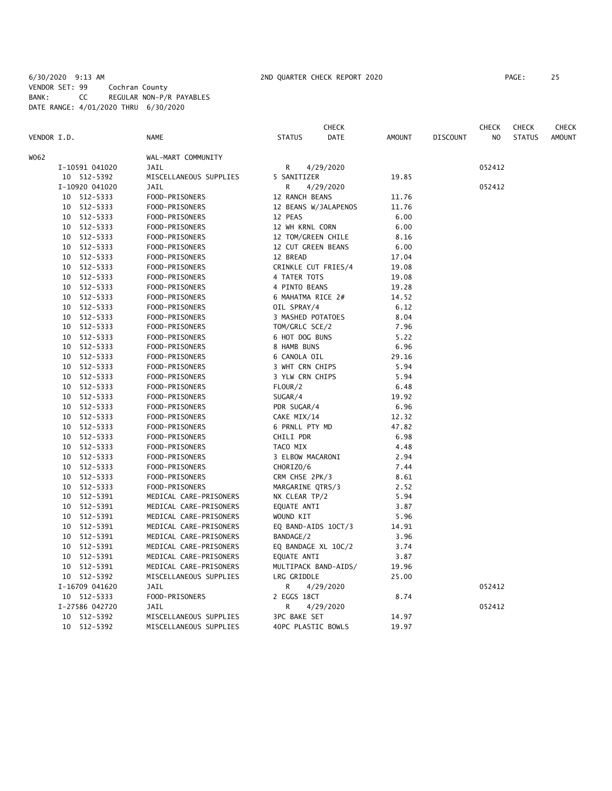## 6/30/2020 9:13 AM 2ND QUARTER CHECK REPORT 2020 PAGE: 25 VENDOR SET: 99 Cochran County BANK: CC REGULAR NON-P/R PAYABLES DATE RANGE: 4/01/2020 THRU 6/30/2020

|      |                               |                                | CHECK                          |        |                 | CHECK  | <b>CHECK</b>  | <b>CHECK</b>  |
|------|-------------------------------|--------------------------------|--------------------------------|--------|-----------------|--------|---------------|---------------|
|      | VENDOR I.D.                   | <b>NAME</b>                    | <b>DATE</b><br><b>STATUS</b>   | AMOUNT | <b>DISCOUNT</b> | NO.    | <b>STATUS</b> | <b>AMOUNT</b> |
| W062 |                               | WAL-MART COMMUNITY             |                                |        |                 |        |               |               |
|      | I-10591 041020                | <b>JAIL</b>                    | R<br>4/29/2020                 |        |                 | 052412 |               |               |
|      | 10 512-5392                   | MISCELLANEOUS SUPPLIES         | 5 SANITIZER                    | 19.85  |                 |        |               |               |
|      | I-10920 041020                | <b>JAIL</b>                    | R<br>4/29/2020                 |        |                 | 052412 |               |               |
|      | 10 512-5333                   | FOOD-PRISONERS                 | 12 RANCH BEANS                 | 11.76  |                 |        |               |               |
|      | 512-5333<br>10                | FOOD-PRISONERS                 | 12 BEANS W/JALAPENOS           | 11.76  |                 |        |               |               |
|      | 512-5333<br>10                | FOOD-PRISONERS                 | 12 PEAS                        | 6.00   |                 |        |               |               |
|      | 512-5333<br>10                | FOOD-PRISONERS                 | 12 WH KRNL CORN                | 6.00   |                 |        |               |               |
|      | 512-5333<br>10                | FOOD-PRISONERS                 | 12 TOM/GREEN CHILE             | 8.16   |                 |        |               |               |
|      | 512-5333<br>10                | FOOD-PRISONERS                 | 12 CUT GREEN BEANS             | 6.00   |                 |        |               |               |
|      | 512-5333<br>10                | FOOD-PRISONERS                 | 12 BREAD                       | 17.04  |                 |        |               |               |
|      | 512-5333<br>10                | FOOD-PRISONERS                 | CRINKLE CUT FRIES/4            | 19.08  |                 |        |               |               |
|      | 512-5333<br>10                | FOOD-PRISONERS                 | 4 TATER TOTS                   | 19.08  |                 |        |               |               |
|      | 10 512-5333                   | FOOD-PRISONERS                 | 4 PINTO BEANS                  | 19.28  |                 |        |               |               |
|      | 10 512-5333                   | FOOD-PRISONERS                 | 6 MAHATMA RICE 2#              | 14.52  |                 |        |               |               |
|      | 10 512-5333                   | FOOD-PRISONERS                 | OIL SPRAY/4                    | 6.12   |                 |        |               |               |
|      | 10 512-5333                   | FOOD-PRISONERS                 | 3 MASHED POTATOES              | 8.04   |                 |        |               |               |
|      | 512-5333<br>10                | FOOD-PRISONERS                 | TOM/GRLC SCE/2                 | 7.96   |                 |        |               |               |
|      | 512-5333<br>10                | FOOD-PRISONERS                 | 6 HOT DOG BUNS                 | 5.22   |                 |        |               |               |
|      | 10<br>512-5333                | FOOD-PRISONERS                 | 8 HAMB BUNS                    | 6.96   |                 |        |               |               |
|      | 512-5333<br>10                | FOOD-PRISONERS                 | 6 CANOLA OIL                   | 29.16  |                 |        |               |               |
|      | 10<br>512-5333                | FOOD-PRISONERS                 | 3 WHT CRN CHIPS                | 5.94   |                 |        |               |               |
|      | 512-5333<br>10                | FOOD-PRISONERS                 | 3 YLW CRN CHIPS                | 5.94   |                 |        |               |               |
|      | 512-5333<br>10                | FOOD-PRISONERS                 | FLOUR/2                        | 6.48   |                 |        |               |               |
|      | 512-5333<br>10                | FOOD-PRISONERS                 | SUGAR/4                        | 19.92  |                 |        |               |               |
|      | 10<br>512-5333                | FOOD-PRISONERS                 | PDR SUGAR/4                    | 6.96   |                 |        |               |               |
|      | 512-5333<br>10                | FOOD-PRISONERS                 | CAKE MIX/14                    | 12.32  |                 |        |               |               |
|      | 512-5333<br>10                | FOOD-PRISONERS                 | 6 PRNLL PTY MD                 | 47.82  |                 |        |               |               |
|      | 512-5333<br>10                | FOOD-PRISONERS                 | CHILI PDR                      | 6.98   |                 |        |               |               |
|      | 512-5333<br>10                | FOOD-PRISONERS                 | TACO MIX                       | 4.48   |                 |        |               |               |
|      | 512-5333<br>10                | FOOD-PRISONERS                 | 3 ELBOW MACARONI               | 2.94   |                 |        |               |               |
|      | 512-5333<br>10                | FOOD-PRISONERS                 | CHORIZO/6                      | 7.44   |                 |        |               |               |
|      | 512-5333<br>10                | FOOD-PRISONERS                 | CRM CHSE 2PK/3                 | 8.61   |                 |        |               |               |
|      | 512-5333<br>10                | FOOD-PRISONERS                 | MARGARINE QTRS/3               | 2.52   |                 |        |               |               |
|      | 512-5391<br>10                | MEDICAL CARE-PRISONERS         | NX CLEAR TP/2                  | 5.94   |                 |        |               |               |
|      | 10 512-5391                   | MEDICAL CARE-PRISONERS         | EQUATE ANTI                    | 3.87   |                 |        |               |               |
|      | 512-5391<br>10                | MEDICAL CARE-PRISONERS         | WOUND KIT                      | 5.96   |                 |        |               |               |
|      | 10 512-5391                   | MEDICAL CARE-PRISONERS         | EQ BAND-AIDS 10CT/3            | 14.91  |                 |        |               |               |
|      | 10 512-5391                   | MEDICAL CARE-PRISONERS         | BANDAGE/2                      | 3.96   |                 |        |               |               |
|      | 10 512-5391                   | MEDICAL CARE-PRISONERS         | EQ BANDAGE XL 10C/2            | 3.74   |                 |        |               |               |
|      | 10 512-5391                   | MEDICAL CARE-PRISONERS         | EQUATE ANTI                    | 3.87   |                 |        |               |               |
|      | 10 512-5391                   | MEDICAL CARE-PRISONERS         | MULTIPACK BAND-AIDS/           | 19.96  |                 |        |               |               |
|      | 10 512-5392                   | MISCELLANEOUS SUPPLIES         | LRG GRIDDLE                    | 25.00  |                 |        |               |               |
|      | I-16709 041620                | JAIL                           | R<br>4/29/2020                 |        |                 | 052412 |               |               |
|      |                               |                                | 2 EGGS 18CT                    | 8.74   |                 |        |               |               |
|      | 10 512-5333                   | FOOD-PRISONERS                 |                                |        |                 |        |               |               |
|      | I-27586 042720<br>10 512-5392 | JAIL<br>MISCELLANEOUS SUPPLIES | 4/29/2020<br>R<br>3PC BAKE SET | 14.97  |                 | 052412 |               |               |
|      |                               |                                |                                | 19.97  |                 |        |               |               |
|      | 10 512-5392                   | MISCELLANEOUS SUPPLIES         | 40PC PLASTIC BOWLS             |        |                 |        |               |               |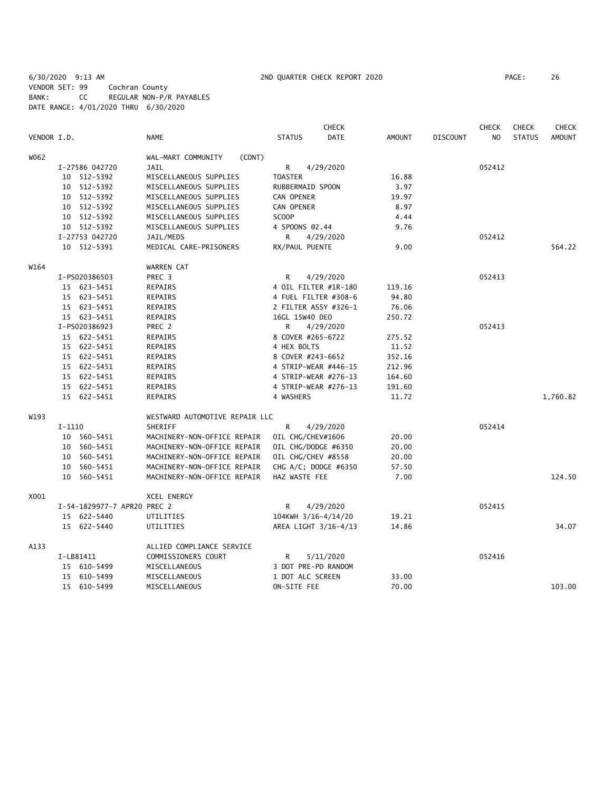6/30/2020 9:13 AM 2ND QUARTER CHECK REPORT 2020 PAGE: 26 VENDOR SET: 99 Cochran County BANK: CC REGULAR NON-P/R PAYABLES DATE RANGE: 4/01/2020 THRU 6/30/2020

|             |           |                             |                                |                     | <b>CHECK</b>         |               |                 | <b>CHECK</b>   | <b>CHECK</b>  | <b>CHECK</b>  |
|-------------|-----------|-----------------------------|--------------------------------|---------------------|----------------------|---------------|-----------------|----------------|---------------|---------------|
| VENDOR I.D. |           |                             | <b>NAME</b>                    | <b>STATUS</b>       | DATE                 | <b>AMOUNT</b> | <b>DISCOUNT</b> | N <sub>O</sub> | <b>STATUS</b> | <b>AMOUNT</b> |
| W062        |           |                             | WAL-MART COMMUNITY<br>(CONT)   |                     |                      |               |                 |                |               |               |
|             |           | I-27586 042720              | JAIL                           | R                   | 4/29/2020            |               |                 | 052412         |               |               |
|             |           | 10 512-5392                 | MISCELLANEOUS SUPPLIES         | <b>TOASTER</b>      |                      | 16.88         |                 |                |               |               |
|             |           | 10 512-5392                 | MISCELLANEOUS SUPPLIES         | RUBBERMAID SPOON    |                      | 3.97          |                 |                |               |               |
|             |           | 10 512-5392                 | MISCELLANEOUS SUPPLIES         | CAN OPENER          |                      | 19.97         |                 |                |               |               |
|             |           | 10 512-5392                 | MISCELLANEOUS SUPPLIES         | CAN OPENER          |                      | 8.97          |                 |                |               |               |
|             |           | 10 512-5392                 | MISCELLANEOUS SUPPLIES         | SCOOP               |                      | 4.44          |                 |                |               |               |
|             |           | 10 512-5392                 | MISCELLANEOUS SUPPLIES         | 4 SPOONS @2.44      |                      | 9.76          |                 |                |               |               |
|             |           | I-27753 042720              | JAIL/MEDS                      | R                   | 4/29/2020            |               |                 | 052412         |               |               |
|             |           | 10 512-5391                 | MEDICAL CARE-PRISONERS         | RX/PAUL PUENTE      |                      | 9.00          |                 |                |               | 564.22        |
| W164        |           |                             | WARREN CAT                     |                     |                      |               |                 |                |               |               |
|             |           | I-PS020386503               | PREC 3                         | R                   | 4/29/2020            |               |                 | 052413         |               |               |
|             |           | 15 623-5451                 | REPAIRS                        |                     | 4 OIL FILTER #1R-180 | 119.16        |                 |                |               |               |
|             |           | 15 623-5451                 | REPAIRS                        |                     | 4 FUEL FILTER #308-6 | 94.80         |                 |                |               |               |
|             |           | 15 623-5451                 | REPAIRS                        |                     | 2 FILTER ASSY #326-1 | 76.06         |                 |                |               |               |
|             |           | 15 623-5451                 | REPAIRS                        | 16GL 15W40 DEO      |                      | 250.72        |                 |                |               |               |
|             |           | I-PS020386923               | PREC 2                         | R                   | 4/29/2020            |               |                 | 052413         |               |               |
|             |           | 15 622-5451                 | REPAIRS                        | 8 COVER #265-6722   |                      | 275.52        |                 |                |               |               |
|             |           | 15 622-5451                 | REPAIRS                        | 4 HEX BOLTS         |                      | 11.52         |                 |                |               |               |
|             |           | 15 622-5451                 | REPAIRS                        | 8 COVER #243-6652   |                      | 352.16        |                 |                |               |               |
|             |           | 15 622-5451                 | <b>REPAIRS</b>                 |                     | 4 STRIP-WEAR #446-15 | 212.96        |                 |                |               |               |
|             |           | 15 622-5451                 | REPAIRS                        |                     | 4 STRIP-WEAR #276-13 | 164.60        |                 |                |               |               |
|             |           | 15 622-5451                 | REPAIRS                        |                     | 4 STRIP-WEAR #276-13 | 191.60        |                 |                |               |               |
|             |           | 15 622-5451                 | <b>REPAIRS</b>                 | 4 WASHERS           |                      | 11.72         |                 |                |               | 1,760.82      |
| W193        |           |                             | WESTWARD AUTOMOTIVE REPAIR LLC |                     |                      |               |                 |                |               |               |
|             | $I-1110$  |                             | <b>SHERIFF</b>                 | R                   | 4/29/2020            |               |                 | 052414         |               |               |
|             |           | 10 560-5451                 | MACHINERY-NON-OFFICE REPAIR    | OIL CHG/CHEV#1606   |                      | 20.00         |                 |                |               |               |
|             |           | 10 560-5451                 | MACHINERY-NON-OFFICE REPAIR    | OIL CHG/DODGE #6350 |                      | 20.00         |                 |                |               |               |
|             |           | 10 560-5451                 | MACHINERY-NON-OFFICE REPAIR    | OIL CHG/CHEV #8558  |                      | 20.00         |                 |                |               |               |
|             |           | 10 560-5451                 | MACHINERY-NON-OFFICE REPAIR    |                     | CHG A/C; DODGE #6350 | 57.50         |                 |                |               |               |
|             |           | 10 560-5451                 | MACHINERY-NON-OFFICE REPAIR    | HAZ WASTE FEE       |                      | 7.00          |                 |                |               | 124.50        |
| X001        |           |                             | XCEL ENERGY                    |                     |                      |               |                 |                |               |               |
|             |           | I-54-1829977-7 APR20 PREC 2 |                                | R                   | 4/29/2020            |               |                 | 052415         |               |               |
|             |           | 15 622-5440                 | UTILITIES                      | 104KWH 3/16-4/14/20 |                      | 19.21         |                 |                |               |               |
|             |           | 15 622-5440                 | UTILITIES                      |                     | AREA LIGHT 3/16-4/13 | 14.86         |                 |                |               | 34.07         |
| A133        |           |                             | ALLIED COMPLIANCE SERVICE      |                     |                      |               |                 |                |               |               |
|             | I-LB81411 |                             | COMMISSIONERS COURT            | R                   | 5/11/2020            |               |                 | 052416         |               |               |
|             |           | 15 610-5499                 | MISCELLANEOUS                  | 3 DOT PRE-PD RANDOM |                      |               |                 |                |               |               |
|             |           | 15 610-5499                 | MISCELLANEOUS                  | 1 DOT ALC SCREEN    |                      | 33.00         |                 |                |               |               |
|             |           | 15 610-5499                 | MISCELLANEOUS                  | ON-SITE FEE         |                      | 70.00         |                 |                |               | 103.00        |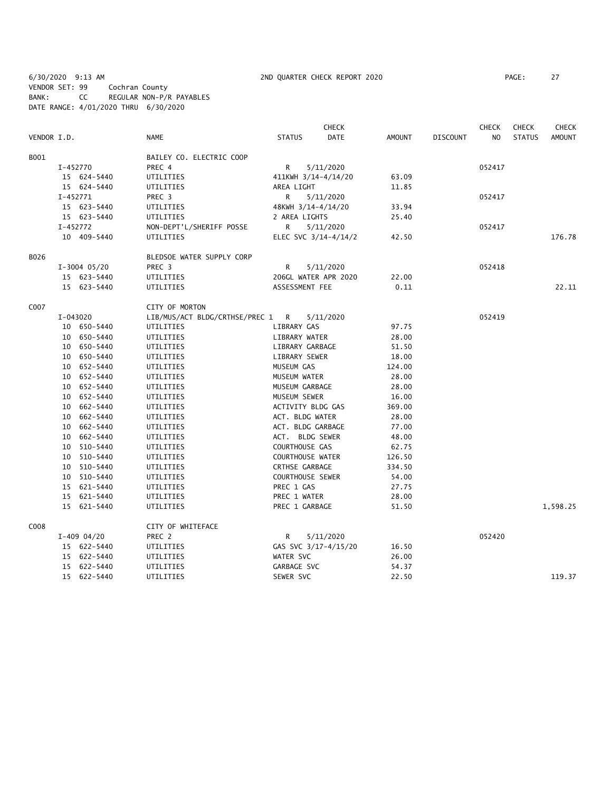6/30/2020 9:13 AM 2ND QUARTER CHECK REPORT 2020 PAGE: 27 VENDOR SET: 99 Cochran County BANK: CC REGULAR NON-P/R PAYABLES DATE RANGE: 4/01/2020 THRU 6/30/2020

|             |            |                |                                  |                         | <b>CHECK</b>         |               |                 | <b>CHECK</b>   | <b>CHECK</b>  | <b>CHECK</b>  |
|-------------|------------|----------------|----------------------------------|-------------------------|----------------------|---------------|-----------------|----------------|---------------|---------------|
| VENDOR I.D. |            |                | <b>NAME</b>                      | <b>STATUS</b>           | <b>DATE</b>          | <b>AMOUNT</b> | <b>DISCOUNT</b> | N <sub>O</sub> | <b>STATUS</b> | <b>AMOUNT</b> |
| B001        |            |                | BAILEY CO. ELECTRIC COOP         |                         |                      |               |                 |                |               |               |
|             | I-452770   |                | PREC 4                           | R                       | 5/11/2020            |               |                 | 052417         |               |               |
|             |            | 15 624-5440    | UTILITIES                        | 411KWH 3/14-4/14/20     |                      | 63.09         |                 |                |               |               |
|             |            | 15 624-5440    | UTILITIES                        | AREA LIGHT              |                      | 11.85         |                 |                |               |               |
|             | $I-452771$ |                | PREC 3                           | R                       | 5/11/2020            |               |                 | 052417         |               |               |
|             |            | 15 623-5440    | UTILITIES                        | 48KWH 3/14-4/14/20      |                      | 33.94         |                 |                |               |               |
|             |            | 15 623-5440    | UTILITIES                        | 2 AREA LIGHTS           |                      | 25.40         |                 |                |               |               |
|             | I-452772   |                | NON-DEPT'L/SHERIFF POSSE         | R                       | 5/11/2020            |               |                 | 052417         |               |               |
|             |            | 10 409-5440    | UTILITIES                        |                         | ELEC SVC 3/14-4/14/2 | 42.50         |                 |                |               | 176.78        |
| B026        |            |                | BLEDSOE WATER SUPPLY CORP        |                         |                      |               |                 |                |               |               |
|             |            | $I-3004$ 05/20 | PREC <sub>3</sub>                | R                       | 5/11/2020            |               |                 | 052418         |               |               |
|             |            | 15 623-5440    | UTILITIES                        |                         | 206GL WATER APR 2020 | 22.00         |                 |                |               |               |
|             |            | 15 623-5440    | UTILITIES                        | ASSESSMENT FEE          |                      | 0.11          |                 |                |               | 22.11         |
| C007        |            |                | CITY OF MORTON                   |                         |                      |               |                 |                |               |               |
|             | I-043020   |                | LIB/MUS/ACT BLDG/CRTHSE/PREC 1 R |                         | 5/11/2020            |               |                 | 052419         |               |               |
|             |            | 10 650-5440    | UTILITIES                        | LIBRARY GAS             |                      | 97.75         |                 |                |               |               |
|             |            | 10 650-5440    | UTILITIES                        | LIBRARY WATER           |                      | 28.00         |                 |                |               |               |
|             |            | 10 650-5440    | UTILITIES                        | LIBRARY GARBAGE         |                      | 51.50         |                 |                |               |               |
|             |            | 10 650-5440    | UTILITIES                        | LIBRARY SEWER           |                      | 18.00         |                 |                |               |               |
|             |            | 10 652-5440    | UTILITIES                        | MUSEUM GAS              |                      | 124.00        |                 |                |               |               |
|             |            | 10 652-5440    | UTILITIES                        | MUSEUM WATER            |                      | 28.00         |                 |                |               |               |
|             |            | 10 652-5440    | UTILITIES                        | MUSEUM GARBAGE          |                      | 28.00         |                 |                |               |               |
|             |            | 10 652-5440    | UTILITIES                        | MUSEUM SEWER            |                      | 16.00         |                 |                |               |               |
|             |            | 10 662-5440    | UTILITIES                        | ACTIVITY BLDG GAS       |                      | 369.00        |                 |                |               |               |
|             |            | 10 662-5440    | UTILITIES                        | ACT. BLDG WATER         |                      | 28.00         |                 |                |               |               |
|             |            | 10 662-5440    | UTILITIES                        | ACT. BLDG GARBAGE       |                      | 77.00         |                 |                |               |               |
|             |            | 10 662-5440    | UTILITIES                        | ACT. BLDG SEWER         |                      | 48.00         |                 |                |               |               |
|             |            | 10 510-5440    | UTILITIES                        | COURTHOUSE GAS          |                      | 62.75         |                 |                |               |               |
|             |            | 10 510-5440    | UTILITIES                        | <b>COURTHOUSE WATER</b> |                      | 126.50        |                 |                |               |               |
|             |            | 10 510-5440    | UTILITIES                        | CRTHSE GARBAGE          |                      | 334.50        |                 |                |               |               |
|             |            | 10 510-5440    | UTILITIES                        | COURTHOUSE SEWER        |                      | 54.00         |                 |                |               |               |
|             |            | 15 621-5440    | UTILITIES                        | PREC 1 GAS              |                      | 27.75         |                 |                |               |               |
|             |            | 15 621-5440    | UTILITIES                        | PREC 1 WATER            |                      | 28.00         |                 |                |               |               |
|             |            | 15 621-5440    | UTILITIES                        | PREC 1 GARBAGE          |                      | 51.50         |                 |                |               | 1,598.25      |
| C008        |            |                | CITY OF WHITEFACE                |                         |                      |               |                 |                |               |               |
|             |            | $I-409$ 04/20  | PREC 2                           | R                       | 5/11/2020            |               |                 | 052420         |               |               |
|             |            | 15 622-5440    | UTILITIES                        |                         | GAS SVC 3/17-4/15/20 | 16.50         |                 |                |               |               |
|             |            | 15 622-5440    | UTILITIES                        | WATER SVC               |                      | 26.00         |                 |                |               |               |
|             |            | 15 622-5440    | UTILITIES                        | GARBAGE SVC             |                      | 54.37         |                 |                |               |               |
|             |            | 15 622-5440    | UTILITIES                        | SEWER SVC               |                      | 22.50         |                 |                |               | 119.37        |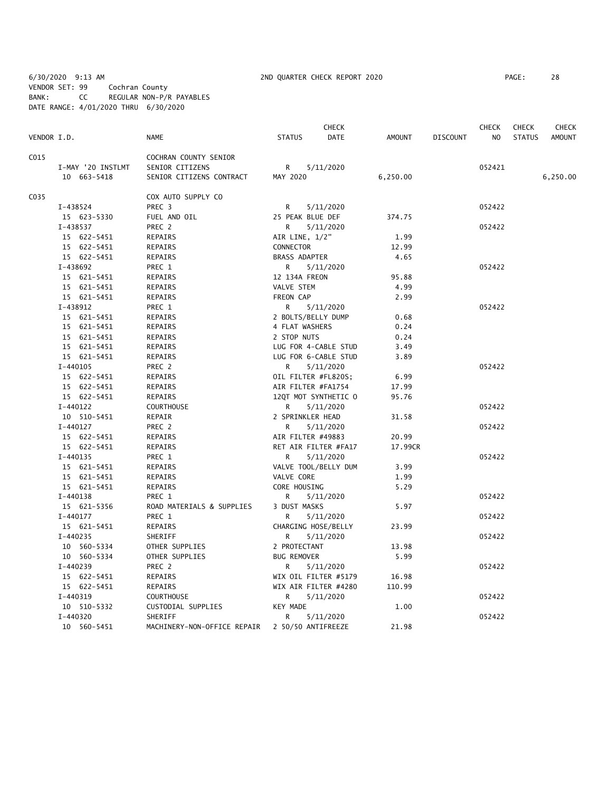6/30/2020 9:13 AM 2ND QUARTER CHECK REPORT 2020 PAGE: 28 VENDOR SET: 99 Cochran County BANK: CC REGULAR NON-P/R PAYABLES DATE RANGE: 4/01/2020 THRU 6/30/2020

|             |                         |                               | CHECK                        |               |                 | <b>CHECK</b> | <b>CHECK</b>  | <b>CHECK</b>  |
|-------------|-------------------------|-------------------------------|------------------------------|---------------|-----------------|--------------|---------------|---------------|
| VENDOR I.D. |                         | <b>NAME</b>                   | <b>STATUS</b><br><b>DATE</b> | <b>AMOUNT</b> | <b>DISCOUNT</b> | NO           | <b>STATUS</b> | <b>AMOUNT</b> |
| C015        |                         | COCHRAN COUNTY SENIOR         |                              |               |                 |              |               |               |
|             | I-MAY '20 INSTLMT       | SENIOR CITIZENS               | R <sub>a</sub><br>5/11/2020  |               |                 | 052421       |               |               |
|             | 10 663-5418             | SENIOR CITIZENS CONTRACT      | MAY 2020                     | 6,250.00      |                 |              |               | 6,250.00      |
| C035        |                         | COX AUTO SUPPLY CO            |                              |               |                 |              |               |               |
|             | I-438524                | PREC 3                        | R.<br>5/11/2020              |               |                 | 052422       |               |               |
|             | 15 623-5330             | FUEL AND OIL                  | 25 PEAK BLUE DEF             | 374.75        |                 |              |               |               |
|             | I-438537                | PREC 2                        | R<br>5/11/2020               |               |                 | 052422       |               |               |
|             | 15 622-5451             | REPAIRS                       | AIR LINE, 1/2"               | 1.99          |                 |              |               |               |
|             | 15 622-5451             | REPAIRS                       | CONNECTOR                    | 12.99         |                 |              |               |               |
|             | 15 622-5451             | REPAIRS                       | BRASS ADAPTER                | 4.65          |                 |              |               |               |
|             | I-438692                |                               |                              |               |                 | 052422       |               |               |
|             |                         | PREC 1                        | R<br>5/11/2020               |               |                 |              |               |               |
|             | 15 621-5451             | REPAIRS                       | 12 134A FREON                | 95.88         |                 |              |               |               |
|             | 15 621-5451             | REPAIRS                       | VALVE STEM                   | 4.99          |                 |              |               |               |
|             | 15 621-5451             | REPAIRS                       | FREON CAP                    | 2.99          |                 |              |               |               |
|             | I-438912                | PREC 1                        | R.<br>5/11/2020              |               |                 | 052422       |               |               |
|             | 15 621-5451             | REPAIRS                       | 2 BOLTS/BELLY DUMP           | 0.68          |                 |              |               |               |
|             | 15 621-5451             | REPAIRS                       | 4 FLAT WASHERS               | 0.24          |                 |              |               |               |
|             | 15 621-5451             | REPAIRS                       | 2 STOP NUTS                  | 0.24          |                 |              |               |               |
|             | 15 621-5451             | REPAIRS                       | LUG FOR 4-CABLE STUD         | 3.49          |                 |              |               |               |
|             | 15 621-5451             | REPAIRS                       | LUG FOR 6-CABLE STUD         | 3.89          |                 |              |               |               |
|             | $I-440105$              | PREC 2                        | R.<br>5/11/2020              |               |                 | 052422       |               |               |
|             | 15 622-5451             | REPAIRS                       | OIL FILTER #FL820S;          | 6.99          |                 |              |               |               |
|             | 15 622-5451             | REPAIRS                       | AIR FILTER #FA1754           | 17.99         |                 |              |               |               |
|             | 15 622-5451             | REPAIRS                       | 12QT MOT SYNTHETIC O         | 95.76         |                 |              |               |               |
|             | $I-440122$              | COURTHOUSE                    | 5/11/2020<br>R               |               |                 | 052422       |               |               |
|             | 10 510-5451             | REPAIR                        | 2 SPRINKLER HEAD             | 31.58         |                 |              |               |               |
|             | $I-440127$              | PREC 2                        | R.<br>5/11/2020              |               |                 | 052422       |               |               |
|             | 15 622-5451             | REPAIRS                       | AIR FILTER #49883            | 20.99         |                 |              |               |               |
|             | 15 622-5451             | REPAIRS                       | RET AIR FILTER #FA17         | 17.99CR       |                 |              |               |               |
|             | I-440135                | PREC 1                        | R<br>5/11/2020               |               |                 | 052422       |               |               |
|             | 15 621-5451             | REPAIRS                       | VALVE TOOL/BELLY DUM         | 3.99          |                 |              |               |               |
|             | 15 621-5451             | REPAIRS                       | VALVE CORE                   | 1.99          |                 |              |               |               |
|             | 15 621-5451             | REPAIRS                       | CORE HOUSING                 | 5.29          |                 |              |               |               |
|             | I-440138                | PREC 1                        | R<br>5/11/2020               |               |                 | 052422       |               |               |
|             | 15 621-5356             | ROAD MATERIALS & SUPPLIES     | 3 DUST MASKS                 | 5.97          |                 |              |               |               |
|             | I-440177                | PREC 1                        | R<br>5/11/2020               |               |                 | 052422       |               |               |
|             | 15 621-5451             | REPAIRS                       | CHARGING HOSE/BELLY          | 23.99         |                 |              |               |               |
|             | I-440235                | SHERIFF                       | R<br>5/11/2020               |               |                 | 052422       |               |               |
|             | 10 560-5334             | OTHER SUPPLIES                | 2 PROTECTANT                 | 13.98         |                 |              |               |               |
|             | 10 560-5334             | OTHER SUPPLIES                | <b>BUG REMOVER</b>           | 5.99          |                 |              |               |               |
|             | I-440239                | PREC 2                        | R<br>5/11/2020               |               |                 | 052422       |               |               |
|             | 15 622-5451             | REPAIRS                       | WIX OIL FILTER #5179         | 16.98         |                 |              |               |               |
|             | 15 622-5451             | REPAIRS                       | WIX AIR FILTER #4280         | 110.99        |                 |              |               |               |
|             | I-440319                | <b>COURTHOUSE</b>             | R<br>5/11/2020               |               |                 | 052422       |               |               |
|             |                         |                               | KEY MADE                     | 1.00          |                 |              |               |               |
|             | 10 510-5332<br>I-440320 | CUSTODIAL SUPPLIES<br>SHERIFF | R<br>5/11/2020               |               |                 | 052422       |               |               |
|             |                         |                               |                              |               |                 |              |               |               |
|             | 10 560-5451             | MACHINERY-NON-OFFICE REPAIR   | 2 50/50 ANTIFREEZE           | 21.98         |                 |              |               |               |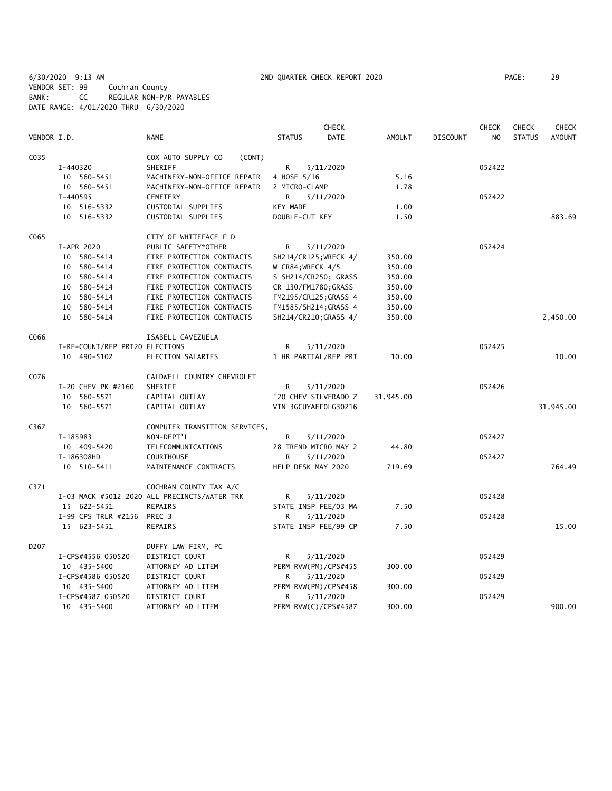6/30/2020 9:13 AM 2ND QUARTER CHECK REPORT 2020 PAGE: 29 VENDOR SET: 99 Cochran County BANK: CC REGULAR NON-P/R PAYABLES DATE RANGE: 4/01/2020 THRU 6/30/2020

|                   |                                |                                              |                       | CHECK                |               |                 | <b>CHECK</b> | <b>CHECK</b>  | <b>CHECK</b> |
|-------------------|--------------------------------|----------------------------------------------|-----------------------|----------------------|---------------|-----------------|--------------|---------------|--------------|
| VENDOR I.D.       |                                | <b>NAME</b>                                  | <b>STATUS</b>         | <b>DATE</b>          | <b>AMOUNT</b> | <b>DISCOUNT</b> | NO           | <b>STATUS</b> | AMOUNT       |
| C035              |                                | COX AUTO SUPPLY CO<br>(CONT)                 |                       |                      |               |                 |              |               |              |
|                   | I-440320                       | SHERIFF                                      | R                     | 5/11/2020            |               |                 | 052422       |               |              |
|                   | 10 560-5451                    | MACHINERY-NON-OFFICE REPAIR                  | 4 HOSE 5/16           |                      | 5.16          |                 |              |               |              |
|                   | 10 560-5451                    | MACHINERY-NON-OFFICE REPAIR                  | 2 MICRO-CLAMP         |                      | 1.78          |                 |              |               |              |
|                   | I-440595                       | <b>CEMETERY</b>                              | R                     | 5/11/2020            |               |                 | 052422       |               |              |
|                   | 10 516-5332                    | CUSTODIAL SUPPLIES                           | KEY MADE              |                      | 1.00          |                 |              |               |              |
|                   | 10 516-5332                    | CUSTODIAL SUPPLIES                           | DOUBLE-CUT KEY        |                      | 1.50          |                 |              |               | 883.69       |
| C065              |                                | CITY OF WHITEFACE F D                        |                       |                      |               |                 |              |               |              |
|                   | I-APR 2020                     | PUBLIC SAFETY*OTHER                          | R                     | 5/11/2020            |               |                 | 052424       |               |              |
|                   | 10 580-5414                    | FIRE PROTECTION CONTRACTS                    | SH214/CR125; WRECK 4/ |                      | 350.00        |                 |              |               |              |
|                   | 10 580-5414                    | FIRE PROTECTION CONTRACTS                    | W CR84; WRECK 4/5     |                      | 350.00        |                 |              |               |              |
|                   | 10 580-5414                    | FIRE PROTECTION CONTRACTS                    | S SH214/CR250; GRASS  |                      | 350.00        |                 |              |               |              |
|                   | 10 580-5414                    | FIRE PROTECTION CONTRACTS                    | CR 130/FM1780; GRASS  |                      | 350.00        |                 |              |               |              |
|                   | 10 580-5414                    | FIRE PROTECTION CONTRACTS                    | FM2195/CR125; GRASS 4 |                      | 350.00        |                 |              |               |              |
|                   | 10 580-5414                    | FIRE PROTECTION CONTRACTS                    | FM1585/SH214; GRASS 4 |                      | 350.00        |                 |              |               |              |
|                   | 10 580-5414                    | FIRE PROTECTION CONTRACTS                    | SH214/CR210; GRASS 4/ |                      | 350.00        |                 |              |               | 2,450.00     |
| C066              |                                | ISABELL CAVEZUELA                            |                       |                      |               |                 |              |               |              |
|                   | I-RE-COUNT/REP PRI20 ELECTIONS |                                              | R                     | 5/11/2020            |               |                 | 052425       |               |              |
|                   | 10 490-5102                    | ELECTION SALARIES                            | 1 HR PARTIAL/REP PRI  |                      | 10.00         |                 |              |               | 10.00        |
| C076              |                                | CALDWELL COUNTRY CHEVROLET                   |                       |                      |               |                 |              |               |              |
|                   | I-20 CHEV PK #2160             | SHERIFF                                      | R                     | 5/11/2020            |               |                 | 052426       |               |              |
|                   | 10 560-5571                    | CAPITAL OUTLAY                               |                       | '20 CHEV SILVERADO Z | 31,945.00     |                 |              |               |              |
|                   | 10 560-5571                    | CAPITAL OUTLAY                               | VIN 3GCUYAEF0LG30216  |                      |               |                 |              |               | 31,945.00    |
| C367              |                                | COMPUTER TRANSITION SERVICES,                |                       |                      |               |                 |              |               |              |
|                   | I-185983                       | NON-DEPT'L                                   | R                     | 5/11/2020            |               |                 | 052427       |               |              |
|                   | 10 409-5420                    | TELECOMMUNICATIONS                           | 28 TREND MICRO MAY 2  |                      | 44.80         |                 |              |               |              |
|                   | I-186308HD                     | <b>COURTHOUSE</b>                            | R                     | 5/11/2020            |               |                 | 052427       |               |              |
|                   | 10 510-5411                    | MAINTENANCE CONTRACTS                        | HELP DESK MAY 2020    |                      | 719.69        |                 |              |               | 764.49       |
| C371              |                                | COCHRAN COUNTY TAX A/C                       |                       |                      |               |                 |              |               |              |
|                   |                                | I-03 MACK #5012 2020 ALL PRECINCTS/WATER TRK | R                     | 5/11/2020            |               |                 | 052428       |               |              |
|                   | 15 622-5451                    | REPAIRS                                      | STATE INSP FEE/03 MA  |                      | 7.50          |                 |              |               |              |
|                   | I-99 CPS TRLR #2156            | PREC 3                                       | R                     | 5/11/2020            |               |                 | 052428       |               |              |
|                   | 15 623-5451                    | REPAIRS                                      | STATE INSP FEE/99 CP  |                      | 7.50          |                 |              |               | 15.00        |
| D <sub>2</sub> 07 |                                | DUFFY LAW FIRM, PC                           |                       |                      |               |                 |              |               |              |
|                   | I-CPS#4556 050520              | DISTRICT COURT                               | R                     | 5/11/2020            |               |                 | 052429       |               |              |
|                   | 10 435-5400                    | ATTORNEY AD LITEM                            | PERM RVW(PM)/CPS#455  |                      | 300.00        |                 |              |               |              |
|                   | I-CPS#4586 050520              | DISTRICT COURT                               | R                     | 5/11/2020            |               |                 | 052429       |               |              |
|                   | 10 435-5400                    | ATTORNEY AD LITEM                            | PERM RVW(PM)/CPS#458  |                      | 300.00        |                 |              |               |              |
|                   | I-CPS#4587 050520              | DISTRICT COURT                               | R                     | 5/11/2020            |               |                 | 052429       |               |              |
|                   | 10 435-5400                    | ATTORNEY AD LITEM                            | PERM RVW(C)/CPS#4587  |                      | 300.00        |                 |              |               | 900.00       |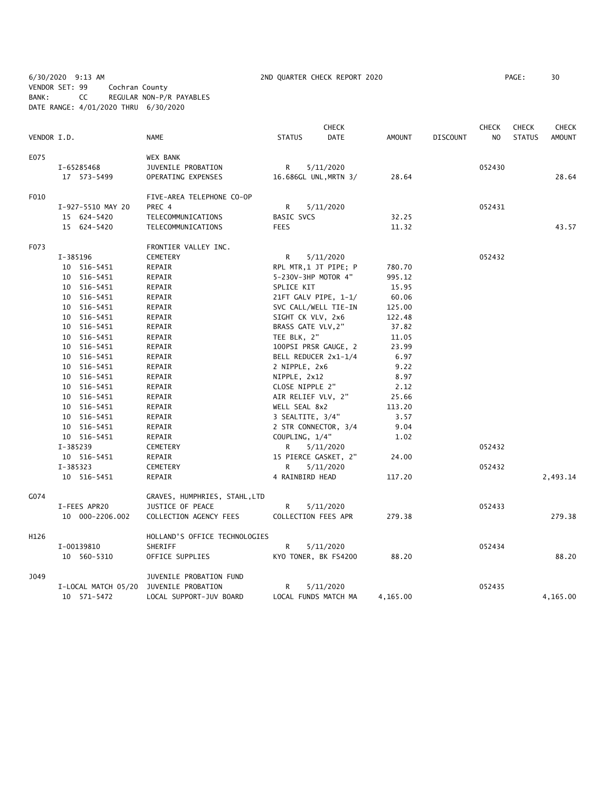6/30/2020 9:13 AM 2ND QUARTER CHECK REPORT 2020 PAGE: 30 VENDOR SET: 99 Cochran County BANK: CC REGULAR NON-P/R PAYABLES DATE RANGE: 4/01/2020 THRU 6/30/2020

|             |                     |                               |                   | <b>CHECK</b>          |               |                 | <b>CHECK</b>   | <b>CHECK</b>  | <b>CHECK</b>  |
|-------------|---------------------|-------------------------------|-------------------|-----------------------|---------------|-----------------|----------------|---------------|---------------|
| VENDOR I.D. |                     | <b>NAME</b>                   | <b>STATUS</b>     | <b>DATE</b>           | <b>AMOUNT</b> | <b>DISCOUNT</b> | N <sub>O</sub> | <b>STATUS</b> | <b>AMOUNT</b> |
| E075        |                     | <b>WEX BANK</b>               |                   |                       |               |                 |                |               |               |
|             | I-65285468          | JUVENILE PROBATION            | R                 | 5/11/2020             |               |                 | 052430         |               |               |
|             | 17 573-5499         | OPERATING EXPENSES            |                   | 16.686GL UNL, MRTN 3/ | 28.64         |                 |                |               | 28.64         |
| F010        |                     | FIVE-AREA TELEPHONE CO-OP     |                   |                       |               |                 |                |               |               |
|             | I-927-5510 MAY 20   | PREC 4                        | R                 | 5/11/2020             |               |                 | 052431         |               |               |
|             | 15 624-5420         | TELECOMMUNICATIONS            | <b>BASIC SVCS</b> |                       | 32.25         |                 |                |               |               |
|             | 15 624-5420         | TELECOMMUNICATIONS            | <b>FEES</b>       |                       | 11.32         |                 |                |               | 43.57         |
| F073        |                     | FRONTIER VALLEY INC.          |                   |                       |               |                 |                |               |               |
|             | I-385196            | <b>CEMETERY</b>               | R                 | 5/11/2020             |               |                 | 052432         |               |               |
|             | 10 516-5451         | REPAIR                        |                   | RPL MTR,1 JT PIPE; P  | 780.70        |                 |                |               |               |
|             | 10 516-5451         | REPAIR                        |                   | 5-230V-3HP MOTOR 4"   | 995.12        |                 |                |               |               |
|             | 10 516-5451         | REPAIR                        | SPLICE KIT        |                       | 15.95         |                 |                |               |               |
|             | 10 516-5451         | REPAIR                        |                   | 21FT GALV PIPE, 1-1/  | 60.06         |                 |                |               |               |
|             | 10 516-5451         | REPAIR                        |                   | SVC CALL/WELL TIE-IN  | 125.00        |                 |                |               |               |
|             | 10 516-5451         | REPAIR                        |                   | SIGHT CK VLV, 2x6     | 122.48        |                 |                |               |               |
|             | 10 516-5451         | REPAIR                        |                   | BRASS GATE VLV, 2"    | 37.82         |                 |                |               |               |
|             | 10 516-5451         | REPAIR                        | TEE BLK, 2"       |                       | 11.05         |                 |                |               |               |
|             | 10 516-5451         | REPAIR                        |                   | 100PSI PRSR GAUGE, 2  | 23.99         |                 |                |               |               |
|             | 10 516-5451         | REPAIR                        |                   | BELL REDUCER 2x1-1/4  | 6.97          |                 |                |               |               |
|             | 10 516-5451         | REPAIR                        | 2 NIPPLE, 2x6     |                       | 9.22          |                 |                |               |               |
|             | 10 516-5451         | REPAIR                        | NIPPLE, 2x12      |                       | 8.97          |                 |                |               |               |
|             | 10 516-5451         | REPAIR                        |                   | CLOSE NIPPLE 2"       | 2.12          |                 |                |               |               |
|             | 10 516-5451         | REPAIR                        |                   | AIR RELIEF VLV, 2"    | 25.66         |                 |                |               |               |
|             | 10 516-5451         | REPAIR                        | WELL SEAL 8x2     |                       | 113.20        |                 |                |               |               |
|             | 10 516-5451         | REPAIR                        |                   | 3 SEALTITE, 3/4"      | 3.57          |                 |                |               |               |
|             | 10 516-5451         | REPAIR                        |                   | 2 STR CONNECTOR, 3/4  | 9.04          |                 |                |               |               |
|             | 10 516-5451         | REPAIR                        | COUPLING, 1/4"    |                       | 1.02          |                 |                |               |               |
|             | I-385239            | CEMETERY                      | R                 | 5/11/2020             |               |                 | 052432         |               |               |
|             | 10 516-5451         | REPAIR                        |                   | 15 PIERCE GASKET, 2"  | 24.00         |                 |                |               |               |
|             | I-385323            | <b>CEMETERY</b>               | R                 | 5/11/2020             |               |                 | 052432         |               |               |
|             | 10 516-5451         | REPAIR                        |                   | 4 RAINBIRD HEAD       | 117.20        |                 |                |               | 2,493.14      |
| G074        |                     | GRAVES, HUMPHRIES, STAHL, LTD |                   |                       |               |                 |                |               |               |
|             | I-FEES APR20        | JUSTICE OF PEACE              | R                 | 5/11/2020             |               |                 | 052433         |               |               |
|             | 10 000-2206.002     | COLLECTION AGENCY FEES        |                   | COLLECTION FEES APR   | 279.38        |                 |                |               | 279.38        |
| H126        |                     | HOLLAND'S OFFICE TECHNOLOGIES |                   |                       |               |                 |                |               |               |
|             | I-00139810          | SHERIFF                       | R                 | 5/11/2020             |               |                 | 052434         |               |               |
|             | 10 560-5310         | OFFICE SUPPLIES               |                   | KYO TONER, BK FS4200  | 88.20         |                 |                |               | 88.20         |
| J049        |                     | JUVENILE PROBATION FUND       |                   |                       |               |                 |                |               |               |
|             | I-LOCAL MATCH 05/20 | JUVENILE PROBATION            | R                 | 5/11/2020             |               |                 | 052435         |               |               |
|             | 10 571-5472         | LOCAL SUPPORT-JUV BOARD       |                   | LOCAL FUNDS MATCH MA  | 4,165.00      |                 |                |               | 4,165.00      |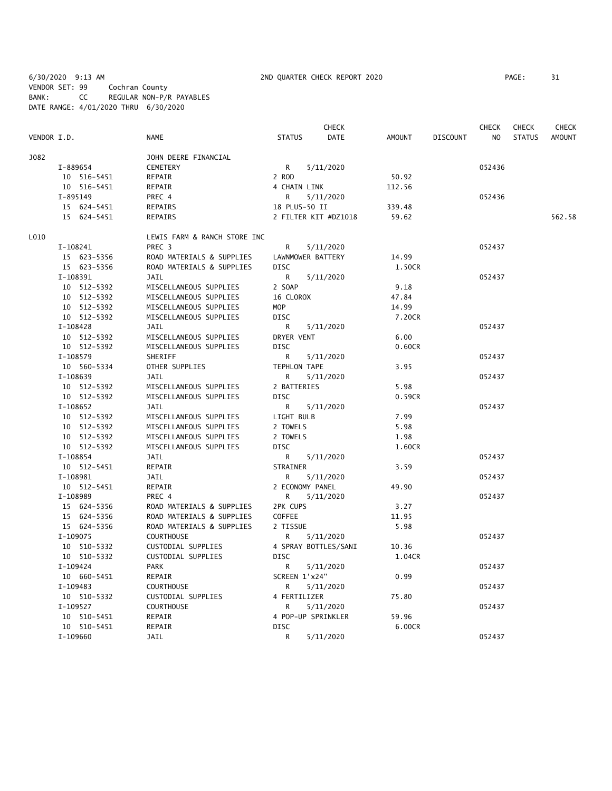6/30/2020 9:13 AM 2ND QUARTER CHECK REPORT 2020 PAGE: 31 VENDOR SET: 99 Cochran County BANK: CC REGULAR NON-P/R PAYABLES DATE RANGE: 4/01/2020 THRU 6/30/2020

|             |             |                              |                     | <b>CHECK</b>         |        |                 | <b>CHECK</b> | <b>CHECK</b>  | CHECK         |
|-------------|-------------|------------------------------|---------------------|----------------------|--------|-----------------|--------------|---------------|---------------|
| VENDOR I.D. |             | NAME                         | <b>STATUS</b>       | DATE                 | AMOUNT | <b>DISCOUNT</b> | NO.          | <b>STATUS</b> | <b>AMOUNT</b> |
| J082        |             | JOHN DEERE FINANCIAL         |                     |                      |        |                 |              |               |               |
|             | I-889654    | <b>CEMETERY</b>              | R                   | 5/11/2020            |        |                 | 052436       |               |               |
|             | 10 516-5451 | REPAIR                       | 2 ROD               |                      | 50.92  |                 |              |               |               |
|             | 10 516-5451 | REPAIR                       | 4 CHAIN LINK        |                      | 112.56 |                 |              |               |               |
|             | I-895149    | PREC 4                       | R                   | 5/11/2020            |        |                 | 052436       |               |               |
|             | 15 624-5451 | REPAIRS                      | 18 PLUS-50 II       |                      | 339.48 |                 |              |               |               |
|             | 15 624-5451 | <b>REPAIRS</b>               |                     | 2 FILTER KIT #DZ1018 | 59.62  |                 |              |               | 562.58        |
| L010        |             | LEWIS FARM & RANCH STORE INC |                     |                      |        |                 |              |               |               |
|             | I-108241    | PREC 3                       | R                   | 5/11/2020            |        |                 | 052437       |               |               |
|             | 15 623-5356 | ROAD MATERIALS & SUPPLIES    | LAWNMOWER BATTERY   |                      | 14.99  |                 |              |               |               |
|             | 15 623-5356 | ROAD MATERIALS & SUPPLIES    | <b>DISC</b>         |                      | 1.50CR |                 |              |               |               |
|             | I-108391    | <b>JAIL</b>                  | R                   | 5/11/2020            |        |                 | 052437       |               |               |
|             | 10 512-5392 | MISCELLANEOUS SUPPLIES       | 2 SOAP              |                      | 9.18   |                 |              |               |               |
|             | 10 512-5392 | MISCELLANEOUS SUPPLIES       | 16 CLOROX           |                      | 47.84  |                 |              |               |               |
|             | 10 512-5392 | MISCELLANEOUS SUPPLIES       | MOP                 |                      | 14.99  |                 |              |               |               |
|             | 10 512-5392 | MISCELLANEOUS SUPPLIES       | <b>DISC</b>         |                      | 7.20CR |                 |              |               |               |
|             | I-108428    | <b>JAIL</b>                  | R                   | 5/11/2020            |        |                 | 052437       |               |               |
|             | 10 512-5392 | MISCELLANEOUS SUPPLIES       | DRYER VENT          |                      | 6.00   |                 |              |               |               |
|             | 10 512-5392 | MISCELLANEOUS SUPPLIES       | <b>DISC</b>         |                      | 0.60CR |                 |              |               |               |
|             | I-108579    | SHERIFF                      | R                   | 5/11/2020            |        |                 | 052437       |               |               |
|             | 10 560-5334 | OTHER SUPPLIES               | <b>TEPHLON TAPE</b> |                      | 3.95   |                 |              |               |               |
|             | I-108639    | JAIL                         | R                   | 5/11/2020            |        |                 | 052437       |               |               |
|             | 10 512-5392 | MISCELLANEOUS SUPPLIES       | 2 BATTERIES         |                      | 5.98   |                 |              |               |               |
|             | 10 512-5392 | MISCELLANEOUS SUPPLIES       | <b>DISC</b>         |                      | 0.59CR |                 |              |               |               |
|             | I-108652    | <b>JAIL</b>                  | R                   | 5/11/2020            |        |                 | 052437       |               |               |
|             | 10 512-5392 | MISCELLANEOUS SUPPLIES       | LIGHT BULB          |                      | 7.99   |                 |              |               |               |
|             | 10 512-5392 | MISCELLANEOUS SUPPLIES       | 2 TOWELS            |                      | 5.98   |                 |              |               |               |
|             | 10 512-5392 | MISCELLANEOUS SUPPLIES       | 2 TOWELS            |                      | 1.98   |                 |              |               |               |
|             | 10 512-5392 | MISCELLANEOUS SUPPLIES       | <b>DISC</b>         |                      | 1.60CR |                 |              |               |               |
|             | I-108854    | <b>JAIL</b>                  | R                   | 5/11/2020            |        |                 | 052437       |               |               |
|             | 10 512-5451 | REPAIR                       | STRAINER            |                      | 3.59   |                 |              |               |               |
|             | I-108981    | JAIL                         | R                   | 5/11/2020            |        |                 | 052437       |               |               |
|             | 10 512-5451 | REPAIR                       | 2 ECONOMY PANEL     |                      | 49.90  |                 |              |               |               |
|             | I-108989    | PREC 4                       | R                   | 5/11/2020            |        |                 | 052437       |               |               |
|             | 15 624-5356 | ROAD MATERIALS & SUPPLIES    | 2PK CUPS            |                      | 3.27   |                 |              |               |               |
|             | 15 624-5356 | ROAD MATERIALS & SUPPLIES    | <b>COFFEE</b>       |                      | 11.95  |                 |              |               |               |
|             | 15 624-5356 | ROAD MATERIALS & SUPPLIES    | 2 TISSUE            |                      | 5.98   |                 |              |               |               |
|             | $I-109075$  | <b>COURTHOUSE</b>            | R                   | 5/11/2020            |        |                 | 052437       |               |               |
|             | 10 510-5332 | CUSTODIAL SUPPLIES           |                     | 4 SPRAY BOTTLES/SANI | 10.36  |                 |              |               |               |
|             | 10 510-5332 | CUSTODIAL SUPPLIES           | DISC                |                      | 1.04CR |                 |              |               |               |
|             | I-109424    | <b>PARK</b>                  | R                   | 5/11/2020            |        |                 | 052437       |               |               |
|             | 10 660-5451 | REPAIR                       | SCREEN 1'x24"       |                      | 0.99   |                 |              |               |               |
|             | I-109483    | <b>COURTHOUSE</b>            | R                   | 5/11/2020            |        |                 | 052437       |               |               |
|             | 10 510-5332 | CUSTODIAL SUPPLIES           | 4 FERTILIZER        |                      | 75.80  |                 |              |               |               |
|             | I-109527    | <b>COURTHOUSE</b>            | R                   | 5/11/2020            |        |                 | 052437       |               |               |
|             | 10 510-5451 | REPAIR                       | 4 POP-UP SPRINKLER  |                      | 59.96  |                 |              |               |               |
|             | 10 510-5451 | REPAIR                       | DISC                |                      | 6.00CR |                 |              |               |               |
|             | I-109660    | <b>JAIL</b>                  | R                   | 5/11/2020            |        |                 | 052437       |               |               |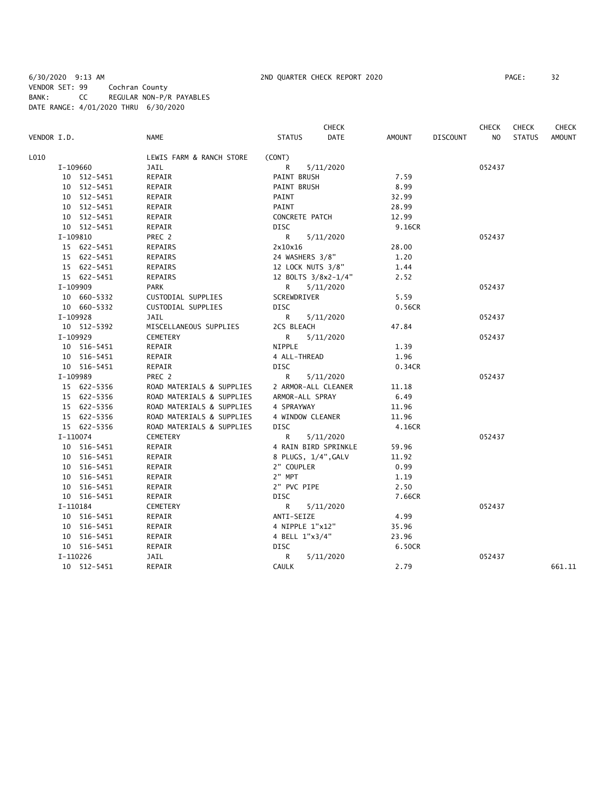6/30/2020 9:13 AM 2ND QUARTER CHECK REPORT 2020 PAGE: 32 VENDOR SET: 99 Cochran County BANK: CC REGULAR NON-P/R PAYABLES DATE RANGE: 4/01/2020 THRU 6/30/2020

|             |             |                           |                | <b>CHECK</b>         |               |                 | <b>CHECK</b>   | <b>CHECK</b>  | <b>CHECK</b>  |
|-------------|-------------|---------------------------|----------------|----------------------|---------------|-----------------|----------------|---------------|---------------|
| VENDOR I.D. |             | <b>NAME</b>               | <b>STATUS</b>  | <b>DATE</b>          | <b>AMOUNT</b> | <b>DISCOUNT</b> | N <sub>O</sub> | <b>STATUS</b> | <b>AMOUNT</b> |
| L010        |             | LEWIS FARM & RANCH STORE  | (CONT)         |                      |               |                 |                |               |               |
|             | I-109660    | JAIL                      | R              | 5/11/2020            |               |                 | 052437         |               |               |
|             | 10 512-5451 | REPAIR                    | PAINT BRUSH    |                      | 7.59          |                 |                |               |               |
|             | 10 512-5451 | REPAIR                    | PAINT BRUSH    |                      | 8.99          |                 |                |               |               |
|             | 10 512-5451 | REPAIR                    | PAINT          |                      | 32.99         |                 |                |               |               |
|             | 10 512-5451 | REPAIR                    | PAINT          |                      | 28.99         |                 |                |               |               |
|             | 10 512-5451 | REPAIR                    | CONCRETE PATCH |                      | 12.99         |                 |                |               |               |
|             | 10 512-5451 | REPAIR                    | <b>DISC</b>    |                      | 9.16CR        |                 |                |               |               |
|             | I-109810    | PREC 2                    | R.             | 5/11/2020            |               |                 | 052437         |               |               |
|             | 15 622-5451 | REPAIRS                   | 2x10x16        |                      | 28.00         |                 |                |               |               |
|             | 15 622-5451 | REPAIRS                   |                | 24 WASHERS 3/8"      | 1.20          |                 |                |               |               |
|             | 15 622-5451 | REPAIRS                   |                | 12 LOCK NUTS 3/8"    | 1.44          |                 |                |               |               |
|             | 15 622-5451 | <b>REPAIRS</b>            |                | 12 BOLTS 3/8x2-1/4"  | 2.52          |                 |                |               |               |
|             | I-109909    | <b>PARK</b>               | R              | 5/11/2020            |               |                 | 052437         |               |               |
|             | 10 660-5332 | CUSTODIAL SUPPLIES        | SCREWDRIVER    |                      | 5.59          |                 |                |               |               |
|             | 10 660-5332 | CUSTODIAL SUPPLIES        | <b>DISC</b>    |                      | 0.56CR        |                 |                |               |               |
|             | I-109928    | JAIL                      | R              | 5/11/2020            |               |                 | 052437         |               |               |
|             | 10 512-5392 | MISCELLANEOUS SUPPLIES    | 2CS BLEACH     |                      | 47.84         |                 |                |               |               |
|             | I-109929    | CEMETERY                  | R              | 5/11/2020            |               |                 | 052437         |               |               |
|             | 10 516-5451 | REPAIR                    | NIPPLE         |                      | 1.39          |                 |                |               |               |
|             | 10 516-5451 | REPAIR                    | 4 ALL-THREAD   |                      | 1.96          |                 |                |               |               |
|             | 10 516-5451 | REPAIR                    | <b>DISC</b>    |                      | 0.34CR        |                 |                |               |               |
|             | I-109989    | PREC 2                    | R              | 5/11/2020            |               |                 | 052437         |               |               |
|             | 15 622-5356 | ROAD MATERIALS & SUPPLIES |                | 2 ARMOR-ALL CLEANER  | 11.18         |                 |                |               |               |
|             | 15 622-5356 | ROAD MATERIALS & SUPPLIES |                | ARMOR-ALL SPRAY      | 6.49          |                 |                |               |               |
|             | 15 622-5356 | ROAD MATERIALS & SUPPLIES | 4 SPRAYWAY     |                      | 11.96         |                 |                |               |               |
|             | 15 622-5356 | ROAD MATERIALS & SUPPLIES |                | 4 WINDOW CLEANER     | 11.96         |                 |                |               |               |
|             | 15 622-5356 | ROAD MATERIALS & SUPPLIES | <b>DISC</b>    |                      | 4.16CR        |                 |                |               |               |
|             | I-110074    | CEMETERY                  | R              | 5/11/2020            |               |                 | 052437         |               |               |
|             | 10 516-5451 | REPAIR                    |                | 4 RAIN BIRD SPRINKLE | 59.96         |                 |                |               |               |
|             | 10 516-5451 | REPAIR                    |                | 8 PLUGS, 1/4", GALV  | 11.92         |                 |                |               |               |
|             | 10 516-5451 | REPAIR                    | 2" COUPLER     |                      | 0.99          |                 |                |               |               |
|             | 10 516-5451 | REPAIR                    | 2" MPT         |                      | 1.19          |                 |                |               |               |
|             | 10 516-5451 | REPAIR                    | 2" PVC PIPE    |                      | 2.50          |                 |                |               |               |
|             | 10 516-5451 | REPAIR                    | <b>DISC</b>    |                      | 7.66CR        |                 |                |               |               |
|             | I-110184    | CEMETERY                  | R              | 5/11/2020            |               |                 | 052437         |               |               |
|             | 10 516-5451 | REPAIR                    | ANTI-SEIZE     |                      | 4.99          |                 |                |               |               |
|             | 10 516-5451 | REPAIR                    |                | 4 NIPPLE 1"x12"      | 35.96         |                 |                |               |               |
|             | 10 516-5451 | REPAIR                    | 4 BELL 1"x3/4" |                      | 23.96         |                 |                |               |               |
|             | 10 516-5451 | REPAIR                    | <b>DISC</b>    |                      | 6.50CR        |                 |                |               |               |
|             | I-110226    | JAIL                      | R              | 5/11/2020            |               |                 | 052437         |               |               |
|             | 10 512-5451 | REPAIR                    | <b>CAULK</b>   |                      | 2.79          |                 |                |               | 661.11        |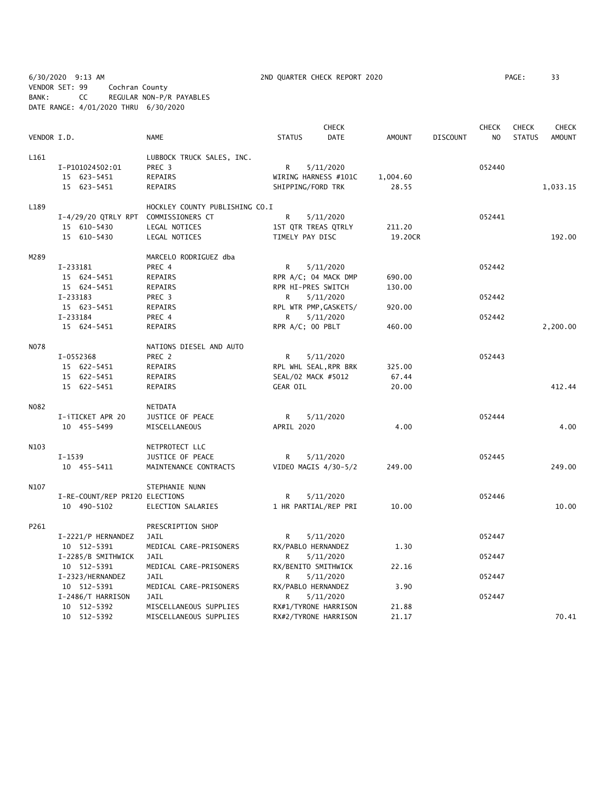6/30/2020 9:13 AM 2ND QUARTER CHECK REPORT 2020 PAGE: 33 VENDOR SET: 99 Cochran County BANK: CC REGULAR NON-P/R PAYABLES DATE RANGE: 4/01/2020 THRU 6/30/2020

|             |                                      | <b>CHECK</b>                   |                      |                       |               |          | <b>CHECK</b><br><b>CHECK</b> |               |               |
|-------------|--------------------------------------|--------------------------------|----------------------|-----------------------|---------------|----------|------------------------------|---------------|---------------|
| VENDOR I.D. |                                      | <b>NAME</b>                    | <b>STATUS</b>        | <b>DATE</b>           | <b>AMOUNT</b> | DISCOUNT | N <sub>O</sub>               | <b>STATUS</b> | <b>AMOUNT</b> |
| L161        |                                      | LUBBOCK TRUCK SALES, INC.      |                      |                       |               |          |                              |               |               |
|             | I-P101024502:01                      | PREC 3                         | R                    | 5/11/2020             |               |          | 052440                       |               |               |
|             | 15 623-5451                          | REPAIRS                        | WIRING HARNESS #101C |                       | 1,004.60      |          |                              |               |               |
|             | 15 623-5451                          | REPAIRS                        | SHIPPING/FORD TRK    |                       | 28.55         |          |                              |               | 1,033.15      |
| L189        |                                      | HOCKLEY COUNTY PUBLISHING CO.I |                      |                       |               |          |                              |               |               |
|             | I-4/29/20 QTRLY RPT COMMISSIONERS CT |                                | R                    | 5/11/2020             |               |          | 052441                       |               |               |
|             | 15 610-5430                          | LEGAL NOTICES                  | 1ST QTR TREAS QTRLY  |                       | 211.20        |          |                              |               |               |
|             | 15 610-5430                          | LEGAL NOTICES                  | TIMELY PAY DISC      |                       | 19.20CR       |          |                              |               | 192.00        |
| M289        |                                      | MARCELO RODRIGUEZ dba          |                      |                       |               |          |                              |               |               |
|             | I-233181                             | PREC 4                         | R                    | 5/11/2020             |               |          | 052442                       |               |               |
|             | 15 624-5451                          | REPAIRS                        |                      | RPR A/C; 04 MACK DMP  | 690.00        |          |                              |               |               |
|             | 15 624-5451                          | REPAIRS                        | RPR HI-PRES SWITCH   |                       | 130.00        |          |                              |               |               |
|             | I-233183                             | PREC 3                         | R                    | 5/11/2020             |               |          | 052442                       |               |               |
|             | 15 623-5451                          | REPAIRS                        |                      | RPL WTR PMP, GASKETS/ | 920.00        |          |                              |               |               |
|             | I-233184                             | PREC 4                         | R                    | 5/11/2020             |               |          | 052442                       |               |               |
|             | 15 624-5451                          | REPAIRS                        | RPR A/C; 00 PBLT     |                       | 460.00        |          |                              |               | 2,200.00      |
| NO78        |                                      | NATIONS DIESEL AND AUTO        |                      |                       |               |          |                              |               |               |
|             | I-0552368                            | PREC 2                         | R                    | 5/11/2020             |               |          | 052443                       |               |               |
|             | 15 622-5451                          | REPAIRS                        |                      | RPL WHL SEAL, RPR BRK | 325.00        |          |                              |               |               |
|             | 15 622-5451                          | REPAIRS                        | SEAL/02 MACK #5012   |                       | 67.44         |          |                              |               |               |
|             | 15 622-5451                          | REPAIRS                        | <b>GEAR OIL</b>      |                       | 20.00         |          |                              |               | 412.44        |
| N082        |                                      | <b>NETDATA</b>                 |                      |                       |               |          |                              |               |               |
|             | I-iTICKET APR 20                     | JUSTICE OF PEACE               | R                    | 5/11/2020             |               |          | 052444                       |               |               |
|             | 10 455-5499                          | MISCELLANEOUS                  | APRIL 2020           |                       | 4.00          |          |                              |               | 4.00          |
| N103        |                                      | NETPROTECT LLC                 |                      |                       |               |          |                              |               |               |
|             | $I-1539$                             | JUSTICE OF PEACE               | R                    | 5/11/2020             |               |          | 052445                       |               |               |
|             | 10 455-5411                          | MAINTENANCE CONTRACTS          | VIDEO MAGIS 4/30-5/2 |                       | 249.00        |          |                              |               | 249.00        |
| N107        |                                      | STEPHANIE NUNN                 |                      |                       |               |          |                              |               |               |
|             | I-RE-COUNT/REP PRI20 ELECTIONS       |                                | R                    | 5/11/2020             |               |          | 052446                       |               |               |
|             | 10 490-5102                          | ELECTION SALARIES              | 1 HR PARTIAL/REP PRI |                       | 10.00         |          |                              |               | 10.00         |
| P261        |                                      | PRESCRIPTION SHOP              |                      |                       |               |          |                              |               |               |
|             | I-2221/P HERNANDEZ                   | JAIL                           | R                    | 5/11/2020             |               |          | 052447                       |               |               |
|             | 10 512-5391                          | MEDICAL CARE-PRISONERS         | RX/PABLO HERNANDEZ   |                       | 1.30          |          |                              |               |               |
|             | I-2285/B SMITHWICK                   | JAIL                           | R                    | 5/11/2020             |               |          | 052447                       |               |               |
|             | 10 512-5391                          | MEDICAL CARE-PRISONERS         | RX/BENITO SMITHWICK  |                       | 22.16         |          |                              |               |               |
|             | I-2323/HERNANDEZ                     | <b>JAIL</b>                    | R                    | 5/11/2020             |               |          | 052447                       |               |               |
|             | 10 512-5391                          | MEDICAL CARE-PRISONERS         | RX/PABLO HERNANDEZ   |                       | 3.90          |          |                              |               |               |
|             | I-2486/T HARRISON                    | JAIL                           | R                    | 5/11/2020             |               |          | 052447                       |               |               |
|             | 10 512-5392                          | MISCELLANEOUS SUPPLIES         |                      | RX#1/TYRONE HARRISON  | 21.88         |          |                              |               |               |
|             | 10 512-5392                          | MISCELLANEOUS SUPPLIES         |                      | RX#2/TYRONE HARRISON  | 21.17         |          |                              |               | 70.41         |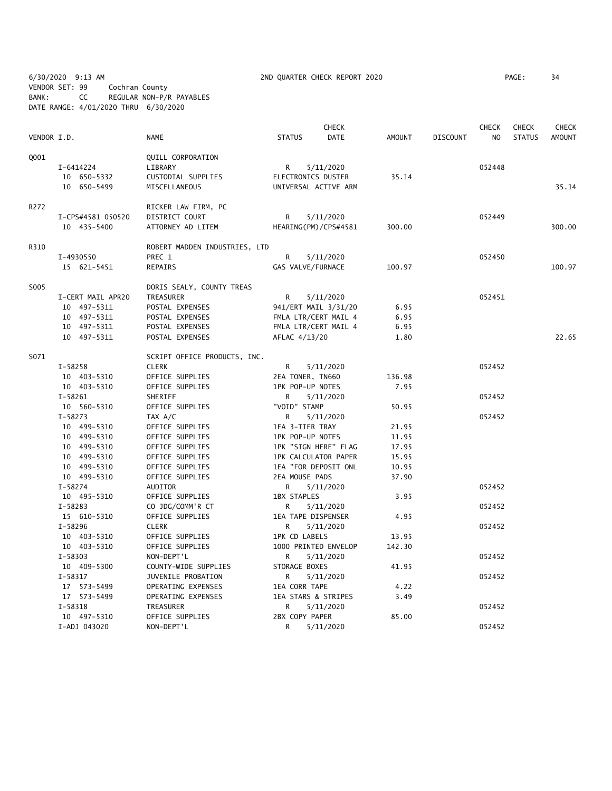6/30/2020 9:13 AM 2ND QUARTER CHECK REPORT 2020 PAGE: 34 VENDOR SET: 99 Cochran County BANK: CC REGULAR NON-P/R PAYABLES DATE RANGE: 4/01/2020 THRU 6/30/2020

|             |                   |                               |                     | <b>CHECK</b>         |               |                 | <b>CHECK</b>   | <b>CHECK</b>  | <b>CHECK</b>  |
|-------------|-------------------|-------------------------------|---------------------|----------------------|---------------|-----------------|----------------|---------------|---------------|
| VENDOR I.D. |                   | <b>NAME</b>                   | <b>STATUS</b>       | <b>DATE</b>          | <b>AMOUNT</b> | <b>DISCOUNT</b> | N <sub>O</sub> | <b>STATUS</b> | <b>AMOUNT</b> |
| Q001        |                   | QUILL CORPORATION             |                     |                      |               |                 |                |               |               |
|             | I-6414224         | LIBRARY                       | R                   | 5/11/2020            |               |                 | 052448         |               |               |
|             | 10 650-5332       | CUSTODIAL SUPPLIES            | ELECTRONICS DUSTER  |                      | 35.14         |                 |                |               |               |
|             | 10 650-5499       | MISCELLANEOUS                 |                     | UNIVERSAL ACTIVE ARM |               |                 |                |               | 35.14         |
| R272        |                   | RICKER LAW FIRM, PC           |                     |                      |               |                 |                |               |               |
|             | I-CPS#4581 050520 | DISTRICT COURT                | R                   | 5/11/2020            |               |                 | 052449         |               |               |
|             | 10 435-5400       | ATTORNEY AD LITEM             |                     | HEARING(PM)/CPS#4581 | 300.00        |                 |                |               | 300.00        |
| R310        |                   | ROBERT MADDEN INDUSTRIES, LTD |                     |                      |               |                 |                |               |               |
|             | I-4930550         | PREC 1                        | R                   | 5/11/2020            |               |                 | 052450         |               |               |
|             | 15 621-5451       | REPAIRS                       | GAS VALVE/FURNACE   |                      | 100.97        |                 |                |               | 100.97        |
| S005        |                   | DORIS SEALY, COUNTY TREAS     |                     |                      |               |                 |                |               |               |
|             | I-CERT MAIL APR20 | TREASURER                     | R                   | 5/11/2020            |               |                 | 052451         |               |               |
|             | 10 497-5311       | POSTAL EXPENSES               |                     | 941/ERT MAIL 3/31/20 | 6.95          |                 |                |               |               |
|             | 10 497-5311       | POSTAL EXPENSES               |                     | FMLA LTR/CERT MAIL 4 | 6.95          |                 |                |               |               |
|             | 10 497-5311       | POSTAL EXPENSES               |                     | FMLA LTR/CERT MAIL 4 | 6.95          |                 |                |               |               |
|             | 10 497-5311       | POSTAL EXPENSES               | AFLAC 4/13/20       |                      | 1.80          |                 |                |               | 22.65         |
| S071        |                   | SCRIPT OFFICE PRODUCTS, INC.  |                     |                      |               |                 |                |               |               |
|             | $I - 58258$       | <b>CLERK</b>                  | R                   | 5/11/2020            |               |                 | 052452         |               |               |
|             | 10 403-5310       | OFFICE SUPPLIES               | 2EA TONER, TN660    |                      | 136.98        |                 |                |               |               |
|             | 10 403-5310       | OFFICE SUPPLIES               | 1PK POP-UP NOTES    |                      | 7.95          |                 |                |               |               |
|             | $I-58261$         | SHERIFF                       | R                   | 5/11/2020            |               |                 | 052452         |               |               |
|             | 10 560-5310       | OFFICE SUPPLIES               | "VOID" STAMP        |                      | 50.95         |                 |                |               |               |
|             | $I - 58273$       | TAX A/C                       | R                   | 5/11/2020            |               |                 | 052452         |               |               |
|             | 10 499-5310       | OFFICE SUPPLIES               | 1EA 3-TIER TRAY     |                      | 21.95         |                 |                |               |               |
|             | 10 499-5310       | OFFICE SUPPLIES               | 1PK POP-UP NOTES    |                      | 11.95         |                 |                |               |               |
|             | 10 499-5310       | OFFICE SUPPLIES               |                     | 1PK "SIGN HERE" FLAG | 17.95         |                 |                |               |               |
|             | 10 499-5310       | OFFICE SUPPLIES               |                     | 1PK CALCULATOR PAPER | 15.95         |                 |                |               |               |
|             | 10 499-5310       | OFFICE SUPPLIES               |                     | 1EA "FOR DEPOSIT ONL | 10.95         |                 |                |               |               |
|             | 10 499-5310       | OFFICE SUPPLIES               | 2EA MOUSE PADS      |                      | 37.90         |                 |                |               |               |
|             | $I - 58274$       | AUDITOR                       | R                   | 5/11/2020            |               |                 | 052452         |               |               |
|             | 10 495-5310       | OFFICE SUPPLIES               | <b>1BX STAPLES</b>  |                      | 3.95          |                 |                |               |               |
|             | $I-58283$         | CO JDG/COMM'R CT              | R                   | 5/11/2020            |               |                 | 052452         |               |               |
|             | 15 610-5310       | OFFICE SUPPLIES               | 1EA TAPE DISPENSER  |                      | 4.95          |                 |                |               |               |
|             | $I - 58296$       | <b>CLERK</b>                  | R                   | 5/11/2020            |               |                 | 052452         |               |               |
|             | 10 403-5310       | OFFICE SUPPLIES               | 1PK CD LABELS       |                      | 13.95         |                 |                |               |               |
|             | 10 403-5310       | OFFICE SUPPLIES               |                     | 1000 PRINTED ENVELOP | 142.30        |                 |                |               |               |
|             | $I - 58303$       | NON-DEPT'L                    | R                   | 5/11/2020            |               |                 | 052452         |               |               |
|             | 10 409-5300       | COUNTY-WIDE SUPPLIES          | STORAGE BOXES       |                      | 41.95         |                 |                |               |               |
|             | $I - 58317$       | JUVENILE PROBATION            | R                   | 5/11/2020            |               |                 | 052452         |               |               |
|             | 17 573-5499       | OPERATING EXPENSES            | 1EA CORR TAPE       |                      | 4.22          |                 |                |               |               |
|             | 17 573-5499       | OPERATING EXPENSES            | 1EA STARS & STRIPES |                      | 3.49          |                 |                |               |               |
|             | $I - 58318$       | TREASURER                     | R                   | 5/11/2020            |               |                 | 052452         |               |               |
|             | 10 497-5310       | OFFICE SUPPLIES               | 2BX COPY PAPER      |                      | 85.00         |                 |                |               |               |
|             | I-ADJ 043020      | NON-DEPT'L                    | R                   | 5/11/2020            |               |                 | 052452         |               |               |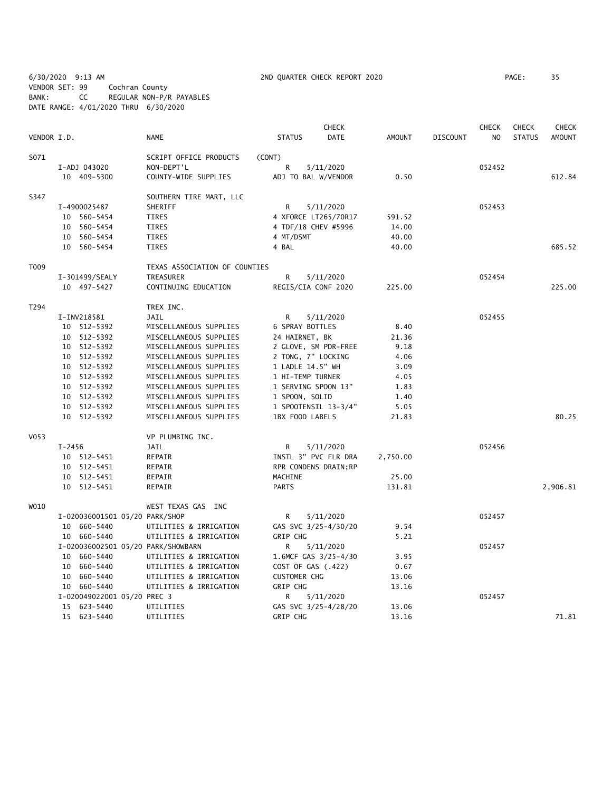6/30/2020 9:13 AM 2ND QUARTER CHECK REPORT 2020 PAGE: 35 VENDOR SET: 99 Cochran County BANK: CC REGULAR NON-P/R PAYABLES DATE RANGE: 4/01/2020 THRU 6/30/2020

|             |            |                                    |                                  |                     | <b>CHECK</b>          |               |                 | <b>CHECK</b> | <b>CHECK</b>  | <b>CHECK</b>  |
|-------------|------------|------------------------------------|----------------------------------|---------------------|-----------------------|---------------|-----------------|--------------|---------------|---------------|
| VENDOR I.D. |            |                                    | <b>NAME</b>                      | <b>STATUS</b>       | <b>DATE</b>           | <b>AMOUNT</b> | <b>DISCOUNT</b> | NO           | <b>STATUS</b> | <b>AMOUNT</b> |
| S071        |            |                                    | SCRIPT OFFICE PRODUCTS<br>(CONT) |                     |                       |               |                 |              |               |               |
|             |            | I-ADJ 043020                       | NON-DEPT'L                       | R                   | 5/11/2020             |               |                 | 052452       |               |               |
|             |            | 10 409-5300                        | COUNTY-WIDE SUPPLIES             |                     | ADJ TO BAL W/VENDOR   | 0.50          |                 |              |               | 612.84        |
| S347        |            |                                    | SOUTHERN TIRE MART, LLC          |                     |                       |               |                 |              |               |               |
|             |            | I-4900025487                       | SHERIFF                          | R                   | 5/11/2020             |               |                 | 052453       |               |               |
|             |            | 10 560-5454                        | TIRES                            |                     | 4 XFORCE LT265/70R17  | 591.52        |                 |              |               |               |
|             |            | 10 560-5454                        | TIRES                            |                     | 4 TDF/18 CHEV #5996   | 14.00         |                 |              |               |               |
|             |            | 10 560-5454                        | TIRES                            | 4 MT/DSMT           |                       | 40.00         |                 |              |               |               |
|             |            | 10 560-5454                        | TIRES                            | 4 BAL               |                       | 40.00         |                 |              |               | 685.52        |
| T009        |            |                                    | TEXAS ASSOCIATION OF COUNTIES    |                     |                       |               |                 |              |               |               |
|             |            | I-301499/SEALY                     | TREASURER                        | R                   | 5/11/2020             |               |                 | 052454       |               |               |
|             |            | 10 497-5427                        | CONTINUING EDUCATION             |                     | REGIS/CIA CONF 2020   | 225.00        |                 |              |               | 225.00        |
| T294        |            |                                    | TREX INC.                        |                     |                       |               |                 |              |               |               |
|             |            | I-INV218581                        | <b>JAIL</b>                      | R                   | 5/11/2020             |               |                 | 052455       |               |               |
|             |            | 10 512-5392                        | MISCELLANEOUS SUPPLIES           | 6 SPRAY BOTTLES     |                       | 8.40          |                 |              |               |               |
|             |            | 10 512-5392                        | MISCELLANEOUS SUPPLIES           | 24 HAIRNET, BK      |                       | 21.36         |                 |              |               |               |
|             |            | $10 512 - 5392$                    | MISCELLANEOUS SUPPLIES           |                     | 2 GLOVE, SM PDR-FREE  | 9.18          |                 |              |               |               |
|             |            | 10 512-5392                        | MISCELLANEOUS SUPPLIES           | 2 TONG, 7" LOCKING  |                       | 4.06          |                 |              |               |               |
|             |            | 10 512-5392                        | MISCELLANEOUS SUPPLIES           | 1 LADLE 14.5" WH    |                       | 3.09          |                 |              |               |               |
|             |            | 10 512-5392                        | MISCELLANEOUS SUPPLIES           | 1 HI-TEMP TURNER    |                       | 4.05          |                 |              |               |               |
|             |            | 10 512-5392                        | MISCELLANEOUS SUPPLIES           |                     | 1 SERVING SPOON 13"   | 1.83          |                 |              |               |               |
|             |            | 10 512-5392                        | MISCELLANEOUS SUPPLIES           | 1 SPOON, SOLID      |                       | 1.40          |                 |              |               |               |
|             |            | 10 512-5392                        | MISCELLANEOUS SUPPLIES           |                     | 1 SPOOTENSIL 13-3/4"  | 5.05          |                 |              |               |               |
|             |            | 10 512-5392                        | MISCELLANEOUS SUPPLIES           | 1BX FOOD LABELS     |                       | 21.83         |                 |              |               | 80.25         |
| V053        |            |                                    | VP PLUMBING INC.                 |                     |                       |               |                 |              |               |               |
|             | $I - 2456$ |                                    | JAIL                             | R                   | 5/11/2020             |               |                 | 052456       |               |               |
|             |            | $10 512 - 5451$                    | REPAIR                           |                     | INSTL 3" PVC FLR DRA  | 2,750.00      |                 |              |               |               |
|             |            | $10 512 - 5451$                    | REPAIR                           |                     | RPR CONDENS DRAIN; RP |               |                 |              |               |               |
|             |            | 10 512-5451                        | REPAIR                           | MACHINE             |                       | 25.00         |                 |              |               |               |
|             |            | 10 512-5451                        | REPAIR                           | <b>PARTS</b>        |                       | 131.81        |                 |              |               | 2,906.81      |
| W010        |            |                                    | WEST TEXAS GAS INC               |                     |                       |               |                 |              |               |               |
|             |            | I-020036001501 05/20 PARK/SHOP     |                                  | R                   | 5/11/2020             |               |                 | 052457       |               |               |
|             |            | 10 660-5440                        | UTILITIES & IRRIGATION           |                     | GAS SVC 3/25-4/30/20  | 9.54          |                 |              |               |               |
|             |            | 10 660-5440                        | UTILITIES & IRRIGATION           | <b>GRIP CHG</b>     |                       | 5.21          |                 |              |               |               |
|             |            | I-020036002501 05/20 PARK/SHOWBARN |                                  | R                   | 5/11/2020             |               |                 | 052457       |               |               |
|             |            | 10 660-5440                        | UTILITIES & IRRIGATION           |                     | 1.6MCF GAS 3/25-4/30  | 3.95          |                 |              |               |               |
|             |            | 10 660-5440                        | UTILITIES & IRRIGATION           | COST OF GAS (.422)  |                       | 0.67          |                 |              |               |               |
|             |            | 10 660-5440                        | UTILITIES & IRRIGATION           | <b>CUSTOMER CHG</b> |                       | 13.06         |                 |              |               |               |
|             |            | 10 660-5440                        | UTILITIES & IRRIGATION           | GRIP CHG            |                       | 13.16         |                 |              |               |               |
|             |            | I-020049022001 05/20 PREC 3        |                                  | R                   | 5/11/2020             |               |                 | 052457       |               |               |
|             |            | 15 623-5440                        | UTILITIES                        |                     | GAS SVC 3/25-4/28/20  | 13.06         |                 |              |               |               |
|             |            | 15 623-5440                        | UTILITIES                        | <b>GRIP CHG</b>     |                       | 13.16         |                 |              |               | 71.81         |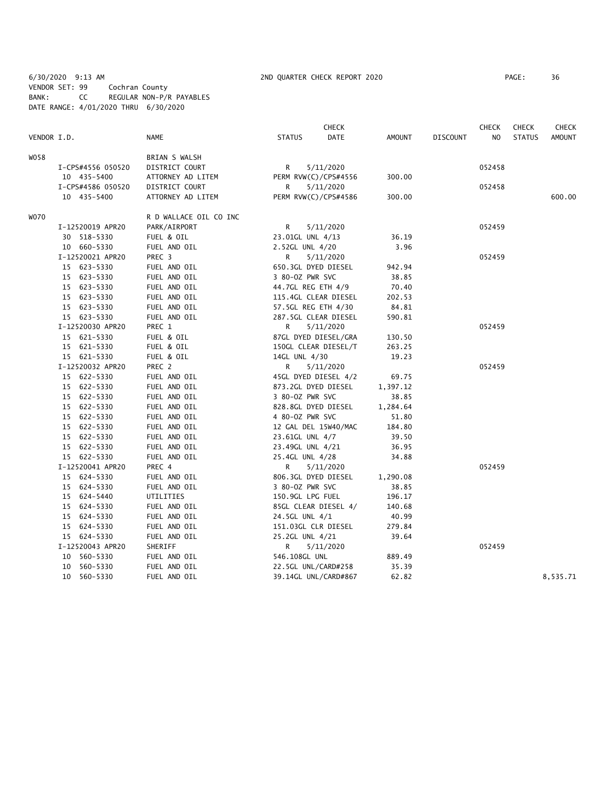6/30/2020 9:13 AM 2ND QUARTER CHECK REPORT 2020 PAGE: 36 VENDOR SET: 99 Cochran County BANK: CC REGULAR NON-P/R PAYABLES DATE RANGE: 4/01/2020 THRU 6/30/2020

|             |                   |                        |                      | <b>CHECK</b> |          |                 | <b>CHECK</b> | <b>CHECK</b>  | <b>CHECK</b>  |
|-------------|-------------------|------------------------|----------------------|--------------|----------|-----------------|--------------|---------------|---------------|
| VENDOR I.D. |                   | <b>NAME</b>            | <b>STATUS</b>        | <b>DATE</b>  | AMOUNT   | <b>DISCOUNT</b> | NO.          | <b>STATUS</b> | <b>AMOUNT</b> |
| W058        |                   | BRIAN S WALSH          |                      |              |          |                 |              |               |               |
|             | I-CPS#4556 050520 | DISTRICT COURT         | R                    | 5/11/2020    |          |                 | 052458       |               |               |
|             | 10 435-5400       | ATTORNEY AD LITEM      | PERM RVW(C)/CPS#4556 |              | 300.00   |                 |              |               |               |
|             | I-CPS#4586 050520 | DISTRICT COURT         | R                    | 5/11/2020    |          |                 | 052458       |               |               |
|             | 10 435-5400       | ATTORNEY AD LITEM      | PERM RVW(C)/CPS#4586 |              | 300.00   |                 |              |               | 600.00        |
| W070        |                   | R D WALLACE OIL CO INC |                      |              |          |                 |              |               |               |
|             | I-12520019 APR20  | PARK/AIRPORT           | R                    | 5/11/2020    |          |                 | 052459       |               |               |
|             | 30 518-5330       | FUEL & OIL             | 23.01GL UNL 4/13     |              | 36.19    |                 |              |               |               |
|             | 10 660-5330       | FUEL AND OIL           | 2.52GL UNL 4/20      |              | 3.96     |                 |              |               |               |
|             | I-12520021 APR20  | PREC 3                 | R                    | 5/11/2020    |          |                 | 052459       |               |               |
|             | 15 623-5330       | FUEL AND OIL           | 650.3GL DYED DIESEL  |              | 942.94   |                 |              |               |               |
|             | 15 623-5330       | FUEL AND OIL           | 3 80-0Z PWR SVC      |              | 38.85    |                 |              |               |               |
|             | 15 623-5330       | FUEL AND OIL           | 44.7GL REG ETH 4/9   |              | 70.40    |                 |              |               |               |
|             | 15 623-5330       | FUEL AND OIL           | 115.4GL CLEAR DIESEL |              | 202.53   |                 |              |               |               |
|             | 15 623-5330       | FUEL AND OIL           | 57.5GL REG ETH 4/30  |              | 84.81    |                 |              |               |               |
|             | 15 623-5330       | FUEL AND OIL           | 287.5GL CLEAR DIESEL |              | 590.81   |                 |              |               |               |
|             | I-12520030 APR20  | PREC 1                 | R                    | 5/11/2020    |          |                 | 052459       |               |               |
|             | 15 621-5330       | FUEL & OIL             | 87GL DYED DIESEL/GRA |              | 130.50   |                 |              |               |               |
|             | 15 621-5330       | FUEL & OIL             | 150GL CLEAR DIESEL/T |              | 263.25   |                 |              |               |               |
|             | 15 621-5330       | FUEL & OIL             | 14GL UNL 4/30        |              | 19.23    |                 |              |               |               |
|             | I-12520032 APR20  | PREC 2                 | R                    | 5/11/2020    |          |                 | 052459       |               |               |
|             | 15 622-5330       | FUEL AND OIL           | 45GL DYED DIESEL 4/2 |              | 69.75    |                 |              |               |               |
|             | 15 622-5330       | FUEL AND OIL           | 873.2GL DYED DIESEL  |              | 1,397.12 |                 |              |               |               |
|             | 15 622-5330       | FUEL AND OIL           | 3 80-0Z PWR SVC      |              | 38.85    |                 |              |               |               |
|             | 15 622-5330       | FUEL AND OIL           | 828.8GL DYED DIESEL  |              | 1,284.64 |                 |              |               |               |
|             | 15 622-5330       | FUEL AND OIL           | 4 80-0Z PWR SVC      |              | 51.80    |                 |              |               |               |
|             | 15 622-5330       | FUEL AND OIL           | 12 GAL DEL 15W40/MAC |              | 184.80   |                 |              |               |               |
|             | 15 622-5330       | FUEL AND OIL           | 23.61GL UNL 4/7      |              | 39.50    |                 |              |               |               |
|             | 15 622-5330       | FUEL AND OIL           | 23.49GL UNL 4/21     |              | 36.95    |                 |              |               |               |
|             | 15 622-5330       | FUEL AND OIL           | 25.4GL UNL 4/28      |              | 34.88    |                 |              |               |               |
|             | I-12520041 APR20  | PREC 4                 | R                    | 5/11/2020    |          |                 | 052459       |               |               |
|             | 15 624-5330       | FUEL AND OIL           | 806.3GL DYED DIESEL  |              | 1,290.08 |                 |              |               |               |
|             | 15 624-5330       | FUEL AND OIL           | 3 80-0Z PWR SVC      |              | 38.85    |                 |              |               |               |
|             | 15 624-5440       | UTILITIES              | 150.9GL LPG FUEL     |              | 196.17   |                 |              |               |               |
|             | 15 624-5330       | FUEL AND OIL           | 85GL CLEAR DIESEL 4/ |              | 140.68   |                 |              |               |               |
|             | 15 624-5330       | FUEL AND OIL           | 24.5GL UNL 4/1       |              | 40.99    |                 |              |               |               |
|             | 15 624-5330       | FUEL AND OIL           | 151.03GL CLR DIESEL  |              | 279.84   |                 |              |               |               |
|             | 15 624-5330       | FUEL AND OIL           | 25.2GL UNL 4/21      |              | 39.64    |                 |              |               |               |
|             | I-12520043 APR20  | SHERIFF                | R                    | 5/11/2020    |          |                 | 052459       |               |               |
|             | 10 560-5330       | FUEL AND OIL           | 546.108GL UNL        |              | 889.49   |                 |              |               |               |
|             | 10 560-5330       | FUEL AND OIL           | 22.5GL UNL/CARD#258  |              | 35.39    |                 |              |               |               |
|             | 10 560-5330       | FUEL AND OIL           | 39.14GL UNL/CARD#867 |              | 62.82    |                 |              |               | 8,535.71      |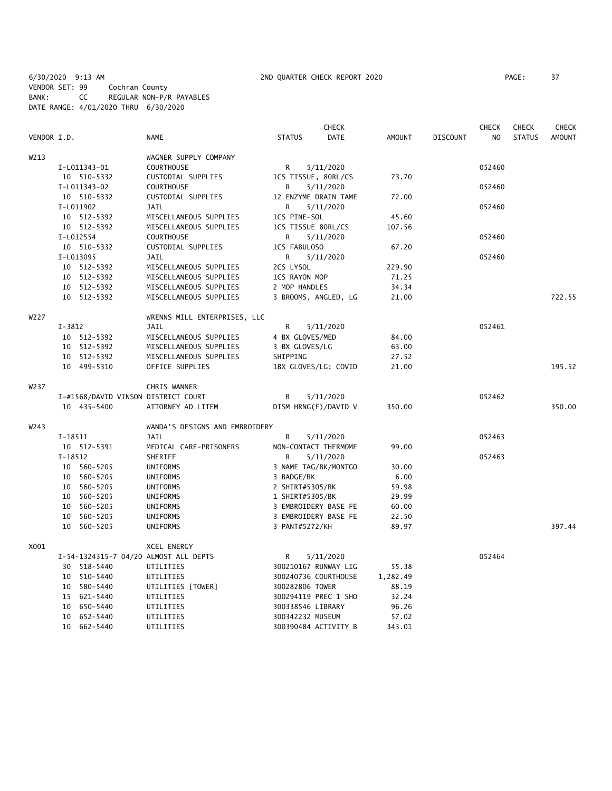6/30/2020 9:13 AM 2ND QUARTER CHECK REPORT 2020 PAGE: 37 VENDOR SET: 99 Cochran County BANK: CC REGULAR NON-P/R PAYABLES DATE RANGE: 4/01/2020 THRU 6/30/2020

|                   |                                       |                                |                     | <b>CHECK</b>         |               |                 | <b>CHECK</b> | <b>CHECK</b>  | <b>CHECK</b> |
|-------------------|---------------------------------------|--------------------------------|---------------------|----------------------|---------------|-----------------|--------------|---------------|--------------|
| VENDOR I.D.       |                                       | <b>NAME</b>                    | <b>STATUS</b>       | DATE                 | <b>AMOUNT</b> | <b>DISCOUNT</b> | NO.          | <b>STATUS</b> | AMOUNT       |
| W213              |                                       | WAGNER SUPPLY COMPANY          |                     |                      |               |                 |              |               |              |
|                   | I-L011343-01                          | <b>COURTHOUSE</b>              | R                   | 5/11/2020            |               |                 | 052460       |               |              |
|                   | 10 510-5332                           | CUSTODIAL SUPPLIES             | 1CS TISSUE, 80RL/CS |                      | 73.70         |                 |              |               |              |
|                   | I-L011343-02                          | <b>COURTHOUSE</b>              | R                   | 5/11/2020            |               |                 | 052460       |               |              |
|                   | 10 510-5332                           | CUSTODIAL SUPPLIES             |                     | 12 ENZYME DRAIN TAME | 72.00         |                 |              |               |              |
|                   | I-L011902                             | JAIL                           | R                   | 5/11/2020            |               |                 | 052460       |               |              |
|                   | 10 512-5392                           | MISCELLANEOUS SUPPLIES         | 1CS PINE-SOL        |                      | 45.60         |                 |              |               |              |
|                   | 10 512-5392                           | MISCELLANEOUS SUPPLIES         | 1CS TISSUE 80RL/CS  |                      | 107.56        |                 |              |               |              |
|                   | I-L012554                             | <b>COURTHOUSE</b>              | R                   | 5/11/2020            |               |                 | 052460       |               |              |
|                   | 10 510-5332                           | CUSTODIAL SUPPLIES             | 1CS FABULOSO        |                      | 67.20         |                 |              |               |              |
|                   | I-L013095                             | <b>JAIL</b>                    | R                   | 5/11/2020            |               |                 | 052460       |               |              |
|                   | 10 512-5392                           | MISCELLANEOUS SUPPLIES         | 2CS LYSOL           |                      | 229.90        |                 |              |               |              |
|                   | 10 512-5392                           | MISCELLANEOUS SUPPLIES         | 1CS RAYON MOP       |                      | 71.25         |                 |              |               |              |
|                   | 10 512-5392                           | MISCELLANEOUS SUPPLIES         | 2 MOP HANDLES       |                      | 34.34         |                 |              |               |              |
|                   | 10 512-5392                           | MISCELLANEOUS SUPPLIES         |                     | 3 BROOMS, ANGLED, LG | 21.00         |                 |              |               | 722.55       |
| W227              |                                       | WRENNS MILL ENTERPRISES, LLC   |                     |                      |               |                 |              |               |              |
|                   | $I - 3812$                            | <b>JAIL</b>                    | R                   | 5/11/2020            |               |                 | 052461       |               |              |
|                   | 10 512-5392                           | MISCELLANEOUS SUPPLIES         | 4 BX GLOVES/MED     |                      | 84.00         |                 |              |               |              |
|                   | 10 512-5392                           | MISCELLANEOUS SUPPLIES         | 3 BX GLOVES/LG      |                      | 63.00         |                 |              |               |              |
|                   | 10 512-5392                           | MISCELLANEOUS SUPPLIES         | SHIPPING            |                      | 27.52         |                 |              |               |              |
|                   | 10 499-5310                           | OFFICE SUPPLIES                |                     | 1BX GLOVES/LG; COVID | 21.00         |                 |              |               | 195.52       |
| W <sub>2</sub> 37 |                                       | CHRIS WANNER                   |                     |                      |               |                 |              |               |              |
|                   | I-#1568/DAVID VINSON DISTRICT COURT   |                                | R                   | 5/11/2020            |               |                 | 052462       |               |              |
|                   | 10 435-5400                           | ATTORNEY AD LITEM              |                     | DISM HRNG(F)/DAVID V | 350.00        |                 |              |               | 350.00       |
| W243              |                                       | WANDA'S DESIGNS AND EMBROIDERY |                     |                      |               |                 |              |               |              |
|                   | $I-18511$                             | JAIL                           | R                   | 5/11/2020            |               |                 | 052463       |               |              |
|                   | 10 512-5391                           | MEDICAL CARE-PRISONERS         |                     | NON-CONTACT THERMOME | 99.00         |                 |              |               |              |
|                   | $I-18512$                             | SHERIFF                        | R                   | 5/11/2020            |               |                 | 052463       |               |              |
|                   | 10 560-5205                           | UNIFORMS                       |                     | 3 NAME TAG/BK/MONTGO | 30.00         |                 |              |               |              |
|                   | 10 560-5205                           | UNIFORMS                       | 3 BADGE/BK          |                      | 6.00          |                 |              |               |              |
|                   | 10 560-5205                           | UNIFORMS                       | 2 SHIRT#5305/BK     |                      | 59.98         |                 |              |               |              |
|                   | 10 560-5205                           | UNIFORMS                       | 1 SHIRT#5305/BK     |                      | 29.99         |                 |              |               |              |
|                   | 10 560-5205                           | UNIFORMS                       |                     | 3 EMBROIDERY BASE FE | 60.00         |                 |              |               |              |
|                   | 10 560-5205                           | <b>UNIFORMS</b>                |                     | 3 EMBROIDERY BASE FE | 22.50         |                 |              |               |              |
|                   | 10 560-5205                           | UNIFORMS                       | 3 PANT#5272/KH      |                      | 89.97         |                 |              |               | 397.44       |
| X001              |                                       | XCEL ENERGY                    |                     |                      |               |                 |              |               |              |
|                   | I-54-1324315-7 04/20 ALMOST ALL DEPTS |                                | R                   | 5/11/2020            |               |                 | 052464       |               |              |
|                   | 30 518-5440                           | UTILITIES                      |                     | 300210167 RUNWAY LIG | 55.38         |                 |              |               |              |
|                   | 10 510-5440                           | UTILITIES                      |                     | 300240736 COURTHOUSE | 1,282.49      |                 |              |               |              |
|                   | 10 580-5440                           | UTILITIES [TOWER]              | 300282806 TOWER     |                      | 88.19         |                 |              |               |              |
|                   | 15 621-5440                           | UTILITIES                      |                     | 300294119 PREC 1 SHO | 32.24         |                 |              |               |              |
|                   | 10 650-5440                           | UTILITIES                      | 300338546 LIBRARY   |                      | 96.26         |                 |              |               |              |
|                   | 10 652-5440                           | UTILITIES                      | 300342232 MUSEUM    |                      | 57.02         |                 |              |               |              |
|                   | 10 662-5440                           | UTILITIES                      |                     | 300390484 ACTIVITY B | 343.01        |                 |              |               |              |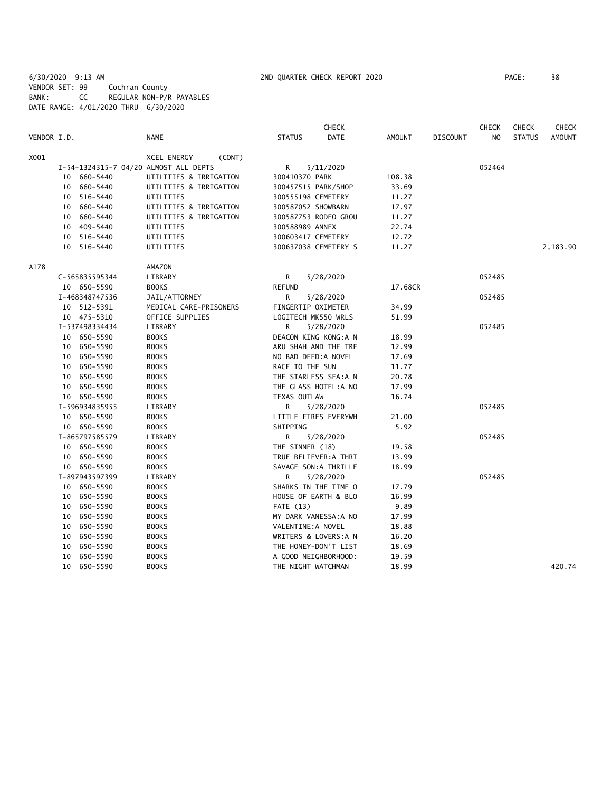6/30/2020 9:13 AM 2ND QUARTER CHECK REPORT 2020 PAGE: 38 VENDOR SET: 99 Cochran County BANK: CC REGULAR NON-P/R PAYABLES DATE RANGE: 4/01/2020 THRU 6/30/2020

|             |    |                |                                       |                    | <b>CHECK</b>          |               |                 | <b>CHECK</b>   | <b>CHECK</b>  | <b>CHECK</b>  |
|-------------|----|----------------|---------------------------------------|--------------------|-----------------------|---------------|-----------------|----------------|---------------|---------------|
| VENDOR I.D. |    |                | <b>NAME</b>                           | <b>STATUS</b>      | <b>DATE</b>           | <b>AMOUNT</b> | <b>DISCOUNT</b> | N <sub>O</sub> | <b>STATUS</b> | <b>AMOUNT</b> |
| X001        |    |                | XCEL ENERGY<br>(CONT)                 |                    |                       |               |                 |                |               |               |
|             |    |                | I-54-1324315-7 04/20 ALMOST ALL DEPTS | R                  | 5/11/2020             |               |                 | 052464         |               |               |
|             | 10 | 660-5440       | UTILITIES & IRRIGATION                | 300410370 PARK     |                       | 108.38        |                 |                |               |               |
|             |    | 10 660-5440    | UTILITIES & IRRIGATION                |                    | 300457515 PARK/SHOP   | 33.69         |                 |                |               |               |
|             |    | 10 516-5440    | UTILITIES                             | 300555198 CEMETERY |                       | 11.27         |                 |                |               |               |
|             |    | 10 660-5440    | UTILITIES & IRRIGATION                | 300587052 SHOWBARN |                       | 17.97         |                 |                |               |               |
|             | 10 | 660-5440       | UTILITIES & IRRIGATION                |                    | 300587753 RODEO GROU  | 11.27         |                 |                |               |               |
|             |    | 10 409-5440    | UTILITIES                             | 300588989 ANNEX    |                       | 22.74         |                 |                |               |               |
|             |    | 10 516-5440    | UTILITIES                             | 300603417 CEMETERY |                       | 12.72         |                 |                |               |               |
|             |    | 10 516-5440    | UTILITIES                             |                    | 300637038 CEMETERY S  | 11.27         |                 |                |               | 2,183.90      |
| A178        |    |                | AMAZON                                |                    |                       |               |                 |                |               |               |
|             |    | C-565835595344 | LIBRARY                               | R                  | 5/28/2020             |               |                 | 052485         |               |               |
|             |    | 10 650-5590    | <b>BOOKS</b>                          | <b>REFUND</b>      |                       | 17.68CR       |                 |                |               |               |
|             |    | I-468348747536 | JAIL/ATTORNEY                         | R.                 | 5/28/2020             |               |                 | 052485         |               |               |
|             |    | 10 512-5391    | MEDICAL CARE-PRISONERS                | FINGERTIP OXIMETER |                       | 34.99         |                 |                |               |               |
|             |    | 10 475-5310    | OFFICE SUPPLIES                       |                    | LOGITECH MK550 WRLS   | 51.99         |                 |                |               |               |
|             |    | I-537498334434 | LIBRARY                               | R.                 | 5/28/2020             |               |                 | 052485         |               |               |
|             |    | 10 650-5590    | <b>BOOKS</b>                          |                    | DEACON KING KONG:A N  | 18.99         |                 |                |               |               |
|             |    | 10 650-5590    | <b>BOOKS</b>                          |                    | ARU SHAH AND THE TRE  | 12.99         |                 |                |               |               |
|             |    | 10 650-5590    | <b>BOOKS</b>                          |                    | NO BAD DEED: A NOVEL  | 17.69         |                 |                |               |               |
|             |    | 10 650-5590    | <b>BOOKS</b>                          | RACE TO THE SUN    |                       | 11.77         |                 |                |               |               |
|             |    | 10 650-5590    | <b>BOOKS</b>                          |                    | THE STARLESS SEA:A N  | 20.78         |                 |                |               |               |
|             |    | 10 650-5590    | <b>BOOKS</b>                          |                    | THE GLASS HOTEL: A NO | 17.99         |                 |                |               |               |
|             |    | 10 650-5590    | <b>BOOKS</b>                          | TEXAS OUTLAW       |                       | 16.74         |                 |                |               |               |
|             |    | I-596934835955 | LIBRARY                               | R                  | 5/28/2020             |               |                 | 052485         |               |               |
|             |    | 10 650-5590    | <b>BOOKS</b>                          |                    | LITTLE FIRES EVERYWH  | 21.00         |                 |                |               |               |
|             |    | 10 650-5590    | <b>BOOKS</b>                          | SHIPPING           |                       | 5.92          |                 |                |               |               |
|             |    | I-865797585579 | LIBRARY                               | R                  | 5/28/2020             |               |                 | 052485         |               |               |
|             |    | 10 650-5590    | <b>BOOKS</b>                          | THE SINNER (18)    |                       | 19.58         |                 |                |               |               |
|             |    | 10 650-5590    | <b>BOOKS</b>                          |                    | TRUE BELIEVER: A THRI | 13.99         |                 |                |               |               |
|             |    | 10 650-5590    | <b>BOOKS</b>                          |                    | SAVAGE SON: A THRILLE | 18.99         |                 |                |               |               |
|             |    | I-897943597399 | LIBRARY                               | R.                 | 5/28/2020             |               |                 | 052485         |               |               |
|             |    | 10 650-5590    | <b>BOOKS</b>                          |                    | SHARKS IN THE TIME O  | 17.79         |                 |                |               |               |
|             |    | 10 650-5590    | <b>BOOKS</b>                          |                    | HOUSE OF EARTH & BLO  | 16.99         |                 |                |               |               |
|             |    | 10 650-5590    | <b>BOOKS</b>                          | <b>FATE (13)</b>   |                       | 9.89          |                 |                |               |               |
|             |    | 10 650-5590    | <b>BOOKS</b>                          |                    | MY DARK VANESSA: A NO | 17.99         |                 |                |               |               |
|             |    | 10 650-5590    | <b>BOOKS</b>                          | VALENTINE: A NOVEL |                       | 18.88         |                 |                |               |               |
|             |    | 10 650-5590    | <b>BOOKS</b>                          |                    | WRITERS & LOVERS:A N  | 16.20         |                 |                |               |               |
|             |    | 10 650-5590    | <b>BOOKS</b>                          |                    | THE HONEY-DON'T LIST  | 18.69         |                 |                |               |               |
|             | 10 | 650-5590       | <b>BOOKS</b>                          |                    | A GOOD NEIGHBORHOOD:  | 19.59         |                 |                |               |               |
|             |    | 10 650-5590    | <b>BOOKS</b>                          | THE NIGHT WATCHMAN |                       | 18.99         |                 |                |               | 420.74        |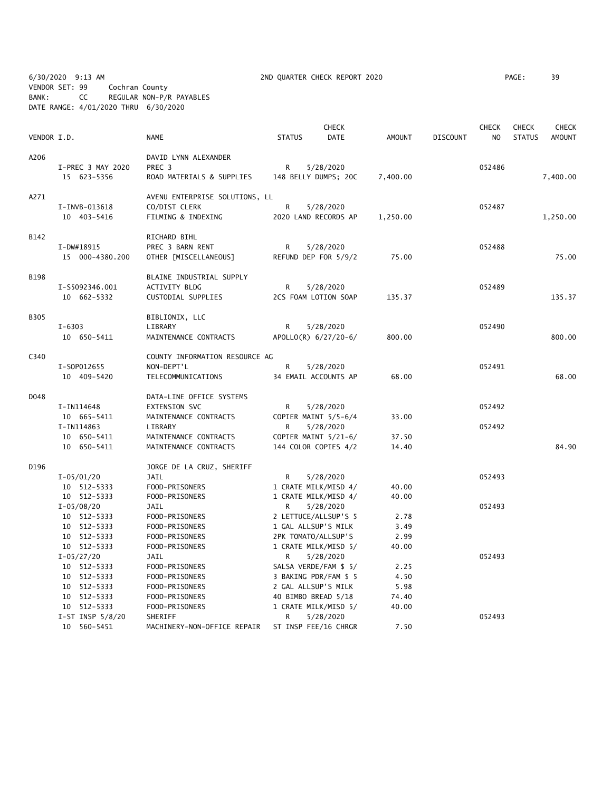6/30/2020 9:13 AM 2ND QUARTER CHECK REPORT 2020 PAGE: 39 VENDOR SET: 99 Cochran County BANK: CC REGULAR NON-P/R PAYABLES DATE RANGE: 4/01/2020 THRU 6/30/2020

|             |                    |                                |                       | <b>CHECK</b> |               |                 | <b>CHECK</b> | <b>CHECK</b>  | <b>CHECK</b>  |
|-------------|--------------------|--------------------------------|-----------------------|--------------|---------------|-----------------|--------------|---------------|---------------|
| VENDOR I.D. |                    | <b>NAME</b>                    | <b>STATUS</b>         | <b>DATE</b>  | <b>AMOUNT</b> | <b>DISCOUNT</b> | NO           | <b>STATUS</b> | <b>AMOUNT</b> |
| A206        |                    | DAVID LYNN ALEXANDER           |                       |              |               |                 |              |               |               |
|             | I-PREC 3 MAY 2020  | PREC 3                         | R                     | 5/28/2020    |               |                 | 052486       |               |               |
|             | 15 623-5356        | ROAD MATERIALS & SUPPLIES      | 148 BELLY DUMPS; 20C  |              | 7,400.00      |                 |              |               | 7,400.00      |
| A271        |                    | AVENU ENTERPRISE SOLUTIONS, LL |                       |              |               |                 |              |               |               |
|             | I-INVB-013618      | CO/DIST CLERK                  | R                     | 5/28/2020    |               |                 | 052487       |               |               |
|             | 10 403-5416        | FILMING & INDEXING             | 2020 LAND RECORDS AP  |              | 1,250.00      |                 |              |               | 1,250.00      |
| B142        |                    | RICHARD BIHL                   |                       |              |               |                 |              |               |               |
|             | I-DW#18915         | PREC 3 BARN RENT               | R                     | 5/28/2020    |               |                 | 052488       |               |               |
|             | 15 000-4380.200    | OTHER [MISCELLANEOUS]          | REFUND DEP FOR 5/9/2  |              | 75.00         |                 |              |               | 75.00         |
| <b>B198</b> |                    | BLAINE INDUSTRIAL SUPPLY       |                       |              |               |                 |              |               |               |
|             | I-S5092346.001     | ACTIVITY BLDG                  | R                     | 5/28/2020    |               |                 | 052489       |               |               |
|             | 10 662-5332        | CUSTODIAL SUPPLIES             | 2CS FOAM LOTION SOAP  |              | 135.37        |                 |              |               | 135.37        |
| <b>B305</b> |                    | BIBLIONIX, LLC                 |                       |              |               |                 |              |               |               |
|             | $I - 6303$         | LIBRARY                        | R                     | 5/28/2020    |               |                 | 052490       |               |               |
|             | 10 650-5411        | MAINTENANCE CONTRACTS          | APOLLO(R) 6/27/20-6/  |              | 800.00        |                 |              |               | 800.00        |
| C340        |                    | COUNTY INFORMATION RESOURCE AG |                       |              |               |                 |              |               |               |
|             | I-S0P012655        | NON-DEPT'L                     | R                     | 5/28/2020    |               |                 | 052491       |               |               |
|             | 10 409-5420        | TELECOMMUNICATIONS             | 34 EMAIL ACCOUNTS AP  |              | 68.00         |                 |              |               | 68.00         |
| D048        |                    | DATA-LINE OFFICE SYSTEMS       |                       |              |               |                 |              |               |               |
|             | I-IN114648         | EXTENSION SVC                  | R                     | 5/28/2020    |               |                 | 052492       |               |               |
|             | 10 665-5411        | MAINTENANCE CONTRACTS          | COPIER MAINT 5/5-6/4  |              | 33.00         |                 |              |               |               |
|             | I-IN114863         | LIBRARY                        | R.                    | 5/28/2020    |               |                 | 052492       |               |               |
|             | 10 650-5411        | MAINTENANCE CONTRACTS          | COPIER MAINT 5/21-6/  |              | 37.50         |                 |              |               |               |
|             | 10 650-5411        | MAINTENANCE CONTRACTS          | 144 COLOR COPIES 4/2  |              | 14.40         |                 |              |               | 84.90         |
| D196        |                    | JORGE DE LA CRUZ, SHERIFF      |                       |              |               |                 |              |               |               |
|             | $I - 05/01/20$     | JAIL                           | R                     | 5/28/2020    |               |                 | 052493       |               |               |
|             | 10 512-5333        | FOOD-PRISONERS                 | 1 CRATE MILK/MISD 4/  |              | 40.00         |                 |              |               |               |
|             | 10 512-5333        | FOOD-PRISONERS                 | 1 CRATE MILK/MISD 4/  |              | 40.00         |                 |              |               |               |
|             | $I - 05/08/20$     | <b>JAIL</b>                    | R.                    | 5/28/2020    |               |                 | 052493       |               |               |
|             | 10 512-5333        | FOOD-PRISONERS                 | 2 LETTUCE/ALLSUP'S 5  |              | 2.78          |                 |              |               |               |
|             | 10 512-5333        | FOOD-PRISONERS                 | 1 GAL ALLSUP'S MILK   |              | 3.49          |                 |              |               |               |
|             | 10 512-5333        | FOOD-PRISONERS                 | 2PK TOMATO/ALLSUP'S   |              | 2.99          |                 |              |               |               |
|             | 10 512-5333        | FOOD-PRISONERS                 | 1 CRATE MILK/MISD 5/  |              | 40.00         |                 |              |               |               |
|             | $I - 05/27/20$     | JAIL                           | R                     | 5/28/2020    |               |                 | 052493       |               |               |
|             | 10 512-5333        | FOOD-PRISONERS                 | SALSA VERDE/FAM \$ 5/ |              | 2.25          |                 |              |               |               |
|             | 10 512-5333        | FOOD-PRISONERS                 | 3 BAKING PDR/FAM \$ 5 |              | 4.50          |                 |              |               |               |
|             | 10 512-5333        | FOOD-PRISONERS                 | 2 GAL ALLSUP'S MILK   |              | 5.98          |                 |              |               |               |
|             | 10 512-5333        | FOOD-PRISONERS                 | 40 BIMBO BREAD 5/18   |              | 74.40         |                 |              |               |               |
|             | 10 512-5333        | FOOD-PRISONERS                 | 1 CRATE MILK/MISD 5/  |              | 40.00         |                 |              |               |               |
|             | I-ST INSP $5/8/20$ | SHERIFF                        | R                     | 5/28/2020    |               |                 | 052493       |               |               |
|             | 10 560-5451        | MACHINERY-NON-OFFICE REPAIR    | ST INSP FEE/16 CHRGR  |              | 7.50          |                 |              |               |               |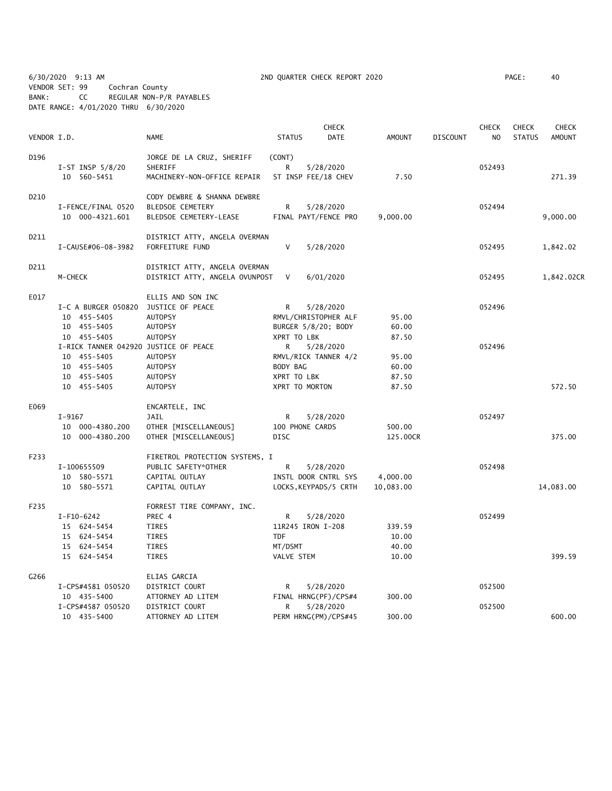6/30/2020 9:13 AM 2ND QUARTER CHECK REPORT 2020 PAGE: 40 VENDOR SET: 99 Cochran County BANK: CC REGULAR NON-P/R PAYABLES DATE RANGE: 4/01/2020 THRU 6/30/2020

|             |                                       |                                |                       | <b>CHECK</b> |               |                 | <b>CHECK</b>   | <b>CHECK</b>  | <b>CHECK</b>  |
|-------------|---------------------------------------|--------------------------------|-----------------------|--------------|---------------|-----------------|----------------|---------------|---------------|
| VENDOR I.D. |                                       | <b>NAME</b>                    | <b>STATUS</b>         | <b>DATE</b>  | <b>AMOUNT</b> | <b>DISCOUNT</b> | N <sub>O</sub> | <b>STATUS</b> | <b>AMOUNT</b> |
| D196        |                                       | JORGE DE LA CRUZ, SHERIFF      | (CONT)                |              |               |                 |                |               |               |
|             | I-ST INSP $5/8/20$                    | SHERIFF                        | R                     | 5/28/2020    |               |                 | 052493         |               |               |
|             | 10 560-5451                           | MACHINERY-NON-OFFICE REPAIR    | ST INSP FEE/18 CHEV   |              | 7.50          |                 |                |               | 271.39        |
| D210        |                                       | CODY DEWBRE & SHANNA DEWBRE    |                       |              |               |                 |                |               |               |
|             | I-FENCE/FINAL 0520                    | <b>BLEDSOE CEMETERY</b>        | R                     | 5/28/2020    |               |                 | 052494         |               |               |
|             | 10 000-4321.601                       | BLEDSOE CEMETERY-LEASE         | FINAL PAYT/FENCE PRO  |              | 9,000.00      |                 |                |               | 9,000.00      |
| D211        |                                       | DISTRICT ATTY, ANGELA OVERMAN  |                       |              |               |                 |                |               |               |
|             | I-CAUSE#06-08-3982                    | FORFEITURE FUND                | V                     | 5/28/2020    |               |                 | 052495         |               | 1,842.02      |
| D211        |                                       | DISTRICT ATTY, ANGELA OVERMAN  |                       |              |               |                 |                |               |               |
|             | M-CHECK                               | DISTRICT ATTY, ANGELA OVUNPOST | V                     | 6/01/2020    |               |                 | 052495         |               | 1,842.02CR    |
| E017        |                                       | ELLIS AND SON INC              |                       |              |               |                 |                |               |               |
|             | I-C A BURGER 050820                   | JUSTICE OF PEACE               | R.                    | 5/28/2020    |               |                 | 052496         |               |               |
|             | 10 455-5405                           | AUTOPSY                        | RMVL/CHRISTOPHER ALF  |              | 95.00         |                 |                |               |               |
|             | 10 455-5405                           | <b>AUTOPSY</b>                 | BURGER 5/8/20; BODY   |              | 60.00         |                 |                |               |               |
|             | 10 455-5405                           | <b>AUTOPSY</b>                 | XPRT TO LBK           |              | 87.50         |                 |                |               |               |
|             | I-RICK TANNER 042920 JUSTICE OF PEACE |                                | R                     | 5/28/2020    |               |                 | 052496         |               |               |
|             | 10 455-5405                           | AUTOPSY                        | RMVL/RICK TANNER 4/2  |              | 95.00         |                 |                |               |               |
|             | 10 455-5405                           | <b>AUTOPSY</b>                 | BODY BAG              |              | 60.00         |                 |                |               |               |
|             | 10 455-5405                           | <b>AUTOPSY</b>                 | XPRT TO LBK           |              | 87.50         |                 |                |               |               |
|             | 10 455-5405                           | <b>AUTOPSY</b>                 | XPRT TO MORTON        |              | 87.50         |                 |                |               | 572.50        |
| E069        |                                       | ENCARTELE, INC                 |                       |              |               |                 |                |               |               |
|             | I-9167                                | JAIL                           | R                     | 5/28/2020    |               |                 | 052497         |               |               |
|             | 10 000-4380.200                       | OTHER [MISCELLANEOUS]          | 100 PHONE CARDS       |              | 500.00        |                 |                |               |               |
|             | 10 000-4380.200                       | OTHER [MISCELLANEOUS]          | <b>DISC</b>           |              | 125.00CR      |                 |                |               | 375.00        |
| F233        |                                       | FIRETROL PROTECTION SYSTEMS, I |                       |              |               |                 |                |               |               |
|             | I-100655509                           | PUBLIC SAFETY*OTHER            | R                     | 5/28/2020    |               |                 | 052498         |               |               |
|             | 10 580-5571                           | CAPITAL OUTLAY                 | INSTL DOOR CNTRL SYS  |              | 4,000.00      |                 |                |               |               |
|             | 10 580-5571                           | CAPITAL OUTLAY                 | LOCKS, KEYPADS/5 CRTH |              | 10,083.00     |                 |                |               | 14,083.00     |
| F235        |                                       | FORREST TIRE COMPANY, INC.     |                       |              |               |                 |                |               |               |
|             | I-F10-6242                            | PREC 4                         | R                     | 5/28/2020    |               |                 | 052499         |               |               |
|             | 15 624-5454                           | TIRES                          | 11R245 IRON I-208     |              | 339.59        |                 |                |               |               |
|             | 15 624-5454                           | TIRES                          | <b>TDF</b>            |              | 10.00         |                 |                |               |               |
|             | 15 624-5454                           | <b>TIRES</b>                   | MT/DSMT               |              | 40.00         |                 |                |               |               |
|             | 15 624-5454                           | <b>TIRES</b>                   | VALVE STEM            |              | 10.00         |                 |                |               | 399.59        |
| G266        |                                       | ELIAS GARCIA                   |                       |              |               |                 |                |               |               |
|             | I-CPS#4581 050520                     | DISTRICT COURT                 | R                     | 5/28/2020    |               |                 | 052500         |               |               |
|             | 10 435-5400                           | ATTORNEY AD LITEM              | FINAL HRNG(PF)/CPS#4  |              | 300.00        |                 |                |               |               |
|             | I-CPS#4587 050520                     | DISTRICT COURT                 | R                     | 5/28/2020    |               |                 | 052500         |               |               |
|             | 10 435-5400                           | ATTORNEY AD LITEM              | PERM HRNG(PM)/CPS#45  |              | 300.00        |                 |                |               | 600.00        |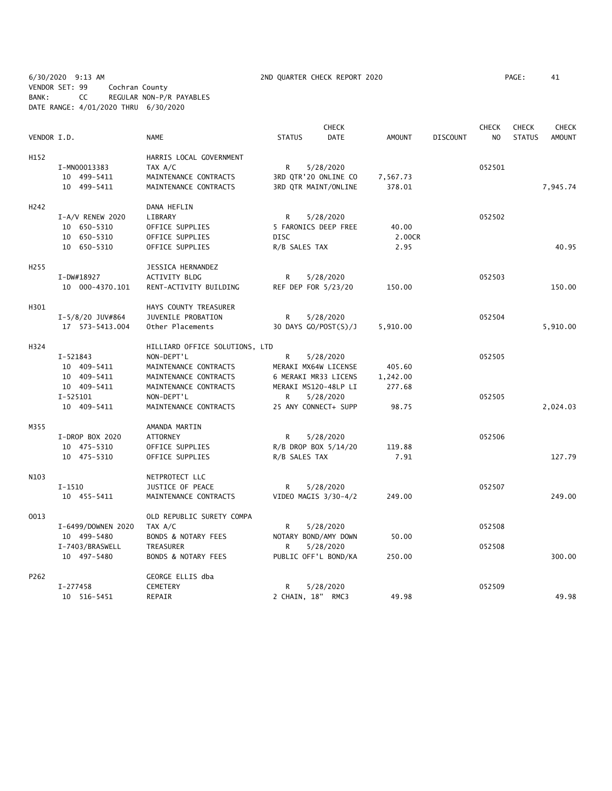6/30/2020 9:13 AM 2ND QUARTER CHECK REPORT 2020 PAGE: 41 VENDOR SET: 99 Cochran County BANK: CC REGULAR NON-P/R PAYABLES DATE RANGE: 4/01/2020 THRU 6/30/2020

| VENDOR I.D.<br><b>NAME</b><br><b>STATUS</b><br><b>DATE</b><br><b>AMOUNT</b><br><b>DISCOUNT</b><br>N <sub>O</sub><br><b>STATUS</b><br><b>AMOUNT</b><br>HARRIS LOCAL GOVERNMENT<br>H152<br>TAX A/C<br>I-MN00013383<br>5/28/2020<br>052501<br>R<br>10 499-5411<br>MAINTENANCE CONTRACTS<br>3RD QTR'20 ONLINE CO<br>7,567.73<br>10 499-5411<br>MAINTENANCE CONTRACTS<br>3RD QTR MAINT/ONLINE<br>378.01<br>7,945.74<br>H <sub>242</sub><br>DANA HEFLIN<br>I-A/V RENEW 2020<br>LIBRARY<br>R<br>5/28/2020<br>052502<br>10 650-5310<br>OFFICE SUPPLIES<br>5 FARONICS DEEP FREE<br>40.00<br>10 650-5310<br>2.00CR<br>OFFICE SUPPLIES<br>DISC<br>10 650-5310<br>OFFICE SUPPLIES<br>R/B SALES TAX<br>2.95<br>40.95<br>H <sub>255</sub><br>JESSICA HERNANDEZ<br>I-DW#18927<br>ACTIVITY BLDG<br>5/28/2020<br>052503<br>R<br>150.00<br>150.00<br>10 000-4370.101<br>RENT-ACTIVITY BUILDING<br>REF DEP FOR 5/23/20<br>H301<br>HAYS COUNTY TREASURER<br>JUVENILE PROBATION<br>R<br>5/28/2020<br>052504<br>$I-5/8/20$ JUV#864<br>Other Placements<br>30 DAYS GO/POST(S)/J<br>5,910.00<br>17  573-5413.004<br>5,910.00<br>H324<br>HILLIARD OFFICE SOLUTIONS, LTD<br>$I - 521843$<br>NON-DEPT'L<br>R<br>5/28/2020<br>052505<br>10 409-5411<br>MAINTENANCE CONTRACTS<br>MERAKI MX64W LICENSE<br>405.60<br>10 409-5411<br>1,242.00<br>MAINTENANCE CONTRACTS<br>6 MERAKI MR33 LICENS<br>10 409-5411<br>MAINTENANCE CONTRACTS<br>MERAKI MS120-48LP LI<br>277.68<br>$I - 525101$<br>NON-DEPT'L<br>R<br>5/28/2020<br>052505<br>2,024.03<br>10 409-5411<br>MAINTENANCE CONTRACTS<br>25 ANY CONNECT+ SUPP<br>98.75<br>M355<br>AMANDA MARTIN<br>I-DROP BOX 2020<br><b>ATTORNEY</b><br>R.<br>5/28/2020<br>052506<br>10 475-5310<br>OFFICE SUPPLIES<br>R/B DROP BOX 5/14/20<br>119.88<br>10 475-5310<br>OFFICE SUPPLIES<br>R/B SALES TAX<br>7.91<br>127.79<br>N103<br>NETPROTECT LLC<br>$I-1510$<br>JUSTICE OF PEACE<br>R.<br>5/28/2020<br>052507<br>10 455-5411<br>MAINTENANCE CONTRACTS<br>VIDEO MAGIS 3/30-4/2<br>249.00<br>249.00<br>0013<br>OLD REPUBLIC SURETY COMPA<br>I-6499/DOWNEN 2020<br>TAX A/C<br>R<br>5/28/2020<br>052508<br>10 499-5480<br><b>BONDS &amp; NOTARY FEES</b><br>NOTARY BOND/AMY DOWN<br>50.00<br>I-7403/BRASWELL<br>TREASURER<br>R<br>5/28/2020<br>052508<br><b>BONDS &amp; NOTARY FEES</b><br>PUBLIC OFF'L BOND/KA<br>300.00<br>10 497-5480<br>250.00<br>P262<br>GEORGE ELLIS dba<br>$I-277458$<br>5/28/2020<br>052509<br><b>CEMETERY</b><br>R<br>10 516-5451<br>REPAIR<br>2 CHAIN, 18" RMC3<br>49.98<br>49.98 |  |  | <b>CHECK</b> |  | <b>CHECK</b> | <b>CHECK</b> | <b>CHECK</b> |
|---------------------------------------------------------------------------------------------------------------------------------------------------------------------------------------------------------------------------------------------------------------------------------------------------------------------------------------------------------------------------------------------------------------------------------------------------------------------------------------------------------------------------------------------------------------------------------------------------------------------------------------------------------------------------------------------------------------------------------------------------------------------------------------------------------------------------------------------------------------------------------------------------------------------------------------------------------------------------------------------------------------------------------------------------------------------------------------------------------------------------------------------------------------------------------------------------------------------------------------------------------------------------------------------------------------------------------------------------------------------------------------------------------------------------------------------------------------------------------------------------------------------------------------------------------------------------------------------------------------------------------------------------------------------------------------------------------------------------------------------------------------------------------------------------------------------------------------------------------------------------------------------------------------------------------------------------------------------------------------------------------------------------------------------------------------------------------------------------------------------------------------------------------------------------------------------------------------------------------------------------------------------------------------------------------------------------------------------------------------------------------------------------------------------------------------------------------------------------------------------------------------|--|--|--------------|--|--------------|--------------|--------------|
|                                                                                                                                                                                                                                                                                                                                                                                                                                                                                                                                                                                                                                                                                                                                                                                                                                                                                                                                                                                                                                                                                                                                                                                                                                                                                                                                                                                                                                                                                                                                                                                                                                                                                                                                                                                                                                                                                                                                                                                                                                                                                                                                                                                                                                                                                                                                                                                                                                                                                                               |  |  |              |  |              |              |              |
|                                                                                                                                                                                                                                                                                                                                                                                                                                                                                                                                                                                                                                                                                                                                                                                                                                                                                                                                                                                                                                                                                                                                                                                                                                                                                                                                                                                                                                                                                                                                                                                                                                                                                                                                                                                                                                                                                                                                                                                                                                                                                                                                                                                                                                                                                                                                                                                                                                                                                                               |  |  |              |  |              |              |              |
|                                                                                                                                                                                                                                                                                                                                                                                                                                                                                                                                                                                                                                                                                                                                                                                                                                                                                                                                                                                                                                                                                                                                                                                                                                                                                                                                                                                                                                                                                                                                                                                                                                                                                                                                                                                                                                                                                                                                                                                                                                                                                                                                                                                                                                                                                                                                                                                                                                                                                                               |  |  |              |  |              |              |              |
|                                                                                                                                                                                                                                                                                                                                                                                                                                                                                                                                                                                                                                                                                                                                                                                                                                                                                                                                                                                                                                                                                                                                                                                                                                                                                                                                                                                                                                                                                                                                                                                                                                                                                                                                                                                                                                                                                                                                                                                                                                                                                                                                                                                                                                                                                                                                                                                                                                                                                                               |  |  |              |  |              |              |              |
|                                                                                                                                                                                                                                                                                                                                                                                                                                                                                                                                                                                                                                                                                                                                                                                                                                                                                                                                                                                                                                                                                                                                                                                                                                                                                                                                                                                                                                                                                                                                                                                                                                                                                                                                                                                                                                                                                                                                                                                                                                                                                                                                                                                                                                                                                                                                                                                                                                                                                                               |  |  |              |  |              |              |              |
|                                                                                                                                                                                                                                                                                                                                                                                                                                                                                                                                                                                                                                                                                                                                                                                                                                                                                                                                                                                                                                                                                                                                                                                                                                                                                                                                                                                                                                                                                                                                                                                                                                                                                                                                                                                                                                                                                                                                                                                                                                                                                                                                                                                                                                                                                                                                                                                                                                                                                                               |  |  |              |  |              |              |              |
|                                                                                                                                                                                                                                                                                                                                                                                                                                                                                                                                                                                                                                                                                                                                                                                                                                                                                                                                                                                                                                                                                                                                                                                                                                                                                                                                                                                                                                                                                                                                                                                                                                                                                                                                                                                                                                                                                                                                                                                                                                                                                                                                                                                                                                                                                                                                                                                                                                                                                                               |  |  |              |  |              |              |              |
|                                                                                                                                                                                                                                                                                                                                                                                                                                                                                                                                                                                                                                                                                                                                                                                                                                                                                                                                                                                                                                                                                                                                                                                                                                                                                                                                                                                                                                                                                                                                                                                                                                                                                                                                                                                                                                                                                                                                                                                                                                                                                                                                                                                                                                                                                                                                                                                                                                                                                                               |  |  |              |  |              |              |              |
|                                                                                                                                                                                                                                                                                                                                                                                                                                                                                                                                                                                                                                                                                                                                                                                                                                                                                                                                                                                                                                                                                                                                                                                                                                                                                                                                                                                                                                                                                                                                                                                                                                                                                                                                                                                                                                                                                                                                                                                                                                                                                                                                                                                                                                                                                                                                                                                                                                                                                                               |  |  |              |  |              |              |              |
|                                                                                                                                                                                                                                                                                                                                                                                                                                                                                                                                                                                                                                                                                                                                                                                                                                                                                                                                                                                                                                                                                                                                                                                                                                                                                                                                                                                                                                                                                                                                                                                                                                                                                                                                                                                                                                                                                                                                                                                                                                                                                                                                                                                                                                                                                                                                                                                                                                                                                                               |  |  |              |  |              |              |              |
|                                                                                                                                                                                                                                                                                                                                                                                                                                                                                                                                                                                                                                                                                                                                                                                                                                                                                                                                                                                                                                                                                                                                                                                                                                                                                                                                                                                                                                                                                                                                                                                                                                                                                                                                                                                                                                                                                                                                                                                                                                                                                                                                                                                                                                                                                                                                                                                                                                                                                                               |  |  |              |  |              |              |              |
|                                                                                                                                                                                                                                                                                                                                                                                                                                                                                                                                                                                                                                                                                                                                                                                                                                                                                                                                                                                                                                                                                                                                                                                                                                                                                                                                                                                                                                                                                                                                                                                                                                                                                                                                                                                                                                                                                                                                                                                                                                                                                                                                                                                                                                                                                                                                                                                                                                                                                                               |  |  |              |  |              |              |              |
|                                                                                                                                                                                                                                                                                                                                                                                                                                                                                                                                                                                                                                                                                                                                                                                                                                                                                                                                                                                                                                                                                                                                                                                                                                                                                                                                                                                                                                                                                                                                                                                                                                                                                                                                                                                                                                                                                                                                                                                                                                                                                                                                                                                                                                                                                                                                                                                                                                                                                                               |  |  |              |  |              |              |              |
|                                                                                                                                                                                                                                                                                                                                                                                                                                                                                                                                                                                                                                                                                                                                                                                                                                                                                                                                                                                                                                                                                                                                                                                                                                                                                                                                                                                                                                                                                                                                                                                                                                                                                                                                                                                                                                                                                                                                                                                                                                                                                                                                                                                                                                                                                                                                                                                                                                                                                                               |  |  |              |  |              |              |              |
|                                                                                                                                                                                                                                                                                                                                                                                                                                                                                                                                                                                                                                                                                                                                                                                                                                                                                                                                                                                                                                                                                                                                                                                                                                                                                                                                                                                                                                                                                                                                                                                                                                                                                                                                                                                                                                                                                                                                                                                                                                                                                                                                                                                                                                                                                                                                                                                                                                                                                                               |  |  |              |  |              |              |              |
|                                                                                                                                                                                                                                                                                                                                                                                                                                                                                                                                                                                                                                                                                                                                                                                                                                                                                                                                                                                                                                                                                                                                                                                                                                                                                                                                                                                                                                                                                                                                                                                                                                                                                                                                                                                                                                                                                                                                                                                                                                                                                                                                                                                                                                                                                                                                                                                                                                                                                                               |  |  |              |  |              |              |              |
|                                                                                                                                                                                                                                                                                                                                                                                                                                                                                                                                                                                                                                                                                                                                                                                                                                                                                                                                                                                                                                                                                                                                                                                                                                                                                                                                                                                                                                                                                                                                                                                                                                                                                                                                                                                                                                                                                                                                                                                                                                                                                                                                                                                                                                                                                                                                                                                                                                                                                                               |  |  |              |  |              |              |              |
|                                                                                                                                                                                                                                                                                                                                                                                                                                                                                                                                                                                                                                                                                                                                                                                                                                                                                                                                                                                                                                                                                                                                                                                                                                                                                                                                                                                                                                                                                                                                                                                                                                                                                                                                                                                                                                                                                                                                                                                                                                                                                                                                                                                                                                                                                                                                                                                                                                                                                                               |  |  |              |  |              |              |              |
|                                                                                                                                                                                                                                                                                                                                                                                                                                                                                                                                                                                                                                                                                                                                                                                                                                                                                                                                                                                                                                                                                                                                                                                                                                                                                                                                                                                                                                                                                                                                                                                                                                                                                                                                                                                                                                                                                                                                                                                                                                                                                                                                                                                                                                                                                                                                                                                                                                                                                                               |  |  |              |  |              |              |              |
|                                                                                                                                                                                                                                                                                                                                                                                                                                                                                                                                                                                                                                                                                                                                                                                                                                                                                                                                                                                                                                                                                                                                                                                                                                                                                                                                                                                                                                                                                                                                                                                                                                                                                                                                                                                                                                                                                                                                                                                                                                                                                                                                                                                                                                                                                                                                                                                                                                                                                                               |  |  |              |  |              |              |              |
|                                                                                                                                                                                                                                                                                                                                                                                                                                                                                                                                                                                                                                                                                                                                                                                                                                                                                                                                                                                                                                                                                                                                                                                                                                                                                                                                                                                                                                                                                                                                                                                                                                                                                                                                                                                                                                                                                                                                                                                                                                                                                                                                                                                                                                                                                                                                                                                                                                                                                                               |  |  |              |  |              |              |              |
|                                                                                                                                                                                                                                                                                                                                                                                                                                                                                                                                                                                                                                                                                                                                                                                                                                                                                                                                                                                                                                                                                                                                                                                                                                                                                                                                                                                                                                                                                                                                                                                                                                                                                                                                                                                                                                                                                                                                                                                                                                                                                                                                                                                                                                                                                                                                                                                                                                                                                                               |  |  |              |  |              |              |              |
|                                                                                                                                                                                                                                                                                                                                                                                                                                                                                                                                                                                                                                                                                                                                                                                                                                                                                                                                                                                                                                                                                                                                                                                                                                                                                                                                                                                                                                                                                                                                                                                                                                                                                                                                                                                                                                                                                                                                                                                                                                                                                                                                                                                                                                                                                                                                                                                                                                                                                                               |  |  |              |  |              |              |              |
|                                                                                                                                                                                                                                                                                                                                                                                                                                                                                                                                                                                                                                                                                                                                                                                                                                                                                                                                                                                                                                                                                                                                                                                                                                                                                                                                                                                                                                                                                                                                                                                                                                                                                                                                                                                                                                                                                                                                                                                                                                                                                                                                                                                                                                                                                                                                                                                                                                                                                                               |  |  |              |  |              |              |              |
|                                                                                                                                                                                                                                                                                                                                                                                                                                                                                                                                                                                                                                                                                                                                                                                                                                                                                                                                                                                                                                                                                                                                                                                                                                                                                                                                                                                                                                                                                                                                                                                                                                                                                                                                                                                                                                                                                                                                                                                                                                                                                                                                                                                                                                                                                                                                                                                                                                                                                                               |  |  |              |  |              |              |              |
|                                                                                                                                                                                                                                                                                                                                                                                                                                                                                                                                                                                                                                                                                                                                                                                                                                                                                                                                                                                                                                                                                                                                                                                                                                                                                                                                                                                                                                                                                                                                                                                                                                                                                                                                                                                                                                                                                                                                                                                                                                                                                                                                                                                                                                                                                                                                                                                                                                                                                                               |  |  |              |  |              |              |              |
|                                                                                                                                                                                                                                                                                                                                                                                                                                                                                                                                                                                                                                                                                                                                                                                                                                                                                                                                                                                                                                                                                                                                                                                                                                                                                                                                                                                                                                                                                                                                                                                                                                                                                                                                                                                                                                                                                                                                                                                                                                                                                                                                                                                                                                                                                                                                                                                                                                                                                                               |  |  |              |  |              |              |              |
|                                                                                                                                                                                                                                                                                                                                                                                                                                                                                                                                                                                                                                                                                                                                                                                                                                                                                                                                                                                                                                                                                                                                                                                                                                                                                                                                                                                                                                                                                                                                                                                                                                                                                                                                                                                                                                                                                                                                                                                                                                                                                                                                                                                                                                                                                                                                                                                                                                                                                                               |  |  |              |  |              |              |              |
|                                                                                                                                                                                                                                                                                                                                                                                                                                                                                                                                                                                                                                                                                                                                                                                                                                                                                                                                                                                                                                                                                                                                                                                                                                                                                                                                                                                                                                                                                                                                                                                                                                                                                                                                                                                                                                                                                                                                                                                                                                                                                                                                                                                                                                                                                                                                                                                                                                                                                                               |  |  |              |  |              |              |              |
|                                                                                                                                                                                                                                                                                                                                                                                                                                                                                                                                                                                                                                                                                                                                                                                                                                                                                                                                                                                                                                                                                                                                                                                                                                                                                                                                                                                                                                                                                                                                                                                                                                                                                                                                                                                                                                                                                                                                                                                                                                                                                                                                                                                                                                                                                                                                                                                                                                                                                                               |  |  |              |  |              |              |              |
|                                                                                                                                                                                                                                                                                                                                                                                                                                                                                                                                                                                                                                                                                                                                                                                                                                                                                                                                                                                                                                                                                                                                                                                                                                                                                                                                                                                                                                                                                                                                                                                                                                                                                                                                                                                                                                                                                                                                                                                                                                                                                                                                                                                                                                                                                                                                                                                                                                                                                                               |  |  |              |  |              |              |              |
|                                                                                                                                                                                                                                                                                                                                                                                                                                                                                                                                                                                                                                                                                                                                                                                                                                                                                                                                                                                                                                                                                                                                                                                                                                                                                                                                                                                                                                                                                                                                                                                                                                                                                                                                                                                                                                                                                                                                                                                                                                                                                                                                                                                                                                                                                                                                                                                                                                                                                                               |  |  |              |  |              |              |              |
|                                                                                                                                                                                                                                                                                                                                                                                                                                                                                                                                                                                                                                                                                                                                                                                                                                                                                                                                                                                                                                                                                                                                                                                                                                                                                                                                                                                                                                                                                                                                                                                                                                                                                                                                                                                                                                                                                                                                                                                                                                                                                                                                                                                                                                                                                                                                                                                                                                                                                                               |  |  |              |  |              |              |              |
|                                                                                                                                                                                                                                                                                                                                                                                                                                                                                                                                                                                                                                                                                                                                                                                                                                                                                                                                                                                                                                                                                                                                                                                                                                                                                                                                                                                                                                                                                                                                                                                                                                                                                                                                                                                                                                                                                                                                                                                                                                                                                                                                                                                                                                                                                                                                                                                                                                                                                                               |  |  |              |  |              |              |              |
|                                                                                                                                                                                                                                                                                                                                                                                                                                                                                                                                                                                                                                                                                                                                                                                                                                                                                                                                                                                                                                                                                                                                                                                                                                                                                                                                                                                                                                                                                                                                                                                                                                                                                                                                                                                                                                                                                                                                                                                                                                                                                                                                                                                                                                                                                                                                                                                                                                                                                                               |  |  |              |  |              |              |              |
|                                                                                                                                                                                                                                                                                                                                                                                                                                                                                                                                                                                                                                                                                                                                                                                                                                                                                                                                                                                                                                                                                                                                                                                                                                                                                                                                                                                                                                                                                                                                                                                                                                                                                                                                                                                                                                                                                                                                                                                                                                                                                                                                                                                                                                                                                                                                                                                                                                                                                                               |  |  |              |  |              |              |              |
|                                                                                                                                                                                                                                                                                                                                                                                                                                                                                                                                                                                                                                                                                                                                                                                                                                                                                                                                                                                                                                                                                                                                                                                                                                                                                                                                                                                                                                                                                                                                                                                                                                                                                                                                                                                                                                                                                                                                                                                                                                                                                                                                                                                                                                                                                                                                                                                                                                                                                                               |  |  |              |  |              |              |              |
|                                                                                                                                                                                                                                                                                                                                                                                                                                                                                                                                                                                                                                                                                                                                                                                                                                                                                                                                                                                                                                                                                                                                                                                                                                                                                                                                                                                                                                                                                                                                                                                                                                                                                                                                                                                                                                                                                                                                                                                                                                                                                                                                                                                                                                                                                                                                                                                                                                                                                                               |  |  |              |  |              |              |              |
|                                                                                                                                                                                                                                                                                                                                                                                                                                                                                                                                                                                                                                                                                                                                                                                                                                                                                                                                                                                                                                                                                                                                                                                                                                                                                                                                                                                                                                                                                                                                                                                                                                                                                                                                                                                                                                                                                                                                                                                                                                                                                                                                                                                                                                                                                                                                                                                                                                                                                                               |  |  |              |  |              |              |              |
|                                                                                                                                                                                                                                                                                                                                                                                                                                                                                                                                                                                                                                                                                                                                                                                                                                                                                                                                                                                                                                                                                                                                                                                                                                                                                                                                                                                                                                                                                                                                                                                                                                                                                                                                                                                                                                                                                                                                                                                                                                                                                                                                                                                                                                                                                                                                                                                                                                                                                                               |  |  |              |  |              |              |              |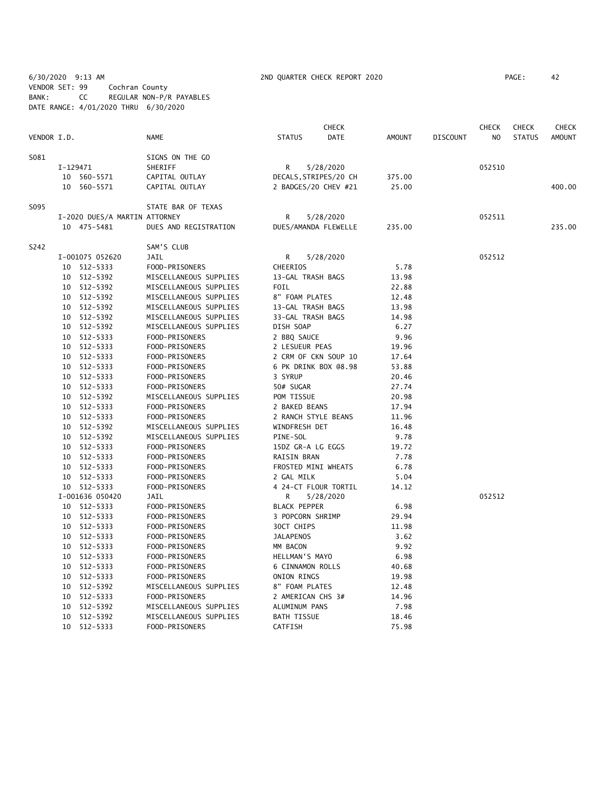6/30/2020 9:13 AM 2ND QUARTER CHECK REPORT 2020 PAGE: 42 VENDOR SET: 99 Cochran County BANK: CC REGULAR NON-P/R PAYABLES DATE RANGE: 4/01/2020 THRU 6/30/2020

|             |          |                               |                        |                       | CHECK     |        |                 | <b>CHECK</b> | <b>CHECK</b>  | CHECK         |
|-------------|----------|-------------------------------|------------------------|-----------------------|-----------|--------|-----------------|--------------|---------------|---------------|
| VENDOR I.D. |          |                               | <b>NAME</b>            | <b>STATUS</b>         | DATE      | AMOUNT | <b>DISCOUNT</b> | NO           | <b>STATUS</b> | <b>AMOUNT</b> |
| S081        |          |                               | SIGNS ON THE GO        |                       |           |        |                 |              |               |               |
|             | I-129471 |                               | SHERIFF                | R                     | 5/28/2020 |        |                 | 052510       |               |               |
|             |          | 10 560-5571                   | CAPITAL OUTLAY         | DECALS, STRIPES/20 CH |           | 375.00 |                 |              |               |               |
|             |          | 10 560-5571                   | CAPITAL OUTLAY         | 2 BADGES/20 CHEV #21  |           | 25.00  |                 |              |               | 400.00        |
| S095        |          |                               | STATE BAR OF TEXAS     |                       |           |        |                 |              |               |               |
|             |          | I-2020 DUES/A MARTIN ATTORNEY |                        | R                     | 5/28/2020 |        |                 | 052511       |               |               |
|             |          | 10 475-5481                   | DUES AND REGISTRATION  | DUES/AMANDA FLEWELLE  |           | 235.00 |                 |              |               | 235.00        |
| S242        |          |                               | SAM'S CLUB             |                       |           |        |                 |              |               |               |
|             |          | I-001075 052620               | JAIL                   | R                     | 5/28/2020 |        |                 | 052512       |               |               |
|             |          | 10 512-5333                   | FOOD-PRISONERS         | CHEERIOS              |           | 5.78   |                 |              |               |               |
|             |          | 10 512-5392                   | MISCELLANEOUS SUPPLIES | 13-GAL TRASH BAGS     |           | 13.98  |                 |              |               |               |
|             |          | 10 512-5392                   | MISCELLANEOUS SUPPLIES | FOIL                  |           | 22.88  |                 |              |               |               |
|             |          | 10 512-5392                   | MISCELLANEOUS SUPPLIES | 8" FOAM PLATES        |           | 12.48  |                 |              |               |               |
|             |          | 10 512-5392                   | MISCELLANEOUS SUPPLIES | 13-GAL TRASH BAGS     |           | 13.98  |                 |              |               |               |
|             |          | 10 512-5392                   | MISCELLANEOUS SUPPLIES | 33-GAL TRASH BAGS     |           | 14.98  |                 |              |               |               |
|             |          | 10 512-5392                   | MISCELLANEOUS SUPPLIES | DISH SOAP             |           | 6.27   |                 |              |               |               |
|             |          | 10 512-5333                   | FOOD-PRISONERS         | 2 BBQ SAUCE           |           | 9.96   |                 |              |               |               |
|             |          | 10 512-5333                   | FOOD-PRISONERS         | 2 LESUEUR PEAS        |           | 19.96  |                 |              |               |               |
|             |          | 10 512-5333                   | FOOD-PRISONERS         | 2 CRM OF CKN SOUP 10  |           | 17.64  |                 |              |               |               |
|             | 10       | 512-5333                      | FOOD-PRISONERS         | 6 PK DRINK BOX @8.98  |           | 53.88  |                 |              |               |               |
|             |          | 10 512-5333                   | FOOD-PRISONERS         | 3 SYRUP               |           | 20.46  |                 |              |               |               |
|             |          | 10 512-5333                   | FOOD-PRISONERS         | 50# SUGAR             |           | 27.74  |                 |              |               |               |
|             |          | 10 512-5392                   | MISCELLANEOUS SUPPLIES | POM TISSUE            |           | 20.98  |                 |              |               |               |
|             |          | 10 512-5333                   | FOOD-PRISONERS         | 2 BAKED BEANS         |           | 17.94  |                 |              |               |               |
|             |          | 10 512-5333                   | FOOD-PRISONERS         | 2 RANCH STYLE BEANS   |           | 11.96  |                 |              |               |               |
|             |          | 10 512-5392                   | MISCELLANEOUS SUPPLIES | WINDFRESH DET         |           | 16.48  |                 |              |               |               |
|             |          | 10 512-5392                   | MISCELLANEOUS SUPPLIES | PINE-SOL              |           | 9.78   |                 |              |               |               |
|             |          | 10 512-5333                   | FOOD-PRISONERS         | 15DZ GR-A LG EGGS     |           | 19.72  |                 |              |               |               |
|             |          | 10 512-5333                   | FOOD-PRISONERS         | RAISIN BRAN           |           | 7.78   |                 |              |               |               |
|             |          | 10 512-5333                   | FOOD-PRISONERS         | FROSTED MINI WHEATS   |           | 6.78   |                 |              |               |               |
|             |          | 10 512-5333                   | FOOD-PRISONERS         | 2 GAL MILK            |           | 5.04   |                 |              |               |               |
|             |          | 10 512-5333                   | FOOD-PRISONERS         | 4 24-CT FLOUR TORTIL  |           | 14.12  |                 |              |               |               |
|             |          | I-001636 050420               | JAIL                   | R                     | 5/28/2020 |        |                 | 052512       |               |               |
|             |          | 10 512-5333                   | FOOD-PRISONERS         | <b>BLACK PEPPER</b>   |           | 6.98   |                 |              |               |               |
|             |          | 10 512-5333                   | FOOD-PRISONERS         | 3 POPCORN SHRIMP      |           | 29.94  |                 |              |               |               |
|             |          | 10 512-5333                   | FOOD-PRISONERS         | 30CT CHIPS            |           | 11.98  |                 |              |               |               |
|             |          | 10 512-5333                   | FOOD-PRISONERS         | <b>JALAPENOS</b>      |           | 3.62   |                 |              |               |               |
|             |          | 10 512-5333                   | FOOD-PRISONERS         | MM BACON              |           | 9.92   |                 |              |               |               |
|             |          | 10 512-5333                   | FOOD-PRISONERS         | HELLMAN'S MAYO        |           | 6.98   |                 |              |               |               |
|             |          | 10 512-5333                   | FOOD-PRISONERS         | 6 CINNAMON ROLLS      |           | 40.68  |                 |              |               |               |
|             |          | 10 512-5333                   | FOOD-PRISONERS         | ONION RINGS           |           | 19.98  |                 |              |               |               |
|             |          | 10 512-5392                   | MISCELLANEOUS SUPPLIES | 8" FOAM PLATES        |           | 12.48  |                 |              |               |               |
|             |          | 10 512-5333                   | FOOD-PRISONERS         | 2 AMERICAN CHS 3#     |           | 14.96  |                 |              |               |               |
|             |          | 10 512-5392                   | MISCELLANEOUS SUPPLIES | ALUMINUM PANS         |           | 7.98   |                 |              |               |               |
|             |          | 10 512-5392                   | MISCELLANEOUS SUPPLIES | <b>BATH TISSUE</b>    |           | 18.46  |                 |              |               |               |
|             |          | 10 512-5333                   | FOOD-PRISONERS         | CATFISH               |           | 75.98  |                 |              |               |               |
|             |          |                               |                        |                       |           |        |                 |              |               |               |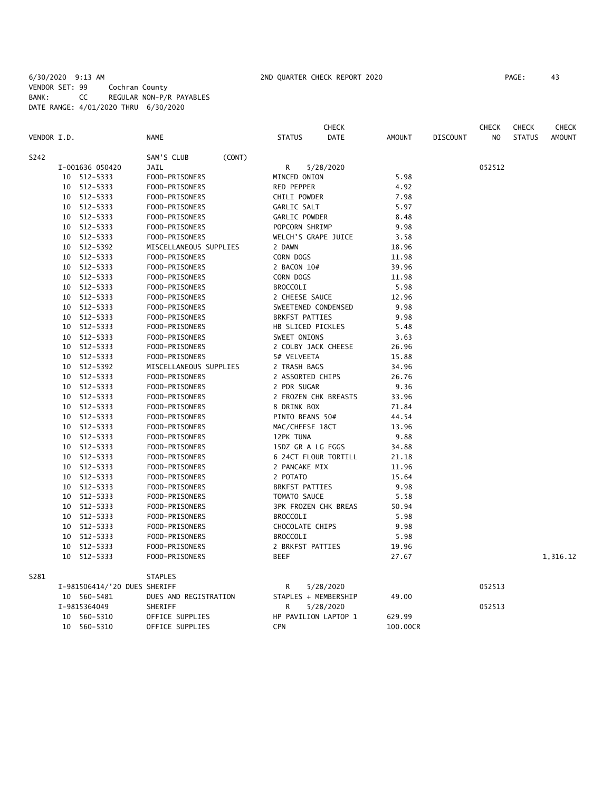# 6/30/2020 9:13 AM 2ND QUARTER CHECK REPORT 2020 PAGE: 43 VENDOR SET: 99 Cochran County BANK: CC REGULAR NON-P/R PAYABLES DATE RANGE: 4/01/2020 THRU 6/30/2020

|             |    |                              |                        |                       | <b>CHECK</b>                |               |                 | <b>CHECK</b>   | <b>CHECK</b>  | <b>CHECK</b>  |
|-------------|----|------------------------------|------------------------|-----------------------|-----------------------------|---------------|-----------------|----------------|---------------|---------------|
| VENDOR I.D. |    |                              | <b>NAME</b>            | <b>STATUS</b>         | <b>DATE</b>                 | <b>AMOUNT</b> | <b>DISCOUNT</b> | N <sub>O</sub> | <b>STATUS</b> | <b>AMOUNT</b> |
| S242        |    |                              | SAM'S CLUB<br>(CONT)   |                       |                             |               |                 |                |               |               |
|             |    | I-001636 050420              | <b>JAIL</b>            | R                     | 5/28/2020                   |               |                 | 052512         |               |               |
|             | 10 | 512-5333                     | FOOD-PRISONERS         | MINCED ONION          |                             | 5.98          |                 |                |               |               |
|             | 10 | 512-5333                     | FOOD-PRISONERS         | RED PEPPER            |                             | 4.92          |                 |                |               |               |
|             | 10 | 512-5333                     | FOOD-PRISONERS         | CHILI POWDER          |                             | 7.98          |                 |                |               |               |
|             | 10 | 512-5333                     | FOOD-PRISONERS         | GARLIC SALT           |                             | 5.97          |                 |                |               |               |
|             | 10 | 512-5333                     | FOOD-PRISONERS         | GARLIC POWDER         |                             | 8.48          |                 |                |               |               |
|             | 10 | 512-5333                     | FOOD-PRISONERS         | POPCORN SHRIMP        |                             | 9.98          |                 |                |               |               |
|             | 10 | 512-5333                     | FOOD-PRISONERS         | WELCH'S GRAPE JUICE   |                             | 3.58          |                 |                |               |               |
|             | 10 | 512-5392                     | MISCELLANEOUS SUPPLIES | 2 DAWN                |                             | 18.96         |                 |                |               |               |
|             | 10 | 512-5333                     | FOOD-PRISONERS         | CORN DOGS             |                             | 11.98         |                 |                |               |               |
|             | 10 | 512-5333                     | FOOD-PRISONERS         | 2 BACON 10#           |                             | 39.96         |                 |                |               |               |
|             | 10 | 512-5333                     | FOOD-PRISONERS         | CORN DOGS             |                             | 11.98         |                 |                |               |               |
|             | 10 | 512-5333                     | FOOD-PRISONERS         | <b>BROCCOLI</b>       |                             | 5.98          |                 |                |               |               |
|             | 10 | 512-5333                     | FOOD-PRISONERS         | 2 CHEESE SAUCE        |                             | 12.96         |                 |                |               |               |
|             | 10 | 512-5333                     | FOOD-PRISONERS         | SWEETENED CONDENSED   |                             | 9.98          |                 |                |               |               |
|             | 10 | 512-5333                     | FOOD-PRISONERS         | <b>BRKFST PATTIES</b> |                             | 9.98          |                 |                |               |               |
|             | 10 | 512-5333                     | FOOD-PRISONERS         | HB SLICED PICKLES     |                             | 5.48          |                 |                |               |               |
|             | 10 | 512-5333                     | FOOD-PRISONERS         | SWEET ONIONS          |                             | 3.63          |                 |                |               |               |
|             | 10 | 512-5333                     | FOOD-PRISONERS         | 2 COLBY JACK CHEESE   |                             | 26.96         |                 |                |               |               |
|             | 10 | 512-5333                     | FOOD-PRISONERS         | 5# VELVEETA           |                             | 15.88         |                 |                |               |               |
|             | 10 | 512-5392                     | MISCELLANEOUS SUPPLIES | 2 TRASH BAGS          |                             | 34.96         |                 |                |               |               |
|             | 10 | 512-5333                     | FOOD-PRISONERS         | 2 ASSORTED CHIPS      |                             | 26.76         |                 |                |               |               |
|             | 10 | 512-5333                     | FOOD-PRISONERS         | 2 PDR SUGAR           |                             | 9.36          |                 |                |               |               |
|             | 10 | 512-5333                     | FOOD-PRISONERS         |                       | 2 FROZEN CHK BREASTS        | 33.96         |                 |                |               |               |
|             | 10 | 512-5333                     | FOOD-PRISONERS         | 8 DRINK BOX           |                             | 71.84         |                 |                |               |               |
|             | 10 | 512-5333                     | FOOD-PRISONERS         | PINTO BEANS 50#       |                             | 44.54         |                 |                |               |               |
|             | 10 | 512-5333                     | FOOD-PRISONERS         | MAC/CHEESE 18CT       |                             | 13.96         |                 |                |               |               |
|             | 10 | 512-5333                     | FOOD-PRISONERS         | 12PK TUNA             |                             | 9.88          |                 |                |               |               |
|             | 10 | 512-5333                     | FOOD-PRISONERS         | 15DZ GR A LG EGGS     |                             | 34.88         |                 |                |               |               |
|             | 10 | 512-5333                     | FOOD-PRISONERS         |                       | 6 24CT FLOUR TORTILL        | 21.18         |                 |                |               |               |
|             | 10 | 512-5333                     | FOOD-PRISONERS         | 2 PANCAKE MIX         |                             | 11.96         |                 |                |               |               |
|             | 10 | 512-5333                     | FOOD-PRISONERS         | 2 POTATO              |                             | 15.64         |                 |                |               |               |
|             | 10 | 512-5333                     | FOOD-PRISONERS         | <b>BRKFST PATTIES</b> |                             | 9.98          |                 |                |               |               |
|             | 10 | 512-5333                     | FOOD-PRISONERS         | TOMATO SAUCE          |                             | 5.58          |                 |                |               |               |
|             | 10 | 512-5333                     | FOOD-PRISONERS         |                       | <b>3PK FROZEN CHK BREAS</b> | 50.94         |                 |                |               |               |
|             | 10 | 512-5333                     | FOOD-PRISONERS         | <b>BROCCOLI</b>       |                             | 5.98          |                 |                |               |               |
|             | 10 | 512-5333                     | FOOD-PRISONERS         | CHOCOLATE CHIPS       |                             | 9.98          |                 |                |               |               |
|             | 10 | 512-5333                     | FOOD-PRISONERS         | <b>BROCCOLI</b>       |                             | 5.98          |                 |                |               |               |
|             | 10 | 512-5333                     | FOOD-PRISONERS         | 2 BRKFST PATTIES      |                             | 19.96         |                 |                |               |               |
|             | 10 | 512-5333                     | FOOD-PRISONERS         | BEEF                  |                             | 27.67         |                 |                |               | 1,316.12      |
| S281        |    |                              | <b>STAPLES</b>         |                       |                             |               |                 |                |               |               |
|             |    | I-981506414/'20 DUES SHERIFF |                        | R                     | 5/28/2020                   |               |                 | 052513         |               |               |
|             |    | 10 560-5481                  | DUES AND REGISTRATION  |                       | STAPLES + MEMBERSHIP        | 49.00         |                 |                |               |               |
|             |    | I-9815364049                 | SHERIFF                | R                     | 5/28/2020                   |               |                 | 052513         |               |               |
|             | 10 | 560-5310                     | OFFICE SUPPLIES        |                       | HP PAVILION LAPTOP 1        | 629.99        |                 |                |               |               |
|             | 10 | 560-5310                     | OFFICE SUPPLIES        | CPN                   |                             | 100.00CR      |                 |                |               |               |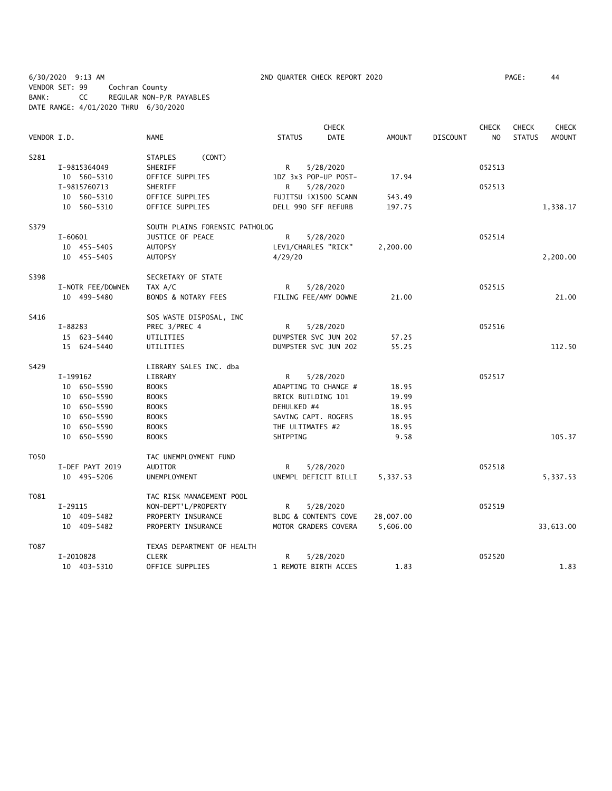6/30/2020 9:13 AM 2ND QUARTER CHECK REPORT 2020 PAGE: 44 VENDOR SET: 99 Cochran County BANK: CC REGULAR NON-P/R PAYABLES DATE RANGE: 4/01/2020 THRU 6/30/2020

|             |                   |                                |                      | <b>CHECK</b>         |           |                 | <b>CHECK</b> | <b>CHECK</b>  | <b>CHECK</b> |
|-------------|-------------------|--------------------------------|----------------------|----------------------|-----------|-----------------|--------------|---------------|--------------|
| VENDOR I.D. |                   | <b>NAME</b>                    | <b>STATUS</b>        | <b>DATE</b>          | AMOUNT    | <b>DISCOUNT</b> | NO.          | <b>STATUS</b> | AMOUNT       |
| S281        |                   | (CONT)<br><b>STAPLES</b>       |                      |                      |           |                 |              |               |              |
|             | I-9815364049      | SHERIFF                        | R                    | 5/28/2020            |           |                 | 052513       |               |              |
|             | 10 560-5310       | OFFICE SUPPLIES                | 1DZ 3x3 POP-UP POST- |                      | 17.94     |                 |              |               |              |
|             | I-9815760713      | SHERIFF                        | R                    | 5/28/2020            |           |                 | 052513       |               |              |
|             | 10 560-5310       | OFFICE SUPPLIES                | FUJITSU iX1500 SCANN |                      | 543.49    |                 |              |               |              |
|             | 10 560-5310       | OFFICE SUPPLIES                | DELL 990 SFF REFURB  |                      | 197.75    |                 |              |               | 1,338.17     |
| S379        |                   | SOUTH PLAINS FORENSIC PATHOLOG |                      |                      |           |                 |              |               |              |
|             | $I - 60601$       | JUSTICE OF PEACE               | R                    | 5/28/2020            |           |                 | 052514       |               |              |
|             | 10 455-5405       | <b>AUTOPSY</b>                 | LEV1/CHARLES "RICK"  |                      | 2,200.00  |                 |              |               |              |
|             | 10 455-5405       | <b>AUTOPSY</b>                 | 4/29/20              |                      |           |                 |              |               | 2,200.00     |
| S398        |                   | SECRETARY OF STATE             |                      |                      |           |                 |              |               |              |
|             | I-NOTR FEE/DOWNEN | TAX A/C                        | R                    | 5/28/2020            |           |                 | 052515       |               |              |
|             | 10 499-5480       | <b>BONDS &amp; NOTARY FEES</b> | FILING FEE/AMY DOWNE |                      | 21.00     |                 |              |               | 21.00        |
| S416        |                   | SOS WASTE DISPOSAL, INC        |                      |                      |           |                 |              |               |              |
|             | I-88283           | PREC 3/PREC 4                  | R                    | 5/28/2020            |           |                 | 052516       |               |              |
|             | 15 623-5440       | UTILITIES                      | DUMPSTER SVC JUN 202 |                      | 57.25     |                 |              |               |              |
|             | 15 624-5440       | UTILITIES                      | DUMPSTER SVC JUN 202 |                      | 55.25     |                 |              |               | 112.50       |
| S429        |                   | LIBRARY SALES INC. dba         |                      |                      |           |                 |              |               |              |
|             | I-199162          | LIBRARY                        | R                    | 5/28/2020            |           |                 | 052517       |               |              |
|             | 10 650-5590       | <b>BOOKS</b>                   | ADAPTING TO CHANGE # |                      | 18.95     |                 |              |               |              |
|             | 10 650-5590       | <b>BOOKS</b>                   | BRICK BUILDING 101   |                      | 19.99     |                 |              |               |              |
|             | 10 650-5590       | <b>BOOKS</b>                   | DEHULKED #4          |                      | 18.95     |                 |              |               |              |
|             | 10 650-5590       | <b>BOOKS</b>                   | SAVING CAPT. ROGERS  |                      | 18.95     |                 |              |               |              |
|             | 10 650-5590       | <b>BOOKS</b>                   | THE ULTIMATES #2     |                      | 18.95     |                 |              |               |              |
|             | 10 650-5590       | <b>BOOKS</b>                   | SHIPPING             |                      | 9.58      |                 |              |               | 105.37       |
| T050        |                   | TAC UNEMPLOYMENT FUND          |                      |                      |           |                 |              |               |              |
|             | I-DEF PAYT 2019   | AUDITOR                        | R                    | 5/28/2020            |           |                 | 052518       |               |              |
|             | 10 495-5206       | UNEMPLOYMENT                   |                      | UNEMPL DEFICIT BILLI | 5,337.53  |                 |              |               | 5,337.53     |
| T081        |                   | TAC RISK MANAGEMENT POOL       |                      |                      |           |                 |              |               |              |
|             | $I-29115$         | NON-DEPT'L/PROPERTY            | R                    | 5/28/2020            |           |                 | 052519       |               |              |
|             | 10 409-5482       | PROPERTY INSURANCE             | BLDG & CONTENTS COVE |                      | 28,007.00 |                 |              |               |              |
|             | 10 409-5482       | PROPERTY INSURANCE             | MOTOR GRADERS COVERA |                      | 5,606.00  |                 |              |               | 33,613.00    |
| T087        |                   | TEXAS DEPARTMENT OF HEALTH     |                      |                      |           |                 |              |               |              |
|             | I-2010828         | <b>CLERK</b>                   | R.                   | 5/28/2020            |           |                 | 052520       |               |              |
|             | 10 403-5310       | OFFICE SUPPLIES                | 1 REMOTE BIRTH ACCES |                      | 1.83      |                 |              |               | 1.83         |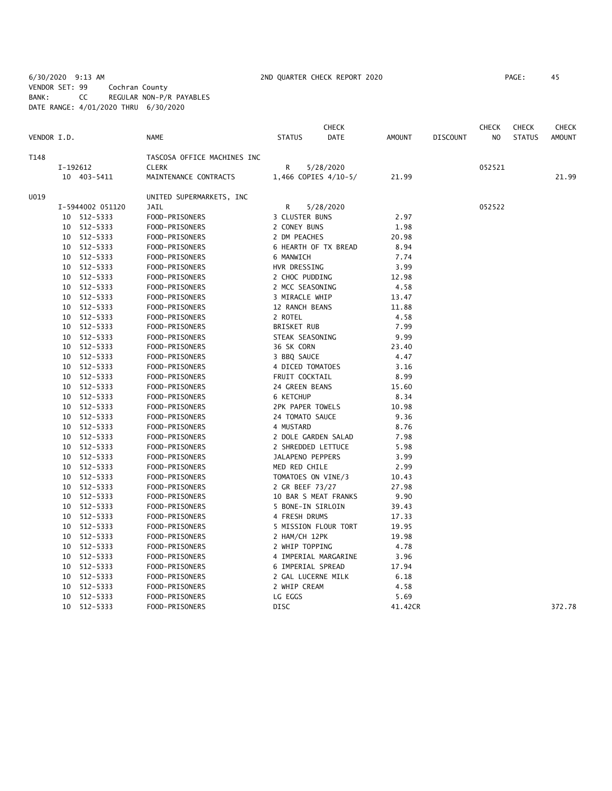6/30/2020 9:13 AM 2ND QUARTER CHECK REPORT 2020 PAGE: 45 VENDOR SET: 99 Cochran County BANK: CC REGULAR NON-P/R PAYABLES DATE RANGE: 4/01/2020 THRU 6/30/2020

|             |    |                  |                             |                      | <b>CHECK</b>         |               |                 | <b>CHECK</b>   | <b>CHECK</b>  | <b>CHECK</b>  |
|-------------|----|------------------|-----------------------------|----------------------|----------------------|---------------|-----------------|----------------|---------------|---------------|
| VENDOR I.D. |    |                  | <b>NAME</b>                 | <b>STATUS</b>        | DATE                 | <b>AMOUNT</b> | <b>DISCOUNT</b> | N <sub>O</sub> | <b>STATUS</b> | <b>AMOUNT</b> |
| T148        |    |                  | TASCOSA OFFICE MACHINES INC |                      |                      |               |                 |                |               |               |
|             |    | I-192612         | <b>CLERK</b>                | R                    | 5/28/2020            |               |                 | 052521         |               |               |
|             |    | 10 403-5411      | MAINTENANCE CONTRACTS       |                      | 1,466 COPIES 4/10-5/ | 21.99         |                 |                |               | 21.99         |
| U019        |    |                  | UNITED SUPERMARKETS, INC    |                      |                      |               |                 |                |               |               |
|             |    | I-5944002 051120 | JAIL                        | R                    | 5/28/2020            |               |                 | 052522         |               |               |
|             |    | 10 512-5333      | FOOD-PRISONERS              | 3 CLUSTER BUNS       |                      | 2.97          |                 |                |               |               |
|             |    | 10 512-5333      | FOOD-PRISONERS              | 2 CONEY BUNS         |                      | 1.98          |                 |                |               |               |
|             |    | 10 512-5333      | FOOD-PRISONERS              | 2 DM PEACHES         |                      | 20.98         |                 |                |               |               |
|             |    | 10 512-5333      | FOOD-PRISONERS              | 6 HEARTH OF TX BREAD |                      | 8.94          |                 |                |               |               |
|             |    | 10 512-5333      | FOOD-PRISONERS              | 6 MANWICH            |                      | 7.74          |                 |                |               |               |
|             | 10 | 512-5333         | FOOD-PRISONERS              | HVR DRESSING         |                      | 3.99          |                 |                |               |               |
|             | 10 | 512-5333         | FOOD-PRISONERS              | 2 CHOC PUDDING       |                      | 12.98         |                 |                |               |               |
|             | 10 | 512-5333         | FOOD-PRISONERS              | 2 MCC SEASONING      |                      | 4.58          |                 |                |               |               |
|             | 10 | 512-5333         | FOOD-PRISONERS              | 3 MIRACLE WHIP       |                      | 13.47         |                 |                |               |               |
|             | 10 | 512-5333         | FOOD-PRISONERS              | 12 RANCH BEANS       |                      | 11.88         |                 |                |               |               |
|             | 10 | 512-5333         | FOOD-PRISONERS              | 2 ROTEL              |                      | 4.58          |                 |                |               |               |
|             |    | 10 512-5333      | FOOD-PRISONERS              | BRISKET RUB          |                      | 7.99          |                 |                |               |               |
|             |    | 10 512-5333      | FOOD-PRISONERS              | STEAK SEASONING      |                      | 9.99          |                 |                |               |               |
|             |    | 10 512-5333      | FOOD-PRISONERS              | 36 SK CORN           |                      | 23.40         |                 |                |               |               |
|             |    | 10 512-5333      | FOOD-PRISONERS              | 3 BBQ SAUCE          |                      | 4.47          |                 |                |               |               |
|             |    | 10 512-5333      | FOOD-PRISONERS              | 4 DICED TOMATOES     |                      | 3.16          |                 |                |               |               |
|             |    | 10 512-5333      | FOOD-PRISONERS              | FRUIT COCKTAIL       |                      | 8.99          |                 |                |               |               |
|             | 10 | 512-5333         | FOOD-PRISONERS              | 24 GREEN BEANS       |                      | 15.60         |                 |                |               |               |
|             | 10 | 512-5333         | FOOD-PRISONERS              | 6 KETCHUP            |                      | 8.34          |                 |                |               |               |
|             | 10 | 512-5333         | FOOD-PRISONERS              | 2PK PAPER TOWELS     |                      | 10.98         |                 |                |               |               |
|             | 10 | 512-5333         | FOOD-PRISONERS              | 24 TOMATO SAUCE      |                      | 9.36          |                 |                |               |               |
|             |    | 10 512-5333      | FOOD-PRISONERS              | 4 MUSTARD            |                      | 8.76          |                 |                |               |               |
|             |    | 10 512-5333      | FOOD-PRISONERS              | 2 DOLE GARDEN SALAD  |                      | 7.98          |                 |                |               |               |
|             |    | 10 512-5333      | FOOD-PRISONERS              | 2 SHREDDED LETTUCE   |                      | 5.98          |                 |                |               |               |
|             |    | 10 512-5333      | FOOD-PRISONERS              | JALAPENO PEPPERS     |                      | 3.99          |                 |                |               |               |
|             |    | 10 512-5333      | FOOD-PRISONERS              | MED RED CHILE        |                      | 2.99          |                 |                |               |               |
|             | 10 | 512-5333         | FOOD-PRISONERS              | TOMATOES ON VINE/3   |                      | 10.43         |                 |                |               |               |
|             | 10 | 512-5333         | FOOD-PRISONERS              | 2 GR BEEF 73/27      |                      | 27.98         |                 |                |               |               |
|             | 10 | 512-5333         | FOOD-PRISONERS              | 10 BAR S MEAT FRANKS |                      | 9.90          |                 |                |               |               |
|             | 10 | 512-5333         | FOOD-PRISONERS              | 5 BONE-IN SIRLOIN    |                      | 39.43         |                 |                |               |               |
|             | 10 | 512-5333         | FOOD-PRISONERS              | 4 FRESH DRUMS        |                      | 17.33         |                 |                |               |               |
|             | 10 | 512-5333         | FOOD-PRISONERS              |                      | 5 MISSION FLOUR TORT | 19.95         |                 |                |               |               |
|             | 10 | 512-5333         | FOOD-PRISONERS              | 2 HAM/CH 12PK        |                      | 19.98         |                 |                |               |               |
|             | 10 | 512-5333         | FOOD-PRISONERS              | 2 WHIP TOPPING       |                      | 4.78          |                 |                |               |               |
|             | 10 | 512-5333         | FOOD-PRISONERS              |                      | 4 IMPERIAL MARGARINE | 3.96          |                 |                |               |               |
|             | 10 | 512-5333         | FOOD-PRISONERS              | 6 IMPERIAL SPREAD    |                      | 17.94         |                 |                |               |               |
|             | 10 | 512-5333         | FOOD-PRISONERS              | 2 GAL LUCERNE MILK   |                      | 6.18          |                 |                |               |               |
|             | 10 | 512-5333         | FOOD-PRISONERS              | 2 WHIP CREAM         |                      | 4.58          |                 |                |               |               |
|             | 10 | 512-5333         | FOOD-PRISONERS              | LG EGGS              |                      | 5.69          |                 |                |               |               |
|             | 10 | 512-5333         | FOOD-PRISONERS              | <b>DISC</b>          |                      | 41.42CR       |                 |                |               | 372.78        |
|             |    |                  |                             |                      |                      |               |                 |                |               |               |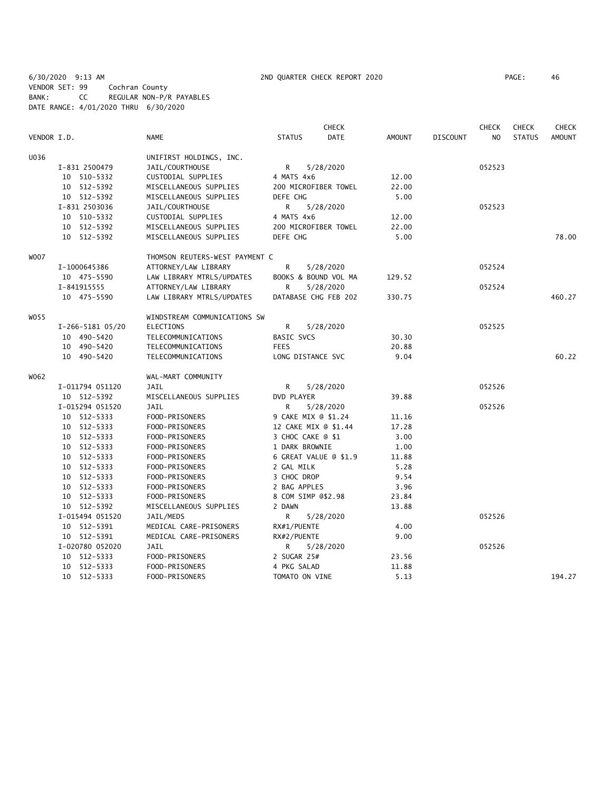6/30/2020 9:13 AM 2ND QUARTER CHECK REPORT 2020 PAGE: 46 VENDOR SET: 99 Cochran County BANK: CC REGULAR NON-P/R PAYABLES DATE RANGE: 4/01/2020 THRU 6/30/2020

|             |                  |                                | <b>CHECK</b>         |                       |               |                 | <b>CHECK</b>   | <b>CHECK</b>  | <b>CHECK</b>  |
|-------------|------------------|--------------------------------|----------------------|-----------------------|---------------|-----------------|----------------|---------------|---------------|
| VENDOR I.D. |                  | <b>NAME</b>                    | <b>STATUS</b>        | <b>DATE</b>           | <b>AMOUNT</b> | <b>DISCOUNT</b> | N <sub>O</sub> | <b>STATUS</b> | <b>AMOUNT</b> |
| U036        |                  | UNIFIRST HOLDINGS, INC.        |                      |                       |               |                 |                |               |               |
|             | I-831 2500479    | JAIL/COURTHOUSE                | R                    | 5/28/2020             |               |                 | 052523         |               |               |
|             | 10 510-5332      | CUSTODIAL SUPPLIES             | 4 MATS 4x6           |                       | 12.00         |                 |                |               |               |
|             | 10 512-5392      | MISCELLANEOUS SUPPLIES         |                      | 200 MICROFIBER TOWEL  | 22.00         |                 |                |               |               |
|             | 10 512-5392      | MISCELLANEOUS SUPPLIES         | DEFE CHG             |                       | 5.00          |                 |                |               |               |
|             | I-831 2503036    | JAIL/COURTHOUSE                | R                    | 5/28/2020             |               |                 | 052523         |               |               |
|             | 10 510-5332      | CUSTODIAL SUPPLIES             | 4 MATS 4x6           |                       | 12.00         |                 |                |               |               |
|             | 10 512-5392      | MISCELLANEOUS SUPPLIES         |                      | 200 MICROFIBER TOWEL  | 22.00         |                 |                |               |               |
|             | 10 512-5392      | MISCELLANEOUS SUPPLIES         | DEFE CHG             |                       | 5.00          |                 |                |               | 78.00         |
| <b>WOO7</b> |                  | THOMSON REUTERS-WEST PAYMENT C |                      |                       |               |                 |                |               |               |
|             | I-1000645386     | ATTORNEY/LAW LIBRARY           | R                    | 5/28/2020             |               |                 | 052524         |               |               |
|             | 10 475-5590      | LAW LIBRARY MTRLS/UPDATES      |                      | BOOKS & BOUND VOL MA  | 129.52        |                 |                |               |               |
|             | I-841915555      | ATTORNEY/LAW LIBRARY           | R                    | 5/28/2020             |               |                 | 052524         |               |               |
|             | 10 475-5590      | LAW LIBRARY MTRLS/UPDATES      |                      | DATABASE CHG FEB 202  | 330.75        |                 |                |               | 460.27        |
| W055        |                  | WINDSTREAM COMMUNICATIONS SW   |                      |                       |               |                 |                |               |               |
|             | I-266-5181 05/20 | <b>ELECTIONS</b>               | R                    | 5/28/2020             |               |                 | 052525         |               |               |
|             | 10 490-5420      | TELECOMMUNICATIONS             | BASIC SVCS           |                       | 30.30         |                 |                |               |               |
|             | 10 490-5420      | TELECOMMUNICATIONS             | <b>FEES</b>          |                       | 20.88         |                 |                |               |               |
|             | 10 490-5420      | TELECOMMUNICATIONS             | LONG DISTANCE SVC    |                       | 9.04          |                 |                |               | 60.22         |
| W062        |                  | WAL-MART COMMUNITY             |                      |                       |               |                 |                |               |               |
|             | I-011794 051120  | <b>JAIL</b>                    | R                    | 5/28/2020             |               |                 | 052526         |               |               |
|             | 10 512-5392      | MISCELLANEOUS SUPPLIES         | DVD PLAYER           |                       | 39.88         |                 |                |               |               |
|             | I-015294 051520  | <b>JAIL</b>                    | R                    | 5/28/2020             |               |                 | 052526         |               |               |
|             | 10 512-5333      | FOOD-PRISONERS                 | 9 CAKE MIX @ \$1.24  |                       | 11.16         |                 |                |               |               |
|             | 10 512-5333      | FOOD-PRISONERS                 | 12 CAKE MIX @ \$1.44 |                       | 17.28         |                 |                |               |               |
|             | 10 512-5333      | FOOD-PRISONERS                 | 3 CHOC CAKE @ \$1    |                       | 3.00          |                 |                |               |               |
|             | 10 512-5333      | FOOD-PRISONERS                 | 1 DARK BROWNIE       |                       | 1.00          |                 |                |               |               |
|             | 10 512-5333      | FOOD-PRISONERS                 |                      | 6 GREAT VALUE @ \$1.9 | 11.88         |                 |                |               |               |
|             | 10 512-5333      | FOOD-PRISONERS                 | 2 GAL MILK           |                       | 5.28          |                 |                |               |               |
|             | 10 512-5333      | FOOD-PRISONERS                 | 3 CHOC DROP          |                       | 9.54          |                 |                |               |               |
|             | 10 512-5333      | FOOD-PRISONERS                 | 2 BAG APPLES         |                       | 3.96          |                 |                |               |               |
|             | 10 512-5333      | FOOD-PRISONERS                 | 8 COM SIMP @\$2.98   |                       | 23.84         |                 |                |               |               |
|             | 10 512-5392      | MISCELLANEOUS SUPPLIES         | 2 DAWN               |                       | 13.88         |                 |                |               |               |
|             | I-015494 051520  | JAIL/MEDS                      | R                    | 5/28/2020             |               |                 | 052526         |               |               |
|             | 10 512-5391      | MEDICAL CARE-PRISONERS         | RX#1/PUENTE          |                       | 4.00          |                 |                |               |               |
|             | 10 512-5391      | MEDICAL CARE-PRISONERS         | RX#2/PUENTE          |                       | 9.00          |                 |                |               |               |
|             | I-020780 052020  | JAIL                           | R                    | 5/28/2020             |               |                 | 052526         |               |               |
|             | 10 512-5333      | FOOD-PRISONERS                 | 2 SUGAR 25#          |                       | 23.56         |                 |                |               |               |
|             | 10 512-5333      | FOOD-PRISONERS                 | 4 PKG SALAD          |                       | 11.88         |                 |                |               |               |
|             | 10 512-5333      | FOOD-PRISONERS                 | TOMATO ON VINE       |                       | 5.13          |                 |                |               | 194.27        |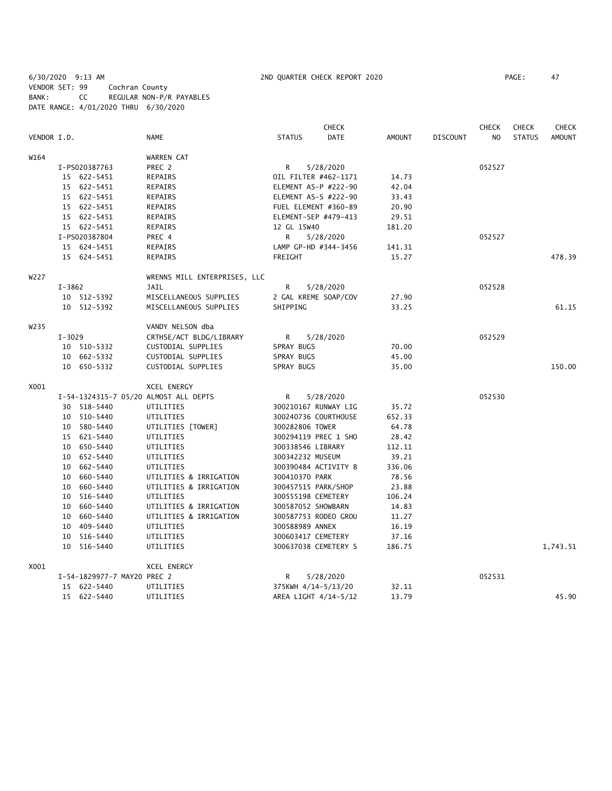6/30/2020 9:13 AM 2ND QUARTER CHECK REPORT 2020 PAGE: 47 VENDOR SET: 99 Cochran County BANK: CC REGULAR NON-P/R PAYABLES DATE RANGE: 4/01/2020 THRU 6/30/2020

|                   |            |                             |                                       |                    | <b>CHECK</b>         |        |                 | <b>CHECK</b> | <b>CHECK</b>  | <b>CHECK</b>  |
|-------------------|------------|-----------------------------|---------------------------------------|--------------------|----------------------|--------|-----------------|--------------|---------------|---------------|
| VENDOR I.D.       |            |                             | NAME                                  | <b>STATUS</b>      | DATE                 | AMOUNT | <b>DISCOUNT</b> | NO.          | <b>STATUS</b> | <b>AMOUNT</b> |
| W164              |            |                             | WARREN CAT                            |                    |                      |        |                 |              |               |               |
|                   |            | I-PS020387763               | PREC 2                                | R                  | 5/28/2020            |        |                 | 052527       |               |               |
|                   |            | 15 622-5451                 | <b>REPAIRS</b>                        |                    | OIL FILTER #462-1171 | 14.73  |                 |              |               |               |
|                   |            | 15 622-5451                 | <b>REPAIRS</b>                        |                    | ELEMENT AS-P #222-90 | 42.04  |                 |              |               |               |
|                   |            | 15 622-5451                 | REPAIRS                               |                    | ELEMENT AS-S #222-90 | 33.43  |                 |              |               |               |
|                   |            | 15 622-5451                 | REPAIRS                               |                    | FUEL ELEMENT #360-89 | 20.90  |                 |              |               |               |
|                   |            | 15 622-5451                 | <b>REPAIRS</b>                        |                    | ELEMENT-SEP #479-413 | 29.51  |                 |              |               |               |
|                   |            | 15 622-5451                 | REPAIRS                               | 12 GL 15W40        |                      | 181.20 |                 |              |               |               |
|                   |            | I-PS020387804               | PREC 4                                | R.                 | 5/28/2020            |        |                 | 052527       |               |               |
|                   |            | 15 624-5451                 | <b>REPAIRS</b>                        |                    | LAMP GP-HD #344-3456 | 141.31 |                 |              |               |               |
|                   |            | 15 624-5451                 | <b>REPAIRS</b>                        | FREIGHT            |                      | 15.27  |                 |              |               | 478.39        |
| W227              |            |                             | WRENNS MILL ENTERPRISES, LLC          |                    |                      |        |                 |              |               |               |
|                   | $I - 3862$ |                             | JAIL                                  | R                  | 5/28/2020            |        |                 | 052528       |               |               |
|                   |            | 10 512-5392                 | MISCELLANEOUS SUPPLIES                |                    | 2 GAL KREME SOAP/COV | 27.90  |                 |              |               |               |
|                   |            | 10 512-5392                 | MISCELLANEOUS SUPPLIES                | SHIPPING           |                      | 33.25  |                 |              |               | 61.15         |
| W <sub>2</sub> 35 |            |                             | VANDY NELSON dba                      |                    |                      |        |                 |              |               |               |
|                   | $I - 3029$ |                             | CRTHSE/ACT BLDG/LIBRARY               | R                  | 5/28/2020            |        |                 | 052529       |               |               |
|                   |            | 10 510-5332                 | CUSTODIAL SUPPLIES                    | SPRAY BUGS         |                      | 70.00  |                 |              |               |               |
|                   |            | 10 662-5332                 | CUSTODIAL SUPPLIES                    | SPRAY BUGS         |                      | 45.00  |                 |              |               |               |
|                   |            | 10 650-5332                 | CUSTODIAL SUPPLIES                    | SPRAY BUGS         |                      | 35.00  |                 |              |               | 150.00        |
| X001              |            |                             | XCEL ENERGY                           |                    |                      |        |                 |              |               |               |
|                   |            |                             | I-54-1324315-7 05/20 ALMOST ALL DEPTS | R                  | 5/28/2020            |        |                 | 052530       |               |               |
|                   |            | 30 518-5440                 | UTILITIES                             |                    | 300210167 RUNWAY LIG | 35.72  |                 |              |               |               |
|                   |            | 10 510-5440                 | UTILITIES                             |                    | 300240736 COURTHOUSE | 652.33 |                 |              |               |               |
|                   |            | 10 580-5440                 | UTILITIES [TOWER]                     | 300282806 TOWER    |                      | 64.78  |                 |              |               |               |
|                   |            | 15 621-5440                 | UTILITIES                             |                    | 300294119 PREC 1 SHO | 28.42  |                 |              |               |               |
|                   |            | 10 650-5440                 | UTILITIES                             | 300338546 LIBRARY  |                      | 112.11 |                 |              |               |               |
|                   |            | 10 652-5440                 | UTILITIES                             | 300342232 MUSEUM   |                      | 39.21  |                 |              |               |               |
|                   |            | 10 662-5440                 | UTILITIES                             |                    | 300390484 ACTIVITY B | 336.06 |                 |              |               |               |
|                   |            | 10 660-5440                 | UTILITIES & IRRIGATION                | 300410370 PARK     |                      | 78.56  |                 |              |               |               |
|                   |            | 10 660-5440                 | UTILITIES & IRRIGATION                |                    | 300457515 PARK/SHOP  | 23.88  |                 |              |               |               |
|                   |            | 10 516-5440                 | UTILITIES                             | 300555198 CEMETERY |                      | 106.24 |                 |              |               |               |
|                   |            | 10 660-5440                 | UTILITIES & IRRIGATION                | 300587052 SHOWBARN |                      | 14.83  |                 |              |               |               |
|                   | 10         | 660-5440                    | UTILITIES & IRRIGATION                |                    | 300587753 RODEO GROU | 11.27  |                 |              |               |               |
|                   |            | 10 409-5440                 | UTILITIES                             | 300588989 ANNEX    |                      | 16.19  |                 |              |               |               |
|                   |            | 10 516-5440                 | UTILITIES                             | 300603417 CEMETERY |                      | 37.16  |                 |              |               |               |
|                   |            | 10 516-5440                 | UTILITIES                             |                    | 300637038 CEMETERY S | 186.75 |                 |              |               | 1,743.51      |
| X001              |            |                             | <b>XCEL ENERGY</b>                    |                    |                      |        |                 |              |               |               |
|                   |            | I-54-1829977-7 MAY20 PREC 2 |                                       | R                  | 5/28/2020            |        |                 | 052531       |               |               |
|                   |            | 15 622-5440                 | UTILITIES                             |                    | 375KWH 4/14-5/13/20  | 32.11  |                 |              |               |               |
|                   |            | 15 622-5440                 | UTILITIES                             |                    | AREA LIGHT 4/14-5/12 | 13.79  |                 |              |               | 45.90         |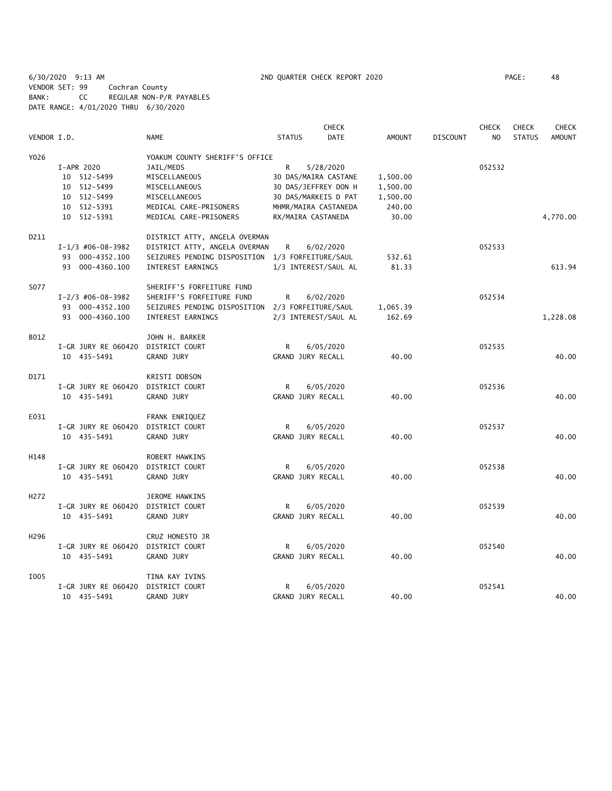6/30/2020 9:13 AM 2ND QUARTER CHECK REPORT 2020 PAGE: 48 VENDOR SET: 99 Cochran County BANK: CC REGULAR NON-P/R PAYABLES DATE RANGE: 4/01/2020 THRU 6/30/2020

| VENDOR I.D.      |                     | <b>NAME</b>                                      | <b>STATUS</b>        | <b>CHECK</b><br><b>DATE</b> | <b>AMOUNT</b> | <b>DISCOUNT</b> | <b>CHECK</b><br>N <sub>O</sub> | <b>CHECK</b><br><b>STATUS</b> | <b>CHECK</b><br><b>AMOUNT</b> |
|------------------|---------------------|--------------------------------------------------|----------------------|-----------------------------|---------------|-----------------|--------------------------------|-------------------------------|-------------------------------|
| Y026             |                     | YOAKUM COUNTY SHERIFF'S OFFICE                   |                      |                             |               |                 |                                |                               |                               |
|                  |                     |                                                  |                      |                             |               |                 |                                |                               |                               |
|                  | I-APR 2020          | JAIL/MEDS                                        | R                    | 5/28/2020                   |               |                 | 052532                         |                               |                               |
|                  | 10 512-5499         | MISCELLANEOUS                                    | 30 DAS/MAIRA CASTANE |                             | 1,500.00      |                 |                                |                               |                               |
|                  | 10 512-5499         | MISCELLANEOUS                                    | 30 DAS/JEFFREY DON H |                             | 1,500.00      |                 |                                |                               |                               |
|                  | 10 512-5499         | MISCELLANEOUS                                    | 30 DAS/MARKEIS D PAT |                             | 1,500.00      |                 |                                |                               |                               |
|                  | 10 512-5391         | MEDICAL CARE-PRISONERS                           | MHMR/MAIRA CASTANEDA |                             | 240.00        |                 |                                |                               |                               |
|                  | 10 512-5391         | MEDICAL CARE-PRISONERS                           | RX/MAIRA CASTANEDA   |                             | 30.00         |                 |                                |                               | 4,770.00                      |
| D211             |                     | DISTRICT ATTY, ANGELA OVERMAN                    |                      |                             |               |                 |                                |                               |                               |
|                  | $I-1/3$ #06-08-3982 | DISTRICT ATTY, ANGELA OVERMAN                    | R                    | 6/02/2020                   |               |                 | 052533                         |                               |                               |
|                  | 93 000-4352.100     | SEIZURES PENDING DISPOSITION 1/3 FORFEITURE/SAUL |                      |                             | 532.61        |                 |                                |                               |                               |
|                  | 93 000-4360.100     | INTEREST EARNINGS                                | 1/3 INTEREST/SAUL AL |                             | 81.33         |                 |                                |                               | 613.94                        |
| S077             |                     | SHERIFF'S FORFEITURE FUND                        |                      |                             |               |                 |                                |                               |                               |
|                  | $I-2/3$ #06-08-3982 | SHERIFF'S FORFEITURE FUND                        | R                    | 6/02/2020                   |               |                 | 052534                         |                               |                               |
|                  | 93 000-4352.100     | SEIZURES PENDING DISPOSITION 2/3 FORFEITURE/SAUL |                      |                             | 1,065.39      |                 |                                |                               |                               |
|                  | 93 000-4360.100     | INTEREST EARNINGS                                | 2/3 INTEREST/SAUL AL |                             | 162.69        |                 |                                |                               | 1,228.08                      |
| B012             |                     | JOHN H. BARKER                                   |                      |                             |               |                 |                                |                               |                               |
|                  | I-GR JURY RE 060420 | DISTRICT COURT                                   | R                    | 6/05/2020                   |               |                 | 052535                         |                               |                               |
|                  | 10 435-5491         | <b>GRAND JURY</b>                                | GRAND JURY RECALL    |                             | 40.00         |                 |                                |                               | 40.00                         |
|                  |                     |                                                  |                      |                             |               |                 |                                |                               |                               |
| D171             |                     | KRISTI DOBSON                                    |                      |                             |               |                 |                                |                               |                               |
|                  | I-GR JURY RE 060420 | DISTRICT COURT                                   | R                    | 6/05/2020                   |               |                 | 052536                         |                               |                               |
|                  | 10 435-5491         | <b>GRAND JURY</b>                                | GRAND JURY RECALL    |                             | 40.00         |                 |                                |                               | 40.00                         |
| E031             |                     | FRANK ENRIQUEZ                                   |                      |                             |               |                 |                                |                               |                               |
|                  | I-GR JURY RE 060420 | DISTRICT COURT                                   | R                    | 6/05/2020                   |               |                 | 052537                         |                               |                               |
|                  | 10 435-5491         | GRAND JURY                                       | GRAND JURY RECALL    |                             | 40.00         |                 |                                |                               | 40.00                         |
|                  |                     |                                                  |                      |                             |               |                 |                                |                               |                               |
| H148             |                     | ROBERT HAWKINS                                   |                      |                             |               |                 |                                |                               |                               |
|                  | I-GR JURY RE 060420 | DISTRICT COURT                                   | R                    | 6/05/2020                   |               |                 | 052538                         |                               |                               |
|                  | 10 435-5491         | GRAND JURY                                       | GRAND JURY RECALL    |                             | 40.00         |                 |                                |                               | 40.00                         |
| H <sub>272</sub> |                     | JEROME HAWKINS                                   |                      |                             |               |                 |                                |                               |                               |
|                  | I-GR JURY RE 060420 | DISTRICT COURT                                   | R                    | 6/05/2020                   |               |                 | 052539                         |                               |                               |
|                  | 10 435-5491         | GRAND JURY                                       | GRAND JURY RECALL    |                             | 40.00         |                 |                                |                               | 40.00                         |
| H <sub>296</sub> |                     | CRUZ HONESTO JR                                  |                      |                             |               |                 |                                |                               |                               |
|                  | I-GR JURY RE 060420 | DISTRICT COURT                                   | R                    | 6/05/2020                   |               |                 | 052540                         |                               |                               |
|                  |                     |                                                  |                      |                             |               |                 |                                |                               |                               |
|                  | 10 435-5491         | GRAND JURY                                       | GRAND JURY RECALL    |                             | 40.00         |                 |                                |                               | 40.00                         |
| I005             |                     | TINA KAY IVINS                                   |                      |                             |               |                 |                                |                               |                               |
|                  | I-GR JURY RE 060420 | DISTRICT COURT                                   | R                    | 6/05/2020                   |               |                 | 052541                         |                               |                               |
|                  | 10 435-5491         | <b>GRAND JURY</b>                                | GRAND JURY RECALL    |                             | 40.00         |                 |                                |                               | 40.00                         |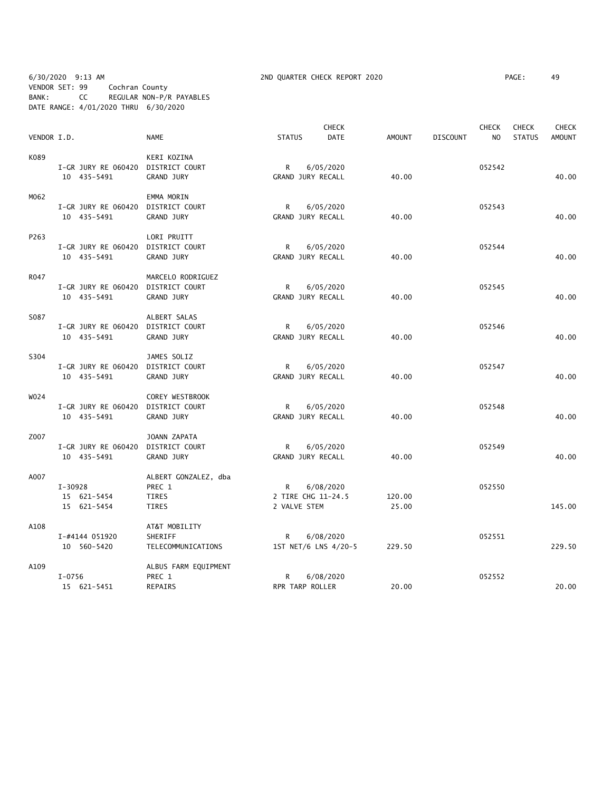6/30/2020 9:13 AM 2ND QUARTER CHECK REPORT 2020 PAGE: 49 VENDOR SET: 99 Cochran County BANK: CC REGULAR NON-P/R PAYABLES DATE RANGE: 4/01/2020 THRU 6/30/2020

|             |                                    |                        |                    | <b>CHECK</b>         |               |                 | <b>CHECK</b>   | <b>CHECK</b>  | <b>CHECK</b>  |
|-------------|------------------------------------|------------------------|--------------------|----------------------|---------------|-----------------|----------------|---------------|---------------|
| VENDOR I.D. |                                    | <b>NAME</b>            | <b>STATUS</b>      | DATE                 | <b>AMOUNT</b> | <b>DISCOUNT</b> | N <sub>O</sub> | <b>STATUS</b> | <b>AMOUNT</b> |
| K089        |                                    | KERI KOZINA            |                    |                      |               |                 |                |               |               |
|             | I-GR JURY RE 060420                | DISTRICT COURT         | R                  | 6/05/2020            |               |                 | 052542         |               |               |
|             | 10 435-5491                        | <b>GRAND JURY</b>      | GRAND JURY RECALL  |                      | 40.00         |                 |                |               | 40.00         |
| M062        |                                    | EMMA MORIN             |                    |                      |               |                 |                |               |               |
|             | I-GR JURY RE 060420                | DISTRICT COURT         | R                  | 6/05/2020            |               |                 | 052543         |               |               |
|             | 10 435-5491                        | <b>GRAND JURY</b>      | GRAND JURY RECALL  |                      | 40.00         |                 |                |               | 40.00         |
| P263        |                                    | LORI PRUITT            |                    |                      |               |                 |                |               |               |
|             | I-GR JURY RE 060420                | DISTRICT COURT         | R                  | 6/05/2020            |               |                 | 052544         |               |               |
|             | 10 435-5491                        | <b>GRAND JURY</b>      | GRAND JURY RECALL  |                      | 40.00         |                 |                |               | 40.00         |
| R047        |                                    | MARCELO RODRIGUEZ      |                    |                      |               |                 |                |               |               |
|             | I-GR JURY RE 060420                | DISTRICT COURT         | R                  | 6/05/2020            |               |                 | 052545         |               |               |
|             | 10 435-5491                        | <b>GRAND JURY</b>      | GRAND JURY RECALL  |                      | 40.00         |                 |                |               | 40.00         |
| S087        |                                    | ALBERT SALAS           |                    |                      |               |                 |                |               |               |
|             | I-GR JURY RE 060420 DISTRICT COURT |                        | $\mathsf{R}$       | 6/05/2020            |               |                 | 052546         |               |               |
|             | 10 435-5491                        | <b>GRAND JURY</b>      | GRAND JURY RECALL  |                      | 40.00         |                 |                |               | 40.00         |
| S304        |                                    | JAMES SOLIZ            |                    |                      |               |                 |                |               |               |
|             | I-GR JURY RE 060420                | DISTRICT COURT         | R                  | 6/05/2020            |               |                 | 052547         |               |               |
|             | 10 435-5491                        | <b>GRAND JURY</b>      | GRAND JURY RECALL  |                      | 40.00         |                 |                |               | 40.00         |
| W024        |                                    | <b>COREY WESTBROOK</b> |                    |                      |               |                 |                |               |               |
|             | I-GR JURY RE 060420                | DISTRICT COURT         | R                  | 6/05/2020            |               |                 | 052548         |               |               |
|             | 10 435-5491                        | GRAND JURY             | GRAND JURY RECALL  |                      | 40.00         |                 |                |               | 40.00         |
| Z007        |                                    | JOANN ZAPATA           |                    |                      |               |                 |                |               |               |
|             | I-GR JURY RE 060420                | DISTRICT COURT         | R                  | 6/05/2020            |               |                 | 052549         |               |               |
|             | 10 435-5491                        | GRAND JURY             | GRAND JURY RECALL  |                      | 40.00         |                 |                |               | 40.00         |
| A007        | $I-30928$                          | ALBERT GONZALEZ, dba   | R                  |                      |               |                 | 052550         |               |               |
|             | 15 621-5454                        | PREC 1<br>TIRES        | 2 TIRE CHG 11-24.5 | 6/08/2020            | 120.00        |                 |                |               |               |
|             | 15 621-5454                        | TIRES                  | 2 VALVE STEM       |                      | 25.00         |                 |                |               | 145.00        |
| A108        |                                    | AT&T MOBILITY          |                    |                      |               |                 |                |               |               |
|             | I-#4144 051920                     | SHERIFF                | R                  | 6/08/2020            |               |                 | 052551         |               |               |
|             | 10 560-5420                        | TELECOMMUNICATIONS     |                    | 1ST NET/6 LNS 4/20-5 | 229.50        |                 |                |               | 229.50        |
| A109        |                                    | ALBUS FARM EQUIPMENT   |                    |                      |               |                 |                |               |               |
|             | $I - 0756$                         | PREC 1                 | R                  | 6/08/2020            |               |                 | 052552         |               |               |
|             | 15 621-5451                        | <b>REPAIRS</b>         | RPR TARP ROLLER    |                      | 20.00         |                 |                |               | 20.00         |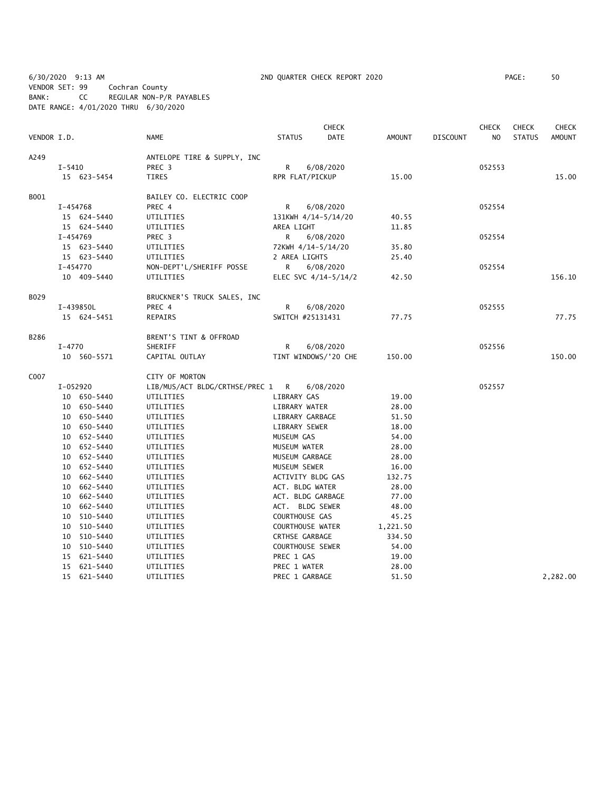6/30/2020 9:13 AM 2ND QUARTER CHECK REPORT 2020 PAGE: 50 VENDOR SET: 99 Cochran County BANK: CC REGULAR NON-P/R PAYABLES DATE RANGE: 4/01/2020 THRU 6/30/2020

| VENDOR I.D. |            |             | <b>NAME</b>                      | <b>STATUS</b>           | <b>CHECK</b><br>DATE | AMOUNT   | <b>DISCOUNT</b> | <b>CHECK</b><br>N <sub>O</sub> | <b>CHECK</b><br><b>STATUS</b> | <b>CHECK</b><br>AMOUNT |
|-------------|------------|-------------|----------------------------------|-------------------------|----------------------|----------|-----------------|--------------------------------|-------------------------------|------------------------|
|             |            |             |                                  |                         |                      |          |                 |                                |                               |                        |
| A249        |            |             | ANTELOPE TIRE & SUPPLY, INC      |                         |                      |          |                 |                                |                               |                        |
|             | $I - 5410$ |             | PREC 3                           | R                       | 6/08/2020            |          |                 | 052553                         |                               |                        |
|             |            | 15 623-5454 | <b>TIRES</b>                     | RPR FLAT/PICKUP         |                      | 15.00    |                 |                                |                               | 15.00                  |
| B001        |            |             | BAILEY CO. ELECTRIC COOP         |                         |                      |          |                 |                                |                               |                        |
|             |            | I-454768    | PREC 4                           | R                       | 6/08/2020            |          |                 | 052554                         |                               |                        |
|             |            | 15 624-5440 | UTILITIES                        | 131KWH 4/14-5/14/20     |                      | 40.55    |                 |                                |                               |                        |
|             |            | 15 624-5440 | UTILITIES                        | AREA LIGHT              |                      | 11.85    |                 |                                |                               |                        |
|             |            | I-454769    | PREC 3                           | R                       | 6/08/2020            |          |                 | 052554                         |                               |                        |
|             |            | 15 623-5440 | UTILITIES                        | 72KWH 4/14-5/14/20      |                      | 35.80    |                 |                                |                               |                        |
|             |            | 15 623-5440 | UTILITIES                        | 2 AREA LIGHTS           |                      | 25.40    |                 |                                |                               |                        |
|             |            | I-454770    | NON-DEPT'L/SHERIFF POSSE         | R                       | 6/08/2020            |          |                 | 052554                         |                               |                        |
|             |            | 10 409-5440 | UTILITIES                        |                         | ELEC SVC 4/14-5/14/2 | 42.50    |                 |                                |                               | 156.10                 |
| B029        |            |             | BRUCKNER'S TRUCK SALES, INC      |                         |                      |          |                 |                                |                               |                        |
|             |            | I-439850L   | PREC 4                           | R                       | 6/08/2020            |          |                 | 052555                         |                               |                        |
|             |            | 15 624-5451 | <b>REPAIRS</b>                   | SWITCH #25131431        |                      | 77.75    |                 |                                |                               | 77.75                  |
| B286        |            |             | BRENT'S TINT & OFFROAD           |                         |                      |          |                 |                                |                               |                        |
|             | $I-4770$   |             | SHERIFF                          | R                       | 6/08/2020            |          |                 | 052556                         |                               |                        |
|             |            | 10 560-5571 | CAPITAL OUTLAY                   |                         | TINT WINDOWS/'20 CHE | 150.00   |                 |                                |                               | 150.00                 |
|             |            |             |                                  |                         |                      |          |                 |                                |                               |                        |
| C007        |            |             | CITY OF MORTON                   |                         |                      |          |                 |                                |                               |                        |
|             |            | I-052920    | LIB/MUS/ACT BLDG/CRTHSE/PREC 1 R |                         | 6/08/2020            |          |                 | 052557                         |                               |                        |
|             |            | 10 650-5440 | UTILITIES                        | LIBRARY GAS             |                      | 19.00    |                 |                                |                               |                        |
|             |            | 10 650-5440 | UTILITIES                        | LIBRARY WATER           |                      | 28.00    |                 |                                |                               |                        |
|             |            | 10 650-5440 | UTILITIES                        | LIBRARY GARBAGE         |                      | 51.50    |                 |                                |                               |                        |
|             |            | 10 650-5440 | UTILITIES                        | LIBRARY SEWER           |                      | 18.00    |                 |                                |                               |                        |
|             |            | 10 652-5440 | UTILITIES                        | MUSEUM GAS              |                      | 54.00    |                 |                                |                               |                        |
|             |            | 10 652-5440 | UTILITIES                        | MUSEUM WATER            |                      | 28.00    |                 |                                |                               |                        |
|             |            | 10 652-5440 | UTILITIES                        | MUSEUM GARBAGE          |                      | 28.00    |                 |                                |                               |                        |
|             |            | 10 652-5440 | UTILITIES                        | MUSEUM SEWER            |                      | 16.00    |                 |                                |                               |                        |
|             |            | 10 662-5440 | UTILITIES                        | ACTIVITY BLDG GAS       |                      | 132.75   |                 |                                |                               |                        |
|             |            | 10 662-5440 | UTILITIES                        | ACT. BLDG WATER         |                      | 28.00    |                 |                                |                               |                        |
|             |            | 10 662-5440 | UTILITIES                        | ACT. BLDG GARBAGE       |                      | 77.00    |                 |                                |                               |                        |
|             |            | 10 662-5440 | UTILITIES                        | ACT. BLDG SEWER         |                      | 48.00    |                 |                                |                               |                        |
|             |            | 10 510-5440 | UTILITIES                        | COURTHOUSE GAS          |                      | 45.25    |                 |                                |                               |                        |
|             |            | 10 510-5440 | UTILITIES                        | COURTHOUSE WATER        |                      | 1,221.50 |                 |                                |                               |                        |
|             |            | 10 510-5440 | UTILITIES                        | CRTHSE GARBAGE          |                      | 334.50   |                 |                                |                               |                        |
|             |            | 10 510-5440 | UTILITIES                        | <b>COURTHOUSE SEWER</b> |                      | 54.00    |                 |                                |                               |                        |
|             |            | 15 621-5440 | UTILITIES                        | PREC 1 GAS              |                      | 19.00    |                 |                                |                               |                        |
|             |            | 15 621-5440 | UTILITIES                        | PREC 1 WATER            |                      | 28.00    |                 |                                |                               |                        |
|             |            | 15 621-5440 | UTILITIES                        | PREC 1 GARBAGE          |                      | 51.50    |                 |                                |                               | 2,282.00               |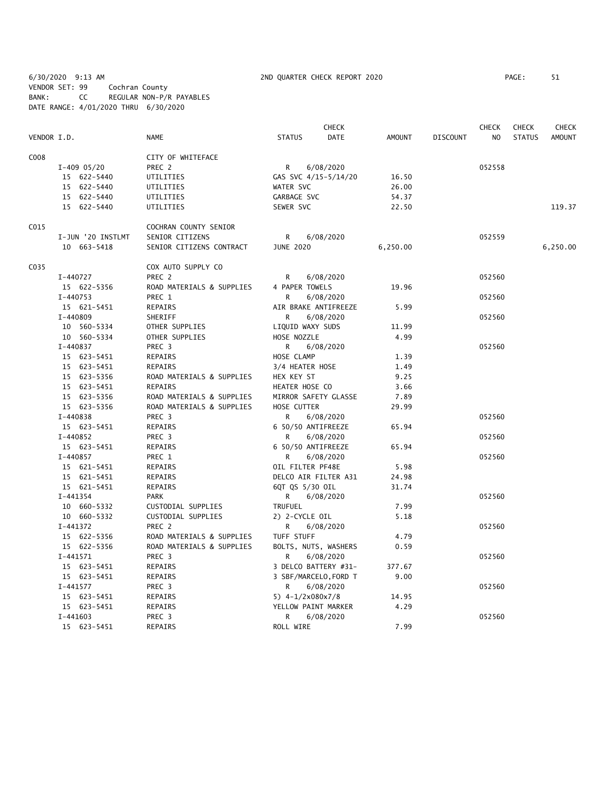6/30/2020 9:13 AM 2ND QUARTER CHECK REPORT 2020 PAGE: 51 VENDOR SET: 99 Cochran County BANK: CC REGULAR NON-P/R PAYABLES DATE RANGE: 4/01/2020 THRU 6/30/2020

|             |                   |                           |                                    | <b>CHECK</b>          |                 | CHECK          | <b>CHECK</b>  | <b>CHECK</b>  |
|-------------|-------------------|---------------------------|------------------------------------|-----------------------|-----------------|----------------|---------------|---------------|
| VENDOR I.D. |                   | <b>NAME</b>               | <b>STATUS</b>                      | DATE<br><b>AMOUNT</b> | <b>DISCOUNT</b> | N <sub>O</sub> | <b>STATUS</b> | <b>AMOUNT</b> |
| C008        |                   | CITY OF WHITEFACE         |                                    |                       |                 |                |               |               |
|             | $I-409$ 05/20     | PREC 2                    | 6/08/2020<br>R                     |                       |                 | 052558         |               |               |
|             | 15 622-5440       | UTILITIES                 | GAS SVC 4/15-5/14/20               | 16.50                 |                 |                |               |               |
|             | 15 622-5440       | UTILITIES                 | WATER SVC                          | 26.00                 |                 |                |               |               |
|             | 15 622-5440       | UTILITIES                 | GARBAGE SVC                        | 54.37                 |                 |                |               |               |
|             | 15 622-5440       | UTILITIES                 | SEWER SVC                          | 22.50                 |                 |                |               | 119.37        |
| C015        |                   | COCHRAN COUNTY SENIOR     |                                    |                       |                 |                |               |               |
|             | I-JUN '20 INSTLMT | SENIOR CITIZENS           | R<br>6/08/2020                     |                       |                 | 052559         |               |               |
|             | 10 663-5418       | SENIOR CITIZENS CONTRACT  | <b>JUNE 2020</b>                   | 6,250.00              |                 |                |               | 6,250.00      |
| C035        |                   | COX AUTO SUPPLY CO        |                                    |                       |                 |                |               |               |
|             | I-440727          | PREC 2                    | R<br>6/08/2020                     |                       |                 | 052560         |               |               |
|             | 15 622-5356       | ROAD MATERIALS & SUPPLIES | 4 PAPER TOWELS                     | 19.96                 |                 |                |               |               |
|             | $I - 440753$      | PREC 1                    | 6/08/2020<br>R                     |                       |                 | 052560         |               |               |
|             | 15 621-5451       | <b>REPAIRS</b>            | AIR BRAKE ANTIFREEZE               | 5.99                  |                 |                |               |               |
|             | I-440809          | SHERIFF                   | 6/08/2020<br>R                     |                       |                 | 052560         |               |               |
|             | 10 560-5334       | OTHER SUPPLIES            | LIQUID WAXY SUDS                   | 11.99                 |                 |                |               |               |
|             | 10 560-5334       | OTHER SUPPLIES            | HOSE NOZZLE                        | 4.99                  |                 |                |               |               |
|             | I-440837          | PREC 3                    | R<br>6/08/2020                     |                       |                 | 052560         |               |               |
|             | 15 623-5451       | REPAIRS                   | HOSE CLAMP                         | 1.39                  |                 |                |               |               |
|             | 15 623-5451       | <b>REPAIRS</b>            | 3/4 HEATER HOSE                    | 1.49                  |                 |                |               |               |
|             | 15 623-5356       | ROAD MATERIALS & SUPPLIES | HEX KEY ST                         | 9.25                  |                 |                |               |               |
|             | 15 623-5451       | <b>REPAIRS</b>            | HEATER HOSE CO                     | 3.66                  |                 |                |               |               |
|             | 15 623-5356       | ROAD MATERIALS & SUPPLIES | MIRROR SAFETY GLASSE               | 7.89                  |                 |                |               |               |
|             | 15 623-5356       | ROAD MATERIALS & SUPPLIES | HOSE CUTTER                        | 29.99                 |                 |                |               |               |
|             | I-440838          | PREC 3                    | R<br>6/08/2020                     |                       |                 | 052560         |               |               |
|             | 15 623-5451       | REPAIRS                   | 6 50/50 ANTIFREEZE                 | 65.94                 |                 |                |               |               |
|             | I-440852          | PREC 3                    | 6/08/2020<br>R                     |                       |                 | 052560         |               |               |
|             | 15 623-5451       | REPAIRS                   | 6 50/50 ANTIFREEZE                 | 65.94                 |                 |                |               |               |
|             | $I - 440857$      | PREC 1                    | R.<br>6/08/2020                    |                       |                 | 052560         |               |               |
|             | 15 621-5451       | REPAIRS                   | OIL FILTER PF48E                   | 5.98                  |                 |                |               |               |
|             | 15 621-5451       | <b>REPAIRS</b>            | DELCO AIR FILTER A31               | 24.98                 |                 |                |               |               |
|             | 15 621-5451       | <b>REPAIRS</b>            | 6QT QS 5/30 OIL                    | 31.74                 |                 |                |               |               |
|             | $I - 441354$      | PARK                      | R<br>6/08/2020                     |                       |                 | 052560         |               |               |
|             | 10 660-5332       | CUSTODIAL SUPPLIES        | <b>TRUFUEL</b>                     | 7.99                  |                 |                |               |               |
|             | 10 660-5332       | CUSTODIAL SUPPLIES        | 2) 2-CYCLE OIL                     | 5.18                  |                 |                |               |               |
|             | I-441372          | PREC 2                    | R<br>6/08/2020                     |                       |                 | 052560         |               |               |
|             | 15 622-5356       | ROAD MATERIALS & SUPPLIES | TUFF STUFF                         | 4.79                  |                 |                |               |               |
|             | 15 622-5356       | ROAD MATERIALS & SUPPLIES | BOLTS, NUTS, WASHERS               | 0.59                  |                 |                |               |               |
|             | $I - 441571$      | PREC <sub>3</sub>         | R<br>6/08/2020                     |                       |                 | 052560         |               |               |
|             | 15 623-5451       | REPAIRS                   | 3 DELCO BATTERY #31-               | 377.67                |                 |                |               |               |
|             | 15 623-5451       | REPAIRS                   | 3 SBF/MARCELO, FORD T              | 9.00                  |                 |                |               |               |
|             | $I-441577$        | PREC 3                    | R<br>6/08/2020                     |                       |                 | 052560         |               |               |
|             | 15 623-5451       | REPAIRS                   | 5) $4 - 1/2 \times 080 \times 7/8$ | 14.95                 |                 |                |               |               |
|             | 15 623-5451       | REPAIRS                   | YELLOW PAINT MARKER                | 4.29                  |                 |                |               |               |
|             | $I - 441603$      | PREC 3                    | 6/08/2020<br>R.                    |                       |                 | 052560         |               |               |
|             | 15 623-5451       | <b>REPAIRS</b>            | ROLL WIRE                          | 7.99                  |                 |                |               |               |
|             |                   |                           |                                    |                       |                 |                |               |               |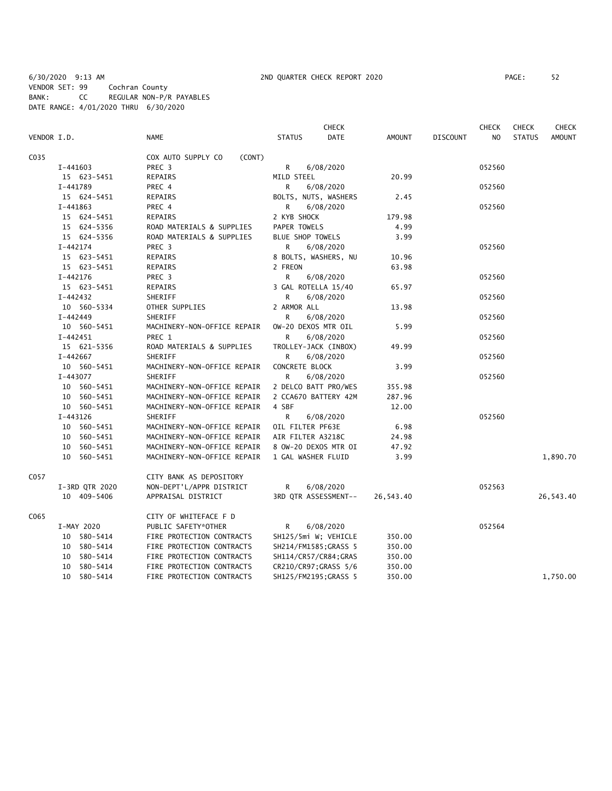6/30/2020 9:13 AM 2ND QUARTER CHECK REPORT 2020 PAGE: 52 VENDOR SET: 99 Cochran County BANK: CC REGULAR NON-P/R PAYABLES DATE RANGE: 4/01/2020 THRU 6/30/2020

|             |              |                |                              |                    | <b>CHECK</b>          |           |                 | <b>CHECK</b>   | <b>CHECK</b>  | <b>CHECK</b>  |
|-------------|--------------|----------------|------------------------------|--------------------|-----------------------|-----------|-----------------|----------------|---------------|---------------|
| VENDOR I.D. |              |                | <b>NAME</b>                  | <b>STATUS</b>      | <b>DATE</b>           | AMOUNT    | <b>DISCOUNT</b> | N <sub>O</sub> | <b>STATUS</b> | <b>AMOUNT</b> |
| C035        |              |                | COX AUTO SUPPLY CO<br>(CONT) |                    |                       |           |                 |                |               |               |
|             | I-441603     |                | PREC 3                       | R                  | 6/08/2020             |           |                 | 052560         |               |               |
|             |              | 15 623-5451    | <b>REPAIRS</b>               | MILD STEEL         |                       | 20.99     |                 |                |               |               |
|             | I-441789     |                | PREC 4                       | R                  | 6/08/2020             |           |                 | 052560         |               |               |
|             |              | 15 624-5451    | REPAIRS                      |                    | BOLTS, NUTS, WASHERS  | 2.45      |                 |                |               |               |
|             | I-441863     |                | PREC 4                       | R                  | 6/08/2020             |           |                 | 052560         |               |               |
|             |              | 15 624-5451    | <b>REPAIRS</b>               | 2 KYB SHOCK        |                       | 179.98    |                 |                |               |               |
|             |              | 15 624-5356    | ROAD MATERIALS & SUPPLIES    | PAPER TOWELS       |                       | 4.99      |                 |                |               |               |
|             |              | 15 624-5356    | ROAD MATERIALS & SUPPLIES    | BLUE SHOP TOWELS   |                       | 3.99      |                 |                |               |               |
|             | $I - 442174$ |                | PREC 3                       | R                  | 6/08/2020             |           |                 | 052560         |               |               |
|             |              | 15 623-5451    | <b>REPAIRS</b>               |                    | 8 BOLTS, WASHERS, NU  | 10.96     |                 |                |               |               |
|             |              | 15 623-5451    | REPAIRS                      | 2 FREON            |                       | 63.98     |                 |                |               |               |
|             | I-442176     |                | PREC 3                       | R.                 | 6/08/2020             |           |                 | 052560         |               |               |
|             |              | 15 623-5451    | REPAIRS                      |                    | 3 GAL ROTELLA 15/40   | 65.97     |                 |                |               |               |
|             | I-442432     |                | SHERIFF                      | R                  | 6/08/2020             |           |                 | 052560         |               |               |
|             |              | 10 560-5334    | OTHER SUPPLIES               | 2 ARMOR ALL        |                       | 13.98     |                 |                |               |               |
|             | $I - 442449$ |                | SHERIFF                      | R                  | 6/08/2020             |           |                 | 052560         |               |               |
|             |              | 10 560-5451    | MACHINERY-NON-OFFICE REPAIR  |                    | OW-20 DEXOS MTR OIL   | 5.99      |                 |                |               |               |
|             | $I-442451$   |                | PREC 1                       | R.                 | 6/08/2020             |           |                 | 052560         |               |               |
|             |              | 15 621-5356    | ROAD MATERIALS & SUPPLIES    |                    | TROLLEY-JACK (INBOX)  | 49.99     |                 |                |               |               |
|             | I-442667     |                | SHERIFF                      | R                  | 6/08/2020             |           |                 | 052560         |               |               |
|             |              | 10 560-5451    | MACHINERY-NON-OFFICE REPAIR  | CONCRETE BLOCK     |                       | 3.99      |                 |                |               |               |
|             | I-443077     |                | SHERIFF                      | R                  | 6/08/2020             |           |                 | 052560         |               |               |
|             |              | 10 560-5451    | MACHINERY-NON-OFFICE REPAIR  |                    | 2 DELCO BATT PRO/WES  | 355.98    |                 |                |               |               |
|             |              | 10 560-5451    | MACHINERY-NON-OFFICE REPAIR  |                    | 2 CCA670 BATTERY 42M  | 287.96    |                 |                |               |               |
|             |              | 10 560-5451    | MACHINERY-NON-OFFICE REPAIR  | 4 SBF              |                       | 12.00     |                 |                |               |               |
|             | $I-443126$   |                | SHERIFF                      | R.                 | 6/08/2020             |           |                 | 052560         |               |               |
|             |              | 10 560-5451    | MACHINERY-NON-OFFICE REPAIR  | OIL FILTER PF63E   |                       | 6.98      |                 |                |               |               |
|             |              | 10 560-5451    | MACHINERY-NON-OFFICE REPAIR  | AIR FILTER A3218C  |                       | 24.98     |                 |                |               |               |
|             |              | 10 560-5451    | MACHINERY-NON-OFFICE REPAIR  |                    | 8 OW-20 DEXOS MTR OI  | 47.92     |                 |                |               |               |
|             |              | 10 560-5451    | MACHINERY-NON-OFFICE REPAIR  | 1 GAL WASHER FLUID |                       | 3.99      |                 |                |               | 1,890.70      |
| C057        |              |                | CITY BANK AS DEPOSITORY      |                    |                       |           |                 |                |               |               |
|             |              | I-3RD QTR 2020 | NON-DEPT'L/APPR DISTRICT     | R                  | 6/08/2020             |           |                 | 052563         |               |               |
|             |              | 10 409-5406    | APPRAISAL DISTRICT           |                    | 3RD QTR ASSESSMENT--  | 26,543.40 |                 |                |               | 26,543.40     |
| C065        |              |                | CITY OF WHITEFACE F D        |                    |                       |           |                 |                |               |               |
|             | I-MAY 2020   |                | PUBLIC SAFETY*OTHER          | R                  | 6/08/2020             |           |                 | 052564         |               |               |
|             |              | 10 580-5414    | FIRE PROTECTION CONTRACTS    |                    | SH125/5mi W; VEHICLE  | 350.00    |                 |                |               |               |
|             |              | 10 580-5414    | FIRE PROTECTION CONTRACTS    |                    | SH214/FM1585; GRASS 5 | 350.00    |                 |                |               |               |
|             |              | 10 580-5414    | FIRE PROTECTION CONTRACTS    |                    | SH114/CR57/CR84; GRAS | 350.00    |                 |                |               |               |
|             |              | 10 580-5414    | FIRE PROTECTION CONTRACTS    |                    | CR210/CR97; GRASS 5/6 | 350.00    |                 |                |               |               |
|             |              | 10 580-5414    | FIRE PROTECTION CONTRACTS    |                    | SH125/FM2195;GRASS 5  | 350.00    |                 |                |               | 1,750.00      |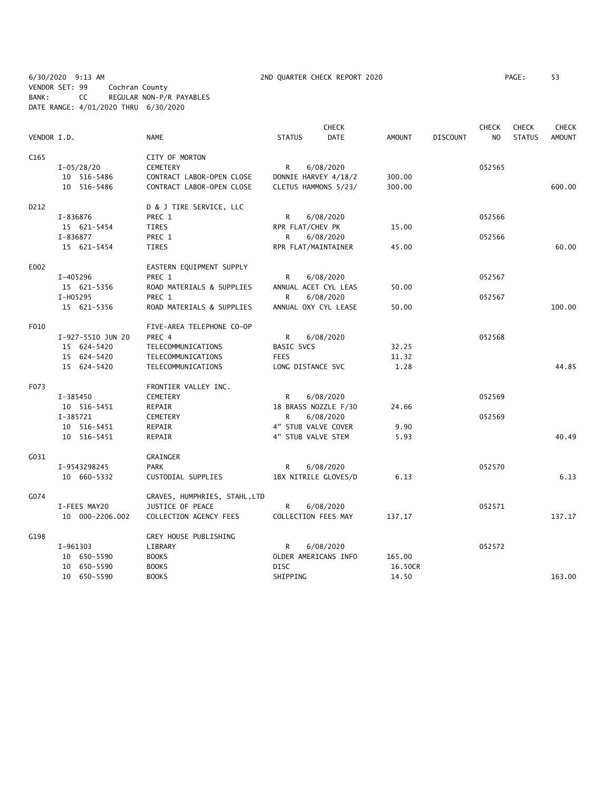6/30/2020 9:13 AM 2ND QUARTER CHECK REPORT 2020 PAGE: 53 VENDOR SET: 99 Cochran County BANK: CC REGULAR NON-P/R PAYABLES DATE RANGE: 4/01/2020 THRU 6/30/2020

| VENDOR I.D.      |                   | <b>NAME</b>                   | <b>STATUS</b>       | <b>CHECK</b><br><b>DATE</b> | <b>AMOUNT</b> | <b>DISCOUNT</b> | <b>CHECK</b><br>NO. | <b>CHECK</b><br><b>STATUS</b> | <b>CHECK</b><br><b>AMOUNT</b> |
|------------------|-------------------|-------------------------------|---------------------|-----------------------------|---------------|-----------------|---------------------|-------------------------------|-------------------------------|
|                  |                   |                               |                     |                             |               |                 |                     |                               |                               |
| C <sub>165</sub> |                   | CITY OF MORTON                |                     |                             |               |                 |                     |                               |                               |
|                  | $I - 05/28/20$    | CEMETERY                      | R                   | 6/08/2020                   |               |                 | 052565              |                               |                               |
|                  | 10 516-5486       | CONTRACT LABOR-OPEN CLOSE     |                     | DONNIE HARVEY 4/18/2        | 300.00        |                 |                     |                               |                               |
|                  | 10 516-5486       | CONTRACT LABOR-OPEN CLOSE     |                     | CLETUS HAMMONS 5/23/        | 300.00        |                 |                     |                               | 600.00                        |
| D212             |                   | D & J TIRE SERVICE, LLC       |                     |                             |               |                 |                     |                               |                               |
|                  | I-836876          | PREC 1                        | R                   | 6/08/2020                   |               |                 | 052566              |                               |                               |
|                  | 15 621-5454       | TIRES                         | RPR FLAT/CHEV PK    |                             | 15.00         |                 |                     |                               |                               |
|                  | I-836877          | PREC 1                        | R                   | 6/08/2020                   |               |                 | 052566              |                               |                               |
|                  | 15 621-5454       | TIRES                         | RPR FLAT/MAINTAINER |                             | 45.00         |                 |                     |                               | 60.00                         |
| E002             |                   | EASTERN EQUIPMENT SUPPLY      |                     |                             |               |                 |                     |                               |                               |
|                  | I-405296          | PREC 1                        | R                   | 6/08/2020                   |               |                 | 052567              |                               |                               |
|                  | 15 621-5356       | ROAD MATERIALS & SUPPLIES     |                     | ANNUAL ACET CYL LEAS        | 50.00         |                 |                     |                               |                               |
|                  | I-H05295          | PREC 1                        | R                   | 6/08/2020                   |               |                 | 052567              |                               |                               |
|                  | 15 621-5356       | ROAD MATERIALS & SUPPLIES     |                     | ANNUAL OXY CYL LEASE        | 50.00         |                 |                     |                               | 100.00                        |
| F010             |                   | FIVE-AREA TELEPHONE CO-OP     |                     |                             |               |                 |                     |                               |                               |
|                  | I-927-5510 JUN 20 | PREC 4                        | R                   | 6/08/2020                   |               |                 | 052568              |                               |                               |
|                  | 15 624-5420       | TELECOMMUNICATIONS            | <b>BASIC SVCS</b>   |                             | 32.25         |                 |                     |                               |                               |
|                  | 15 624-5420       | TELECOMMUNICATIONS            | <b>FEES</b>         |                             | 11.32         |                 |                     |                               |                               |
|                  | 15 624-5420       | TELECOMMUNICATIONS            | LONG DISTANCE SVC   |                             | 1.28          |                 |                     |                               | 44.85                         |
| F073             |                   | FRONTIER VALLEY INC.          |                     |                             |               |                 |                     |                               |                               |
|                  | I-385450          | <b>CEMETERY</b>               | R                   | 6/08/2020                   |               |                 | 052569              |                               |                               |
|                  | 10 516-5451       | REPAIR                        |                     | 18 BRASS NOZZLE F/30        | 24.66         |                 |                     |                               |                               |
|                  | I-385721          | CEMETERY                      | R                   | 6/08/2020                   |               |                 | 052569              |                               |                               |
|                  | 10 516-5451       | REPAIR                        | 4" STUB VALVE COVER |                             | 9.90          |                 |                     |                               |                               |
|                  | 10 516-5451       | REPAIR                        | 4" STUB VALVE STEM  |                             | 5.93          |                 |                     |                               | 40.49                         |
| G031             |                   | <b>GRAINGER</b>               |                     |                             |               |                 |                     |                               |                               |
|                  | I-9543298245      | PARK                          | R                   | 6/08/2020                   |               |                 | 052570              |                               |                               |
|                  | 10 660-5332       | CUSTODIAL SUPPLIES            |                     | 1BX NITRILE GLOVES/D        | 6.13          |                 |                     |                               | 6.13                          |
| G074             |                   | GRAVES, HUMPHRIES, STAHL, LTD |                     |                             |               |                 |                     |                               |                               |
|                  | I-FEES MAY20      | JUSTICE OF PEACE              | R                   | 6/08/2020                   |               |                 | 052571              |                               |                               |
|                  | 10 000-2206.002   | COLLECTION AGENCY FEES        | COLLECTION FEES MAY |                             | 137.17        |                 |                     |                               | 137.17                        |
| G198             |                   | GREY HOUSE PUBLISHING         |                     |                             |               |                 |                     |                               |                               |
|                  | I-961303          | LIBRARY                       | R                   | 6/08/2020                   |               |                 | 052572              |                               |                               |
|                  | 10 650-5590       | <b>BOOKS</b>                  |                     | OLDER AMERICANS INFO        | 165.00        |                 |                     |                               |                               |
|                  | 10 650-5590       | <b>BOOKS</b>                  | <b>DISC</b>         |                             | 16.50CR       |                 |                     |                               |                               |
|                  | 10 650-5590       | <b>BOOKS</b>                  | SHIPPING            |                             | 14.50         |                 |                     |                               | 163.00                        |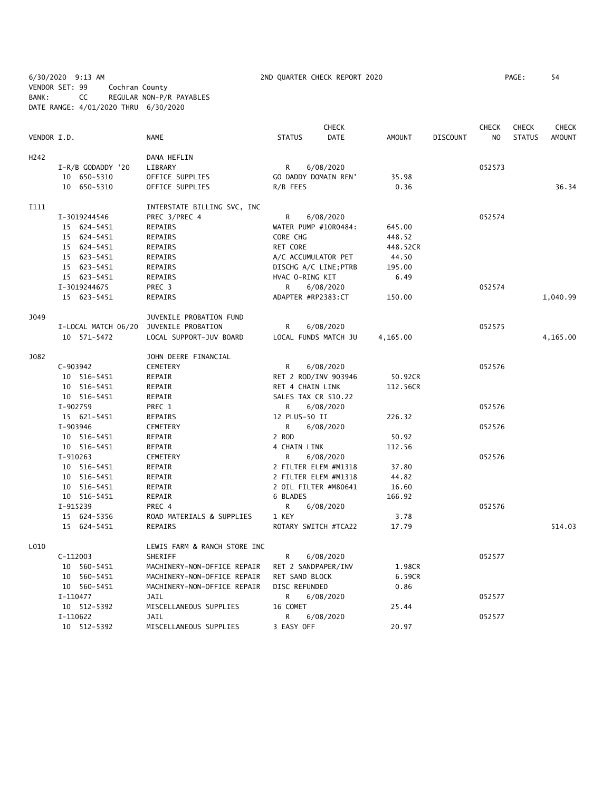6/30/2020 9:13 AM 2ND QUARTER CHECK REPORT 2020 PAGE: 54 VENDOR SET: 99 Cochran County BANK: CC REGULAR NON-P/R PAYABLES DATE RANGE: 4/01/2020 THRU 6/30/2020

|                  |                     |                              |                      | <b>CHECK</b>          |               |                 | <b>CHECK</b> | <b>CHECK</b>  | <b>CHECK</b>  |
|------------------|---------------------|------------------------------|----------------------|-----------------------|---------------|-----------------|--------------|---------------|---------------|
| VENDOR I.D.      |                     | <b>NAME</b>                  | <b>STATUS</b>        | DATE                  | <b>AMOUNT</b> | <b>DISCOUNT</b> | NO           | <b>STATUS</b> | <b>AMOUNT</b> |
| H <sub>242</sub> |                     | DANA HEFLIN                  |                      |                       |               |                 |              |               |               |
|                  | I-R/B GODADDY '20   | LIBRARY                      | R                    | 6/08/2020             |               |                 | 052573       |               |               |
|                  | 10 650-5310         | OFFICE SUPPLIES              | GO DADDY DOMAIN REN' |                       | 35.98         |                 |              |               |               |
|                  | 10 650-5310         | OFFICE SUPPLIES              | R/B FEES             |                       | 0.36          |                 |              |               | 36.34         |
| <b>I111</b>      |                     | INTERSTATE BILLING SVC, INC  |                      |                       |               |                 |              |               |               |
|                  | I-3019244546        | PREC 3/PREC 4                | R                    | 6/08/2020             |               |                 | 052574       |               |               |
|                  | 15 624-5451         | <b>REPAIRS</b>               |                      | WATER PUMP #10R0484:  | 645.00        |                 |              |               |               |
|                  | 15 624-5451         | <b>REPAIRS</b>               | CORE CHG             |                       | 448.52        |                 |              |               |               |
|                  | 15 624-5451         | REPAIRS                      | RET CORE             |                       | 448.52CR      |                 |              |               |               |
|                  | 15 623-5451         | REPAIRS                      | A/C ACCUMULATOR PET  |                       | 44.50         |                 |              |               |               |
|                  | 15 623-5451         | REPAIRS                      |                      | DISCHG A/C LINE; PTRB | 195.00        |                 |              |               |               |
|                  | 15 623-5451         | <b>REPAIRS</b>               | HVAC O-RING KIT      |                       | 6.49          |                 |              |               |               |
|                  | I-3019244675        | PREC 3                       | R                    | 6/08/2020             |               |                 | 052574       |               |               |
|                  | 15 623-5451         | REPAIRS                      | ADAPTER #RP2383:CT   |                       | 150.00        |                 |              |               | 1,040.99      |
| J049             |                     | JUVENILE PROBATION FUND      |                      |                       |               |                 |              |               |               |
|                  | I-LOCAL MATCH 06/20 | JUVENILE PROBATION           | R                    | 6/08/2020             |               |                 | 052575       |               |               |
|                  | 10 571-5472         | LOCAL SUPPORT-JUV BOARD      |                      | LOCAL FUNDS MATCH JU  | 4,165.00      |                 |              |               | 4,165.00      |
| J082             |                     | JOHN DEERE FINANCIAL         |                      |                       |               |                 |              |               |               |
|                  | C-903942            | CEMETERY                     | R                    | 6/08/2020             |               |                 | 052576       |               |               |
|                  | 10 516-5451         | REPAIR                       |                      | RET 2 ROD/INV 903946  | 50.92CR       |                 |              |               |               |
|                  | 10 516-5451         | REPAIR                       | RET 4 CHAIN LINK     |                       | 112.56CR      |                 |              |               |               |
|                  | 10 516-5451         | REPAIR                       | SALES TAX CR \$10.22 |                       |               |                 |              |               |               |
|                  | I-902759            | PREC 1                       | R                    | 6/08/2020             |               |                 | 052576       |               |               |
|                  | 15 621-5451         | <b>REPAIRS</b>               | 12 PLUS-50 II        |                       | 226.32        |                 |              |               |               |
|                  | I-903946            | CEMETERY                     | R.                   | 6/08/2020             |               |                 | 052576       |               |               |
|                  | 10 516-5451         | REPAIR                       | 2 ROD                |                       | 50.92         |                 |              |               |               |
|                  | 10 516-5451         | REPAIR                       | 4 CHAIN LINK         |                       | 112.56        |                 |              |               |               |
|                  | $I-910263$          | <b>CEMETERY</b>              | R                    | 6/08/2020             |               |                 | 052576       |               |               |
|                  | 10 516-5451         | REPAIR                       |                      | 2 FILTER ELEM #M1318  | 37.80         |                 |              |               |               |
|                  | 10 516-5451         | REPAIR                       |                      | 2 FILTER ELEM #M1318  | 44.82         |                 |              |               |               |
|                  | 10 516-5451         | REPAIR                       |                      | 2 OIL FILTER #M80641  | 16.60         |                 |              |               |               |
|                  | 10 516-5451         | REPAIR                       | 6 BLADES             |                       | 166.92        |                 |              |               |               |
|                  | I-915239            | PREC 4                       | R                    | 6/08/2020             |               |                 | 052576       |               |               |
|                  | 15 624-5356         | ROAD MATERIALS & SUPPLIES    | 1 KEY                |                       | 3.78          |                 |              |               |               |
|                  | 15 624-5451         | <b>REPAIRS</b>               |                      | ROTARY SWITCH #TCA22  | 17.79         |                 |              |               | 514.03        |
| L010             |                     | LEWIS FARM & RANCH STORE INC |                      |                       |               |                 |              |               |               |
|                  | $C-112003$          | SHERIFF                      | R                    | 6/08/2020             |               |                 | 052577       |               |               |
|                  | 10 560-5451         | MACHINERY-NON-OFFICE REPAIR  | RET 2 SANDPAPER/INV  |                       | 1.98CR        |                 |              |               |               |
|                  | 10 560-5451         | MACHINERY-NON-OFFICE REPAIR  | RET SAND BLOCK       |                       | 6.59CR        |                 |              |               |               |
|                  | 10 560-5451         | MACHINERY-NON-OFFICE REPAIR  | DISC REFUNDED        |                       | 0.86          |                 |              |               |               |
|                  | I-110477            | JAIL                         | R                    | 6/08/2020             |               |                 | 052577       |               |               |
|                  | 10 512-5392         | MISCELLANEOUS SUPPLIES       | 16 COMET             |                       | 25.44         |                 |              |               |               |
|                  | I-110622            | JAIL                         | R                    | 6/08/2020             |               |                 | 052577       |               |               |
|                  | 10 512-5392         | MISCELLANEOUS SUPPLIES       | 3 EASY OFF           |                       | 20.97         |                 |              |               |               |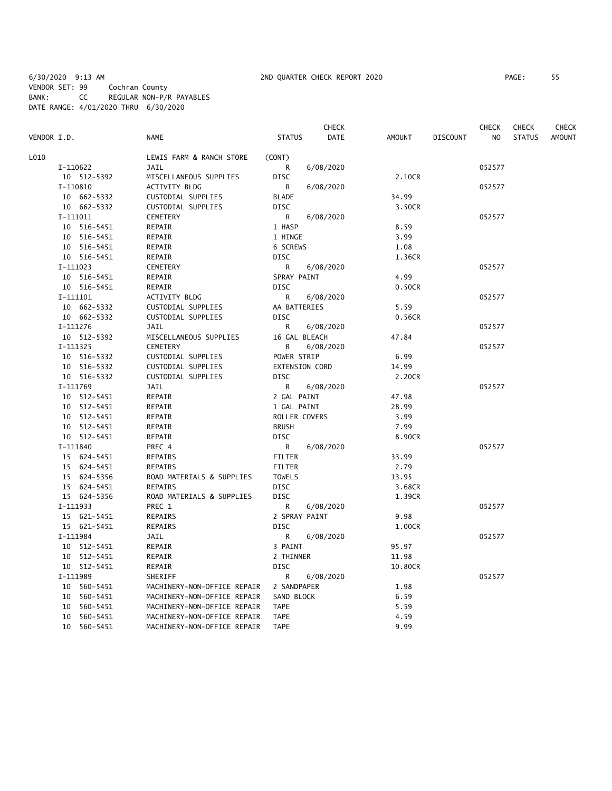6/30/2020 9:13 AM 2ND QUARTER CHECK REPORT 2020 PAGE: 55 VENDOR SET: 99 Cochran County BANK: CC REGULAR NON-P/R PAYABLES DATE RANGE: 4/01/2020 THRU 6/30/2020

|             |             |                             |                       | CHECK       |               |                 | CHECK          | <b>CHECK</b>  | CHECK         |
|-------------|-------------|-----------------------------|-----------------------|-------------|---------------|-----------------|----------------|---------------|---------------|
| VENDOR I.D. |             | <b>NAME</b>                 | <b>STATUS</b>         | <b>DATE</b> | <b>AMOUNT</b> | <b>DISCOUNT</b> | N <sub>O</sub> | <b>STATUS</b> | <b>AMOUNT</b> |
| L010        |             | LEWIS FARM & RANCH STORE    | (CONT)                |             |               |                 |                |               |               |
|             | I-110622    | JAIL                        | R                     | 6/08/2020   |               |                 | 052577         |               |               |
|             | 10 512-5392 | MISCELLANEOUS SUPPLIES      | <b>DISC</b>           |             | 2.10CR        |                 |                |               |               |
|             | I-110810    | <b>ACTIVITY BLDG</b>        | R                     | 6/08/2020   |               |                 | 052577         |               |               |
|             | 10 662-5332 | CUSTODIAL SUPPLIES          | <b>BLADE</b>          |             | 34.99         |                 |                |               |               |
|             | 10 662-5332 | CUSTODIAL SUPPLIES          | <b>DISC</b>           |             | 3.50CR        |                 |                |               |               |
|             | I-111011    | <b>CEMETERY</b>             | R                     | 6/08/2020   |               |                 | 052577         |               |               |
|             | 10 516-5451 | REPAIR                      | 1 HASP                |             | 8.59          |                 |                |               |               |
|             | 10 516-5451 | REPAIR                      | 1 HINGE               |             | 3.99          |                 |                |               |               |
|             | 10 516-5451 | REPAIR                      | 6 SCREWS              |             | 1.08          |                 |                |               |               |
|             | 10 516-5451 | REPAIR                      | <b>DISC</b>           |             | 1.36CR        |                 |                |               |               |
|             |             |                             |                       |             |               |                 |                |               |               |
|             | I-111023    | CEMETERY                    | R                     | 6/08/2020   |               |                 | 052577         |               |               |
|             | 10 516-5451 | REPAIR                      | SPRAY PAINT           |             | 4.99          |                 |                |               |               |
|             | 10 516-5451 | REPAIR                      | <b>DISC</b>           |             | 0.50CR        |                 |                |               |               |
|             | I-111101    | ACTIVITY BLDG               | R                     | 6/08/2020   |               |                 | 052577         |               |               |
|             | 10 662-5332 | CUSTODIAL SUPPLIES          | AA BATTERIES          |             | 5.59          |                 |                |               |               |
|             | 10 662-5332 | CUSTODIAL SUPPLIES          | <b>DISC</b>           |             | 0.56CR        |                 |                |               |               |
|             | I-111276    | <b>JAIL</b>                 | R                     | 6/08/2020   |               |                 | 052577         |               |               |
|             | 10 512-5392 | MISCELLANEOUS SUPPLIES      | 16 GAL BLEACH         |             | 47.84         |                 |                |               |               |
|             | $I-111325$  | <b>CEMETERY</b>             | R                     | 6/08/2020   |               |                 | 052577         |               |               |
|             | 10 516-5332 | CUSTODIAL SUPPLIES          | POWER STRIP           |             | 6.99          |                 |                |               |               |
|             | 10 516-5332 | CUSTODIAL SUPPLIES          | <b>EXTENSION CORD</b> |             | 14.99         |                 |                |               |               |
|             | 10 516-5332 | CUSTODIAL SUPPLIES          | DISC                  |             | 2.20CR        |                 |                |               |               |
|             | I-111769    | JAIL                        | R                     | 6/08/2020   |               |                 | 052577         |               |               |
|             | 10 512-5451 | REPAIR                      | 2 GAL PAINT           |             | 47.98         |                 |                |               |               |
|             | 10 512-5451 | REPAIR                      | 1 GAL PAINT           |             | 28.99         |                 |                |               |               |
|             | 10 512-5451 | REPAIR                      | ROLLER COVERS         |             | 3.99          |                 |                |               |               |
|             | 10 512-5451 | REPAIR                      | <b>BRUSH</b>          |             | 7.99          |                 |                |               |               |
|             | 10 512-5451 | REPAIR                      | <b>DISC</b>           |             | 8.90CR        |                 |                |               |               |
|             | I-111840    | PREC 4                      | R                     | 6/08/2020   |               |                 | 052577         |               |               |
|             | 15 624-5451 | REPAIRS                     | <b>FILTER</b>         |             | 33.99         |                 |                |               |               |
|             | 15 624-5451 | REPAIRS                     | <b>FILTER</b>         |             | 2.79          |                 |                |               |               |
|             | 15 624-5356 | ROAD MATERIALS & SUPPLIES   | <b>TOWELS</b>         |             | 13.95         |                 |                |               |               |
|             | 15 624-5451 | <b>REPAIRS</b>              | <b>DISC</b>           |             | 3.68CR        |                 |                |               |               |
|             | 15 624-5356 | ROAD MATERIALS & SUPPLIES   | <b>DISC</b>           |             | 1.39CR        |                 |                |               |               |
|             | I-111933    | PREC 1                      | R                     | 6/08/2020   |               |                 | 052577         |               |               |
|             | 15 621-5451 | REPAIRS                     | 2 SPRAY PAINT         |             | 9.98          |                 |                |               |               |
|             | 15 621-5451 | REPAIRS                     | <b>DISC</b>           |             | 1.00CR        |                 |                |               |               |
|             | I-111984    | JAIL                        | R.                    | 6/08/2020   |               |                 | 052577         |               |               |
|             | 10 512-5451 | REPAIR                      | 3 PAINT               |             | 95.97         |                 |                |               |               |
|             | 10 512-5451 | REPAIR                      | 2 THINNER             |             | 11.98         |                 |                |               |               |
|             | 10 512-5451 | REPAIR                      | <b>DISC</b>           |             | 10.80CR       |                 |                |               |               |
|             | I-111989    | SHERIFF                     | R                     | 6/08/2020   |               |                 | 052577         |               |               |
|             | 10 560-5451 | MACHINERY-NON-OFFICE REPAIR | 2 SANDPAPER           |             | 1.98          |                 |                |               |               |
|             | 10 560-5451 | MACHINERY-NON-OFFICE REPAIR | SAND BLOCK            |             | 6.59          |                 |                |               |               |
|             | 10 560-5451 | MACHINERY-NON-OFFICE REPAIR | <b>TAPE</b>           |             | 5.59          |                 |                |               |               |
|             | 10 560-5451 | MACHINERY-NON-OFFICE REPAIR | <b>TAPE</b>           |             | 4.59          |                 |                |               |               |
|             | 10 560-5451 | MACHINERY-NON-OFFICE REPAIR | <b>TAPE</b>           |             | 9.99          |                 |                |               |               |
|             |             |                             |                       |             |               |                 |                |               |               |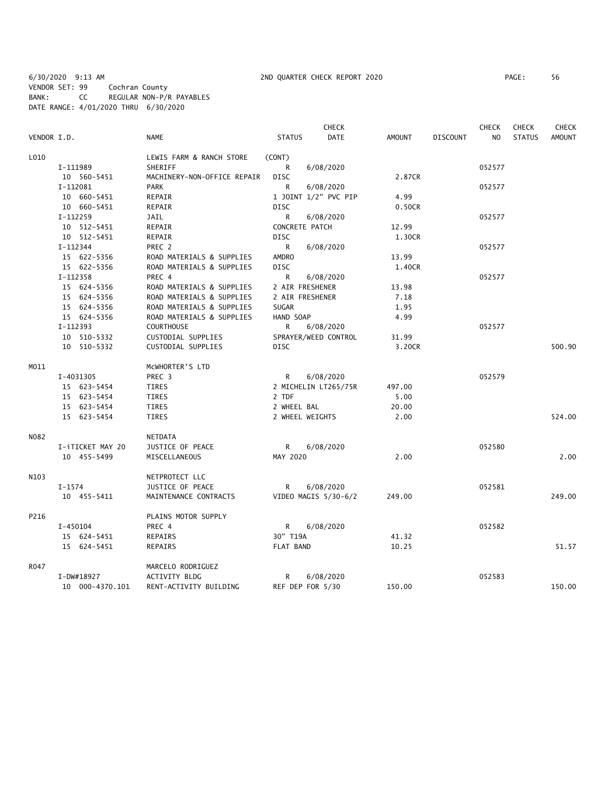6/30/2020 9:13 AM 2ND QUARTER CHECK REPORT 2020 PAGE: 56 VENDOR SET: 99 Cochran County BANK: CC REGULAR NON-P/R PAYABLES DATE RANGE: 4/01/2020 THRU 6/30/2020

|             |                  |                             |               | <b>CHECK</b>         |               |                 | <b>CHECK</b> | <b>CHECK</b>  | <b>CHECK</b>  |
|-------------|------------------|-----------------------------|---------------|----------------------|---------------|-----------------|--------------|---------------|---------------|
| VENDOR I.D. |                  | <b>NAME</b>                 | <b>STATUS</b> | <b>DATE</b>          | <b>AMOUNT</b> | <b>DISCOUNT</b> | NO           | <b>STATUS</b> | <b>AMOUNT</b> |
| L010        |                  | LEWIS FARM & RANCH STORE    | (CONT)        |                      |               |                 |              |               |               |
|             | I-111989         | SHERIFF                     | R             | 6/08/2020            |               |                 | 052577       |               |               |
|             | 10 560-5451      | MACHINERY-NON-OFFICE REPAIR | <b>DISC</b>   |                      | 2.87CR        |                 |              |               |               |
|             | I-112081         | <b>PARK</b>                 | R             | 6/08/2020            |               |                 | 052577       |               |               |
|             | 10 660-5451      | REPAIR                      |               | 1 JOINT 1/2" PVC PIP | 4.99          |                 |              |               |               |
|             | 10 660-5451      | REPAIR                      | <b>DISC</b>   |                      | 0.50CR        |                 |              |               |               |
|             | I-112259         | JAIL                        | R             | 6/08/2020            |               |                 | 052577       |               |               |
|             | 10 512-5451      | REPAIR                      |               | CONCRETE PATCH       | 12.99         |                 |              |               |               |
|             | 10 512-5451      | REPAIR                      | DISC          |                      | 1.30CR        |                 |              |               |               |
|             | $I-112344$       | PREC 2                      | R             | 6/08/2020            |               |                 | 052577       |               |               |
|             | 15 622-5356      | ROAD MATERIALS & SUPPLIES   | <b>AMDRO</b>  |                      | 13.99         |                 |              |               |               |
|             | 15 622-5356      | ROAD MATERIALS & SUPPLIES   | DISC          |                      | 1.40CR        |                 |              |               |               |
|             | $I-112358$       | PREC 4                      | $\mathsf{R}$  | 6/08/2020            |               |                 | 052577       |               |               |
|             | 15 624-5356      | ROAD MATERIALS & SUPPLIES   |               | 2 AIR FRESHENER      | 13.98         |                 |              |               |               |
|             | 15 624-5356      | ROAD MATERIALS & SUPPLIES   |               | 2 AIR FRESHENER      | 7.18          |                 |              |               |               |
|             | 15 624-5356      | ROAD MATERIALS & SUPPLIES   | <b>SUGAR</b>  |                      | 1.95          |                 |              |               |               |
|             | 15 624-5356      | ROAD MATERIALS & SUPPLIES   | HAND SOAP     |                      | 4.99          |                 |              |               |               |
|             | I-112393         | <b>COURTHOUSE</b>           | R             | 6/08/2020            |               |                 | 052577       |               |               |
|             | 10 510-5332      | CUSTODIAL SUPPLIES          |               | SPRAYER/WEED CONTROL | 31.99         |                 |              |               |               |
|             | 10 510-5332      | CUSTODIAL SUPPLIES          | <b>DISC</b>   |                      | 3.20CR        |                 |              |               | 500.90        |
| M011        |                  | MCWHORTER'S LTD             |               |                      |               |                 |              |               |               |
|             | I-4031305        | PREC 3                      | R             | 6/08/2020            |               |                 | 052579       |               |               |
|             | 15 623-5454      | <b>TIRES</b>                |               | 2 MICHELIN LT265/75R | 497.00        |                 |              |               |               |
|             | 15 623-5454      | <b>TIRES</b>                | 2 TDF         |                      | 5.00          |                 |              |               |               |
|             | 15 623-5454      | <b>TIRES</b>                | 2 WHEEL BAL   |                      | 20.00         |                 |              |               |               |
|             | 15 623-5454      | <b>TIRES</b>                |               | 2 WHEEL WEIGHTS      | 2.00          |                 |              |               | 524.00        |
| N082        |                  | NETDATA                     |               |                      |               |                 |              |               |               |
|             | I-iTICKET MAY 20 | JUSTICE OF PEACE            | R             | 6/08/2020            |               |                 | 052580       |               |               |
|             | 10 455-5499      | MISCELLANEOUS               | MAY 2020      |                      | 2.00          |                 |              |               | 2.00          |
| N103        |                  | NETPROTECT LLC              |               |                      |               |                 |              |               |               |
|             | $I - 1574$       | JUSTICE OF PEACE            | R             | 6/08/2020            |               |                 | 052581       |               |               |
|             | 10 455-5411      | MAINTENANCE CONTRACTS       |               | VIDEO MAGIS 5/30-6/2 | 249.00        |                 |              |               | 249.00        |
| P216        |                  | PLAINS MOTOR SUPPLY         |               |                      |               |                 |              |               |               |
|             | $I - 450104$     | PREC 4                      | R.            | 6/08/2020            |               |                 | 052582       |               |               |
|             | 15 624-5451      | REPAIRS                     | 30" T19A      |                      | 41.32         |                 |              |               |               |
|             | 15 624-5451      | REPAIRS                     | FLAT BAND     |                      | 10.25         |                 |              |               | 51.57         |
| R047        |                  | MARCELO RODRIGUEZ           |               |                      |               |                 |              |               |               |
|             | I-DW#18927       | ACTIVITY BLDG               | R             | 6/08/2020            |               |                 | 052583       |               |               |
|             | 10 000-4370.101  | RENT-ACTIVITY BUILDING      |               | REF DEP FOR 5/30     | 150.00        |                 |              |               | 150.00        |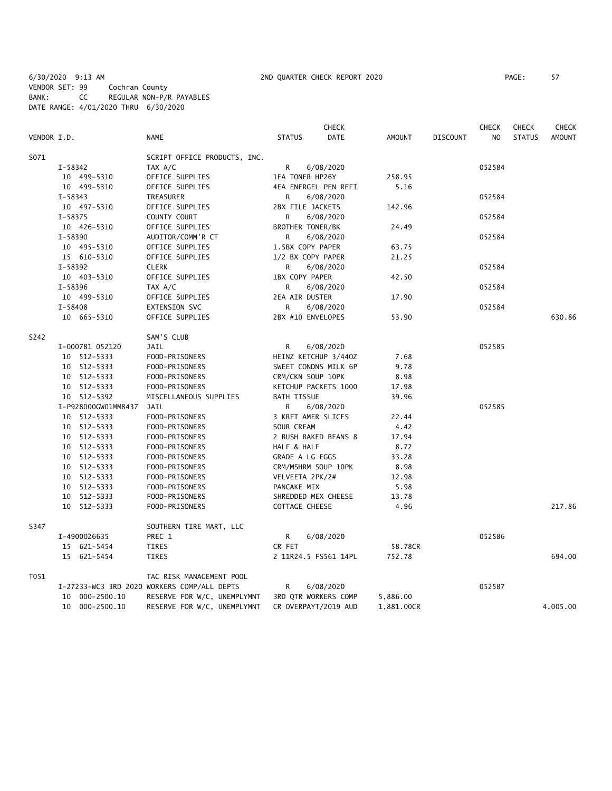6/30/2020 9:13 AM 2ND QUARTER CHECK REPORT 2020 PAGE: 57 VENDOR SET: 99 Cochran County BANK: CC REGULAR NON-P/R PAYABLES DATE RANGE: 4/01/2020 THRU 6/30/2020

|             |             |                     |                                             |                         | <b>CHECK</b>         |               |                 | <b>CHECK</b>   | <b>CHECK</b>  | <b>CHECK</b>  |
|-------------|-------------|---------------------|---------------------------------------------|-------------------------|----------------------|---------------|-----------------|----------------|---------------|---------------|
| VENDOR I.D. |             |                     | <b>NAME</b>                                 | <b>STATUS</b>           | <b>DATE</b>          | <b>AMOUNT</b> | <b>DISCOUNT</b> | N <sub>O</sub> | <b>STATUS</b> | <b>AMOUNT</b> |
| S071        |             |                     | SCRIPT OFFICE PRODUCTS, INC.                |                         |                      |               |                 |                |               |               |
|             | $I-58342$   |                     | TAX A/C                                     | R.                      | 6/08/2020            |               |                 | 052584         |               |               |
|             |             | 10 499-5310         | OFFICE SUPPLIES                             | 1EA TONER HP26Y         |                      | 258.95        |                 |                |               |               |
|             |             | 10 499-5310         | OFFICE SUPPLIES                             | 4EA ENERGEL PEN REFI    |                      | 5.16          |                 |                |               |               |
|             | $I-58343$   |                     | TREASURER                                   | R                       | 6/08/2020            |               |                 | 052584         |               |               |
|             |             | 10 497-5310         | OFFICE SUPPLIES                             | 2BX FILE JACKETS        |                      | 142.96        |                 |                |               |               |
|             | $I - 58375$ |                     | COUNTY COURT                                | R                       | 6/08/2020            |               |                 | 052584         |               |               |
|             |             | 10 426-5310         | OFFICE SUPPLIES                             | <b>BROTHER TONER/BK</b> |                      | 24.49         |                 |                |               |               |
|             | $I - 58390$ |                     | AUDITOR/COMM'R CT                           | R                       | 6/08/2020            |               |                 | 052584         |               |               |
|             |             | 10 495-5310         | OFFICE SUPPLIES                             | 1.5BX COPY PAPER        |                      | 63.75         |                 |                |               |               |
|             |             | 15 610-5310         | OFFICE SUPPLIES                             | 1/2 BX COPY PAPER       |                      | 21.25         |                 |                |               |               |
|             | I-58392     |                     | <b>CLERK</b>                                | R                       | 6/08/2020            |               |                 | 052584         |               |               |
|             |             | 10 403-5310         | OFFICE SUPPLIES                             | 1BX COPY PAPER          |                      | 42.50         |                 |                |               |               |
|             | I-58396     |                     | TAX A/C                                     | R.                      | 6/08/2020            |               |                 | 052584         |               |               |
|             |             | 10 499-5310         | OFFICE SUPPLIES                             | 2EA AIR DUSTER          |                      | 17.90         |                 |                |               |               |
|             | $I - 58408$ |                     | EXTENSION SVC                               | R                       | 6/08/2020            |               |                 | 052584         |               |               |
|             |             | 10 665-5310         | OFFICE SUPPLIES                             | 2BX #10 ENVELOPES       |                      | 53.90         |                 |                |               | 630.86        |
| S242        |             |                     | SAM'S CLUB                                  |                         |                      |               |                 |                |               |               |
|             |             | I-000781 052120     | JAIL                                        | R                       | 6/08/2020            |               |                 | 052585         |               |               |
|             |             | 10 512-5333         | FOOD-PRISONERS                              | HEINZ KETCHUP 3/440Z    |                      | 7.68          |                 |                |               |               |
|             |             | 10 512-5333         | FOOD-PRISONERS                              |                         | SWEET CONDNS MILK 6P | 9.78          |                 |                |               |               |
|             |             | 10 512-5333         | FOOD-PRISONERS                              | CRM/CKN SOUP 10PK       |                      | 8.98          |                 |                |               |               |
|             |             | 10 512-5333         | FOOD-PRISONERS                              | KETCHUP PACKETS 1000    |                      | 17.98         |                 |                |               |               |
|             |             | 10 512-5392         | MISCELLANEOUS SUPPLIES                      | <b>BATH TISSUE</b>      |                      | 39.96         |                 |                |               |               |
|             |             | I-P928000GW01MM8437 | JAIL                                        | R                       | 6/08/2020            |               |                 | 052585         |               |               |
|             |             | 10 512-5333         | FOOD-PRISONERS                              | 3 KRFT AMER SLICES      |                      | 22.44         |                 |                |               |               |
|             |             | 10 512-5333         | FOOD-PRISONERS                              | SOUR CREAM              |                      | 4.42          |                 |                |               |               |
|             |             | 10 512-5333         | FOOD-PRISONERS                              | 2 BUSH BAKED BEANS 8    |                      | 17.94         |                 |                |               |               |
|             |             | 10 512-5333         | FOOD-PRISONERS                              | HALF & HALF             |                      | 8.72          |                 |                |               |               |
|             |             | 10 512-5333         | FOOD-PRISONERS                              | GRADE A LG EGGS         |                      | 33.28         |                 |                |               |               |
|             |             | 10 512-5333         | FOOD-PRISONERS                              | CRM/MSHRM SOUP 10PK     |                      | 8.98          |                 |                |               |               |
|             |             | 10 512-5333         | FOOD-PRISONERS                              | VELVEETA 2PK/2#         |                      | 12.98         |                 |                |               |               |
|             |             | 10 512-5333         | FOOD-PRISONERS                              | PANCAKE MIX             |                      | 5.98          |                 |                |               |               |
|             |             | 10 512-5333         | FOOD-PRISONERS                              | SHREDDED MEX CHEESE     |                      | 13.78         |                 |                |               |               |
|             |             | 10 512-5333         | FOOD-PRISONERS                              | COTTAGE CHEESE          |                      | 4.96          |                 |                |               | 217.86        |
| S347        |             |                     | SOUTHERN TIRE MART, LLC                     |                         |                      |               |                 |                |               |               |
|             |             | I-4900026635        | PREC 1                                      | R.                      | 6/08/2020            |               |                 | 052586         |               |               |
|             |             | 15 621-5454         | <b>TIRES</b>                                | CR FET                  |                      | 58.78CR       |                 |                |               |               |
|             |             | 15 621-5454         | <b>TIRES</b>                                |                         | 2 11R24.5 FS561 14PL | 752.78        |                 |                |               | 694.00        |
| T051        |             |                     | TAC RISK MANAGEMENT POOL                    |                         |                      |               |                 |                |               |               |
|             |             |                     | I-27233-WC3 3RD 2020 WORKERS COMP/ALL DEPTS | R                       | 6/08/2020            |               |                 | 052587         |               |               |
|             |             | 10 000-2500.10      | RESERVE FOR W/C, UNEMPLYMNT                 |                         | 3RD QTR WORKERS COMP | 5,886.00      |                 |                |               |               |
|             |             | 10 000-2500.10      | RESERVE FOR W/C, UNEMPLYMNT                 |                         | CR OVERPAYT/2019 AUD | 1,881.00CR    |                 |                |               | 4,005.00      |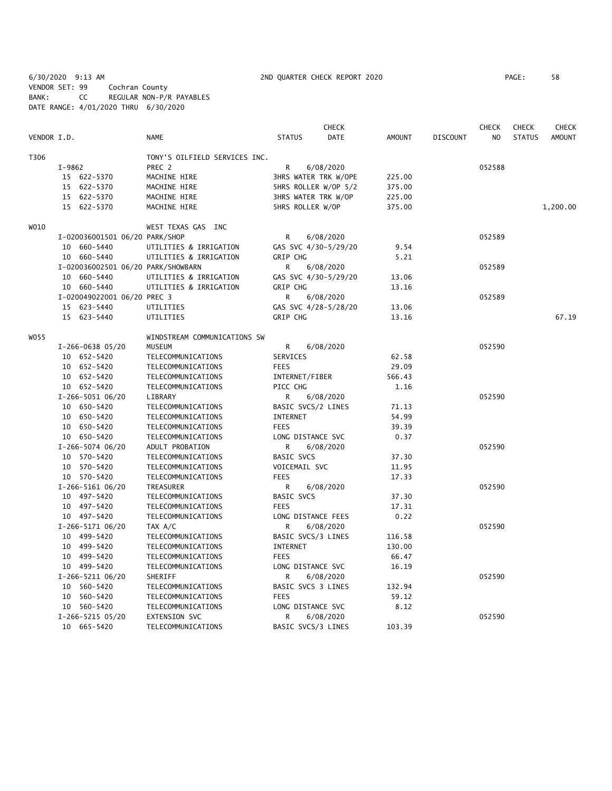6/30/2020 9:13 AM 2ND QUARTER CHECK REPORT 2020 PAGE: 58 VENDOR SET: 99 Cochran County BANK: CC REGULAR NON-P/R PAYABLES DATE RANGE: 4/01/2020 THRU 6/30/2020

|             |        |                                    |                               |                         | <b>CHECK</b> |               |                 | <b>CHECK</b>   | <b>CHECK</b>  | CHECK         |
|-------------|--------|------------------------------------|-------------------------------|-------------------------|--------------|---------------|-----------------|----------------|---------------|---------------|
| VENDOR I.D. |        |                                    | <b>NAME</b>                   | <b>STATUS</b>           | <b>DATE</b>  | <b>AMOUNT</b> | <b>DISCOUNT</b> | N <sub>O</sub> | <b>STATUS</b> | <b>AMOUNT</b> |
| T306        |        |                                    | TONY'S OILFIELD SERVICES INC. |                         |              |               |                 |                |               |               |
|             | I-9862 |                                    | PREC 2                        | R                       | 6/08/2020    |               |                 | 052588         |               |               |
|             |        | 15 622-5370                        | MACHINE HIRE                  | 3HRS WATER TRK W/OPE    |              | 225.00        |                 |                |               |               |
|             |        | 15 622-5370                        | MACHINE HIRE                  | 5HRS ROLLER W/OP 5/2    |              | 375.00        |                 |                |               |               |
|             |        | 15 622-5370                        | MACHINE HIRE                  | 3HRS WATER TRK W/OP     |              | 225.00        |                 |                |               |               |
|             |        | 15 622-5370                        | MACHINE HIRE                  | <b>5HRS ROLLER W/OP</b> |              | 375.00        |                 |                |               | 1,200.00      |
| WO10        |        |                                    | WEST TEXAS GAS INC            |                         |              |               |                 |                |               |               |
|             |        | I-020036001501 06/20 PARK/SHOP     |                               | R                       | 6/08/2020    |               |                 | 052589         |               |               |
|             |        | 10 660-5440                        | UTILITIES & IRRIGATION        | GAS SVC 4/30-5/29/20    |              | 9.54          |                 |                |               |               |
|             |        | 10 660-5440                        | UTILITIES & IRRIGATION        | GRIP CHG                |              | 5.21          |                 |                |               |               |
|             |        | I-020036002501 06/20 PARK/SHOWBARN |                               | R                       | 6/08/2020    |               |                 | 052589         |               |               |
|             |        | 10 660-5440                        | UTILITIES & IRRIGATION        | GAS SVC 4/30-5/29/20    |              | 13.06         |                 |                |               |               |
|             |        | 10 660-5440                        | UTILITIES & IRRIGATION        | GRIP CHG                |              | 13.16         |                 |                |               |               |
|             |        | I-020049022001 06/20 PREC 3        |                               | R                       | 6/08/2020    |               |                 | 052589         |               |               |
|             |        | 15 623-5440                        | UTILITIES                     | GAS SVC 4/28-5/28/20    |              | 13.06         |                 |                |               |               |
|             |        | 15 623-5440                        | UTILITIES                     | <b>GRIP CHG</b>         |              | 13.16         |                 |                |               | 67.19         |
| W055        |        |                                    | WINDSTREAM COMMUNICATIONS SW  |                         |              |               |                 |                |               |               |
|             |        | $I-266-0638$ 05/20                 | <b>MUSEUM</b>                 | R                       | 6/08/2020    |               |                 | 052590         |               |               |
|             |        | 10 652-5420                        | TELECOMMUNICATIONS            | SERVICES                |              | 62.58         |                 |                |               |               |
|             |        | 10 652-5420                        | TELECOMMUNICATIONS            | <b>FEES</b>             |              | 29.09         |                 |                |               |               |
|             |        | 10 652-5420                        | TELECOMMUNICATIONS            | INTERNET/FIBER          |              | 566.43        |                 |                |               |               |
|             |        | 10 652-5420                        | TELECOMMUNICATIONS            | PICC CHG                |              | 1.16          |                 |                |               |               |
|             |        | I-266-5051 06/20                   | LIBRARY                       | R                       | 6/08/2020    |               |                 | 052590         |               |               |
|             |        | 10 650-5420                        | TELECOMMUNICATIONS            | BASIC SVCS/2 LINES      |              | 71.13         |                 |                |               |               |
|             |        | 10 650-5420                        | TELECOMMUNICATIONS            | <b>INTERNET</b>         |              | 54.99         |                 |                |               |               |
|             |        | 10 650-5420                        | TELECOMMUNICATIONS            | <b>FEES</b>             |              | 39.39         |                 |                |               |               |
|             |        | 10 650-5420                        | TELECOMMUNICATIONS            | LONG DISTANCE SVC       |              | 0.37          |                 |                |               |               |
|             |        | I-266-5074 06/20                   | ADULT PROBATION               | R                       | 6/08/2020    |               |                 | 052590         |               |               |
|             |        | 10 570-5420                        | TELECOMMUNICATIONS            | <b>BASIC SVCS</b>       |              | 37.30         |                 |                |               |               |
|             |        | 10 570-5420                        | TELECOMMUNICATIONS            | VOICEMAIL SVC           |              | 11.95         |                 |                |               |               |
|             |        | 10 570-5420                        | TELECOMMUNICATIONS            | <b>FEES</b>             |              | 17.33         |                 |                |               |               |
|             |        | $I-266-5161$ 06/20                 | TREASURER                     | R                       | 6/08/2020    |               |                 | 052590         |               |               |
|             |        | 10 497-5420                        | TELECOMMUNICATIONS            | BASIC SVCS              |              | 37.30         |                 |                |               |               |
|             |        | 10 497-5420                        | TELECOMMUNICATIONS            | <b>FEES</b>             |              | 17.31         |                 |                |               |               |
|             |        | 10 497-5420                        | TELECOMMUNICATIONS            | LONG DISTANCE FEES      |              | 0.22          |                 |                |               |               |
|             |        | I-266-5171 06/20                   | TAX A/C                       | R                       | 6/08/2020    |               |                 | 052590         |               |               |
|             |        | 10 499-5420                        | TELECOMMUNICATIONS            | BASIC SVCS/3 LINES      |              | 116.58        |                 |                |               |               |
|             |        | 10 499-5420                        | TELECOMMUNICATIONS            | INTERNET                |              | 130.00        |                 |                |               |               |
|             |        | 10 499-5420                        | TELECOMMUNICATIONS            | <b>FEES</b>             |              | 66.47         |                 |                |               |               |
|             |        | 10 499-5420                        | TELECOMMUNICATIONS            | LONG DISTANCE SVC       |              | 16.19         |                 |                |               |               |
|             |        | I-266-5211 06/20                   | SHERIFF                       | R                       | 6/08/2020    |               |                 | 052590         |               |               |
|             |        | 10 560-5420                        | TELECOMMUNICATIONS            | BASIC SVCS 3 LINES      |              | 132.94        |                 |                |               |               |
|             |        | 10 560-5420                        | TELECOMMUNICATIONS            | <b>FEES</b>             |              | 59.12         |                 |                |               |               |
|             |        | 10 560-5420                        | TELECOMMUNICATIONS            | LONG DISTANCE SVC       |              | 8.12          |                 |                |               |               |
|             |        | I-266-5215 05/20                   | EXTENSION SVC                 | R                       | 6/08/2020    |               |                 | 052590         |               |               |
|             |        | 10 665-5420                        | TELECOMMUNICATIONS            | BASIC SVCS/3 LINES      |              | 103.39        |                 |                |               |               |
|             |        |                                    |                               |                         |              |               |                 |                |               |               |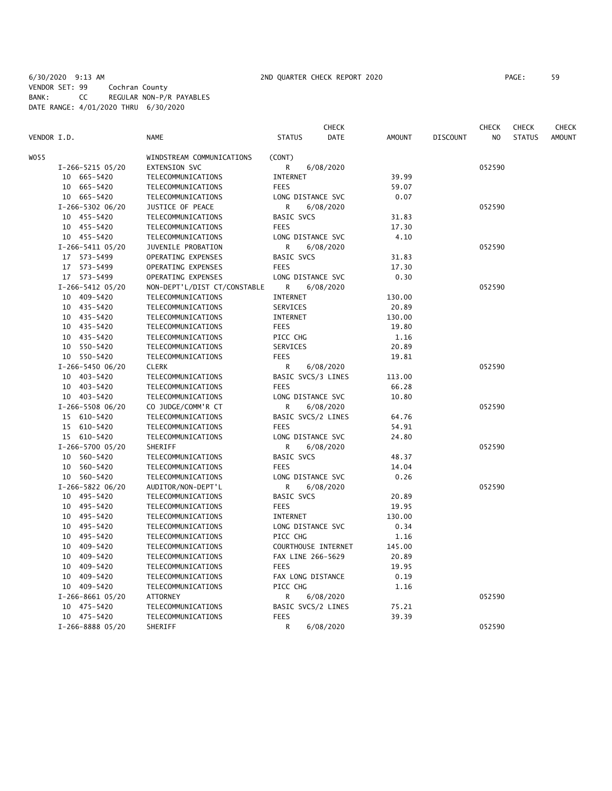6/30/2020 9:13 AM 2ND QUARTER CHECK REPORT 2020 PAGE: 59 VENDOR SET: 99 Cochran County BANK: CC REGULAR NON-P/R PAYABLES DATE RANGE: 4/01/2020 THRU 6/30/2020

|             |                    |                              |                     | CHECK       |               |                 | CHECK  | <b>CHECK</b>  | <b>CHECK</b>  |
|-------------|--------------------|------------------------------|---------------------|-------------|---------------|-----------------|--------|---------------|---------------|
| VENDOR I.D. |                    | NAME                         | <b>STATUS</b>       | <b>DATE</b> | <b>AMOUNT</b> | <b>DISCOUNT</b> | NO.    | <b>STATUS</b> | <b>AMOUNT</b> |
| WO55        |                    | WINDSTREAM COMMUNICATIONS    | (CONT)              |             |               |                 |        |               |               |
|             | I-266-5215 05/20   | EXTENSION SVC                | R                   | 6/08/2020   |               |                 | 052590 |               |               |
|             | 10 665-5420        | TELECOMMUNICATIONS           | INTERNET            |             | 39.99         |                 |        |               |               |
|             | 10 665-5420        | TELECOMMUNICATIONS           | <b>FEES</b>         |             | 59.07         |                 |        |               |               |
|             | 10 665-5420        | TELECOMMUNICATIONS           | LONG DISTANCE SVC   |             | 0.07          |                 |        |               |               |
|             | I-266-5302 06/20   | JUSTICE OF PEACE             | R                   | 6/08/2020   |               |                 | 052590 |               |               |
|             | 10 455-5420        | TELECOMMUNICATIONS           | <b>BASIC SVCS</b>   |             | 31.83         |                 |        |               |               |
|             | 10 455-5420        | TELECOMMUNICATIONS           | <b>FEES</b>         |             | 17.30         |                 |        |               |               |
|             | 10 455-5420        | TELECOMMUNICATIONS           | LONG DISTANCE SVC   |             | 4.10          |                 |        |               |               |
|             | I-266-5411 05/20   | JUVENILE PROBATION           | R                   | 6/08/2020   |               |                 | 052590 |               |               |
|             | 17 573-5499        | OPERATING EXPENSES           | <b>BASIC SVCS</b>   |             | 31.83         |                 |        |               |               |
|             | 17 573-5499        | OPERATING EXPENSES           | <b>FEES</b>         |             | 17.30         |                 |        |               |               |
|             | 17 573-5499        | OPERATING EXPENSES           | LONG DISTANCE SVC   |             | 0.30          |                 |        |               |               |
|             | I-266-5412 05/20   | NON-DEPT'L/DIST CT/CONSTABLE | R                   | 6/08/2020   |               |                 | 052590 |               |               |
|             | 10 409-5420        | TELECOMMUNICATIONS           | <b>INTERNET</b>     |             | 130.00        |                 |        |               |               |
|             | 10 435-5420        | TELECOMMUNICATIONS           | SERVICES            |             | 20.89         |                 |        |               |               |
|             | 10 435-5420        | TELECOMMUNICATIONS           | INTERNET            |             | 130.00        |                 |        |               |               |
|             | 10 435-5420        | TELECOMMUNICATIONS           | <b>FEES</b>         |             | 19.80         |                 |        |               |               |
|             | 10 435-5420        | TELECOMMUNICATIONS           | PICC CHG            |             | 1.16          |                 |        |               |               |
|             | 550-5420<br>10     | TELECOMMUNICATIONS           | SERVICES            |             | 20.89         |                 |        |               |               |
|             | 10 550-5420        | TELECOMMUNICATIONS           | <b>FEES</b>         |             | 19.81         |                 |        |               |               |
|             | I-266-5450 06/20   | <b>CLERK</b>                 | R                   | 6/08/2020   |               |                 | 052590 |               |               |
|             | 10 403-5420        | TELECOMMUNICATIONS           | BASIC SVCS/3 LINES  |             | 113.00        |                 |        |               |               |
|             | 10 403-5420        | TELECOMMUNICATIONS           | <b>FEES</b>         |             | 66.28         |                 |        |               |               |
|             | 10 403-5420        | TELECOMMUNICATIONS           | LONG DISTANCE SVC   |             | 10.80         |                 |        |               |               |
|             | I-266-5508 06/20   | CO JUDGE/COMM'R CT           | R                   | 6/08/2020   |               |                 | 052590 |               |               |
|             | 15 610-5420        | TELECOMMUNICATIONS           | BASIC SVCS/2 LINES  |             | 64.76         |                 |        |               |               |
|             | 15 610-5420        | TELECOMMUNICATIONS           | <b>FEES</b>         |             | 54.91         |                 |        |               |               |
|             | 15 610-5420        | TELECOMMUNICATIONS           | LONG DISTANCE SVC   |             | 24.80         |                 |        |               |               |
|             | I-266-5700 05/20   | SHERIFF                      | R                   | 6/08/2020   |               |                 | 052590 |               |               |
|             | 10 560-5420        | TELECOMMUNICATIONS           | <b>BASIC SVCS</b>   |             | 48.37         |                 |        |               |               |
|             | 10 560-5420        | TELECOMMUNICATIONS           | <b>FEES</b>         |             | 14.04         |                 |        |               |               |
|             | 10 560-5420        | TELECOMMUNICATIONS           | LONG DISTANCE SVC   |             | 0.26          |                 |        |               |               |
|             | I-266-5822 06/20   | AUDITOR/NON-DEPT'L           | R                   | 6/08/2020   |               |                 | 052590 |               |               |
|             | 10 495-5420        | TELECOMMUNICATIONS           | <b>BASIC SVCS</b>   |             | 20.89         |                 |        |               |               |
|             | 10 495-5420        | TELECOMMUNICATIONS           | <b>FEES</b>         |             | 19.95         |                 |        |               |               |
|             | 495-5420<br>10     | TELECOMMUNICATIONS           | INTERNET            |             | 130.00        |                 |        |               |               |
|             | 495-5420<br>10     | TELECOMMUNICATIONS           | LONG DISTANCE SVC   |             | 0.34          |                 |        |               |               |
|             | 495-5420<br>10     | TELECOMMUNICATIONS           | PICC CHG            |             | 1.16          |                 |        |               |               |
|             | 409-5420<br>10     | TELECOMMUNICATIONS           | COURTHOUSE INTERNET |             | 145.00        |                 |        |               |               |
|             | 10<br>409–5420     | TELECOMMUNICATIONS           | FAX LINE 266-5629   |             | 20.89         |                 |        |               |               |
|             | 409-5420<br>10     | TELECOMMUNICATIONS           | <b>FEES</b>         |             | 19.95         |                 |        |               |               |
|             | 10<br>409-5420     | TELECOMMUNICATIONS           | FAX LONG DISTANCE   |             | 0.19          |                 |        |               |               |
|             | 10 409-5420        | TELECOMMUNICATIONS           | PICC CHG            |             | 1.16          |                 |        |               |               |
|             | $I-266-8661$ 05/20 | ATTORNEY                     | R                   | 6/08/2020   |               |                 | 052590 |               |               |
|             | 10 475-5420        | TELECOMMUNICATIONS           | BASIC SVCS/2 LINES  |             | 75.21         |                 |        |               |               |
|             | 10 475-5420        | TELECOMMUNICATIONS           | <b>FEES</b>         |             | 39.39         |                 |        |               |               |
|             | I-266-8888 05/20   | SHERIFF                      | R                   | 6/08/2020   |               |                 | 052590 |               |               |
|             |                    |                              |                     |             |               |                 |        |               |               |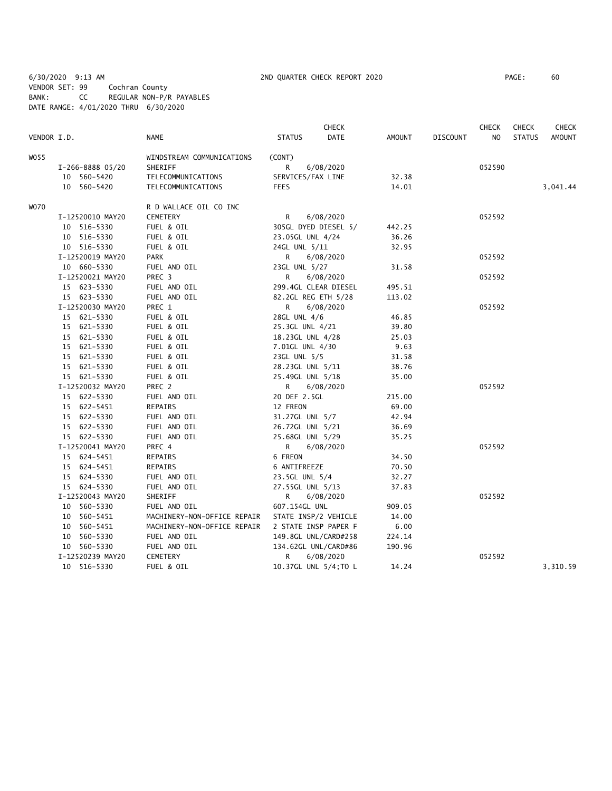6/30/2020 9:13 AM 2ND QUARTER CHECK REPORT 2020 PAGE: 60 VENDOR SET: 99 Cochran County BANK: CC REGULAR NON-P/R PAYABLES DATE RANGE: 4/01/2020 THRU 6/30/2020

|             |                  |                             |                       | <b>CHECK</b> |               |                 | <b>CHECK</b>   | <b>CHECK</b>  | <b>CHECK</b>  |
|-------------|------------------|-----------------------------|-----------------------|--------------|---------------|-----------------|----------------|---------------|---------------|
| VENDOR I.D. |                  | <b>NAME</b>                 | <b>STATUS</b>         | DATE         | <b>AMOUNT</b> | <b>DISCOUNT</b> | N <sub>O</sub> | <b>STATUS</b> | <b>AMOUNT</b> |
| WO 55       |                  | WINDSTREAM COMMUNICATIONS   | (CONT)                |              |               |                 |                |               |               |
|             | I-266-8888 05/20 | SHERIFF                     | R                     | 6/08/2020    |               |                 | 052590         |               |               |
|             | 10 560-5420      | TELECOMMUNICATIONS          | SERVICES/FAX LINE     |              | 32.38         |                 |                |               |               |
|             | 10 560-5420      | TELECOMMUNICATIONS          | <b>FEES</b>           |              | 14.01         |                 |                |               | 3,041.44      |
| WO70        |                  | R D WALLACE OIL CO INC      |                       |              |               |                 |                |               |               |
|             | I-12520010 MAY20 | CEMETERY                    | R                     | 6/08/2020    |               |                 | 052592         |               |               |
|             | 10 516-5330      | FUEL & OIL                  | 305GL DYED DIESEL 5/  |              | 442.25        |                 |                |               |               |
|             | 10 516-5330      | FUEL & OIL                  | 23.05GL UNL 4/24      |              | 36.26         |                 |                |               |               |
|             | 10 516-5330      | FUEL & OIL                  | 24GL UNL 5/11         |              | 32.95         |                 |                |               |               |
|             | I-12520019 MAY20 | <b>PARK</b>                 | R                     | 6/08/2020    |               |                 | 052592         |               |               |
|             | 10 660-5330      | FUEL AND OIL                | 23GL UNL 5/27         |              | 31.58         |                 |                |               |               |
|             | I-12520021 MAY20 | PREC 3                      | R                     | 6/08/2020    |               |                 | 052592         |               |               |
|             | 15 623-5330      | FUEL AND OIL                | 299.4GL CLEAR DIESEL  |              | 495.51        |                 |                |               |               |
|             | 15 623-5330      | FUEL AND OIL                | 82.2GL REG ETH 5/28   |              | 113.02        |                 |                |               |               |
|             | I-12520030 MAY20 | PREC 1                      | R                     | 6/08/2020    |               |                 | 052592         |               |               |
|             | 15 621-5330      | FUEL & OIL                  | 28GL UNL 4/6          |              | 46.85         |                 |                |               |               |
|             | 15 621-5330      | FUEL & OIL                  | 25.3GL UNL 4/21       |              | 39.80         |                 |                |               |               |
|             | 15 621-5330      | FUEL & OIL                  | 18.23GL UNL 4/28      |              | 25.03         |                 |                |               |               |
|             | 15 621-5330      | FUEL & OIL                  | 7.01GL UNL 4/30       |              | 9.63          |                 |                |               |               |
|             | 15 621-5330      | FUEL & OIL                  | 23GL UNL 5/5          |              | 31.58         |                 |                |               |               |
|             | 15 621-5330      | FUEL & OIL                  | 28.23GL UNL 5/11      |              | 38.76         |                 |                |               |               |
|             | 15 621-5330      | FUEL & OIL                  | 25.49GL UNL 5/18      |              | 35.00         |                 |                |               |               |
|             | I-12520032 MAY20 | PREC 2                      | R                     | 6/08/2020    |               |                 | 052592         |               |               |
|             | 15 622-5330      | FUEL AND OIL                | 20 DEF 2.5GL          |              | 215.00        |                 |                |               |               |
|             | 15 622-5451      | REPAIRS                     | 12 FREON              |              | 69.00         |                 |                |               |               |
|             | 15 622-5330      | FUEL AND OIL                | 31.27GL UNL 5/7       |              | 42.94         |                 |                |               |               |
|             | 15 622-5330      | FUEL AND OIL                | 26.72GL UNL 5/21      |              | 36.69         |                 |                |               |               |
|             | 15 622-5330      | FUEL AND OIL                | 25.68GL UNL 5/29      |              | 35.25         |                 |                |               |               |
|             | I-12520041 MAY20 | PREC 4                      | R                     | 6/08/2020    |               |                 | 052592         |               |               |
|             | 15 624-5451      | REPAIRS                     | 6 FREON               |              | 34.50         |                 |                |               |               |
|             | 15 624-5451      | REPAIRS                     | 6 ANTIFREEZE          |              | 70.50         |                 |                |               |               |
|             | 15 624-5330      | FUEL AND OIL                | 23.5GL UNL 5/4        |              | 32.27         |                 |                |               |               |
|             | 15 624-5330      | FUEL AND OIL                | 27.55GL UNL 5/13      |              | 37.83         |                 |                |               |               |
|             | I-12520043 MAY20 | SHERIFF                     | R                     | 6/08/2020    |               |                 | 052592         |               |               |
|             | 10 560-5330      | FUEL AND OIL                | 607.154GL UNL         |              | 909.05        |                 |                |               |               |
|             | 10 560-5451      | MACHINERY-NON-OFFICE REPAIR | STATE INSP/2 VEHICLE  |              | 14.00         |                 |                |               |               |
|             | 10 560-5451      | MACHINERY-NON-OFFICE REPAIR | 2 STATE INSP PAPER F  |              | 6.00          |                 |                |               |               |
|             | 10 560-5330      | FUEL AND OIL                | 149.8GL UNL/CARD#258  |              | 224.14        |                 |                |               |               |
|             | 10 560-5330      | FUEL AND OIL                | 134.62GL UNL/CARD#86  |              | 190.96        |                 |                |               |               |
|             | I-12520239 MAY20 | CEMETERY                    | R                     | 6/08/2020    |               |                 | 052592         |               |               |
|             | 10 516-5330      | FUEL & OIL                  | 10.37GL UNL 5/4; TO L |              | 14.24         |                 |                |               | 3,310.59      |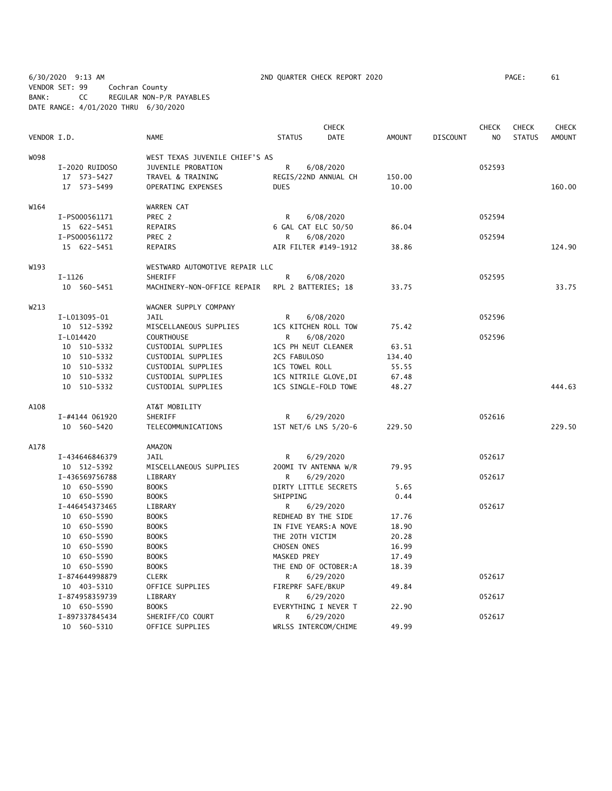6/30/2020 9:13 AM 2ND QUARTER CHECK REPORT 2020 PAGE: 61 VENDOR SET: 99 Cochran County BANK: CC REGULAR NON-P/R PAYABLES DATE RANGE: 4/01/2020 THRU 6/30/2020

|             |                |                                |                     | <b>CHECK</b>          |               |                 | <b>CHECK</b>   | <b>CHECK</b>  | <b>CHECK</b>  |
|-------------|----------------|--------------------------------|---------------------|-----------------------|---------------|-----------------|----------------|---------------|---------------|
| VENDOR I.D. |                | <b>NAME</b>                    | <b>STATUS</b>       | DATE                  | <b>AMOUNT</b> | <b>DISCOUNT</b> | N <sub>O</sub> | <b>STATUS</b> | <b>AMOUNT</b> |
| W098        |                | WEST TEXAS JUVENILE CHIEF'S AS |                     |                       |               |                 |                |               |               |
|             | I-2020 RUIDOSO | JUVENILE PROBATION             | R                   | 6/08/2020             |               |                 | 052593         |               |               |
|             | 17 573-5427    | TRAVEL & TRAINING              |                     | REGIS/22ND ANNUAL CH  | 150.00        |                 |                |               |               |
|             | 17 573-5499    | OPERATING EXPENSES             | <b>DUES</b>         |                       | 10.00         |                 |                |               | 160.00        |
| W164        |                | WARREN CAT                     |                     |                       |               |                 |                |               |               |
|             | I-PS000561171  | PREC 2                         | R                   | 6/08/2020             |               |                 | 052594         |               |               |
|             | 15 622-5451    | REPAIRS                        | 6 GAL CAT ELC 50/50 |                       | 86.04         |                 |                |               |               |
|             | I-PS000561172  | PREC 2                         | R                   | 6/08/2020             |               |                 | 052594         |               |               |
|             | 15 622-5451    | REPAIRS                        |                     | AIR FILTER #149-1912  | 38.86         |                 |                |               | 124.90        |
| W193        |                | WESTWARD AUTOMOTIVE REPAIR LLC |                     |                       |               |                 |                |               |               |
|             | $I-1126$       | SHERIFF                        | R                   | 6/08/2020             |               |                 | 052595         |               |               |
|             | 10 560-5451    | MACHINERY-NON-OFFICE REPAIR    | RPL 2 BATTERIES; 18 |                       | 33.75         |                 |                |               | 33.75         |
| W213        |                | WAGNER SUPPLY COMPANY          |                     |                       |               |                 |                |               |               |
|             | I-L013095-01   | <b>JAIL</b>                    | R                   | 6/08/2020             |               |                 | 052596         |               |               |
|             | 10 512-5392    | MISCELLANEOUS SUPPLIES         |                     | 1CS KITCHEN ROLL TOW  | 75.42         |                 |                |               |               |
|             | I-L014420      | <b>COURTHOUSE</b>              | R                   | 6/08/2020             |               |                 | 052596         |               |               |
|             | 10 510-5332    | CUSTODIAL SUPPLIES             | 1CS PH NEUT CLEANER |                       | 63.51         |                 |                |               |               |
|             | 10 510-5332    | CUSTODIAL SUPPLIES             | 2CS FABULOSO        |                       | 134.40        |                 |                |               |               |
|             | 10 510-5332    | CUSTODIAL SUPPLIES             | 1CS TOWEL ROLL      |                       | 55.55         |                 |                |               |               |
|             | 10 510-5332    | CUSTODIAL SUPPLIES             |                     | 1CS NITRILE GLOVE, DI | 67.48         |                 |                |               |               |
|             | 10 510-5332    | CUSTODIAL SUPPLIES             |                     | 1CS SINGLE-FOLD TOWE  | 48.27         |                 |                |               | 444.63        |
| A108        |                | AT&T MOBILITY                  |                     |                       |               |                 |                |               |               |
|             | I-#4144 061920 | SHERIFF                        | R                   | 6/29/2020             |               |                 | 052616         |               |               |
|             | 10 560-5420    | TELECOMMUNICATIONS             |                     | 1ST NET/6 LNS 5/20-6  | 229.50        |                 |                |               | 229.50        |
| A178        |                | <b>AMAZON</b>                  |                     |                       |               |                 |                |               |               |
|             | I-434646846379 | <b>JAIL</b>                    | R                   | 6/29/2020             |               |                 | 052617         |               |               |
|             | 10 512-5392    | MISCELLANEOUS SUPPLIES         |                     | 200MI TV ANTENNA W/R  | 79.95         |                 |                |               |               |
|             | I-436569756788 | LIBRARY                        | R                   | 6/29/2020             |               |                 | 052617         |               |               |
|             | 10 650-5590    | <b>BOOKS</b>                   |                     | DIRTY LITTLE SECRETS  | 5.65          |                 |                |               |               |
|             | 10 650-5590    | <b>BOOKS</b>                   | SHIPPING            |                       | 0.44          |                 |                |               |               |
|             | I-446454373465 | LIBRARY                        | R.                  | 6/29/2020             |               |                 | 052617         |               |               |
|             | 10 650-5590    | <b>BOOKS</b>                   | REDHEAD BY THE SIDE |                       | 17.76         |                 |                |               |               |
|             | 10 650-5590    | <b>BOOKS</b>                   |                     | IN FIVE YEARS: A NOVE | 18.90         |                 |                |               |               |
|             | 10 650-5590    | <b>BOOKS</b>                   | THE 20TH VICTIM     |                       | 20.28         |                 |                |               |               |
|             | 10 650-5590    | <b>BOOKS</b>                   | CHOSEN ONES         |                       | 16.99         |                 |                |               |               |
|             | 10 650-5590    | <b>BOOKS</b>                   | MASKED PREY         |                       | 17.49         |                 |                |               |               |
|             | 10 650-5590    | <b>BOOKS</b>                   |                     | THE END OF OCTOBER:A  | 18.39         |                 |                |               |               |
|             | I-874644998879 | <b>CLERK</b>                   | R                   | 6/29/2020             |               |                 | 052617         |               |               |
|             | 10 403-5310    | OFFICE SUPPLIES                | FIREPRF SAFE/BKUP   |                       | 49.84         |                 |                |               |               |
|             | I-874958359739 | LIBRARY                        | R                   | 6/29/2020             |               |                 | 052617         |               |               |
|             | 10 650-5590    | <b>BOOKS</b>                   |                     | EVERYTHING I NEVER T  | 22.90         |                 |                |               |               |
|             | I-897337845434 | SHERIFF/CO COURT               | R                   | 6/29/2020             |               |                 | 052617         |               |               |

10 560-5310 OFFICE SUPPLIES WRLSS INTERCOM/CHIME 49.99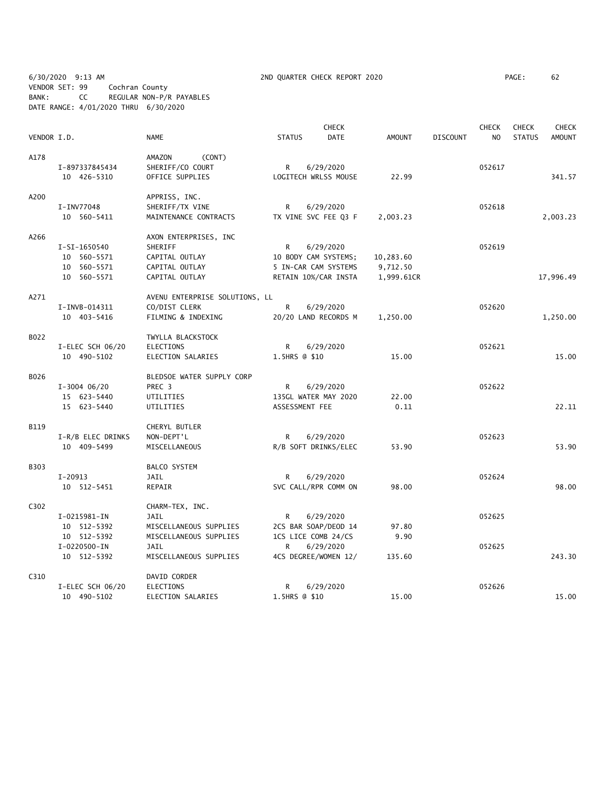6/30/2020 9:13 AM 2ND QUARTER CHECK REPORT 2020 PAGE: 62 VENDOR SET: 99 Cochran County BANK: CC REGULAR NON-P/R PAYABLES DATE RANGE: 4/01/2020 THRU 6/30/2020

|             |                             |                                       |                | <b>CHECK</b>                     |               |                 | <b>CHECK</b>   | CHECK         | CHECK         |
|-------------|-----------------------------|---------------------------------------|----------------|----------------------------------|---------------|-----------------|----------------|---------------|---------------|
| VENDOR I.D. |                             | <b>NAME</b>                           | <b>STATUS</b>  | <b>DATE</b>                      | <b>AMOUNT</b> | <b>DISCOUNT</b> | N <sub>O</sub> | <b>STATUS</b> | <b>AMOUNT</b> |
| A178        |                             | (CONT)<br>AMAZON                      |                |                                  |               |                 |                |               |               |
|             | I-897337845434              | SHERIFF/CO COURT                      | R              | 6/29/2020                        |               |                 | 052617         |               |               |
|             | 10 426-5310                 | OFFICE SUPPLIES                       |                | LOGITECH WRLSS MOUSE             | 22.99         |                 |                |               | 341.57        |
| A200        |                             | APPRISS, INC.                         |                |                                  |               |                 |                |               |               |
|             | I-INV77048                  | SHERIFF/TX VINE                       | R              | 6/29/2020                        |               |                 | 052618         |               |               |
|             | 10 560-5411                 | MAINTENANCE CONTRACTS                 |                | TX VINE SVC FEE Q3 F             | 2,003.23      |                 |                |               | 2,003.23      |
| A266        |                             | AXON ENTERPRISES, INC                 |                |                                  |               |                 |                |               |               |
|             | I-SI-1650540                | SHERIFF                               | R.             | 6/29/2020                        |               |                 | 052619         |               |               |
|             | 10 560-5571                 | CAPITAL OUTLAY                        |                | 10 BODY CAM SYSTEMS;             | 10,283.60     |                 |                |               |               |
|             | 10 560-5571                 | CAPITAL OUTLAY                        |                | 5 IN-CAR CAM SYSTEMS             | 9,712.50      |                 |                |               |               |
|             | 10 560-5571                 | CAPITAL OUTLAY                        |                | RETAIN 10%/CAR INSTA             | 1,999.61CR    |                 |                |               | 17,996.49     |
| A271        |                             | AVENU ENTERPRISE SOLUTIONS, LL        |                |                                  |               |                 |                |               |               |
|             | I-INVB-014311               | CO/DIST CLERK                         | R              | 6/29/2020                        |               |                 | 052620         |               |               |
|             | 10 403-5416                 | FILMING & INDEXING                    |                | 20/20 LAND RECORDS M             | 1,250.00      |                 |                |               | 1,250.00      |
| B022        |                             | TWYLLA BLACKSTOCK                     |                |                                  |               |                 |                |               |               |
|             | I-ELEC SCH 06/20            | <b>ELECTIONS</b>                      | R              | 6/29/2020                        |               |                 | 052621         |               |               |
|             | 10 490-5102                 | ELECTION SALARIES                     | 1.5HRS @ \$10  |                                  | 15.00         |                 |                |               | 15.00         |
| B026        |                             | BLEDSOE WATER SUPPLY CORP             |                |                                  |               |                 |                |               |               |
|             | $I-3004$ 06/20              | PREC 3                                | R              | 6/29/2020                        |               |                 | 052622         |               |               |
|             | 15 623-5440                 | UTILITIES                             |                | 135GL WATER MAY 2020             | 22.00         |                 |                |               |               |
|             | 15 623-5440                 | UTILITIES                             | ASSESSMENT FEE |                                  | 0.11          |                 |                |               | 22.11         |
| B119        |                             | CHERYL BUTLER                         |                |                                  |               |                 |                |               |               |
|             | I-R/B ELEC DRINKS           | NON-DEPT'L                            | R.             | 6/29/2020                        |               |                 | 052623         |               |               |
|             | 10 409-5499                 | MISCELLANEOUS                         |                | R/B SOFT DRINKS/ELEC             | 53.90         |                 |                |               | 53.90         |
| B303        |                             | BALCO SYSTEM                          |                |                                  |               |                 |                |               |               |
|             | I-20913                     | JAIL                                  | R              | 6/29/2020                        |               |                 | 052624         |               |               |
|             | 10 512-5451                 | REPAIR                                |                | SVC CALL/RPR COMM ON             | 98.00         |                 |                |               | 98.00         |
| C302        |                             | CHARM-TEX, INC.                       |                |                                  |               |                 |                |               |               |
|             | I-0215981-IN                | JAIL                                  | R              | 6/29/2020                        |               |                 | 052625         |               |               |
|             | 10 512-5392                 | MISCELLANEOUS SUPPLIES                |                | 2CS BAR SOAP/DEOD 14             | 97.80         |                 |                |               |               |
|             | 10 512-5392<br>I-0220500-IN | MISCELLANEOUS SUPPLIES<br><b>JAIL</b> | R              | 1CS LICE COMB 24/CS<br>6/29/2020 | 9.90          |                 | 052625         |               |               |
|             | 10 512-5392                 | MISCELLANEOUS SUPPLIES                |                | 4CS DEGREE/WOMEN 12/             | 135.60        |                 |                |               | 243.30        |
| C310        |                             | DAVID CORDER                          |                |                                  |               |                 |                |               |               |
|             | I-ELEC SCH 06/20            | ELECTIONS                             | R              | 6/29/2020                        |               |                 | 052626         |               |               |
|             | 10 490-5102                 | ELECTION SALARIES                     | 1.5HRS @ \$10  |                                  | 15.00         |                 |                |               | 15.00         |
|             |                             |                                       |                |                                  |               |                 |                |               |               |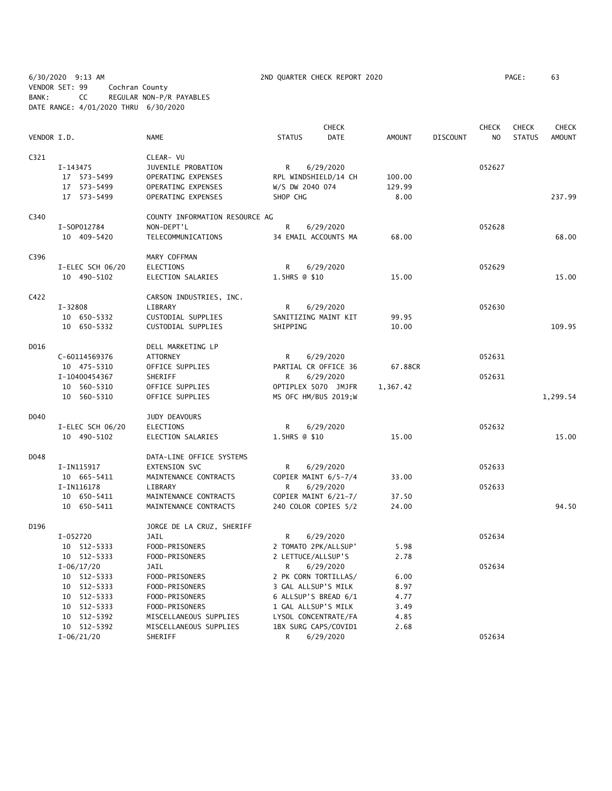6/30/2020 9:13 AM 2ND QUARTER CHECK REPORT 2020 PAGE: 63 VENDOR SET: 99 Cochran County BANK: CC REGULAR NON-P/R PAYABLES DATE RANGE: 4/01/2020 THRU 6/30/2020

|             |                            |                                                |                     | <b>CHECK</b>                                 |                |                 | <b>CHECK</b> | <b>CHECK</b>  | <b>CHECK</b>  |
|-------------|----------------------------|------------------------------------------------|---------------------|----------------------------------------------|----------------|-----------------|--------------|---------------|---------------|
| VENDOR I.D. |                            | <b>NAME</b>                                    | <b>STATUS</b>       | DATE                                         | <b>AMOUNT</b>  | <b>DISCOUNT</b> | NO           | <b>STATUS</b> | <b>AMOUNT</b> |
| C321        |                            | CLEAR- VU                                      |                     |                                              |                |                 |              |               |               |
|             | I-143475                   | JUVENILE PROBATION                             | $\mathsf{R}$        | 6/29/2020                                    |                |                 | 052627       |               |               |
|             | 17 573-5499                | OPERATING EXPENSES                             |                     | RPL WINDSHIELD/14 CH                         | 100.00         |                 |              |               |               |
|             | 17 573-5499                | OPERATING EXPENSES                             | W/S DW 2040 074     |                                              | 129.99         |                 |              |               |               |
|             | 17 573-5499                | OPERATING EXPENSES                             | SHOP CHG            |                                              | 8.00           |                 |              |               | 237.99        |
| C340        |                            | COUNTY INFORMATION RESOURCE AG                 |                     |                                              |                |                 |              |               |               |
|             | I-S0P012784                | NON-DEPT'L                                     | R                   | 6/29/2020                                    |                |                 | 052628       |               |               |
|             | 10 409-5420                | TELECOMMUNICATIONS                             |                     | 34 EMAIL ACCOUNTS MA                         | 68.00          |                 |              |               | 68.00         |
| C396        |                            | MARY COFFMAN                                   |                     |                                              |                |                 |              |               |               |
|             | I-ELEC SCH 06/20           | ELECTIONS                                      | R                   | 6/29/2020                                    |                |                 | 052629       |               |               |
|             | 10 490-5102                | ELECTION SALARIES                              | 1.5HRS @ \$10       |                                              | 15.00          |                 |              |               | 15.00         |
| C422        |                            | CARSON INDUSTRIES, INC.                        |                     |                                              |                |                 |              |               |               |
|             | $I - 32808$                | LIBRARY                                        | R                   | 6/29/2020                                    |                |                 | 052630       |               |               |
|             | 10 650-5332                | CUSTODIAL SUPPLIES                             |                     | SANITIZING MAINT KIT                         | 99.95          |                 |              |               |               |
|             | 10 650-5332                | CUSTODIAL SUPPLIES                             | SHIPPING            |                                              | 10.00          |                 |              |               | 109.95        |
| D016        |                            | DELL MARKETING LP                              |                     |                                              |                |                 |              |               |               |
|             | C-60114569376              | ATTORNEY                                       | R                   | 6/29/2020                                    |                |                 | 052631       |               |               |
|             | 10 475-5310                | OFFICE SUPPLIES                                |                     | PARTIAL CR OFFICE 36                         | 67.88CR        |                 |              |               |               |
|             | I-10400454367              | SHERIFF                                        | R                   | 6/29/2020                                    |                |                 | 052631       |               |               |
|             | 10 560-5310                | OFFICE SUPPLIES                                |                     | OPTIPLEX 5070 JMJFR                          | 1,367.42       |                 |              |               |               |
|             | 10 560-5310                | OFFICE SUPPLIES                                |                     | MS OFC HM/BUS 2019;W                         |                |                 |              |               | 1,299.54      |
| D040        |                            | JUDY DEAVOURS                                  |                     |                                              |                |                 |              |               |               |
|             | I-ELEC SCH 06/20           | <b>ELECTIONS</b>                               | R                   | 6/29/2020                                    |                |                 | 052632       |               |               |
|             | 10 490-5102                | ELECTION SALARIES                              | 1.5HRS @ \$10       |                                              | 15.00          |                 |              |               | 15.00         |
| D048        |                            | DATA-LINE OFFICE SYSTEMS                       |                     |                                              |                |                 |              |               |               |
|             | I-IN115917                 | EXTENSION SVC                                  | R                   | 6/29/2020                                    |                |                 | 052633       |               |               |
|             | 10 665-5411                | MAINTENANCE CONTRACTS                          |                     | COPIER MAINT 6/5-7/4                         | 33.00          |                 |              |               |               |
|             | I-IN116178                 | LIBRARY                                        | R                   | 6/29/2020                                    |                |                 | 052633       |               |               |
|             | 10 650-5411<br>10 650-5411 | MAINTENANCE CONTRACTS<br>MAINTENANCE CONTRACTS |                     | COPIER MAINT 6/21-7/<br>240 COLOR COPIES 5/2 | 37.50<br>24.00 |                 |              |               | 94.50         |
| D196        |                            | JORGE DE LA CRUZ, SHERIFF                      |                     |                                              |                |                 |              |               |               |
|             | I-052720                   | JAIL                                           | R                   | 6/29/2020                                    |                |                 | 052634       |               |               |
|             | 10 512-5333                | FOOD-PRISONERS                                 |                     | 2 TOMATO 2PK/ALLSUP'                         | 5.98           |                 |              |               |               |
|             | 10 512-5333                | FOOD-PRISONERS                                 | 2 LETTUCE/ALLSUP'S  |                                              | 2.78           |                 |              |               |               |
|             | $I-06/17/20$               | JAIL                                           | R                   | 6/29/2020                                    |                |                 | 052634       |               |               |
|             | 10 512-5333                | FOOD-PRISONERS                                 |                     | 2 PK CORN TORTILLAS/                         | 6.00           |                 |              |               |               |
|             | 10 512-5333                | FOOD-PRISONERS                                 | 3 GAL ALLSUP'S MILK |                                              | 8.97           |                 |              |               |               |
|             | 10 512-5333                | FOOD-PRISONERS                                 |                     | 6 ALLSUP'S BREAD 6/1                         | 4.77           |                 |              |               |               |
|             | 10 512-5333                | FOOD-PRISONERS                                 | 1 GAL ALLSUP'S MILK |                                              | 3.49           |                 |              |               |               |
|             | 10 512-5392                | MISCELLANEOUS SUPPLIES                         |                     | LYSOL CONCENTRATE/FA                         | 4.85           |                 |              |               |               |
|             | 10 512-5392                | MISCELLANEOUS SUPPLIES                         |                     | 1BX SURG CAPS/COVID1                         | 2.68           |                 |              |               |               |
|             | $I-06/21/20$               | SHERIFF                                        | R                   | 6/29/2020                                    |                |                 | 052634       |               |               |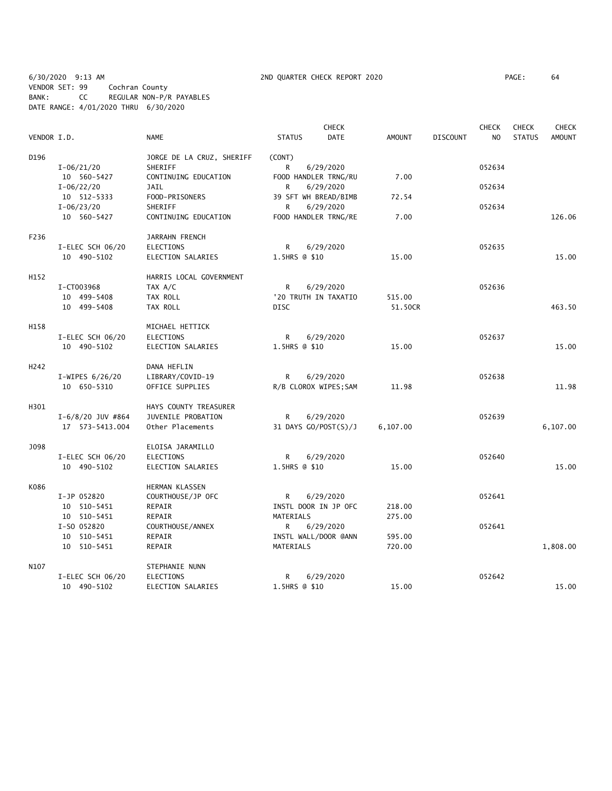6/30/2020 9:13 AM 2ND QUARTER CHECK REPORT 2020 PAGE: 64 VENDOR SET: 99 Cochran County BANK: CC REGULAR NON-P/R PAYABLES DATE RANGE: 4/01/2020 THRU 6/30/2020

|                  |                     |                           |                      | CHECK                 |               |                 | <b>CHECK</b>   | <b>CHECK</b>  | CHECK         |
|------------------|---------------------|---------------------------|----------------------|-----------------------|---------------|-----------------|----------------|---------------|---------------|
| VENDOR I.D.      |                     | <b>NAME</b>               | <b>STATUS</b>        | <b>DATE</b>           | <b>AMOUNT</b> | <b>DISCOUNT</b> | N <sub>O</sub> | <b>STATUS</b> | <b>AMOUNT</b> |
| D196             |                     | JORGE DE LA CRUZ, SHERIFF | (CONT)               |                       |               |                 |                |               |               |
|                  | $I - 06/21/20$      | SHERIFF                   | R                    | 6/29/2020             |               |                 | 052634         |               |               |
|                  | 10 560-5427         | CONTINUING EDUCATION      |                      | FOOD HANDLER TRNG/RU  | 7.00          |                 |                |               |               |
|                  | $I-06/22/20$        | <b>JAIL</b>               | R                    | 6/29/2020             |               |                 | 052634         |               |               |
|                  | 10 512-5333         | FOOD-PRISONERS            |                      | 39 SFT WH BREAD/BIMB  | 72.54         |                 |                |               |               |
|                  | $I - 06/23/20$      | SHERIFF                   | R                    | 6/29/2020             |               |                 | 052634         |               |               |
|                  | 10 560-5427         | CONTINUING EDUCATION      |                      | FOOD HANDLER TRNG/RE  | 7.00          |                 |                |               | 126.06        |
| F236             |                     | JARRAHN FRENCH            |                      |                       |               |                 |                |               |               |
|                  | I-ELEC SCH 06/20    | <b>ELECTIONS</b>          | R                    | 6/29/2020             |               |                 | 052635         |               |               |
|                  | 10 490-5102         | ELECTION SALARIES         | 1.5HRS @ \$10        |                       | 15.00         |                 |                |               | 15.00         |
| H152             |                     | HARRIS LOCAL GOVERNMENT   |                      |                       |               |                 |                |               |               |
|                  | I-CT003968          | TAX A/C                   | R                    | 6/29/2020             |               |                 | 052636         |               |               |
|                  | 10 499-5408         | TAX ROLL                  |                      | '20 TRUTH IN TAXATIO  | 515.00        |                 |                |               |               |
|                  | 10 499-5408         | TAX ROLL                  | <b>DISC</b>          |                       | 51.50CR       |                 |                |               | 463.50        |
| H158             |                     | MICHAEL HETTICK           |                      |                       |               |                 |                |               |               |
|                  | I-ELEC SCH 06/20    | <b>ELECTIONS</b>          | R                    | 6/29/2020             |               |                 | 052637         |               |               |
|                  | 10 490-5102         | ELECTION SALARIES         | 1.5HRS @ \$10        |                       | 15.00         |                 |                |               | 15.00         |
| H <sub>242</sub> |                     | DANA HEFLIN               |                      |                       |               |                 |                |               |               |
|                  | I-WIPES 6/26/20     | LIBRARY/COVID-19          | $\mathsf{R}$         | 6/29/2020             |               |                 | 052638         |               |               |
|                  | 10 650-5310         | OFFICE SUPPLIES           |                      | R/B CLOROX WIPES; SAM | 11.98         |                 |                |               | 11.98         |
| H301             |                     | HAYS COUNTY TREASURER     |                      |                       |               |                 |                |               |               |
|                  | $I-6/8/20$ JUV #864 | JUVENILE PROBATION        | R                    | 6/29/2020             |               |                 | 052639         |               |               |
|                  | 17 573-5413.004     | Other Placements          |                      | 31 DAYS GO/POST(S)/J  | 6,107.00      |                 |                |               | 6,107.00      |
| J098             |                     | ELOISA JARAMILLO          |                      |                       |               |                 |                |               |               |
|                  | I-ELEC SCH 06/20    | <b>ELECTIONS</b>          | R                    | 6/29/2020             |               |                 | 052640         |               |               |
|                  | 10 490-5102         | ELECTION SALARIES         | 1.5HRS @ \$10        |                       | 15.00         |                 |                |               | 15.00         |
| K086             |                     | HERMAN KLASSEN            |                      |                       |               |                 |                |               |               |
|                  | I-JP 052820         | COURTHOUSE/JP OFC         | R                    | 6/29/2020             |               |                 | 052641         |               |               |
|                  | 10 510-5451         | REPAIR                    |                      | INSTL DOOR IN JP OFC  | 218.00        |                 |                |               |               |
|                  | 10 510-5451         | REPAIR                    | MATERIALS            |                       | 275.00        |                 |                |               |               |
|                  | I-SO 052820         | COURTHOUSE/ANNEX          | R                    | 6/29/2020             |               |                 | 052641         |               |               |
|                  | 10 510-5451         | REPAIR                    | INSTL WALL/DOOR @ANN |                       | 595.00        |                 |                |               |               |
|                  | 10 510-5451         | REPAIR                    | MATERIALS            |                       | 720.00        |                 |                |               | 1,808.00      |
| N107             |                     | STEPHANIE NUNN            |                      |                       |               |                 |                |               |               |
|                  | I-ELEC SCH 06/20    | <b>ELECTIONS</b>          | R                    | 6/29/2020             |               |                 | 052642         |               |               |
|                  | 10 490-5102         | ELECTION SALARIES         | 1.5HRS @ \$10        |                       | 15.00         |                 |                |               | 15.00         |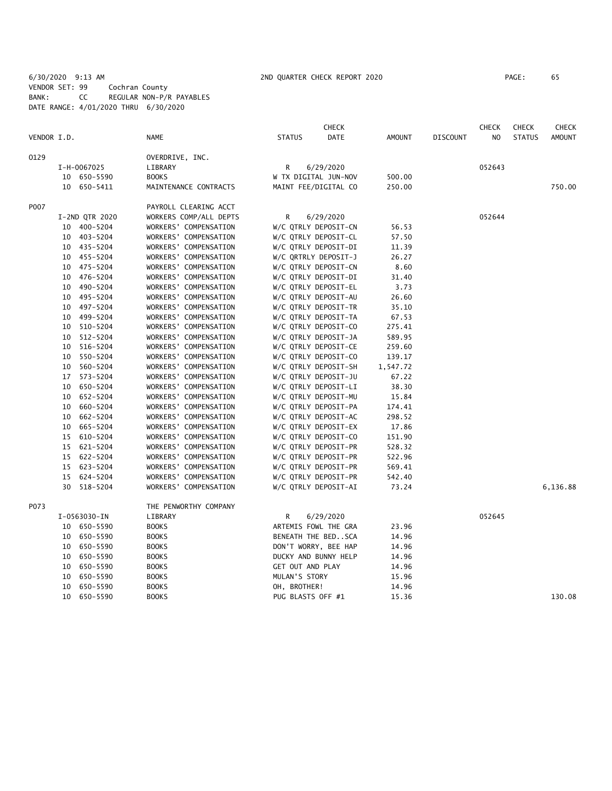6/30/2020 9:13 AM 2ND QUARTER CHECK REPORT 2020 PAGE: 65 VENDOR SET: 99 Cochran County BANK: CC REGULAR NON-P/R PAYABLES DATE RANGE: 4/01/2020 THRU 6/30/2020

|             |    |                               |                        |                   | <b>CHECK</b>           |               |                 | <b>CHECK</b>   | <b>CHECK</b>  | <b>CHECK</b>  |
|-------------|----|-------------------------------|------------------------|-------------------|------------------------|---------------|-----------------|----------------|---------------|---------------|
| VENDOR I.D. |    |                               | NAME                   | <b>STATUS</b>     | <b>DATE</b>            | <b>AMOUNT</b> | <b>DISCOUNT</b> | N <sub>O</sub> | <b>STATUS</b> | <b>AMOUNT</b> |
| 0129        |    |                               | OVERDRIVE, INC.        |                   |                        |               |                 |                |               |               |
|             |    | I-H-0067025                   | LIBRARY                | R                 | 6/29/2020              |               |                 | 052643         |               |               |
|             |    | 10 650-5590                   | <b>BOOKS</b>           |                   | W TX DIGITAL JUN-NOV   | 500.00        |                 |                |               |               |
|             |    | 10 650-5411                   | MAINTENANCE CONTRACTS  |                   | MAINT FEE/DIGITAL CO   | 250.00        |                 |                |               | 750.00        |
| P007        |    |                               | PAYROLL CLEARING ACCT  |                   |                        |               |                 |                |               |               |
|             |    |                               | WORKERS COMP/ALL DEPTS | R                 |                        |               |                 | 052644         |               |               |
|             |    | I-2ND QTR 2020<br>10 400-5204 | WORKERS' COMPENSATION  |                   | 6/29/2020              | 56.53         |                 |                |               |               |
|             |    |                               |                        |                   | W/C QTRLY DEPOSIT-CN   |               |                 |                |               |               |
|             |    | 10 403-5204                   | WORKERS' COMPENSATION  |                   | W/C QTRLY DEPOSIT-CL   | 57.50         |                 |                |               |               |
|             |    | 10 435-5204                   | WORKERS' COMPENSATION  |                   | W/C QTRLY DEPOSIT-DI   | 11.39         |                 |                |               |               |
|             |    | 10 455-5204                   | WORKERS' COMPENSATION  |                   | W/C QRTRLY DEPOSIT-J   | 26.27         |                 |                |               |               |
|             |    | 10 475-5204                   | WORKERS' COMPENSATION  |                   | W/C QTRLY DEPOSIT-CN   | 8.60          |                 |                |               |               |
|             |    | 10 476-5204                   | WORKERS' COMPENSATION  |                   | W/C QTRLY DEPOSIT-DI   | 31.40         |                 |                |               |               |
|             |    | 10 490-5204                   | WORKERS' COMPENSATION  |                   | W/C QTRLY DEPOSIT-EL   | 3.73          |                 |                |               |               |
|             |    | 10 495-5204                   | WORKERS' COMPENSATION  |                   | W/C QTRLY DEPOSIT-AU   | 26.60         |                 |                |               |               |
|             |    | 10 497-5204                   | WORKERS' COMPENSATION  |                   | W/C QTRLY DEPOSIT-TR   | 35.10         |                 |                |               |               |
|             |    | 10 499-5204                   | WORKERS' COMPENSATION  |                   | W/C QTRLY DEPOSIT-TA   | 67.53         |                 |                |               |               |
|             | 10 | 510-5204                      | WORKERS' COMPENSATION  |                   | W/C QTRLY DEPOSIT-CO   | 275.41        |                 |                |               |               |
|             |    | 10 512-5204                   | WORKERS' COMPENSATION  |                   | W/C QTRLY DEPOSIT-JA   | 589.95        |                 |                |               |               |
|             | 10 | 516-5204                      | WORKERS' COMPENSATION  |                   | W/C QTRLY DEPOSIT-CE   | 259.60        |                 |                |               |               |
|             |    | 10 550-5204                   | WORKERS' COMPENSATION  |                   | W/C QTRLY DEPOSIT-CO   | 139.17        |                 |                |               |               |
|             |    | 10 560-5204                   | WORKERS' COMPENSATION  |                   | W/C QTRLY DEPOSIT-SH   | 1,547.72      |                 |                |               |               |
|             |    | 17 573-5204                   | WORKERS' COMPENSATION  |                   | W/C QTRLY DEPOSIT-JU   | 67.22         |                 |                |               |               |
|             | 10 | 650-5204                      | WORKERS' COMPENSATION  |                   | W/C QTRLY DEPOSIT-LI   | 38.30         |                 |                |               |               |
|             |    | 10 652-5204                   | WORKERS' COMPENSATION  |                   | W/C QTRLY DEPOSIT-MU   | 15.84         |                 |                |               |               |
|             |    | 10 660-5204                   | WORKERS' COMPENSATION  |                   | W/C QTRLY DEPOSIT-PA   | 174.41        |                 |                |               |               |
|             | 10 | 662-5204                      | WORKERS' COMPENSATION  |                   | W/C QTRLY DEPOSIT-AC   | 298.52        |                 |                |               |               |
|             | 10 | 665-5204                      | WORKERS' COMPENSATION  |                   | W/C QTRLY DEPOSIT-EX   | 17.86         |                 |                |               |               |
|             |    |                               |                        |                   |                        |               |                 |                |               |               |
|             |    | 15 610-5204                   | WORKERS' COMPENSATION  |                   | W/C QTRLY DEPOSIT-CO   | 151.90        |                 |                |               |               |
|             |    | 15 621-5204                   | WORKERS' COMPENSATION  |                   | W/C QTRLY DEPOSIT-PR   | 528.32        |                 |                |               |               |
|             |    | 15 622-5204                   | WORKERS' COMPENSATION  |                   | W/C QTRLY DEPOSIT-PR   | 522.96        |                 |                |               |               |
|             |    | 15 623-5204                   | WORKERS' COMPENSATION  |                   | W/C QTRLY DEPOSIT-PR   | 569.41        |                 |                |               |               |
|             |    | 15 624-5204                   | WORKERS' COMPENSATION  |                   | W/C QTRLY DEPOSIT-PR   | 542.40        |                 |                |               |               |
|             |    | 30 518-5204                   | WORKERS' COMPENSATION  |                   | W/C QTRLY DEPOSIT-AI   | 73.24         |                 |                |               | 6,136.88      |
| P073        |    |                               | THE PENWORTHY COMPANY  |                   |                        |               |                 |                |               |               |
|             |    | I-0563030-IN                  | LIBRARY                | R                 | 6/29/2020              |               |                 | 052645         |               |               |
|             |    | 10 650-5590                   | <b>BOOKS</b>           |                   | ARTEMIS FOWL THE GRA   | 23.96         |                 |                |               |               |
|             |    | 10 650-5590                   | <b>BOOKS</b>           |                   | BENEATH THE BED. . SCA | 14.96         |                 |                |               |               |
|             |    | 10 650-5590                   | <b>BOOKS</b>           |                   | DON'T WORRY, BEE HAP   | 14.96         |                 |                |               |               |
|             |    | 10 650-5590                   | <b>BOOKS</b>           |                   | DUCKY AND BUNNY HELP   | 14.96         |                 |                |               |               |
|             | 10 | 650-5590                      | <b>BOOKS</b>           | GET OUT AND PLAY  |                        | 14.96         |                 |                |               |               |
|             | 10 | 650-5590                      | <b>BOOKS</b>           | MULAN'S STORY     |                        | 15.96         |                 |                |               |               |
|             |    | 10 650-5590                   | <b>BOOKS</b>           | OH, BROTHER!      |                        | 14.96         |                 |                |               |               |
|             |    | 10 650-5590                   | <b>BOOKS</b>           | PUG BLASTS OFF #1 |                        | 15.36         |                 |                |               | 130.08        |
|             |    |                               |                        |                   |                        |               |                 |                |               |               |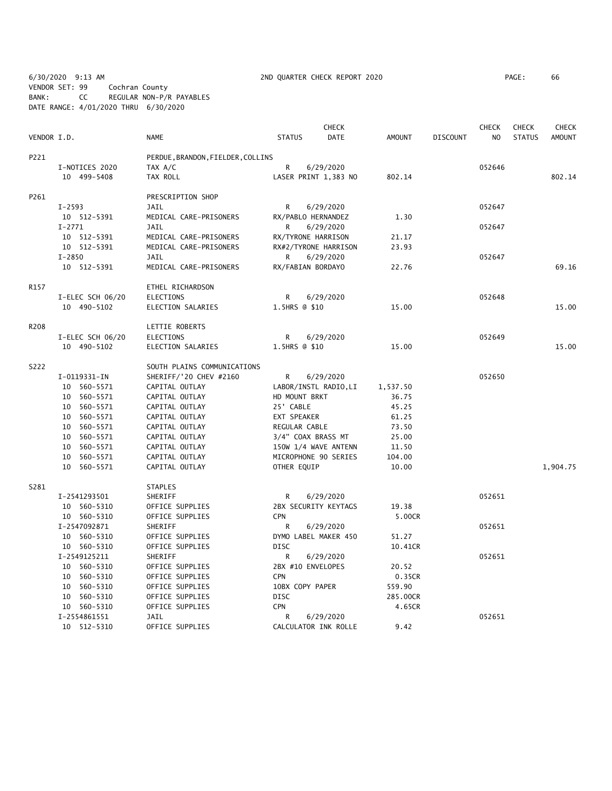6/30/2020 9:13 AM 2ND QUARTER CHECK REPORT 2020 PAGE: 66 VENDOR SET: 99 Cochran County BANK: CC REGULAR NON-P/R PAYABLES DATE RANGE: 4/01/2020 THRU 6/30/2020

|             |                            |                                   |                    | <b>CHECK</b>          |                 |                 | <b>CHECK</b>   | <b>CHECK</b>  | <b>CHECK</b>  |
|-------------|----------------------------|-----------------------------------|--------------------|-----------------------|-----------------|-----------------|----------------|---------------|---------------|
| VENDOR I.D. |                            | <b>NAME</b>                       | <b>STATUS</b>      | <b>DATE</b>           | <b>AMOUNT</b>   | <b>DISCOUNT</b> | N <sub>O</sub> | <b>STATUS</b> | <b>AMOUNT</b> |
| P221        |                            | PERDUE, BRANDON, FIELDER, COLLINS |                    |                       |                 |                 |                |               |               |
|             | I-NOTICES 2020             | TAX A/C                           | $\mathsf{R}$       | 6/29/2020             |                 |                 | 052646         |               |               |
|             | 10 499-5408                | TAX ROLL                          |                    | LASER PRINT 1,383 NO  | 802.14          |                 |                |               | 802.14        |
| P261        |                            | PRESCRIPTION SHOP                 |                    |                       |                 |                 |                |               |               |
|             | $I - 2593$                 | <b>JAIL</b>                       | R                  | 6/29/2020             |                 |                 | 052647         |               |               |
|             | 10 512-5391                | MEDICAL CARE-PRISONERS            | RX/PABLO HERNANDEZ |                       | 1.30            |                 |                |               |               |
|             | $I-2771$                   | <b>JAIL</b>                       | R                  | 6/29/2020             |                 |                 | 052647         |               |               |
|             | 10 512-5391                | MEDICAL CARE-PRISONERS            | RX/TYRONE HARRISON |                       | 21.17           |                 |                |               |               |
|             | 10 512-5391                | MEDICAL CARE-PRISONERS            |                    | RX#2/TYRONE HARRISON  | 23.93           |                 |                |               |               |
|             | $I - 2850$                 | <b>JAIL</b>                       | R                  | 6/29/2020             |                 |                 | 052647         |               |               |
|             | 10 512-5391                | MEDICAL CARE-PRISONERS            | RX/FABIAN BORDAYO  |                       | 22.76           |                 |                |               | 69.16         |
| R157        |                            | ETHEL RICHARDSON                  |                    |                       |                 |                 |                |               |               |
|             | I-ELEC SCH 06/20           | <b>ELECTIONS</b>                  | R                  | 6/29/2020             |                 |                 | 052648         |               |               |
|             | 10 490-5102                | <b>ELECTION SALARIES</b>          | 1.5HRS @ \$10      |                       | 15.00           |                 |                |               | 15.00         |
| R208        |                            | LETTIE ROBERTS                    |                    |                       |                 |                 |                |               |               |
|             | I-ELEC SCH 06/20           | <b>ELECTIONS</b>                  | R                  | 6/29/2020             |                 |                 | 052649         |               |               |
|             | 10 490-5102                | ELECTION SALARIES                 | 1.5HRS @ \$10      |                       | 15.00           |                 |                |               | 15.00         |
| S222        |                            | SOUTH PLAINS COMMUNICATIONS       |                    |                       |                 |                 |                |               |               |
|             | I-0119331-IN               | SHERIFF/'20 CHEV #2160            | R                  | 6/29/2020             |                 |                 | 052650         |               |               |
|             | 10 560-5571                | CAPITAL OUTLAY                    |                    | LABOR/INSTL RADIO, LI | 1,537.50        |                 |                |               |               |
|             | 10 560-5571                | CAPITAL OUTLAY                    | HD MOUNT BRKT      |                       | 36.75           |                 |                |               |               |
|             | 10 560-5571                | CAPITAL OUTLAY                    | 25' CABLE          |                       | 45.25           |                 |                |               |               |
|             | 10 560-5571                | CAPITAL OUTLAY                    | EXT SPEAKER        |                       | 61.25           |                 |                |               |               |
|             | 10 560-5571                | CAPITAL OUTLAY                    | REGULAR CABLE      |                       | 73.50           |                 |                |               |               |
|             | 10 560-5571                | CAPITAL OUTLAY                    | 3/4" COAX BRASS MT |                       | 25.00           |                 |                |               |               |
|             | 10 560-5571                | CAPITAL OUTLAY                    |                    | 150W 1/4 WAVE ANTENN  | 11.50           |                 |                |               |               |
|             | 10 560-5571                | CAPITAL OUTLAY                    |                    | MICROPHONE 90 SERIES  | 104.00          |                 |                |               |               |
|             | 10 560-5571                | CAPITAL OUTLAY                    | OTHER EQUIP        |                       | 10.00           |                 |                |               | 1,904.75      |
| S281        |                            | <b>STAPLES</b>                    |                    |                       |                 |                 |                |               |               |
|             | I-2541293501               | SHERIFF                           | R                  | 6/29/2020             |                 |                 | 052651         |               |               |
|             | 10 560-5310<br>10 560-5310 | OFFICE SUPPLIES                   | <b>CPN</b>         | 2BX SECURITY KEYTAGS  | 19.38<br>5.00CR |                 |                |               |               |
|             | I-2547092871               | OFFICE SUPPLIES<br>SHERIFF        | R                  | 6/29/2020             |                 |                 | 052651         |               |               |
|             | 10 560-5310                | OFFICE SUPPLIES                   |                    | DYMO LABEL MAKER 450  | 51.27           |                 |                |               |               |
|             | 10 560-5310                | OFFICE SUPPLIES                   | DISC               |                       | 10.41CR         |                 |                |               |               |
|             | I-2549125211               | SHERIFF                           | R                  | 6/29/2020             |                 |                 | 052651         |               |               |
|             | 10 560-5310                | OFFICE SUPPLIES                   | 2BX #10 ENVELOPES  |                       | 20.52           |                 |                |               |               |
|             | 10 560-5310                | OFFICE SUPPLIES                   | <b>CPN</b>         |                       | 0.35CR          |                 |                |               |               |
|             | 10 560-5310                | OFFICE SUPPLIES                   | 10BX COPY PAPER    |                       | 559.90          |                 |                |               |               |
|             | 10 560-5310                | OFFICE SUPPLIES                   | <b>DISC</b>        |                       | 285.00CR        |                 |                |               |               |
|             | 10 560-5310                | OFFICE SUPPLIES                   | <b>CPN</b>         |                       | 4.65CR          |                 |                |               |               |
|             | I-2554861551               | <b>JAIL</b>                       | R                  | 6/29/2020             |                 |                 | 052651         |               |               |
|             | 10 512-5310                | OFFICE SUPPLIES                   |                    | CALCULATOR INK ROLLE  | 9.42            |                 |                |               |               |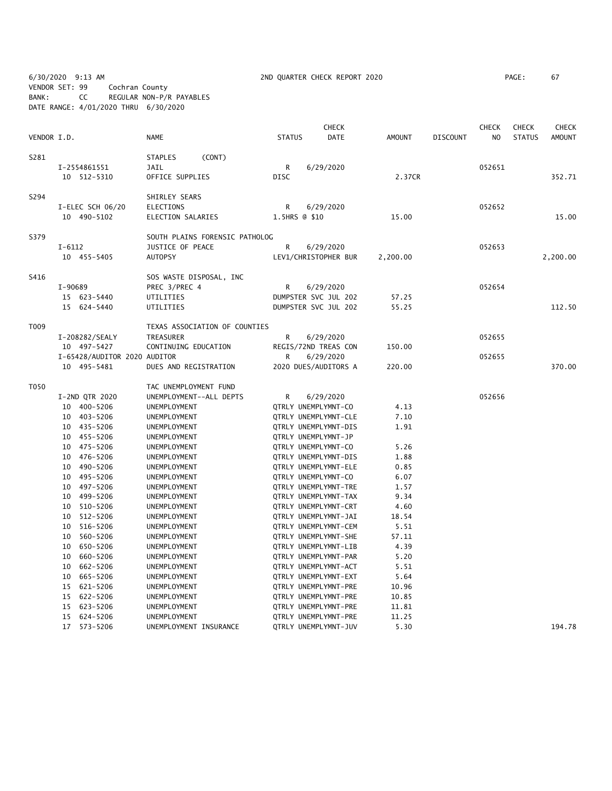6/30/2020 9:13 AM 2ND QUARTER CHECK REPORT 2020 PAGE: 67 VENDOR SET: 99 Cochran County BANK: CC REGULAR NON-P/R PAYABLES DATE RANGE: 4/01/2020 THRU 6/30/2020

|             |            |                              |                              |                                |                     |           | <b>CHECK</b>         |               |                 | <b>CHECK</b>   | <b>CHECK</b>  | <b>CHECK</b>  |
|-------------|------------|------------------------------|------------------------------|--------------------------------|---------------------|-----------|----------------------|---------------|-----------------|----------------|---------------|---------------|
| VENDOR I.D. |            |                              | <b>NAME</b>                  |                                | <b>STATUS</b>       |           | <b>DATE</b>          | <b>AMOUNT</b> | <b>DISCOUNT</b> | N <sub>O</sub> | <b>STATUS</b> | <b>AMOUNT</b> |
| S281        |            |                              | <b>STAPLES</b>               | (CONT)                         |                     |           |                      |               |                 |                |               |               |
|             |            | I-2554861551                 | <b>JAIL</b>                  |                                | R                   | 6/29/2020 |                      |               |                 | 052651         |               |               |
|             |            | 10 512-5310                  | OFFICE SUPPLIES              |                                | <b>DISC</b>         |           |                      | 2.37CR        |                 |                |               | 352.71        |
| S294        |            |                              | SHIRLEY SEARS                |                                |                     |           |                      |               |                 |                |               |               |
|             |            | I-ELEC SCH 06/20             | <b>ELECTIONS</b>             |                                | R                   | 6/29/2020 |                      |               |                 | 052652         |               |               |
|             |            | 10 490-5102                  | ELECTION SALARIES            |                                | 1.5HRS @ \$10       |           |                      | 15.00         |                 |                |               | 15.00         |
| S379        |            |                              |                              | SOUTH PLAINS FORENSIC PATHOLOG |                     |           |                      |               |                 |                |               |               |
|             | $I - 6112$ |                              | JUSTICE OF PEACE             |                                | R                   | 6/29/2020 |                      |               |                 | 052653         |               |               |
|             |            | 10 455-5405                  | <b>AUTOPSY</b>               |                                |                     |           | LEV1/CHRISTOPHER BUR | 2,200.00      |                 |                |               | 2,200.00      |
| S416        |            |                              | SOS WASTE DISPOSAL, INC      |                                |                     |           |                      |               |                 |                |               |               |
|             | I-90689    |                              | PREC 3/PREC 4                |                                | R                   | 6/29/2020 |                      |               |                 | 052654         |               |               |
|             |            | 15 623-5440                  | UTILITIES                    |                                |                     |           | DUMPSTER SVC JUL 202 | 57.25         |                 |                |               |               |
|             |            | 15 624-5440                  | UTILITIES                    |                                |                     |           | DUMPSTER SVC JUL 202 | 55.25         |                 |                |               | 112.50        |
| T009        |            |                              |                              | TEXAS ASSOCIATION OF COUNTIES  |                     |           |                      |               |                 |                |               |               |
|             |            | I-208282/SEALY               | TREASURER                    |                                | R                   | 6/29/2020 |                      |               |                 | 052655         |               |               |
|             |            | 10 497-5427                  | CONTINUING EDUCATION         |                                |                     |           | REGIS/72ND TREAS CON | 150.00        |                 |                |               |               |
|             |            | I-65428/AUDITOR 2020 AUDITOR |                              |                                | R                   | 6/29/2020 |                      |               |                 | 052655         |               |               |
|             |            | 10 495-5481                  | DUES AND REGISTRATION        |                                |                     |           | 2020 DUES/AUDITORS A | 220.00        |                 |                |               | 370.00        |
| T050        |            |                              | TAC UNEMPLOYMENT FUND        |                                |                     |           |                      |               |                 |                |               |               |
|             |            | I-2ND QTR 2020               | UNEMPLOYMENT--ALL DEPTS      |                                | R                   | 6/29/2020 |                      |               |                 | 052656         |               |               |
|             |            | 10 400-5206                  | UNEMPLOYMENT                 |                                | QTRLY UNEMPLYMNT-CO |           |                      | 4.13          |                 |                |               |               |
|             |            | 10 403-5206                  | UNEMPLOYMENT                 |                                |                     |           | QTRLY UNEMPLYMNT-CLE | 7.10          |                 |                |               |               |
|             |            | 10 435-5206                  | UNEMPLOYMENT                 |                                |                     |           | QTRLY UNEMPLYMNT-DIS | 1.91          |                 |                |               |               |
|             | 10         | 455-5206                     | UNEMPLOYMENT                 |                                | QTRLY UNEMPLYMNT-JP |           |                      |               |                 |                |               |               |
|             | 10         | 475-5206                     | UNEMPLOYMENT                 |                                | QTRLY UNEMPLYMNT-CO |           |                      | 5.26          |                 |                |               |               |
|             | 10         | 476-5206                     | UNEMPLOYMENT                 |                                |                     |           | QTRLY UNEMPLYMNT-DIS | 1.88          |                 |                |               |               |
|             | 10         | 490-5206                     | UNEMPLOYMENT                 |                                |                     |           | QTRLY UNEMPLYMNT-ELE | 0.85          |                 |                |               |               |
|             | 10<br>10   | 495-5206<br>497-5206         | UNEMPLOYMENT<br>UNEMPLOYMENT |                                | QTRLY UNEMPLYMNT-CO |           | QTRLY UNEMPLYMNT-TRE | 6.07<br>1.57  |                 |                |               |               |
|             | 10         | 499-5206                     | UNEMPLOYMENT                 |                                |                     |           | QTRLY UNEMPLYMNT-TAX | 9.34          |                 |                |               |               |
|             | 10         | 510-5206                     | UNEMPLOYMENT                 |                                |                     |           | QTRLY UNEMPLYMNT-CRT | 4.60          |                 |                |               |               |
|             | 10         | 512-5206                     | UNEMPLOYMENT                 |                                |                     |           | QTRLY UNEMPLYMNT-JAI | 18.54         |                 |                |               |               |
|             | 10         | 516-5206                     | UNEMPLOYMENT                 |                                |                     |           | QTRLY UNEMPLYMNT-CEM | 5.51          |                 |                |               |               |
|             | 10         | 560-5206                     | UNEMPLOYMENT                 |                                |                     |           | QTRLY UNEMPLYMNT-SHE | 57.11         |                 |                |               |               |
|             | 10         | 650-5206                     | UNEMPLOYMENT                 |                                |                     |           | QTRLY UNEMPLYMNT-LIB | 4.39          |                 |                |               |               |
|             | 10         | 660-5206                     | UNEMPLOYMENT                 |                                |                     |           | QTRLY UNEMPLYMNT-PAR | 5.20          |                 |                |               |               |
|             | 10         | 662-5206                     | UNEMPLOYMENT                 |                                |                     |           | QTRLY UNEMPLYMNT-ACT | 5.51          |                 |                |               |               |
|             | 10         | 665-5206                     | UNEMPLOYMENT                 |                                |                     |           | QTRLY UNEMPLYMNT-EXT | 5.64          |                 |                |               |               |
|             | 15         | 621-5206                     | UNEMPLOYMENT                 |                                |                     |           | QTRLY UNEMPLYMNT-PRE | 10.96         |                 |                |               |               |
|             | 15         | 622-5206                     | UNEMPLOYMENT                 |                                |                     |           | QTRLY UNEMPLYMNT-PRE | 10.85         |                 |                |               |               |
|             | 15         | 623-5206                     | UNEMPLOYMENT                 |                                |                     |           | QTRLY UNEMPLYMNT-PRE | 11.81         |                 |                |               |               |
|             | 15         | 624-5206                     | UNEMPLOYMENT                 |                                |                     |           | QTRLY UNEMPLYMNT-PRE | 11.25         |                 |                |               |               |
|             | 17         | $573 - 5206$                 | UNEMPLOYMENT INSURANCE       |                                |                     |           | QTRLY UNEMPLYMNT-JUV | 5.30          |                 |                |               | 194.78        |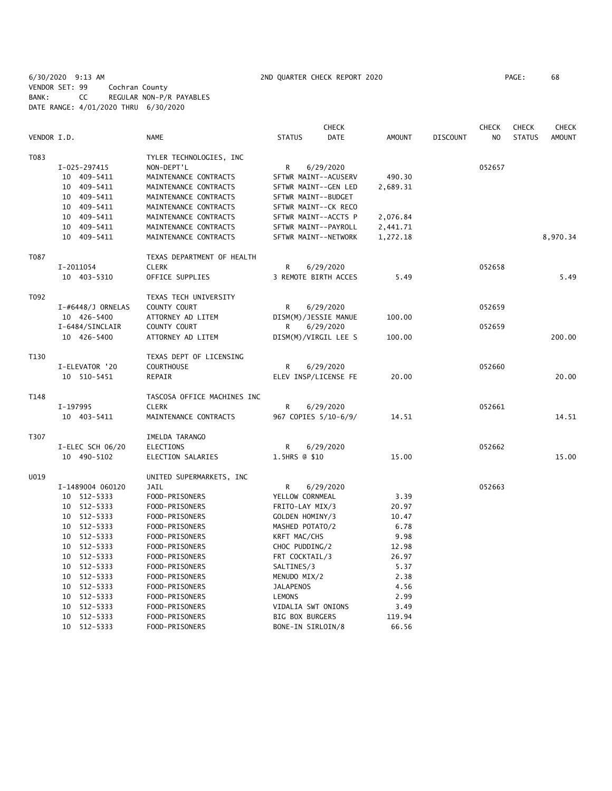6/30/2020 9:13 AM 2ND QUARTER CHECK REPORT 2020 PAGE: 68 VENDOR SET: 99 Cochran County BANK: CC REGULAR NON-P/R PAYABLES DATE RANGE: 4/01/2020 THRU 6/30/2020

|             |                      |                             |                        | <b>CHECK</b>         |               |                 | <b>CHECK</b>   | <b>CHECK</b>  | <b>CHECK</b>  |
|-------------|----------------------|-----------------------------|------------------------|----------------------|---------------|-----------------|----------------|---------------|---------------|
| VENDOR I.D. |                      | NAME                        | <b>STATUS</b>          | DATE                 | <b>AMOUNT</b> | <b>DISCOUNT</b> | N <sub>O</sub> | <b>STATUS</b> | <b>AMOUNT</b> |
| T083        |                      | TYLER TECHNOLOGIES, INC     |                        |                      |               |                 |                |               |               |
|             | I-025-297415         | NON-DEPT'L                  | R                      | 6/29/2020            |               |                 | 052657         |               |               |
|             | 10 409-5411          | MAINTENANCE CONTRACTS       |                        | SFTWR MAINT--ACUSERV | 490.30        |                 |                |               |               |
|             | 409-5411<br>10       | MAINTENANCE CONTRACTS       |                        | SFTWR MAINT--GEN LED | 2,689.31      |                 |                |               |               |
|             | 10 409-5411          | MAINTENANCE CONTRACTS       | SFTWR MAINT--BUDGET    |                      |               |                 |                |               |               |
|             | 10 409-5411          | MAINTENANCE CONTRACTS       |                        | SFTWR MAINT--CK RECO |               |                 |                |               |               |
|             | 10 409-5411          | MAINTENANCE CONTRACTS       |                        | SFTWR MAINT--ACCTS P | 2,076.84      |                 |                |               |               |
|             | 10 409-5411          | MAINTENANCE CONTRACTS       |                        | SFTWR MAINT--PAYROLL | 2,441.71      |                 |                |               |               |
|             | 10 409-5411          | MAINTENANCE CONTRACTS       |                        | SFTWR MAINT--NETWORK | 1,272.18      |                 |                |               | 8,970.34      |
| T087        |                      | TEXAS DEPARTMENT OF HEALTH  |                        |                      |               |                 |                |               |               |
|             | I-2011054            | <b>CLERK</b>                | R                      | 6/29/2020            |               |                 | 052658         |               |               |
|             | 10 403-5310          | OFFICE SUPPLIES             |                        | 3 REMOTE BIRTH ACCES | 5.49          |                 |                |               | 5.49          |
| T092        |                      | TEXAS TECH UNIVERSITY       |                        |                      |               |                 |                |               |               |
|             | $I$ -#6448/J ORNELAS | COUNTY COURT                | R                      | 6/29/2020            |               |                 | 052659         |               |               |
|             | 10 426-5400          | ATTORNEY AD LITEM           |                        | DISM(M)/JESSIE MANUE | 100.00        |                 |                |               |               |
|             | I-6484/SINCLAIR      | COUNTY COURT                | R                      | 6/29/2020            |               |                 | 052659         |               |               |
|             | 10 426-5400          | ATTORNEY AD LITEM           |                        | DISM(M)/VIRGIL LEE S | 100.00        |                 |                |               | 200.00        |
| T130        |                      | TEXAS DEPT OF LICENSING     |                        |                      |               |                 |                |               |               |
|             | I-ELEVATOR '20       | <b>COURTHOUSE</b>           | R                      | 6/29/2020            |               |                 | 052660         |               |               |
|             | 10 510-5451          | REPAIR                      |                        | ELEV INSP/LICENSE FE | 20.00         |                 |                |               | 20.00         |
| T148        |                      | TASCOSA OFFICE MACHINES INC |                        |                      |               |                 |                |               |               |
|             | I-197995             | <b>CLERK</b>                | R                      | 6/29/2020            |               |                 | 052661         |               |               |
|             | 10 403-5411          | MAINTENANCE CONTRACTS       |                        | 967 COPIES 5/10-6/9/ | 14.51         |                 |                |               | 14.51         |
| T307        |                      | IMELDA TARANGO              |                        |                      |               |                 |                |               |               |
|             | I-ELEC SCH 06/20     | <b>ELECTIONS</b>            | R                      | 6/29/2020            |               |                 | 052662         |               |               |
|             | 10 490-5102          | ELECTION SALARIES           | 1.5HRS @ \$10          |                      | 15.00         |                 |                |               | 15.00         |
| U019        |                      | UNITED SUPERMARKETS, INC    |                        |                      |               |                 |                |               |               |
|             | I-1489004 060120     | JAIL                        | R                      | 6/29/2020            |               |                 | 052663         |               |               |
|             | 10 512-5333          | FOOD-PRISONERS              | YELLOW CORNMEAL        |                      | 3.39          |                 |                |               |               |
|             | 10 512-5333          | FOOD-PRISONERS              | FRITO-LAY MIX/3        |                      | 20.97         |                 |                |               |               |
|             | 10 512-5333          | FOOD-PRISONERS              | GOLDEN HOMINY/3        |                      | 10.47         |                 |                |               |               |
|             | 10 512-5333          | FOOD-PRISONERS              | MASHED POTATO/2        |                      | 6.78          |                 |                |               |               |
|             | 10 512-5333          | FOOD-PRISONERS              | KRFT MAC/CHS           |                      | 9.98          |                 |                |               |               |
|             | 10 512-5333          | FOOD-PRISONERS              | CHOC PUDDING/2         |                      | 12.98         |                 |                |               |               |
|             | 10 512-5333          | FOOD-PRISONERS              | FRT COCKTAIL/3         |                      | 26.97         |                 |                |               |               |
|             | 10 512-5333          | FOOD-PRISONERS              | SALTINES/3             |                      | 5.37          |                 |                |               |               |
|             | 10 512-5333          | FOOD-PRISONERS              | MENUDO MIX/2           |                      | 2.38          |                 |                |               |               |
|             | 512-5333<br>10       | FOOD-PRISONERS              | <b>JALAPENOS</b>       |                      | 4.56          |                 |                |               |               |
|             | 10 512-5333          | FOOD-PRISONERS              | LEMONS                 |                      | 2.99          |                 |                |               |               |
|             | 512-5333<br>10       | FOOD-PRISONERS              | VIDALIA SWT ONIONS     |                      | 3.49          |                 |                |               |               |
|             | 10 512-5333          | FOOD-PRISONERS              | <b>BIG BOX BURGERS</b> |                      | 119.94        |                 |                |               |               |
|             | 10 512-5333          | FOOD-PRISONERS              | BONE-IN SIRLOIN/8      |                      | 66.56         |                 |                |               |               |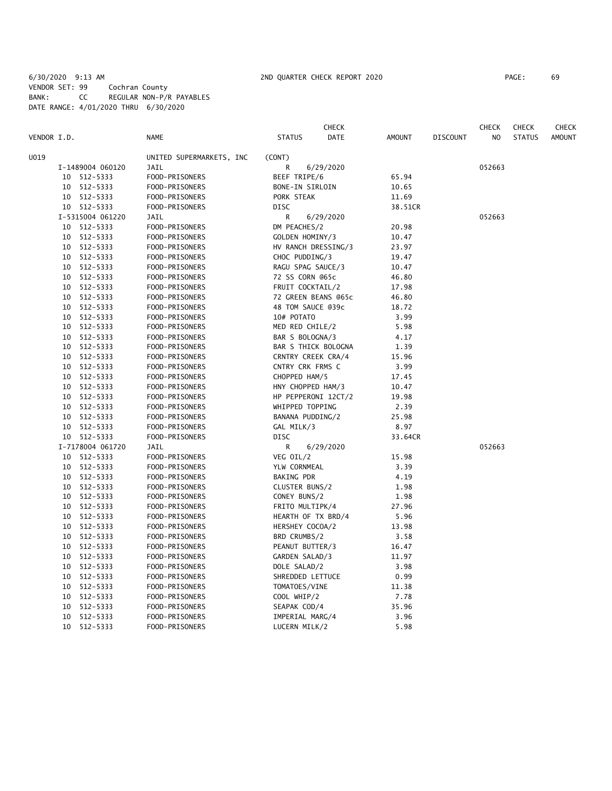## 6/30/2020 9:13 AM 2ND QUARTER CHECK REPORT 2020 PAGE: 69 VENDOR SET: 99 Cochran County BANK: CC REGULAR NON-P/R PAYABLES DATE RANGE: 4/01/2020 THRU 6/30/2020

|             |                  |                          |                     | CHECK       |         |                 | <b>CHECK</b> | <b>CHECK</b>  | <b>CHECK</b>  |
|-------------|------------------|--------------------------|---------------------|-------------|---------|-----------------|--------------|---------------|---------------|
| VENDOR I.D. |                  | <b>NAME</b>              | <b>STATUS</b>       | <b>DATE</b> | AMOUNT  | <b>DISCOUNT</b> | NO.          | <b>STATUS</b> | <b>AMOUNT</b> |
| U019        |                  | UNITED SUPERMARKETS, INC | (CONT)              |             |         |                 |              |               |               |
|             | I-1489004 060120 | JAIL                     | R                   | 6/29/2020   |         |                 | 052663       |               |               |
|             | 10 512-5333      | FOOD-PRISONERS           | <b>BEEF TRIPE/6</b> |             | 65.94   |                 |              |               |               |
| 10          | 512-5333         | FOOD-PRISONERS           | BONE-IN SIRLOIN     |             | 10.65   |                 |              |               |               |
|             | 10 512-5333      | FOOD-PRISONERS           | PORK STEAK          |             | 11.69   |                 |              |               |               |
|             | 10 512-5333      | FOOD-PRISONERS           | DISC                |             | 38.51CR |                 |              |               |               |
|             | I-5315004 061220 | JAIL                     | R                   | 6/29/2020   |         |                 | 052663       |               |               |
| 10          | 512-5333         | FOOD-PRISONERS           | DM PEACHES/2        |             | 20.98   |                 |              |               |               |
| 10          | 512-5333         | FOOD-PRISONERS           | GOLDEN HOMINY/3     |             | 10.47   |                 |              |               |               |
| 10          | 512-5333         | FOOD-PRISONERS           | HV RANCH DRESSING/3 |             | 23.97   |                 |              |               |               |
| 10          | 512-5333         | FOOD-PRISONERS           | CHOC PUDDING/3      |             | 19.47   |                 |              |               |               |
| 10          | 512-5333         | FOOD-PRISONERS           | RAGU SPAG SAUCE/3   |             | 10.47   |                 |              |               |               |
| 10          | 512-5333         | FOOD-PRISONERS           | 72 SS CORN @65c     |             | 46.80   |                 |              |               |               |
| 10          | 512-5333         | FOOD-PRISONERS           | FRUIT COCKTAIL/2    |             | 17.98   |                 |              |               |               |
| 10          | 512-5333         | FOOD-PRISONERS           | 72 GREEN BEANS @65c |             | 46.80   |                 |              |               |               |
| 10          | 512-5333         | FOOD-PRISONERS           | 48 TOM SAUCE @39c   |             | 18.72   |                 |              |               |               |
| 10          | 512-5333         | FOOD-PRISONERS           | 10# POTATO          |             | 3.99    |                 |              |               |               |
| 10          | 512-5333         | FOOD-PRISONERS           | MED RED CHILE/2     |             | 5.98    |                 |              |               |               |
| 10          | 512-5333         | FOOD-PRISONERS           | BAR S BOLOGNA/3     |             | 4.17    |                 |              |               |               |
| 10          | 512-5333         | FOOD-PRISONERS           | BAR S THICK BOLOGNA |             | 1.39    |                 |              |               |               |
| 10          | 512-5333         | FOOD-PRISONERS           | CRNTRY CREEK CRA/4  |             | 15.96   |                 |              |               |               |
| 10          | 512-5333         | FOOD-PRISONERS           | CNTRY CRK FRMS C    |             | 3.99    |                 |              |               |               |
| 10          | 512-5333         | FOOD-PRISONERS           | CHOPPED HAM/5       |             | 17.45   |                 |              |               |               |
| 10          | 512-5333         | FOOD-PRISONERS           | HNY CHOPPED HAM/3   |             | 10.47   |                 |              |               |               |
| 10          | 512-5333         | FOOD-PRISONERS           | HP PEPPERONI 12CT/2 |             | 19.98   |                 |              |               |               |
| 10          | 512-5333         | FOOD-PRISONERS           | WHIPPED TOPPING     |             | 2.39    |                 |              |               |               |
| 10          | 512-5333         | FOOD-PRISONERS           | BANANA PUDDING/2    |             | 25.98   |                 |              |               |               |
|             | 10 512-5333      | FOOD-PRISONERS           | GAL MILK/3          |             | 8.97    |                 |              |               |               |
|             | 10 512-5333      | FOOD-PRISONERS           | DISC                |             | 33.64CR |                 |              |               |               |
|             | I-7178004 061720 | JAIL                     | R                   | 6/29/2020   |         |                 | 052663       |               |               |
| 10          | 512-5333         | FOOD-PRISONERS           | VEG OIL/2           |             | 15.98   |                 |              |               |               |
| 10          | 512-5333         | FOOD-PRISONERS           | YLW CORNMEAL        |             | 3.39    |                 |              |               |               |
| 10          | 512-5333         | FOOD-PRISONERS           | <b>BAKING PDR</b>   |             | 4.19    |                 |              |               |               |
| 10          | 512-5333         | FOOD-PRISONERS           | CLUSTER BUNS/2      |             | 1.98    |                 |              |               |               |
| 10          | 512-5333         | FOOD-PRISONERS           | CONEY BUNS/2        |             | 1.98    |                 |              |               |               |
| 10          | 512-5333         | FOOD-PRISONERS           | FRITO MULTIPK/4     |             | 27.96   |                 |              |               |               |
| 10          | 512-5333         | FOOD-PRISONERS           | HEARTH OF TX BRD/4  |             | 5.96    |                 |              |               |               |
| 10          | 512-5333         | FOOD-PRISONERS           | HERSHEY COCOA/2     |             | 13.98   |                 |              |               |               |
| 10          | 512-5333         | FOOD-PRISONERS           | BRD CRUMBS/2        |             | 3.58    |                 |              |               |               |
| 10          | 512-5333         | FOOD-PRISONERS           | PEANUT BUTTER/3     |             | 16.47   |                 |              |               |               |
| 10          | 512-5333         | FOOD-PRISONERS           | GARDEN SALAD/3      |             | 11.97   |                 |              |               |               |
| 10          | 512-5333         | FOOD-PRISONERS           | DOLE SALAD/2        |             | 3.98    |                 |              |               |               |
| 10          | 512-5333         | FOOD-PRISONERS           | SHREDDED LETTUCE    |             | 0.99    |                 |              |               |               |
| 10          | 512-5333         | FOOD-PRISONERS           | TOMATOES/VINE       |             | 11.38   |                 |              |               |               |
| 10          | 512-5333         | FOOD-PRISONERS           | COOL WHIP/2         |             | 7.78    |                 |              |               |               |
| 10          | 512-5333         | FOOD-PRISONERS           | SEAPAK COD/4        |             | 35.96   |                 |              |               |               |
| 10          | 512-5333         | FOOD-PRISONERS           | IMPERIAL MARG/4     |             | 3.96    |                 |              |               |               |
| 10          | 512-5333         | FOOD-PRISONERS           | LUCERN MILK/2       |             | 5.98    |                 |              |               |               |
|             |                  |                          |                     |             |         |                 |              |               |               |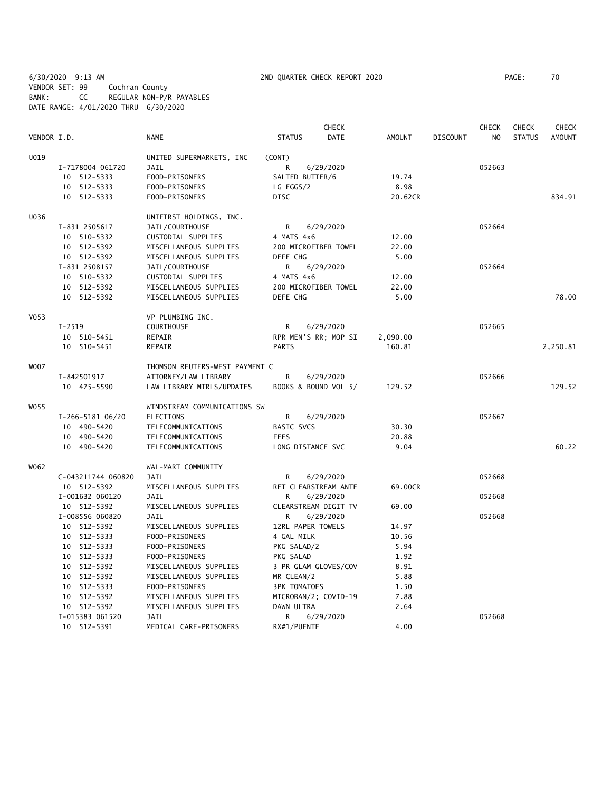6/30/2020 9:13 AM 2ND QUARTER CHECK REPORT 2020 PAGE: 70 VENDOR SET: 99 Cochran County BANK: CC REGULAR NON-P/R PAYABLES DATE RANGE: 4/01/2020 THRU 6/30/2020

|             |                    |                                |                      | <b>CHECK</b>         |               |                 | <b>CHECK</b>   | <b>CHECK</b>  | <b>CHECK</b>  |
|-------------|--------------------|--------------------------------|----------------------|----------------------|---------------|-----------------|----------------|---------------|---------------|
| VENDOR I.D. |                    | <b>NAME</b>                    | <b>STATUS</b>        | <b>DATE</b>          | <b>AMOUNT</b> | <b>DISCOUNT</b> | N <sub>O</sub> | <b>STATUS</b> | <b>AMOUNT</b> |
| U019        |                    | UNITED SUPERMARKETS, INC       | (CONT)               |                      |               |                 |                |               |               |
|             | I-7178004 061720   | JAIL                           | R                    | 6/29/2020            |               |                 | 052663         |               |               |
|             | 10 512-5333        | FOOD-PRISONERS                 | SALTED BUTTER/6      |                      | 19.74         |                 |                |               |               |
|             | 10 512-5333        | FOOD-PRISONERS                 | LG EGGS/2            |                      | 8.98          |                 |                |               |               |
|             | 10 512-5333        | FOOD-PRISONERS                 | <b>DISC</b>          |                      | 20.62CR       |                 |                |               | 834.91        |
| U036        |                    | UNIFIRST HOLDINGS, INC.        |                      |                      |               |                 |                |               |               |
|             | I-831 2505617      | JAIL/COURTHOUSE                | R                    | 6/29/2020            |               |                 | 052664         |               |               |
|             | 10 510-5332        | CUSTODIAL SUPPLIES             | 4 MATS 4x6           |                      | 12.00         |                 |                |               |               |
|             | 10 512-5392        | MISCELLANEOUS SUPPLIES         | 200 MICROFIBER TOWEL |                      | 22.00         |                 |                |               |               |
|             | 10 512-5392        | MISCELLANEOUS SUPPLIES         | DEFE CHG             |                      | 5.00          |                 |                |               |               |
|             | I-831 2508157      | JAIL/COURTHOUSE                | R                    | 6/29/2020            |               |                 | 052664         |               |               |
|             | 10 510-5332        | CUSTODIAL SUPPLIES             | 4 MATS 4x6           |                      | 12.00         |                 |                |               |               |
|             | 10 512-5392        | MISCELLANEOUS SUPPLIES         | 200 MICROFIBER TOWEL |                      | 22.00         |                 |                |               |               |
|             | 10 512-5392        | MISCELLANEOUS SUPPLIES         | DEFE CHG             |                      | 5.00          |                 |                |               | 78.00         |
| V053        |                    | VP PLUMBING INC.               |                      |                      |               |                 |                |               |               |
|             | $I - 2519$         | <b>COURTHOUSE</b>              | R                    | 6/29/2020            |               |                 | 052665         |               |               |
|             | 10 510-5451        | REPAIR                         |                      | RPR MEN'S RR; MOP SI | 2,090.00      |                 |                |               |               |
|             | 10 510-5451        | REPAIR                         | <b>PARTS</b>         |                      | 160.81        |                 |                |               | 2,250.81      |
| <b>WOO7</b> |                    | THOMSON REUTERS-WEST PAYMENT C |                      |                      |               |                 |                |               |               |
|             | I-842501917        | ATTORNEY/LAW LIBRARY           | R                    | 6/29/2020            |               |                 | 052666         |               |               |
|             | 10 475-5590        | LAW LIBRARY MTRLS/UPDATES      |                      | BOOKS & BOUND VOL 5/ | 129.52        |                 |                |               | 129.52        |
| W055        |                    | WINDSTREAM COMMUNICATIONS SW   |                      |                      |               |                 |                |               |               |
|             | I-266-5181 06/20   | ELECTIONS                      | R                    | 6/29/2020            |               |                 | 052667         |               |               |
|             | 10 490-5420        | TELECOMMUNICATIONS             | BASIC SVCS           |                      | 30.30         |                 |                |               |               |
|             | 10 490-5420        | TELECOMMUNICATIONS             | <b>FEES</b>          |                      | 20.88         |                 |                |               |               |
|             | 10 490-5420        | TELECOMMUNICATIONS             | LONG DISTANCE SVC    |                      | 9.04          |                 |                |               | 60.22         |
| W062        |                    | WAL-MART COMMUNITY             |                      |                      |               |                 |                |               |               |
|             | C-043211744 060820 | JAIL                           | R                    | 6/29/2020            |               |                 | 052668         |               |               |
|             | 10 512-5392        | MISCELLANEOUS SUPPLIES         |                      | RET CLEARSTREAM ANTE | 69.00CR       |                 |                |               |               |
|             | I-001632 060120    | JAIL                           | R                    | 6/29/2020            |               |                 | 052668         |               |               |
|             | 10 512-5392        | MISCELLANEOUS SUPPLIES         |                      | CLEARSTREAM DIGIT TV | 69.00         |                 |                |               |               |
|             | I-008556 060820    | JAIL                           | R                    | 6/29/2020            |               |                 | 052668         |               |               |
|             | 10 512-5392        | MISCELLANEOUS SUPPLIES         | 12RL PAPER TOWELS    |                      | 14.97         |                 |                |               |               |
|             | 10 512-5333        | FOOD-PRISONERS                 | 4 GAL MILK           |                      | 10.56         |                 |                |               |               |
|             | 10 512-5333        | FOOD-PRISONERS                 | PKG SALAD/2          |                      | 5.94          |                 |                |               |               |
|             | 10 512-5333        | FOOD-PRISONERS                 | PKG SALAD            |                      | 1.92          |                 |                |               |               |
|             | 10 512-5392        | MISCELLANEOUS SUPPLIES         |                      | 3 PR GLAM GLOVES/COV | 8.91          |                 |                |               |               |
|             | 10 512-5392        | MISCELLANEOUS SUPPLIES         | MR CLEAN/2           |                      | 5.88          |                 |                |               |               |
|             | 10 512-5333        | FOOD-PRISONERS                 | <b>3PK TOMATOES</b>  |                      | 1.50          |                 |                |               |               |
|             | 10 512-5392        | MISCELLANEOUS SUPPLIES         |                      | MICROBAN/2; COVID-19 | 7.88          |                 |                |               |               |
|             | 10 512-5392        | MISCELLANEOUS SUPPLIES         | DAWN ULTRA           |                      | 2.64          |                 |                |               |               |
|             | I-015383 061520    | JAIL                           | R                    | 6/29/2020            |               |                 | 052668         |               |               |
|             | 10 512-5391        | MEDICAL CARE-PRISONERS         | RX#1/PUENTE          |                      | 4.00          |                 |                |               |               |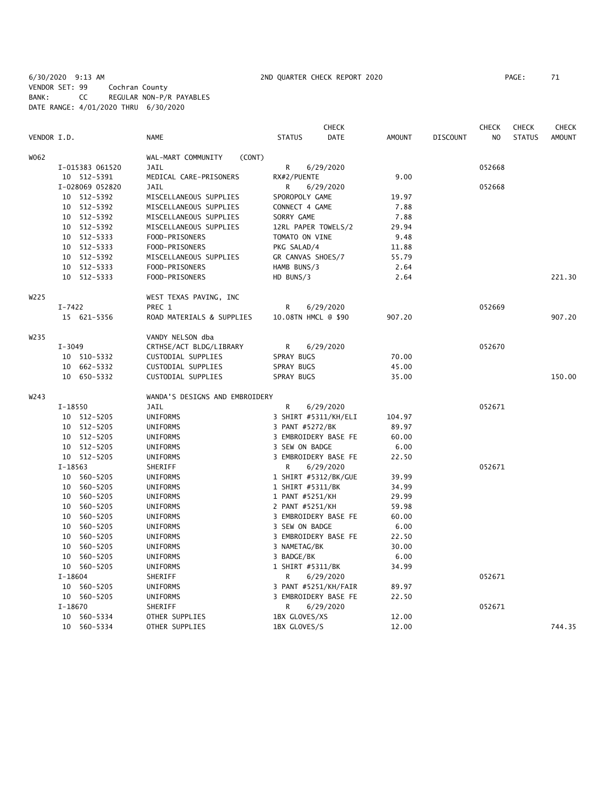6/30/2020 9:13 AM 2ND QUARTER CHECK REPORT 2020 PAGE: 71 VENDOR SET: 99 Cochran County BANK: CC REGULAR NON-P/R PAYABLES DATE RANGE: 4/01/2020 THRU 6/30/2020

|                  |                 |                                |                      | <b>CHECK</b> |               |                 | <b>CHECK</b> | <b>CHECK</b>  | <b>CHECK</b>  |
|------------------|-----------------|--------------------------------|----------------------|--------------|---------------|-----------------|--------------|---------------|---------------|
| VENDOR I.D.      |                 | <b>NAME</b>                    | <b>STATUS</b>        | <b>DATE</b>  | <b>AMOUNT</b> | <b>DISCOUNT</b> | NO           | <b>STATUS</b> | <b>AMOUNT</b> |
| W062             |                 | WAL-MART COMMUNITY<br>(CONT)   |                      |              |               |                 |              |               |               |
|                  | I-015383 061520 | <b>JAIL</b>                    | R                    | 6/29/2020    |               |                 | 052668       |               |               |
|                  | 10 512-5391     | MEDICAL CARE-PRISONERS         | RX#2/PUENTE          |              | 9.00          |                 |              |               |               |
|                  | I-028069 052820 | <b>JAIL</b>                    | R                    | 6/29/2020    |               |                 | 052668       |               |               |
|                  | 512-5392<br>10  | MISCELLANEOUS SUPPLIES         | SPOROPOLY GAME       |              | 19.97         |                 |              |               |               |
|                  | 512-5392<br>10  | MISCELLANEOUS SUPPLIES         | CONNECT 4 GAME       |              | 7.88          |                 |              |               |               |
|                  | 512-5392<br>10  | MISCELLANEOUS SUPPLIES         | SORRY GAME           |              | 7.88          |                 |              |               |               |
|                  | 10 512-5392     | MISCELLANEOUS SUPPLIES         | 12RL PAPER TOWELS/2  |              | 29.94         |                 |              |               |               |
|                  | 10 512-5333     | FOOD-PRISONERS                 | TOMATO ON VINE       |              | 9.48          |                 |              |               |               |
|                  | 10 512-5333     | FOOD-PRISONERS                 | PKG SALAD/4          |              | 11.88         |                 |              |               |               |
|                  | 10 512-5392     | MISCELLANEOUS SUPPLIES         | GR CANVAS SHOES/7    |              | 55.79         |                 |              |               |               |
|                  | 10 512-5333     | FOOD-PRISONERS                 | HAMB BUNS/3          |              | 2.64          |                 |              |               |               |
|                  | 10 512-5333     | FOOD-PRISONERS                 | HD BUNS/3            |              | 2.64          |                 |              |               | 221.30        |
| W225             |                 | WEST TEXAS PAVING, INC         |                      |              |               |                 |              |               |               |
|                  | I-7422          | PREC 1                         | R                    | 6/29/2020    |               |                 | 052669       |               |               |
|                  | 15 621-5356     | ROAD MATERIALS & SUPPLIES      | 10.08TN HMCL @ \$90  |              | 907.20        |                 |              |               | 907.20        |
| W <sub>235</sub> |                 | VANDY NELSON dba               |                      |              |               |                 |              |               |               |
|                  | $I - 3049$      | CRTHSE/ACT BLDG/LIBRARY        | R                    | 6/29/2020    |               |                 | 052670       |               |               |
|                  | 10 510-5332     | CUSTODIAL SUPPLIES             | SPRAY BUGS           |              | 70.00         |                 |              |               |               |
|                  | 10 662-5332     | CUSTODIAL SUPPLIES             | SPRAY BUGS           |              | 45.00         |                 |              |               |               |
|                  | 10 650-5332     | CUSTODIAL SUPPLIES             | SPRAY BUGS           |              | 35.00         |                 |              |               | 150.00        |
| W243             |                 | WANDA'S DESIGNS AND EMBROIDERY |                      |              |               |                 |              |               |               |
|                  | $I-18550$       | <b>JAIL</b>                    | R                    | 6/29/2020    |               |                 | 052671       |               |               |
|                  | 10 512-5205     | UNIFORMS                       | 3 SHIRT #5311/KH/ELI |              | 104.97        |                 |              |               |               |
|                  | 10 512-5205     | UNIFORMS                       | 3 PANT #5272/BK      |              | 89.97         |                 |              |               |               |
|                  | 10 512-5205     | UNIFORMS                       | 3 EMBROIDERY BASE FE |              | 60.00         |                 |              |               |               |
|                  | 10 512-5205     | UNIFORMS                       | 3 SEW ON BADGE       |              | 6.00          |                 |              |               |               |
|                  | 10 512-5205     | UNIFORMS                       | 3 EMBROIDERY BASE FE |              | 22.50         |                 |              |               |               |
|                  | $I-18563$       | SHERIFF                        | R                    | 6/29/2020    |               |                 | 052671       |               |               |
|                  | 560-5205<br>10  | UNIFORMS                       | 1 SHIRT #5312/BK/GUE |              | 39.99         |                 |              |               |               |
|                  | 560-5205<br>10  | UNIFORMS                       | 1 SHIRT #5311/BK     |              | 34.99         |                 |              |               |               |
|                  | 560-5205<br>10  | UNIFORMS                       | 1 PANT #5251/KH      |              | 29.99         |                 |              |               |               |
|                  | 560-5205<br>10  | UNIFORMS                       | 2 PANT #5251/KH      |              | 59.98         |                 |              |               |               |
|                  | 560-5205<br>10  | <b>UNIFORMS</b>                | 3 EMBROIDERY BASE FE |              | 60.00         |                 |              |               |               |
|                  | 560-5205<br>10  | UNIFORMS                       | 3 SEW ON BADGE       |              | 6.00          |                 |              |               |               |
|                  | 560-5205<br>10  | UNIFORMS                       | 3 EMBROIDERY BASE FE |              | 22.50         |                 |              |               |               |
|                  | 560-5205<br>10  | UNIFORMS                       | 3 NAMETAG/BK         |              | 30.00         |                 |              |               |               |
|                  | 560-5205<br>10  | UNIFORMS                       | 3 BADGE/BK           |              | 6.00          |                 |              |               |               |
|                  | 10 560-5205     | UNIFORMS                       | 1 SHIRT #5311/BK     |              | 34.99         |                 |              |               |               |
|                  | I-18604         | SHERIFF                        | R                    | 6/29/2020    |               |                 | 052671       |               |               |
|                  | 10 560-5205     | UNIFORMS                       | 3 PANT #5251/KH/FAIR |              | 89.97         |                 |              |               |               |
|                  | 10 560-5205     | UNIFORMS                       | 3 EMBROIDERY BASE FE |              | 22.50         |                 |              |               |               |
|                  | $I-18670$       | SHERIFF                        | R                    | 6/29/2020    |               |                 | 052671       |               |               |
|                  | 560-5334<br>10  | OTHER SUPPLIES                 | 1BX GLOVES/XS        |              | 12.00         |                 |              |               |               |
|                  | 10<br>560-5334  | OTHER SUPPLIES                 | 1BX GLOVES/S         |              | 12.00         |                 |              |               | 744.35        |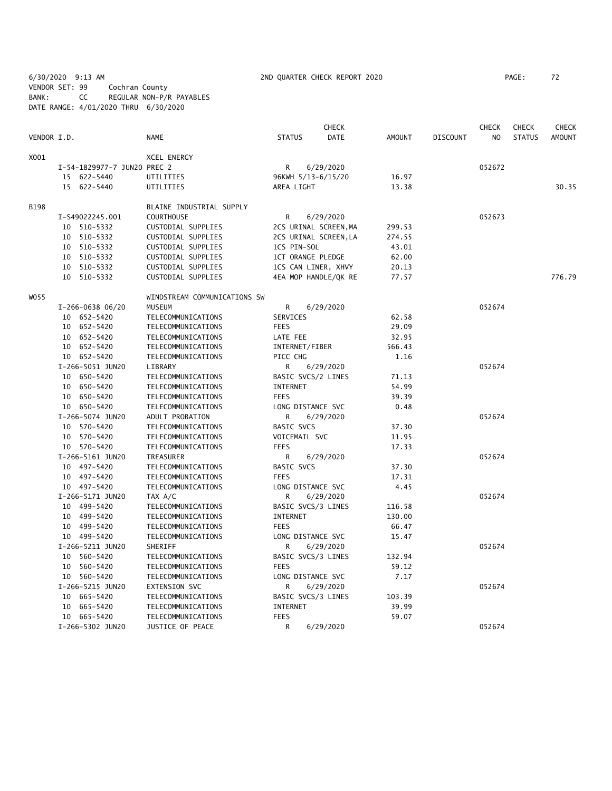6/30/2020 9:13 AM 2ND QUARTER CHECK REPORT 2020 PAGE: 72 VENDOR SET: 99 Cochran County BANK: CC REGULAR NON-P/R PAYABLES DATE RANGE: 4/01/2020 THRU 6/30/2020

|             |    |                             |                              |                   | <b>CHECK</b>          |               |                 | <b>CHECK</b>   | <b>CHECK</b>  | CHECK         |
|-------------|----|-----------------------------|------------------------------|-------------------|-----------------------|---------------|-----------------|----------------|---------------|---------------|
| VENDOR I.D. |    |                             | NAME                         | <b>STATUS</b>     | <b>DATE</b>           | <b>AMOUNT</b> | <b>DISCOUNT</b> | N <sub>O</sub> | <b>STATUS</b> | <b>AMOUNT</b> |
| X001        |    |                             | <b>XCEL ENERGY</b>           |                   |                       |               |                 |                |               |               |
|             |    | I-54-1829977-7 JUN20 PREC 2 |                              | R                 | 6/29/2020             |               |                 | 052672         |               |               |
|             |    | 15 622-5440                 | UTILITIES                    |                   | 96KWH 5/13-6/15/20    | 16.97         |                 |                |               |               |
|             |    | 15 622-5440                 | UTILITIES                    | AREA LIGHT        |                       | 13.38         |                 |                |               | 30.35         |
| <b>B198</b> |    |                             | BLAINE INDUSTRIAL SUPPLY     |                   |                       |               |                 |                |               |               |
|             |    | I-S49022245.001             | <b>COURTHOUSE</b>            | R                 | 6/29/2020             |               |                 | 052673         |               |               |
|             |    | 10 510-5332                 | CUSTODIAL SUPPLIES           |                   | 2CS URINAL SCREEN, MA | 299.53        |                 |                |               |               |
|             |    | 10 510-5332                 | CUSTODIAL SUPPLIES           |                   | 2CS URINAL SCREEN, LA | 274.55        |                 |                |               |               |
|             |    | 10 510-5332                 | CUSTODIAL SUPPLIES           | 1CS PIN-SOL       |                       | 43.01         |                 |                |               |               |
|             |    | 10 510-5332                 | CUSTODIAL SUPPLIES           |                   | 1CT ORANGE PLEDGE     | 62.00         |                 |                |               |               |
|             | 10 | 510-5332                    | CUSTODIAL SUPPLIES           |                   | 1CS CAN LINER, XHVY   | 20.13         |                 |                |               |               |
|             |    | 10 510-5332                 | CUSTODIAL SUPPLIES           |                   | 4EA MOP HANDLE/QK RE  | 77.57         |                 |                |               | 776.79        |
| W055        |    |                             | WINDSTREAM COMMUNICATIONS SW |                   |                       |               |                 |                |               |               |
|             |    | $I-266-0638$ 06/20          | <b>MUSEUM</b>                | R                 | 6/29/2020             |               |                 | 052674         |               |               |
|             |    | 10 652-5420                 | TELECOMMUNICATIONS           | SERVICES          |                       | 62.58         |                 |                |               |               |
|             |    | 10 652-5420                 | TELECOMMUNICATIONS           | <b>FEES</b>       |                       | 29.09         |                 |                |               |               |
|             |    | 10 652-5420                 | TELECOMMUNICATIONS           | LATE FEE          |                       | 32.95         |                 |                |               |               |
|             |    | 10 652-5420                 | TELECOMMUNICATIONS           | INTERNET/FIBER    |                       | 566.43        |                 |                |               |               |
|             |    | 10 652-5420                 | TELECOMMUNICATIONS           | PICC CHG          |                       | 1.16          |                 |                |               |               |
|             |    | I-266-5051 JUN20            | LIBRARY                      | R                 | 6/29/2020             |               |                 | 052674         |               |               |
|             |    | 10 650-5420                 | TELECOMMUNICATIONS           |                   | BASIC SVCS/2 LINES    | 71.13         |                 |                |               |               |
|             |    | 10 650-5420                 | TELECOMMUNICATIONS           | <b>INTERNET</b>   |                       | 54.99         |                 |                |               |               |
|             |    | 10 650-5420                 | TELECOMMUNICATIONS           | <b>FEES</b>       |                       | 39.39         |                 |                |               |               |
|             |    | 10 650-5420                 | TELECOMMUNICATIONS           |                   | LONG DISTANCE SVC     | 0.48          |                 |                |               |               |
|             |    | I-266-5074 JUN20            | ADULT PROBATION              | R                 | 6/29/2020             |               |                 | 052674         |               |               |
|             |    | 10 570-5420                 | TELECOMMUNICATIONS           | <b>BASIC SVCS</b> |                       | 37.30         |                 |                |               |               |
|             |    | 10 570-5420                 | TELECOMMUNICATIONS           | VOICEMAIL SVC     |                       | 11.95         |                 |                |               |               |
|             |    | 10 570-5420                 | TELECOMMUNICATIONS           | <b>FEES</b>       |                       | 17.33         |                 |                |               |               |
|             |    | I-266-5161 JUN20            | TREASURER                    | R                 | 6/29/2020             |               |                 | 052674         |               |               |
|             |    | 10 497-5420                 | TELECOMMUNICATIONS           | <b>BASIC SVCS</b> |                       | 37.30         |                 |                |               |               |
|             |    | 10 497-5420                 | TELECOMMUNICATIONS           | <b>FEES</b>       |                       | 17.31         |                 |                |               |               |
|             |    | 10 497-5420                 | TELECOMMUNICATIONS           |                   | LONG DISTANCE SVC     | 4.45          |                 |                |               |               |
|             |    | I-266-5171 JUN20            | TAX A/C                      | R                 | 6/29/2020             |               |                 | 052674         |               |               |
|             |    | 10 499-5420                 | TELECOMMUNICATIONS           |                   | BASIC SVCS/3 LINES    | 116.58        |                 |                |               |               |
|             |    | 10 499-5420                 | TELECOMMUNICATIONS           | INTERNET          |                       | 130.00        |                 |                |               |               |
|             |    | 10 499-5420                 | TELECOMMUNICATIONS           | <b>FEES</b>       |                       | 66.47         |                 |                |               |               |
|             |    | 10 499-5420                 | TELECOMMUNICATIONS           |                   | LONG DISTANCE SVC     | 15.47         |                 |                |               |               |
|             |    | I-266-5211 JUN20            | SHERIFF                      | R                 | 6/29/2020             |               |                 | 052674         |               |               |
|             |    | 10 560-5420                 | TELECOMMUNICATIONS           |                   | BASIC SVCS/3 LINES    | 132.94        |                 |                |               |               |
|             |    | 10 560-5420                 | TELECOMMUNICATIONS           | <b>FEES</b>       |                       | 59.12         |                 |                |               |               |
|             |    | 10 560-5420                 | TELECOMMUNICATIONS           |                   | LONG DISTANCE SVC     | 7.17          |                 |                |               |               |
|             |    | I-266-5215 JUN20            | EXTENSION SVC                | R                 | 6/29/2020             |               |                 | 052674         |               |               |
|             |    | 10 665-5420                 | TELECOMMUNICATIONS           |                   | BASIC SVCS/3 LINES    | 103.39        |                 |                |               |               |
|             |    | 10 665-5420                 | TELECOMMUNICATIONS           | INTERNET          |                       | 39.99         |                 |                |               |               |
|             |    | 10 665-5420                 | TELECOMMUNICATIONS           | <b>FEES</b>       |                       | 59.07         |                 |                |               |               |
|             |    | I-266-5302 JUN20            | JUSTICE OF PEACE             | R                 | 6/29/2020             |               |                 | 052674         |               |               |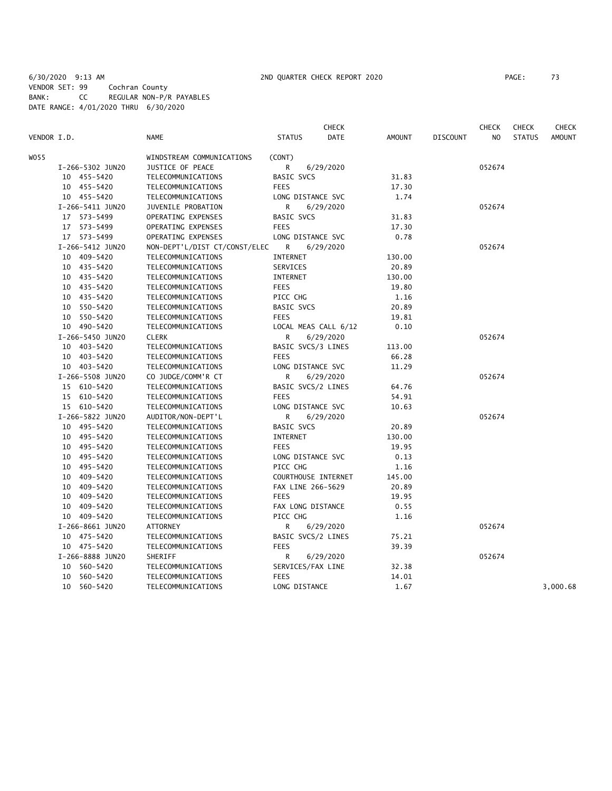6/30/2020 9:13 AM 2ND QUARTER CHECK REPORT 2020 PAGE: 73 VENDOR SET: 99 Cochran County BANK: CC REGULAR NON-P/R PAYABLES DATE RANGE: 4/01/2020 THRU 6/30/2020

|             |                  |                               |                      | <b>CHECK</b> |        |                 | <b>CHECK</b> | <b>CHECK</b>  | <b>CHECK</b>  |
|-------------|------------------|-------------------------------|----------------------|--------------|--------|-----------------|--------------|---------------|---------------|
| VENDOR I.D. |                  | <b>NAME</b>                   | <b>STATUS</b>        | <b>DATE</b>  | AMOUNT | <b>DISCOUNT</b> | NO.          | <b>STATUS</b> | <b>AMOUNT</b> |
| WO 55       |                  | WINDSTREAM COMMUNICATIONS     | (CONT)               |              |        |                 |              |               |               |
|             | I-266-5302 JUN20 | JUSTICE OF PEACE              | R                    | 6/29/2020    |        |                 | 052674       |               |               |
|             | 10 455-5420      | TELECOMMUNICATIONS            | BASIC SVCS           |              | 31.83  |                 |              |               |               |
|             | 10 455-5420      | TELECOMMUNICATIONS            | <b>FEES</b>          |              | 17.30  |                 |              |               |               |
|             | 10 455-5420      | TELECOMMUNICATIONS            | LONG DISTANCE SVC    |              | 1.74   |                 |              |               |               |
|             | I-266-5411 JUN20 | JUVENILE PROBATION            | R                    | 6/29/2020    |        |                 | 052674       |               |               |
|             | 17 573-5499      | OPERATING EXPENSES            | <b>BASIC SVCS</b>    |              | 31.83  |                 |              |               |               |
|             | 17 573-5499      | OPERATING EXPENSES            | <b>FEES</b>          |              | 17.30  |                 |              |               |               |
|             | 17 573-5499      | OPERATING EXPENSES            | LONG DISTANCE SVC    |              | 0.78   |                 |              |               |               |
|             | I-266-5412 JUN20 | NON-DEPT'L/DIST CT/CONST/ELEC | R                    | 6/29/2020    |        |                 | 052674       |               |               |
|             | 10 409-5420      | TELECOMMUNICATIONS            | INTERNET             |              | 130.00 |                 |              |               |               |
|             | 10 435-5420      | TELECOMMUNICATIONS            | SERVICES             |              | 20.89  |                 |              |               |               |
|             | 10 435-5420      | TELECOMMUNICATIONS            | INTERNET             |              | 130.00 |                 |              |               |               |
|             | 10 435-5420      | TELECOMMUNICATIONS            | <b>FEES</b>          |              | 19.80  |                 |              |               |               |
|             | 10 435-5420      | TELECOMMUNICATIONS            | PICC CHG             |              | 1.16   |                 |              |               |               |
|             | 10 550-5420      | TELECOMMUNICATIONS            | BASIC SVCS           |              | 20.89  |                 |              |               |               |
|             | 10 550-5420      | TELECOMMUNICATIONS            | <b>FEES</b>          |              | 19.81  |                 |              |               |               |
|             | 10 490-5420      | TELECOMMUNICATIONS            | LOCAL MEAS CALL 6/12 |              | 0.10   |                 |              |               |               |
|             | I-266-5450 JUN20 | <b>CLERK</b>                  | R                    | 6/29/2020    |        |                 | 052674       |               |               |
|             | 10 403-5420      | TELECOMMUNICATIONS            | BASIC SVCS/3 LINES   |              | 113.00 |                 |              |               |               |
|             | 10 403-5420      | TELECOMMUNICATIONS            | <b>FEES</b>          |              | 66.28  |                 |              |               |               |
|             | 10 403-5420      | TELECOMMUNICATIONS            | LONG DISTANCE SVC    |              | 11.29  |                 |              |               |               |
|             | I-266-5508 JUN20 | CO JUDGE/COMM'R CT            | R                    | 6/29/2020    |        |                 | 052674       |               |               |
|             | 15 610-5420      | TELECOMMUNICATIONS            | BASIC SVCS/2 LINES   |              | 64.76  |                 |              |               |               |
|             | 15 610-5420      | TELECOMMUNICATIONS            | <b>FEES</b>          |              | 54.91  |                 |              |               |               |
|             | 15 610-5420      | TELECOMMUNICATIONS            | LONG DISTANCE SVC    |              | 10.63  |                 |              |               |               |
|             | I-266-5822 JUN20 | AUDITOR/NON-DEPT'L            | R                    | 6/29/2020    |        |                 | 052674       |               |               |
|             | 10 495-5420      | TELECOMMUNICATIONS            | <b>BASIC SVCS</b>    |              | 20.89  |                 |              |               |               |
|             | 10 495-5420      | TELECOMMUNICATIONS            | INTERNET             |              | 130.00 |                 |              |               |               |
|             | 10 495-5420      | TELECOMMUNICATIONS            | <b>FEES</b>          |              | 19.95  |                 |              |               |               |
|             | 10 495-5420      | TELECOMMUNICATIONS            | LONG DISTANCE SVC    |              | 0.13   |                 |              |               |               |
|             | 10 495-5420      | TELECOMMUNICATIONS            | PICC CHG             |              | 1.16   |                 |              |               |               |
|             | 10 409-5420      | TELECOMMUNICATIONS            | COURTHOUSE INTERNET  |              | 145.00 |                 |              |               |               |
|             | 10 409-5420      | TELECOMMUNICATIONS            | FAX LINE 266-5629    |              | 20.89  |                 |              |               |               |
|             | 10 409-5420      | TELECOMMUNICATIONS            | <b>FEES</b>          |              | 19.95  |                 |              |               |               |
|             | 10 409-5420      | TELECOMMUNICATIONS            | FAX LONG DISTANCE    |              | 0.55   |                 |              |               |               |
|             | 10 409-5420      | TELECOMMUNICATIONS            | PICC CHG             |              | 1.16   |                 |              |               |               |
|             | I-266-8661 JUN20 | <b>ATTORNEY</b>               | R                    | 6/29/2020    |        |                 | 052674       |               |               |
|             | 10 475-5420      | TELECOMMUNICATIONS            | BASIC SVCS/2 LINES   |              | 75.21  |                 |              |               |               |
|             | 10 475-5420      | TELECOMMUNICATIONS            | <b>FEES</b>          |              | 39.39  |                 |              |               |               |
|             | I-266-8888 JUN20 | SHERIFF                       | R                    | 6/29/2020    |        |                 | 052674       |               |               |
|             | 10 560-5420      | TELECOMMUNICATIONS            | SERVICES/FAX LINE    |              | 32.38  |                 |              |               |               |
|             | 560-5420<br>10   | TELECOMMUNICATIONS            | <b>FEES</b>          |              | 14.01  |                 |              |               |               |
|             | 10 560-5420      | TELECOMMUNICATIONS            | LONG DISTANCE        |              | 1.67   |                 |              |               | 3,000.68      |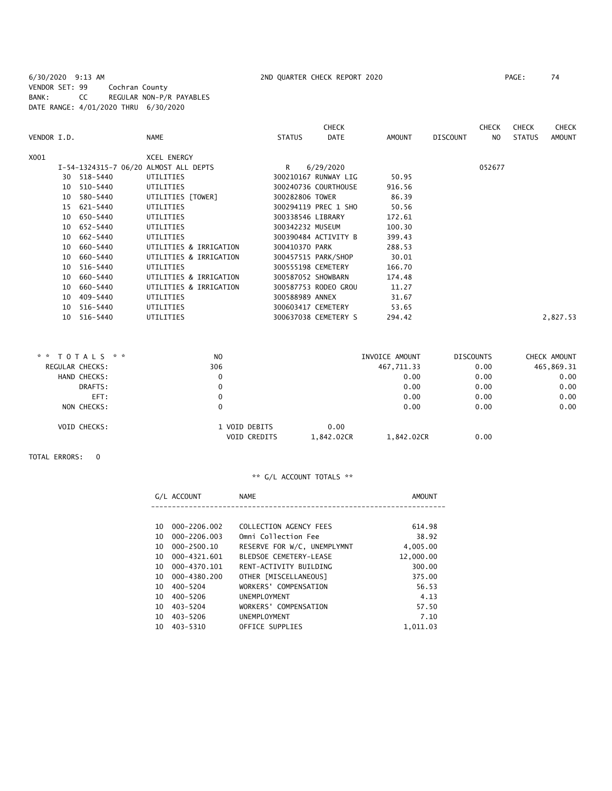6/30/2020 9:13 AM 2ND QUARTER CHECK REPORT 2020 PAGE: 74 VENDOR SET: 99 Cochran County BANK: CC REGULAR NON-P/R PAYABLES DATE RANGE: 4/01/2020 THRU 6/30/2020

|             |    |             |                                       |                    | <b>CHECK</b>         |        |          | <b>CHECK</b> | <b>CHECK</b>  | <b>CHECK</b>  |
|-------------|----|-------------|---------------------------------------|--------------------|----------------------|--------|----------|--------------|---------------|---------------|
| VENDOR I.D. |    |             | <b>NAME</b>                           | <b>STATUS</b>      | <b>DATE</b>          | AMOUNT | DISCOUNT | NO           | <b>STATUS</b> | <b>AMOUNT</b> |
| X001        |    |             | <b>XCEL ENERGY</b>                    |                    |                      |        |          |              |               |               |
|             |    |             | I-54-1324315-7 06/20 ALMOST ALL DEPTS | R.                 | 6/29/2020            |        |          | 052677       |               |               |
|             |    | 30 518-5440 | UTILITIES                             |                    | 300210167 RUNWAY LIG | 50.95  |          |              |               |               |
|             | 10 | 510-5440    | UTILITIES                             |                    | 300240736 COURTHOUSE | 916.56 |          |              |               |               |
|             | 10 | 580-5440    | UTILITIES [TOWER]                     | 300282806 TOWER    |                      | 86.39  |          |              |               |               |
|             |    | 15 621-5440 | UTILITIES                             |                    | 300294119 PREC 1 SHO | 50.56  |          |              |               |               |
|             |    | 10 650-5440 | UTILITIES                             | 300338546 LIBRARY  |                      | 172.61 |          |              |               |               |
|             | 10 | 652-5440    | UTILITIES                             | 300342232 MUSEUM   |                      | 100.30 |          |              |               |               |
|             | 10 | 662-5440    | UTILITIES                             |                    | 300390484 ACTIVITY B | 399.43 |          |              |               |               |
|             | 10 | 660-5440    | UTILITIES & IRRIGATION                | 300410370 PARK     |                      | 288.53 |          |              |               |               |
|             | 10 | 660-5440    | UTILITIES & IRRIGATION                |                    | 300457515 PARK/SHOP  | 30.01  |          |              |               |               |
|             | 10 | 516-5440    | UTILITIES                             | 300555198 CEMETERY |                      | 166.70 |          |              |               |               |
|             | 10 | 660-5440    | UTILITIES & IRRIGATION                | 300587052 SHOWBARN |                      | 174.48 |          |              |               |               |
|             | 10 | 660-5440    | UTILITIES & IRRIGATION                |                    | 300587753 RODEO GROU | 11.27  |          |              |               |               |
|             | 10 | 409-5440    | UTILITIES                             | 300588989 ANNEX    |                      | 31.67  |          |              |               |               |
|             | 10 | 516-5440    | UTILITIES                             | 300603417 CEMETERY |                      | 53.65  |          |              |               |               |
|             | 10 | 516-5440    | UTILITIES                             |                    | 300637038 CEMETERY S | 294.42 |          |              |               | 2,827.53      |

| TOTALS * *<br>* * | N <sub>O</sub> |                                                     | INVOICE AMOUNT | <b>DISCOUNTS</b> | CHECK AMOUNT |
|-------------------|----------------|-----------------------------------------------------|----------------|------------------|--------------|
| REGULAR CHECKS:   | 306            |                                                     | 467,711.33     | 0.00             | 465,869.31   |
| HAND CHECKS:      | 0              |                                                     | 0.00           | 0.00             | 0.00         |
| DRAFTS:           | 0              |                                                     | 0.00           | 0.00             | 0.00         |
| EFT:              | 0              |                                                     | 0.00           | 0.00             | 0.00         |
| NON CHECKS:       | 0              |                                                     | 0.00           | 0.00             | 0.00         |
| VOID CHECKS:      |                | 0.00<br>1 VOID DEBITS<br>VOID CREDITS<br>1,842.02CR | 1,842.02CR     | 0.00             |              |

TOTAL ERRORS: 0

|    | G/L ACCOUNT  | <b>NAME</b>                 | AMOUNT    |
|----|--------------|-----------------------------|-----------|
|    |              |                             |           |
| 10 | 000-2206.002 | COLLECTION AGENCY FEES      | 614.98    |
| 10 | 000-2206.003 | Omni Collection Fee         | 38.92     |
| 10 | 000-2500.10  | RESERVE FOR W/C, UNEMPLYMNT | 4,005.00  |
| 10 | 000-4321.601 | BLEDSOE CEMETERY-LEASE      | 12,000.00 |
| 10 | 000-4370.101 | RENT-ACTIVITY BUILDING      | 300.00    |
| 10 | 000-4380.200 | OTHER [MISCELLANEOUS]       | 375.00    |
| 10 | $400 - 5204$ | WORKERS' COMPENSATION       | 56.53     |
| 10 | 400-5206     | UNEMPLOYMENT                | 4.13      |
| 10 | 403-5204     | WORKERS' COMPENSATION       | 57.50     |
| 10 | 403-5206     | UNEMPLOYMENT                | 7.10      |
| 10 | 403-5310     | OFFICE SUPPLIES             | 1.011.03  |
|    |              |                             |           |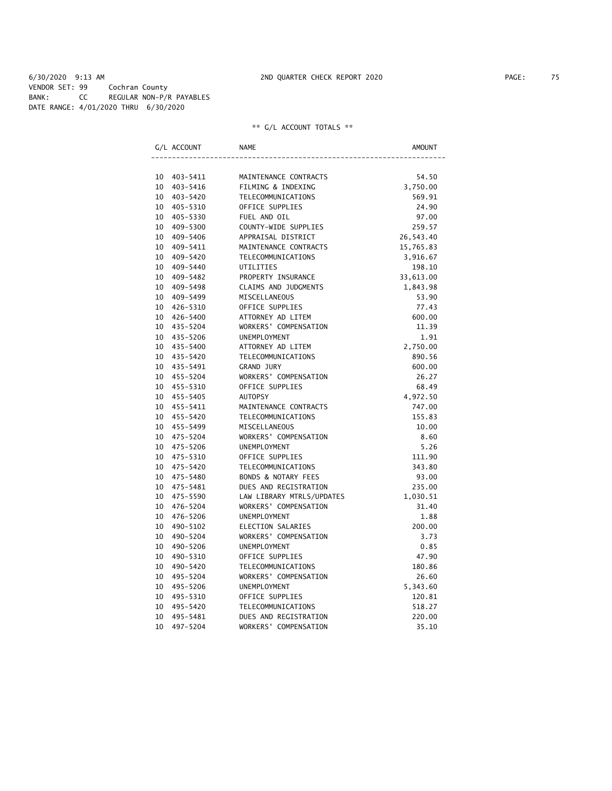6/30/2020 9:13 AM 2ND QUARTER CHECK REPORT 2020 PAGE: 75 VENDOR SET: 99 Cochran County BANK: CC REGULAR NON-P/R PAYABLES DATE RANGE: 4/01/2020 THRU 6/30/2020

|    | G/L ACCOUNT | NAME                      | AMOUNT    |
|----|-------------|---------------------------|-----------|
|    |             |                           |           |
|    | 10 403-5411 | MAINTENANCE CONTRACTS     | 54.50     |
| 10 | 403-5416    | FILMING & INDEXING        | 3,750.00  |
| 10 | 403-5420    | TELECOMMUNICATIONS        | 569.91    |
| 10 | 405-5310    | OFFICE SUPPLIES           | 24.90     |
| 10 | 405-5330    | FUEL AND OIL              | 97.00     |
| 10 | 409-5300    | COUNTY-WIDE SUPPLIES      | 259.57    |
| 10 | 409-5406    | APPRAISAL DISTRICT        | 26,543.40 |
| 10 | 409-5411    | MAINTENANCE CONTRACTS     | 15,765.83 |
| 10 | 409-5420    | TELECOMMUNICATIONS        | 3,916.67  |
| 10 | 409-5440    | UTILITIES                 | 198.10    |
| 10 | 409-5482    | PROPERTY INSURANCE        | 33,613.00 |
| 10 | 409-5498    | CLAIMS AND JUDGMENTS      | 1,843.98  |
| 10 | 409-5499    | MISCELLANEOUS             | 53.90     |
| 10 | 426-5310    | OFFICE SUPPLIES           | 77.43     |
| 10 | 426-5400    | ATTORNEY AD LITEM         | 600.00    |
| 10 | 435-5204    | WORKERS' COMPENSATION     | 11.39     |
| 10 | 435-5206    | UNEMPLOYMENT              | 1.91      |
| 10 | 435-5400    | ATTORNEY AD LITEM         | 2,750.00  |
| 10 | 435-5420    | <b>TELECOMMUNICATIONS</b> | 890.56    |
| 10 | 435-5491    | GRAND JURY                | 600.00    |
| 10 | 455-5204    | WORKERS' COMPENSATION     | 26.27     |
| 10 | 455-5310    | OFFICE SUPPLIES           | 68.49     |
| 10 | 455-5405    | <b>AUTOPSY</b>            | 4,972.50  |
| 10 | 455-5411    | MAINTENANCE CONTRACTS     | 747.00    |
| 10 | 455-5420    | TELECOMMUNICATIONS        | 155.83    |
| 10 | 455-5499    | MISCELLANEOUS             | 10.00     |
| 10 | 475-5204    | WORKERS' COMPENSATION     | 8.60      |
| 10 | 475-5206    | UNEMPLOYMENT              | 5.26      |
| 10 | 475-5310    | OFFICE SUPPLIES           | 111.90    |
| 10 | 475-5420    | TELECOMMUNICATIONS        | 343.80    |
| 10 | 475-5480    | BONDS & NOTARY FEES       | 93.00     |
| 10 | 475-5481    | DUES AND REGISTRATION     | 235.00    |
| 10 | 475-5590    | LAW LIBRARY MTRLS/UPDATES | 1,030.51  |
| 10 | 476-5204    | WORKERS' COMPENSATION     | 31.40     |
| 10 | 476-5206    | UNEMPLOYMENT              | 1.88      |
| 10 | 490-5102    | ELECTION SALARIES         | 200.00    |
| 10 | 490-5204    | WORKERS' COMPENSATION     | 3.73      |
| 10 | 490-5206    | UNEMPLOYMENT              | 0.85      |
| 10 | 490-5310    | OFFICE SUPPLIES           | 47.90     |
| 10 | 490-5420    | TELECOMMUNICATIONS        | 180.86    |
| 10 | 495-5204    | WORKERS' COMPENSATION     | 26.60     |
| 10 | 495-5206    | UNEMPLOYMENT              | 5,343.60  |
| 10 | 495-5310    | OFFICE SUPPLIES           | 120.81    |
| 10 | 495-5420    | <b>TELECOMMUNICATIONS</b> | 518.27    |
| 10 | 495-5481    | DUES AND REGISTRATION     | 220.00    |
| 10 | 497-5204    | WORKERS' COMPENSATION     | 35.10     |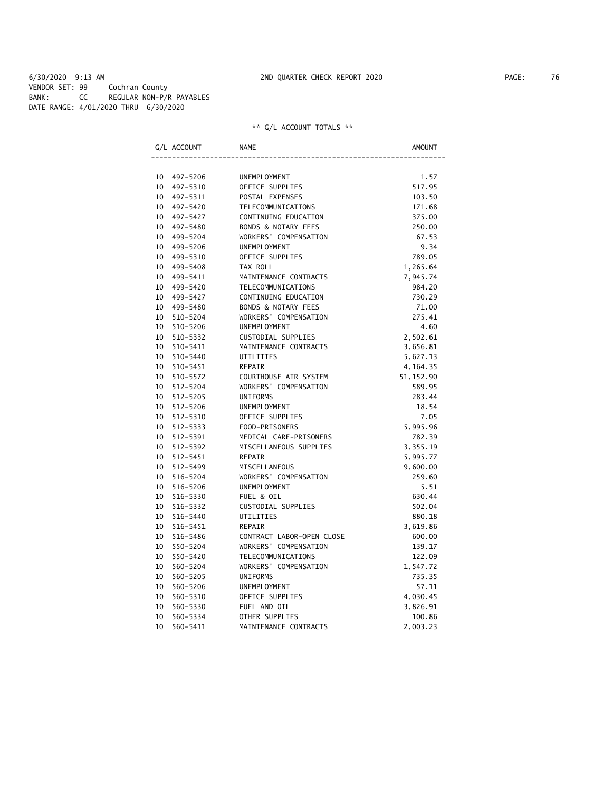6/30/2020 9:13 AM 2ND QUARTER CHECK REPORT 2020 PAGE: 76 VENDOR SET: 99 Cochran County BANK: CC REGULAR NON-P/R PAYABLES DATE RANGE: 4/01/2020 THRU 6/30/2020

|    | G/L ACCOUNT  | <b>NAME</b>                    | AMOUNT     |
|----|--------------|--------------------------------|------------|
|    |              |                                |            |
|    | 10 497-5206  | UNEMPLOYMENT                   | 1.57       |
| 10 | 497-5310     | OFFICE SUPPLIES                | 517.95     |
| 10 | 497-5311     | POSTAL EXPENSES                | 103.50     |
| 10 | 497-5420     | TELECOMMUNICATIONS             | 171.68     |
| 10 | 497-5427     | CONTINUING EDUCATION           | 375.00     |
|    | 10 497-5480  | <b>BONDS &amp; NOTARY FEES</b> | 250.00     |
| 10 | 499-5204     | WORKERS' COMPENSATION          | 67.53      |
| 10 | 499-5206     | <b>UNEMPLOYMENT</b>            | 9.34       |
| 10 | 499-5310     | OFFICE SUPPLIES                | 789.05     |
| 10 | 499-5408     | TAX ROLL                       | 1,265.64   |
| 10 | 499-5411     | MAINTENANCE CONTRACTS          | 7,945.74   |
| 10 | 499-5420     | TELECOMMUNICATIONS             | 984.20     |
| 10 | 499-5427     | CONTINUING EDUCATION           | 730.29     |
| 10 | 499-5480     | <b>BONDS &amp; NOTARY FEES</b> | 71.00      |
| 10 | 510-5204     | WORKERS' COMPENSATION          | 275.41     |
| 10 | 510-5206     | <b>UNEMPLOYMENT</b>            | 4.60       |
| 10 | 510-5332     | CUSTODIAL SUPPLIES             | 2,502.61   |
| 10 | 510-5411     | MAINTENANCE CONTRACTS          | 3,656.81   |
| 10 | 510-5440     | UTILITIES                      | 5,627.13   |
| 10 | 510-5451     | REPAIR                         | 4,164.35   |
| 10 | 510-5572     | COURTHOUSE AIR SYSTEM          | 51, 152.90 |
| 10 | 512-5204     | WORKERS' COMPENSATION          | 589.95     |
| 10 | $512 - 5205$ | <b>UNIFORMS</b>                | 283.44     |
| 10 | $512 - 5206$ | UNEMPLOYMENT                   | 18.54      |
| 10 | 512-5310     | OFFICE SUPPLIES                | 7.05       |
| 10 | 512-5333     | FOOD-PRISONERS                 | 5,995.96   |
| 10 | 512-5391     | MEDICAL CARE-PRISONERS         | 782.39     |
| 10 | 512-5392     | MISCELLANEOUS SUPPLIES         | 3,355.19   |
| 10 | 512-5451     | REPAIR                         | 5,995.77   |
| 10 | 512-5499     | MISCELLANEOUS                  | 9,600.00   |
| 10 | 516-5204     | WORKERS' COMPENSATION          | 259.60     |
| 10 | 516-5206     | <b>UNEMPLOYMENT</b>            | 5.51       |
| 10 | 516-5330     | FUEL & OIL                     | 630.44     |
| 10 | 516-5332     | CUSTODIAL SUPPLIES             | 502.04     |
| 10 | 516-5440     | UTILITIES                      | 880.18     |
| 10 | 516-5451     | <b>REPAIR</b>                  | 3,619.86   |
| 10 | 516-5486     | CONTRACT LABOR-OPEN CLOSE      | 600.00     |
| 10 | 550-5204     | WORKERS' COMPENSATION          | 139.17     |
| 10 | 550-5420     | TELECOMMUNICATIONS             | 122.09     |
| 10 | 560-5204     | WORKERS' COMPENSATION          | 1,547.72   |
| 10 | 560-5205     | <b>UNIFORMS</b>                | 735.35     |
| 10 | 560-5206     | UNEMPLOYMENT                   | 57.11      |
| 10 | 560-5310     | OFFICE SUPPLIES                | 4,030.45   |
| 10 | 560-5330     | FUEL AND OIL                   | 3,826.91   |
| 10 | 560-5334     | OTHER SUPPLIES                 | 100.86     |
| 10 | 560-5411     | MAINTENANCE CONTRACTS          | 2,003.23   |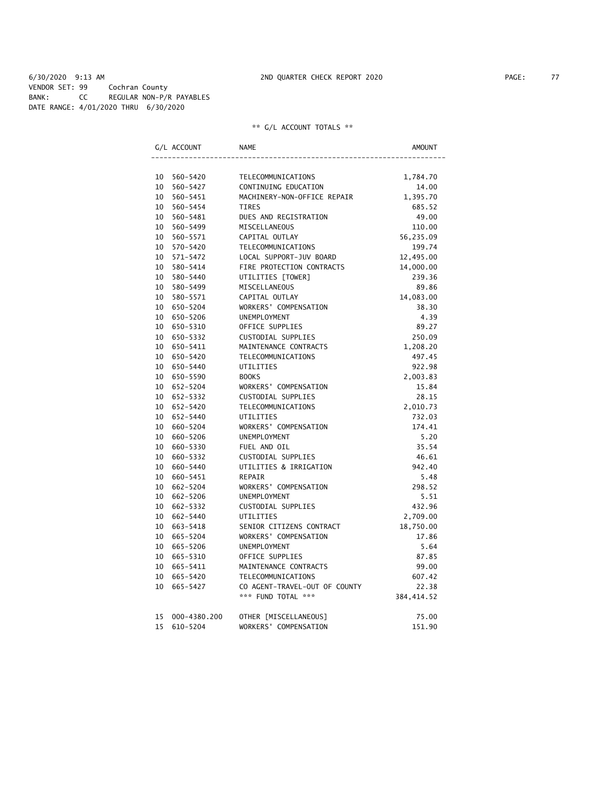6/30/2020 9:13 AM 2ND QUARTER CHECK REPORT 2020 PAGE: 77 VENDOR SET: 99 Cochran County BANK: CC REGULAR NON-P/R PAYABLES DATE RANGE: 4/01/2020 THRU 6/30/2020

|    | G/L ACCOUNT  | NAME                          | AMOUNT      |
|----|--------------|-------------------------------|-------------|
|    |              |                               |             |
|    | 10 560-5420  | TELECOMMUNICATIONS            | 1,784.70    |
| 10 | 560-5427     | CONTINUING EDUCATION          | 14.00       |
| 10 | 560-5451     | MACHINERY-NON-OFFICE REPAIR   | 1,395.70    |
| 10 | 560-5454     | <b>TIRES</b>                  | 685.52      |
| 10 | 560-5481     | DUES AND REGISTRATION         | 49.00       |
| 10 | 560-5499     | MISCELLANEOUS                 | 110.00      |
| 10 | 560-5571     | CAPITAL OUTLAY                | 56,235.09   |
| 10 | 570-5420     | TELECOMMUNICATIONS            | 199.74      |
| 10 | 571-5472     | LOCAL SUPPORT-JUV BOARD       | 12,495.00   |
| 10 | 580-5414     | FIRE PROTECTION CONTRACTS     | 14,000.00   |
| 10 | 580-5440     | UTILITIES [TOWER]             | 239.36      |
| 10 | 580-5499     | MISCELLANEOUS                 | 89.86       |
| 10 | 580-5571     | CAPITAL OUTLAY                | 14,083.00   |
| 10 | 650-5204     | WORKERS' COMPENSATION         | 38.30       |
| 10 | 650-5206     | UNEMPLOYMENT                  | 4.39        |
| 10 | 650-5310     | OFFICE SUPPLIES               | 89.27       |
| 10 | 650-5332     | CUSTODIAL SUPPLIES            | 250.09      |
| 10 | 650-5411     | MAINTENANCE CONTRACTS         | 1,208.20    |
| 10 | 650-5420     | TELECOMMUNICATIONS            | 497.45      |
| 10 | 650-5440     | UTILITIES                     | 922.98      |
|    | 10 650-5590  | <b>BOOKS</b>                  | 2,003.83    |
|    | 10 652-5204  | WORKERS' COMPENSATION         | 15.84       |
|    | 10 652-5332  | CUSTODIAL SUPPLIES            | 28.15       |
|    | 10 652-5420  | TELECOMMUNICATIONS            | 2,010.73    |
|    | 10 652-5440  | UTILITIES                     | 732.03      |
| 10 | 660-5204     | WORKERS' COMPENSATION         | 174.41      |
| 10 | 660-5206     | <b>UNEMPLOYMENT</b>           | 5.20        |
| 10 | 660-5330     | FUEL AND OIL                  | 35.54       |
| 10 | 660-5332     | CUSTODIAL SUPPLIES            | 46.61       |
| 10 | 660-5440     | UTILITIES & IRRIGATION        | 942.40      |
| 10 | 660-5451     | REPAIR                        | 5.48        |
| 10 | 662-5204     | WORKERS' COMPENSATION         | 298.52      |
| 10 | 662-5206     | UNEMPLOYMENT                  | 5.51        |
|    | 10 662-5332  | CUSTODIAL SUPPLIES            | 432.96      |
| 10 | 662-5440     | UTILITIES                     | 2,709.00    |
|    | 10 663-5418  | SENIOR CITIZENS CONTRACT      | 18,750.00   |
| 10 | 665-5204     | WORKERS' COMPENSATION         | 17.86       |
| 10 | 665-5206     | <b>UNEMPLOYMENT</b>           | 5.64        |
| 10 | 665-5310     | OFFICE SUPPLIES               | 87.85       |
| 10 | 665-5411     | MAINTENANCE CONTRACTS         | 99.00       |
| 10 | 665–5420     | TELECOMMUNICATIONS            | 607.42      |
| 10 | 665-5427     | CO AGENT-TRAVEL-OUT OF COUNTY | 22.38       |
|    |              | *** FUND TOTAL ***            | 384, 414.52 |
| 15 | 000-4380.200 | OTHER [MISCELLANEOUS]         | 75.00       |
| 15 | 610-5204     | WORKERS' COMPENSATION         | 151.90      |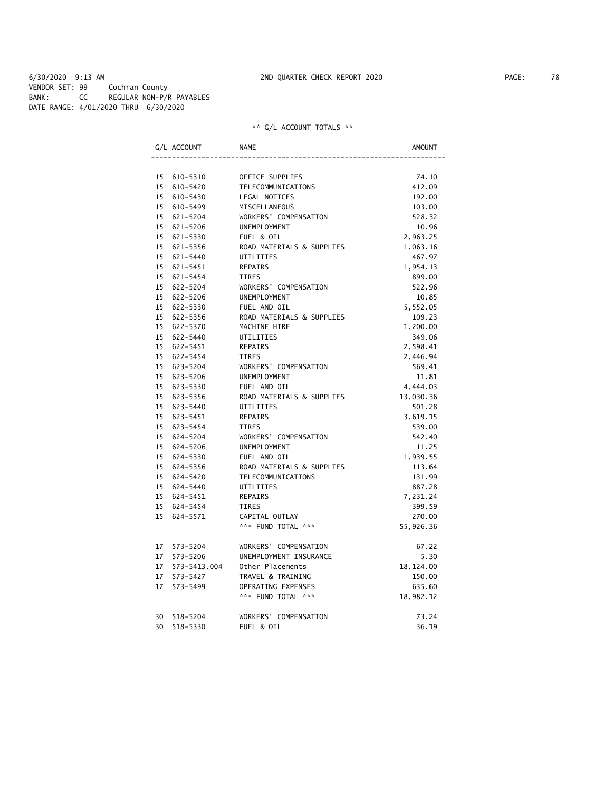6/30/2020 9:13 AM 2ND QUARTER CHECK REPORT 2020 PAGE: 78 VENDOR SET: 99 Cochran County BANK: CC REGULAR NON-P/R PAYABLES DATE RANGE: 4/01/2020 THRU 6/30/2020

|    | G/L ACCOUNT     | NAME                      | AMOUNT    |
|----|-----------------|---------------------------|-----------|
|    |                 |                           |           |
|    | 15 610-5310     | OFFICE SUPPLIES           | 74.10     |
|    | 15 610-5420     | TELECOMMUNICATIONS        | 412.09    |
|    | 15 610-5430     | LEGAL NOTICES             | 192.00    |
|    | 15 610-5499     | MISCELLANEOUS             | 103.00    |
|    | 15 621-5204     | WORKERS' COMPENSATION     | 528.32    |
|    | 15 621-5206     | <b>UNEMPLOYMENT</b>       | 10.96     |
|    | 15 621-5330     | FUEL & OIL                | 2,963.25  |
|    | 15 621-5356     | ROAD MATERIALS & SUPPLIES | 1,063.16  |
|    | 15 621-5440     | UTILITIES                 | 467.97    |
|    | 15 621-5451     | REPAIRS                   | 1,954.13  |
|    | 15 621-5454     | TIRES                     | 899.00    |
|    | 15 622-5204     | WORKERS' COMPENSATION     | 522.96    |
|    | 15 622-5206     | UNEMPLOYMENT              | 10.85     |
|    | 15 622-5330     | FUEL AND OIL              | 5,552.05  |
|    | 15 622-5356     | ROAD MATERIALS & SUPPLIES | 109.23    |
|    | 15 622-5370     | MACHINE HIRE              | 1,200.00  |
|    | 15 622-5440     | UTILITIES                 | 349.06    |
|    | 15 622-5451     | REPAIRS                   | 2,598.41  |
|    | 15 622-5454     | <b>TIRES</b>              | 2,446.94  |
|    | 15 623-5204     | WORKERS' COMPENSATION     | 569.41    |
|    | 15 623-5206     | UNEMPLOYMENT              | 11.81     |
|    | 15 623-5330     | FUEL AND OIL              | 4,444.03  |
|    | 15 623-5356     | ROAD MATERIALS & SUPPLIES | 13,030.36 |
|    | 15 623-5440     | UTILITIES                 | 501.28    |
|    | 15 623-5451     | <b>REPAIRS</b>            | 3,619.15  |
|    | 15 623-5454     | TIRES                     | 539.00    |
|    | 15 624-5204     | WORKERS' COMPENSATION     | 542.40    |
|    | 15 624-5206     | UNEMPLOYMENT              | 11.25     |
|    | 15 624-5330     | FUEL AND OIL              | 1,939.55  |
|    | 15 624-5356     | ROAD MATERIALS & SUPPLIES | 113.64    |
|    | 15 624-5420     | TELECOMMUNICATIONS        | 131.99    |
|    | 15 624-5440     | UTILITIES                 | 887.28    |
|    | 15 624-5451     | REPAIRS                   | 7,231.24  |
|    | 15 624-5454     | TIRES                     | 399.59    |
| 15 | 624-5571        | CAPITAL OUTLAY            | 270.00    |
|    |                 | *** FUND TOTAL ***        | 55,926.36 |
|    | 17 573-5204     | WORKERS' COMPENSATION     | 67.22     |
|    | 17 573-5206     | UNEMPLOYMENT INSURANCE    | 5.30      |
|    | 17 573-5413.004 | Other Placements          | 18,124.00 |
|    | 17 573-5427     | TRAVEL & TRAINING         | 150.00    |
| 17 | 573-5499        | OPERATING EXPENSES        | 635.60    |
|    |                 | *** FUND TOTAL ***        | 18,982.12 |
|    | 30 518-5204     | WORKERS' COMPENSATION     | 73.24     |
|    | 30 518-5330     | FUEL & OIL                | 36.19     |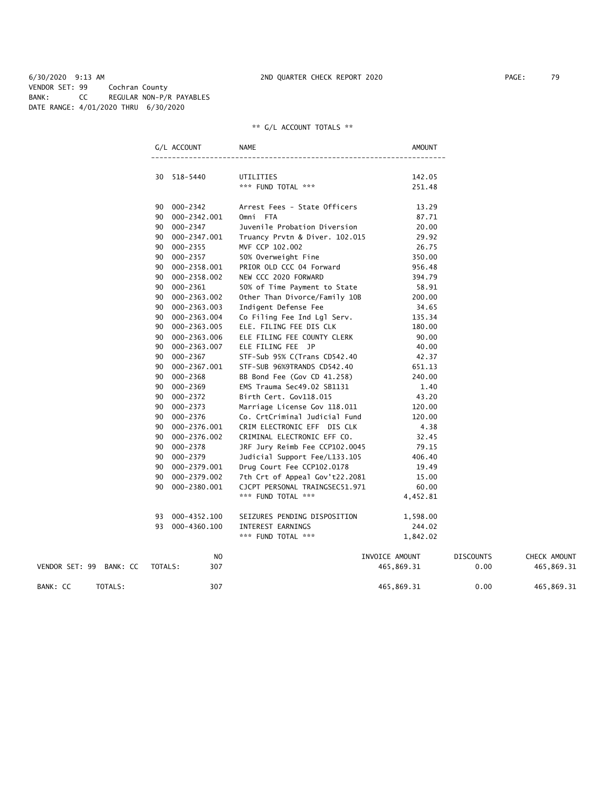6/30/2020 9:13 AM 2ND QUARTER CHECK REPORT 2020 PAGE: 79 VENDOR SET: 99 Cochran County BANK: CC REGULAR NON-P/R PAYABLES DATE RANGE: 4/01/2020 THRU 6/30/2020

|                         |         | G/L ACCOUNT     | NAME                            | AMOUNT           |                  |              |
|-------------------------|---------|-----------------|---------------------------------|------------------|------------------|--------------|
|                         |         | 30 518-5440     | UTILITIES<br>*** FUND TOTAL *** | 142.05<br>251.48 |                  |              |
|                         |         | 90 000-2342     | Arrest Fees - State Officers    | 13.29            |                  |              |
|                         |         | 90 000-2342.001 | Omni FTA                        | 87.71            |                  |              |
|                         |         | 90 000-2347     | Juvenile Probation Diversion    | 20.00            |                  |              |
|                         |         | 90 000-2347.001 | Truancy Prvtn & Diver. 102.015  | 29.92            |                  |              |
|                         |         | 90 000-2355     | MVF CCP 102.002                 | 26.75            |                  |              |
|                         |         | 90 000-2357     | 50% Overweight Fine             | 350.00           |                  |              |
|                         | 90      | 000-2358.001    | PRIOR OLD CCC 04 Forward        | 956.48           |                  |              |
|                         |         | 90 000-2358.002 | NEW CCC 2020 FORWARD            | 394.79           |                  |              |
|                         |         | 90 000-2361     | 50% of Time Payment to State    | 58.91            |                  |              |
|                         | 90      | 000-2363.002    | Other Than Divorce/Family 10B   | 200.00           |                  |              |
|                         |         | 90 000-2363.003 | Indigent Defense Fee            | 34.65            |                  |              |
|                         |         | 90 000-2363.004 | Co Filing Fee Ind Lgl Serv.     | 135.34           |                  |              |
|                         | 90 -    | 000-2363.005    | ELE. FILING FEE DIS CLK         | 180.00           |                  |              |
|                         |         | 90 000-2363.006 | ELE FILING FEE COUNTY CLERK     | 90.00            |                  |              |
|                         |         | 90 000-2363.007 | ELE FILING FEE JP               | 40.00            |                  |              |
|                         | 90 -    | 000-2367        | STF-Sub 95% C(Trans CD542.40    | 42.37            |                  |              |
|                         |         | 90 000-2367.001 | STF-SUB 96%9TRANDS CD542.40     | 651.13           |                  |              |
|                         |         | 90 000-2368     | BB Bond Fee (Gov CD 41.258)     | 240.00           |                  |              |
|                         | 90 -    | 000-2369        | EMS Trauma Sec49.02 SB1131      | 1.40             |                  |              |
|                         |         | 90 000-2372     | Birth Cert. Gov118.015          | 43.20            |                  |              |
|                         |         | 90 000-2373     | Marriage License Gov 118.011    | 120.00           |                  |              |
|                         | 90 -    | 000-2376        | Co. CrtCriminal Judicial Fund   | 120.00           |                  |              |
|                         |         | 90 000-2376.001 | CRIM ELECTRONIC EFF DIS CLK     | 4.38             |                  |              |
|                         |         | 90 000-2376.002 | CRIMINAL ELECTRONIC EFF CO.     | 32.45            |                  |              |
|                         | 90      | 000-2378        | JRF Jury Reimb Fee CCP102.0045  | 79.15            |                  |              |
|                         |         | 90 000-2379     | Judicial Support Fee/L133.105   | 406.40           |                  |              |
|                         |         | 90 000-2379.001 | Drug Court Fee CCP102.0178      | 19.49            |                  |              |
|                         | 90      | 000-2379.002    | 7th Crt of Appeal Gov't22.2081  | 15.00            |                  |              |
|                         | 90      | 000-2380.001    | CJCPT PERSONAL TRAINGSEC51.971  | 60.00            |                  |              |
|                         |         |                 | *** FUND TOTAL ***              | 4,452.81         |                  |              |
|                         | 93      | 000-4352.100    | SEIZURES PENDING DISPOSITION    | 1,598.00         |                  |              |
|                         |         | 93 000-4360.100 | INTEREST EARNINGS               | 244.02           |                  |              |
|                         |         |                 | *** FUND TOTAL ***              | 1,842.02         |                  |              |
|                         |         | NO              |                                 | INVOICE AMOUNT   | <b>DISCOUNTS</b> | CHECK AMOUNT |
| VENDOR SET: 99 BANK: CC | TOTALS: | 307             |                                 | 465,869.31       | 0.00             | 465,869.31   |
| BANK: CC<br>TOTALS:     |         | 307             |                                 | 465,869.31       | 0.00             | 465,869.31   |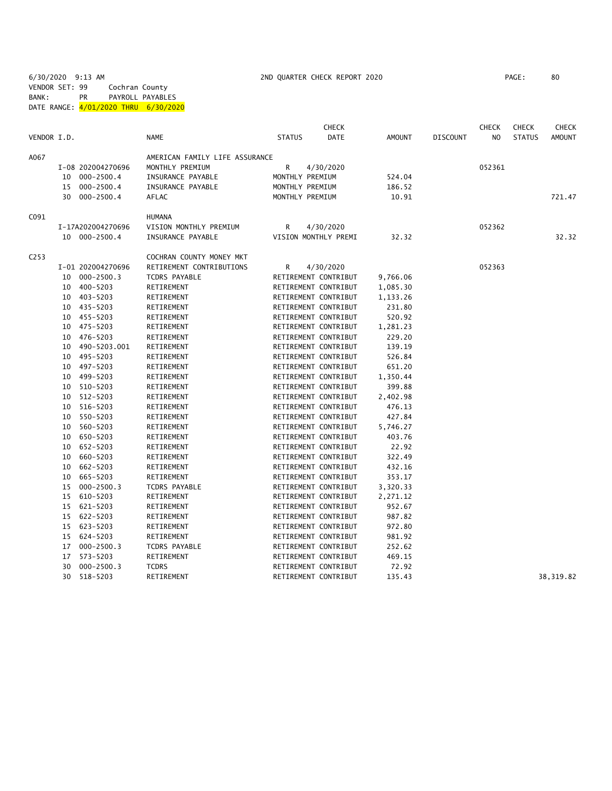6/30/2020 9:13 AM 2ND QUARTER CHECK REPORT 2020 PAGE: 80 VENDOR SET: 99 Cochran County

BANK: PR PAYROLL PAYABLES

DATE RANGE:  $\frac{4}{01/2020}$  THRU 6/30/2020

| AMERICAN FAMILY LIFE ASSURANCE<br>A067<br>R<br>I-08 202004270696<br>MONTHLY PREMIUM<br>4/30/2020<br>052361<br>$000 - 2500.4$<br>INSURANCE PAYABLE<br>MONTHLY PREMIUM<br>524.04<br>10<br>15 000-2500.4<br>INSURANCE PAYABLE<br>MONTHLY PREMIUM<br>186.52<br>30 000-2500.4<br>721.47<br>AFLAC<br>MONTHLY PREMIUM<br>10.91<br>C091<br><b>HUMANA</b><br>I-17A202004270696<br>VISION MONTHLY PREMIUM<br>R<br>4/30/2020<br>052362<br>INSURANCE PAYABLE<br>10 000-2500.4<br>VISION MONTHLY PREMI<br>32.32<br>32.32<br>C <sub>253</sub><br>COCHRAN COUNTY MONEY MKT<br>I-01 202004270696<br>RETIREMENT CONTRIBUTIONS<br>052363<br>R<br>4/30/2020<br>$000 - 2500.3$<br><b>TCDRS PAYABLE</b><br>RETIREMENT CONTRIBUT<br>10<br>9,766.06<br>10 400-5203<br>RETIREMENT<br>RETIREMENT CONTRIBUT<br>1,085.30<br>10 403-5203<br>RETIREMENT<br>RETIREMENT CONTRIBUT<br>1,133.26<br>10 435-5203<br>RETIREMENT<br>RETIREMENT CONTRIBUT<br>231.80<br>10 455-5203<br>RETIREMENT CONTRIBUT<br>520.92<br>RETIREMENT<br>475-5203<br>RETIREMENT<br>RETIREMENT CONTRIBUT<br>1,281.23<br>10<br>476-5203<br>RETIREMENT<br>RETIREMENT CONTRIBUT<br>229.20<br>10<br>490-5203.001<br>RETIREMENT CONTRIBUT<br>139.19<br>RETIREMENT<br>10<br>10 495-5203<br>RETIREMENT CONTRIBUT<br>RETIREMENT<br>526.84<br>497-5203<br>RETIREMENT CONTRIBUT<br>651.20<br>10<br>RETIREMENT<br>499-5203<br>10<br>RETIREMENT<br>RETIREMENT CONTRIBUT<br>1,350.44<br>510-5203<br>RETIREMENT CONTRIBUT<br>RETIREMENT<br>399.88<br>10<br>512-5203<br>RETIREMENT CONTRIBUT<br>10<br>RETIREMENT<br>2,402.98<br>516-5203<br>RETIREMENT CONTRIBUT<br>476.13<br>10<br>RETIREMENT<br>550-5203<br>RETIREMENT CONTRIBUT<br>10<br>RETIREMENT<br>427.84<br>560-5203<br>RETIREMENT<br>RETIREMENT CONTRIBUT<br>5,746.27<br>10<br>650-5203<br>RETIREMENT CONTRIBUT<br>403.76<br>10<br>RETIREMENT<br>652-5203<br>RETIREMENT CONTRIBUT<br>10<br>RETIREMENT<br>22.92<br>660-5203<br>RETIREMENT CONTRIBUT<br>322.49<br>10<br>RETIREMENT<br>662-5203<br>RETIREMENT<br>RETIREMENT CONTRIBUT<br>432.16<br>10<br>665-5203<br>RETIREMENT<br>RETIREMENT CONTRIBUT<br>353.17<br>10<br>$000 - 2500.3$<br>15<br><b>TCDRS PAYABLE</b><br>RETIREMENT CONTRIBUT<br>3,320.33<br>610-5203<br>RETIREMENT<br>RETIREMENT CONTRIBUT<br>2,271.12<br>15<br>621-5203<br>RETIREMENT<br>RETIREMENT CONTRIBUT<br>952.67<br>15<br>622-5203<br>RETIREMENT CONTRIBUT<br>987.82<br>15<br>RETIREMENT<br>623-5203<br>RETIREMENT<br>RETIREMENT CONTRIBUT<br>972.80<br>15<br>624-5203<br>RETIREMENT CONTRIBUT<br>981.92<br>15<br>RETIREMENT<br>$000 - 2500.3$<br><b>TCDRS PAYABLE</b><br>RETIREMENT CONTRIBUT<br>252.62<br>17<br>17<br>573-5203<br>RETIREMENT<br>RETIREMENT CONTRIBUT<br>469.15<br>$000 - 2500.3$<br><b>TCDRS</b><br>30<br>RETIREMENT CONTRIBUT<br>72.92<br>30<br>518-5203<br>RETIREMENT<br>RETIREMENT CONTRIBUT<br>135.43<br>38, 319.82 | VENDOR I.D. |  | <b>NAME</b> | <b>STATUS</b> | <b>CHECK</b><br><b>DATE</b> | <b>AMOUNT</b> | <b>DISCOUNT</b> | <b>CHECK</b><br>NO. | <b>CHECK</b><br><b>STATUS</b> | <b>CHECK</b><br><b>AMOUNT</b> |
|---------------------------------------------------------------------------------------------------------------------------------------------------------------------------------------------------------------------------------------------------------------------------------------------------------------------------------------------------------------------------------------------------------------------------------------------------------------------------------------------------------------------------------------------------------------------------------------------------------------------------------------------------------------------------------------------------------------------------------------------------------------------------------------------------------------------------------------------------------------------------------------------------------------------------------------------------------------------------------------------------------------------------------------------------------------------------------------------------------------------------------------------------------------------------------------------------------------------------------------------------------------------------------------------------------------------------------------------------------------------------------------------------------------------------------------------------------------------------------------------------------------------------------------------------------------------------------------------------------------------------------------------------------------------------------------------------------------------------------------------------------------------------------------------------------------------------------------------------------------------------------------------------------------------------------------------------------------------------------------------------------------------------------------------------------------------------------------------------------------------------------------------------------------------------------------------------------------------------------------------------------------------------------------------------------------------------------------------------------------------------------------------------------------------------------------------------------------------------------------------------------------------------------------------------------------------------------------------------------------------------------------------------------------------------------------------------------------------------------------------------------------------------------------------------------------------------------------------------|-------------|--|-------------|---------------|-----------------------------|---------------|-----------------|---------------------|-------------------------------|-------------------------------|
|                                                                                                                                                                                                                                                                                                                                                                                                                                                                                                                                                                                                                                                                                                                                                                                                                                                                                                                                                                                                                                                                                                                                                                                                                                                                                                                                                                                                                                                                                                                                                                                                                                                                                                                                                                                                                                                                                                                                                                                                                                                                                                                                                                                                                                                                                                                                                                                                                                                                                                                                                                                                                                                                                                                                                                                                                                                   |             |  |             |               |                             |               |                 |                     |                               |                               |
|                                                                                                                                                                                                                                                                                                                                                                                                                                                                                                                                                                                                                                                                                                                                                                                                                                                                                                                                                                                                                                                                                                                                                                                                                                                                                                                                                                                                                                                                                                                                                                                                                                                                                                                                                                                                                                                                                                                                                                                                                                                                                                                                                                                                                                                                                                                                                                                                                                                                                                                                                                                                                                                                                                                                                                                                                                                   |             |  |             |               |                             |               |                 |                     |                               |                               |
|                                                                                                                                                                                                                                                                                                                                                                                                                                                                                                                                                                                                                                                                                                                                                                                                                                                                                                                                                                                                                                                                                                                                                                                                                                                                                                                                                                                                                                                                                                                                                                                                                                                                                                                                                                                                                                                                                                                                                                                                                                                                                                                                                                                                                                                                                                                                                                                                                                                                                                                                                                                                                                                                                                                                                                                                                                                   |             |  |             |               |                             |               |                 |                     |                               |                               |
|                                                                                                                                                                                                                                                                                                                                                                                                                                                                                                                                                                                                                                                                                                                                                                                                                                                                                                                                                                                                                                                                                                                                                                                                                                                                                                                                                                                                                                                                                                                                                                                                                                                                                                                                                                                                                                                                                                                                                                                                                                                                                                                                                                                                                                                                                                                                                                                                                                                                                                                                                                                                                                                                                                                                                                                                                                                   |             |  |             |               |                             |               |                 |                     |                               |                               |
|                                                                                                                                                                                                                                                                                                                                                                                                                                                                                                                                                                                                                                                                                                                                                                                                                                                                                                                                                                                                                                                                                                                                                                                                                                                                                                                                                                                                                                                                                                                                                                                                                                                                                                                                                                                                                                                                                                                                                                                                                                                                                                                                                                                                                                                                                                                                                                                                                                                                                                                                                                                                                                                                                                                                                                                                                                                   |             |  |             |               |                             |               |                 |                     |                               |                               |
|                                                                                                                                                                                                                                                                                                                                                                                                                                                                                                                                                                                                                                                                                                                                                                                                                                                                                                                                                                                                                                                                                                                                                                                                                                                                                                                                                                                                                                                                                                                                                                                                                                                                                                                                                                                                                                                                                                                                                                                                                                                                                                                                                                                                                                                                                                                                                                                                                                                                                                                                                                                                                                                                                                                                                                                                                                                   |             |  |             |               |                             |               |                 |                     |                               |                               |
|                                                                                                                                                                                                                                                                                                                                                                                                                                                                                                                                                                                                                                                                                                                                                                                                                                                                                                                                                                                                                                                                                                                                                                                                                                                                                                                                                                                                                                                                                                                                                                                                                                                                                                                                                                                                                                                                                                                                                                                                                                                                                                                                                                                                                                                                                                                                                                                                                                                                                                                                                                                                                                                                                                                                                                                                                                                   |             |  |             |               |                             |               |                 |                     |                               |                               |
|                                                                                                                                                                                                                                                                                                                                                                                                                                                                                                                                                                                                                                                                                                                                                                                                                                                                                                                                                                                                                                                                                                                                                                                                                                                                                                                                                                                                                                                                                                                                                                                                                                                                                                                                                                                                                                                                                                                                                                                                                                                                                                                                                                                                                                                                                                                                                                                                                                                                                                                                                                                                                                                                                                                                                                                                                                                   |             |  |             |               |                             |               |                 |                     |                               |                               |
|                                                                                                                                                                                                                                                                                                                                                                                                                                                                                                                                                                                                                                                                                                                                                                                                                                                                                                                                                                                                                                                                                                                                                                                                                                                                                                                                                                                                                                                                                                                                                                                                                                                                                                                                                                                                                                                                                                                                                                                                                                                                                                                                                                                                                                                                                                                                                                                                                                                                                                                                                                                                                                                                                                                                                                                                                                                   |             |  |             |               |                             |               |                 |                     |                               |                               |
|                                                                                                                                                                                                                                                                                                                                                                                                                                                                                                                                                                                                                                                                                                                                                                                                                                                                                                                                                                                                                                                                                                                                                                                                                                                                                                                                                                                                                                                                                                                                                                                                                                                                                                                                                                                                                                                                                                                                                                                                                                                                                                                                                                                                                                                                                                                                                                                                                                                                                                                                                                                                                                                                                                                                                                                                                                                   |             |  |             |               |                             |               |                 |                     |                               |                               |
|                                                                                                                                                                                                                                                                                                                                                                                                                                                                                                                                                                                                                                                                                                                                                                                                                                                                                                                                                                                                                                                                                                                                                                                                                                                                                                                                                                                                                                                                                                                                                                                                                                                                                                                                                                                                                                                                                                                                                                                                                                                                                                                                                                                                                                                                                                                                                                                                                                                                                                                                                                                                                                                                                                                                                                                                                                                   |             |  |             |               |                             |               |                 |                     |                               |                               |
|                                                                                                                                                                                                                                                                                                                                                                                                                                                                                                                                                                                                                                                                                                                                                                                                                                                                                                                                                                                                                                                                                                                                                                                                                                                                                                                                                                                                                                                                                                                                                                                                                                                                                                                                                                                                                                                                                                                                                                                                                                                                                                                                                                                                                                                                                                                                                                                                                                                                                                                                                                                                                                                                                                                                                                                                                                                   |             |  |             |               |                             |               |                 |                     |                               |                               |
|                                                                                                                                                                                                                                                                                                                                                                                                                                                                                                                                                                                                                                                                                                                                                                                                                                                                                                                                                                                                                                                                                                                                                                                                                                                                                                                                                                                                                                                                                                                                                                                                                                                                                                                                                                                                                                                                                                                                                                                                                                                                                                                                                                                                                                                                                                                                                                                                                                                                                                                                                                                                                                                                                                                                                                                                                                                   |             |  |             |               |                             |               |                 |                     |                               |                               |
|                                                                                                                                                                                                                                                                                                                                                                                                                                                                                                                                                                                                                                                                                                                                                                                                                                                                                                                                                                                                                                                                                                                                                                                                                                                                                                                                                                                                                                                                                                                                                                                                                                                                                                                                                                                                                                                                                                                                                                                                                                                                                                                                                                                                                                                                                                                                                                                                                                                                                                                                                                                                                                                                                                                                                                                                                                                   |             |  |             |               |                             |               |                 |                     |                               |                               |
|                                                                                                                                                                                                                                                                                                                                                                                                                                                                                                                                                                                                                                                                                                                                                                                                                                                                                                                                                                                                                                                                                                                                                                                                                                                                                                                                                                                                                                                                                                                                                                                                                                                                                                                                                                                                                                                                                                                                                                                                                                                                                                                                                                                                                                                                                                                                                                                                                                                                                                                                                                                                                                                                                                                                                                                                                                                   |             |  |             |               |                             |               |                 |                     |                               |                               |
|                                                                                                                                                                                                                                                                                                                                                                                                                                                                                                                                                                                                                                                                                                                                                                                                                                                                                                                                                                                                                                                                                                                                                                                                                                                                                                                                                                                                                                                                                                                                                                                                                                                                                                                                                                                                                                                                                                                                                                                                                                                                                                                                                                                                                                                                                                                                                                                                                                                                                                                                                                                                                                                                                                                                                                                                                                                   |             |  |             |               |                             |               |                 |                     |                               |                               |
|                                                                                                                                                                                                                                                                                                                                                                                                                                                                                                                                                                                                                                                                                                                                                                                                                                                                                                                                                                                                                                                                                                                                                                                                                                                                                                                                                                                                                                                                                                                                                                                                                                                                                                                                                                                                                                                                                                                                                                                                                                                                                                                                                                                                                                                                                                                                                                                                                                                                                                                                                                                                                                                                                                                                                                                                                                                   |             |  |             |               |                             |               |                 |                     |                               |                               |
|                                                                                                                                                                                                                                                                                                                                                                                                                                                                                                                                                                                                                                                                                                                                                                                                                                                                                                                                                                                                                                                                                                                                                                                                                                                                                                                                                                                                                                                                                                                                                                                                                                                                                                                                                                                                                                                                                                                                                                                                                                                                                                                                                                                                                                                                                                                                                                                                                                                                                                                                                                                                                                                                                                                                                                                                                                                   |             |  |             |               |                             |               |                 |                     |                               |                               |
|                                                                                                                                                                                                                                                                                                                                                                                                                                                                                                                                                                                                                                                                                                                                                                                                                                                                                                                                                                                                                                                                                                                                                                                                                                                                                                                                                                                                                                                                                                                                                                                                                                                                                                                                                                                                                                                                                                                                                                                                                                                                                                                                                                                                                                                                                                                                                                                                                                                                                                                                                                                                                                                                                                                                                                                                                                                   |             |  |             |               |                             |               |                 |                     |                               |                               |
|                                                                                                                                                                                                                                                                                                                                                                                                                                                                                                                                                                                                                                                                                                                                                                                                                                                                                                                                                                                                                                                                                                                                                                                                                                                                                                                                                                                                                                                                                                                                                                                                                                                                                                                                                                                                                                                                                                                                                                                                                                                                                                                                                                                                                                                                                                                                                                                                                                                                                                                                                                                                                                                                                                                                                                                                                                                   |             |  |             |               |                             |               |                 |                     |                               |                               |
|                                                                                                                                                                                                                                                                                                                                                                                                                                                                                                                                                                                                                                                                                                                                                                                                                                                                                                                                                                                                                                                                                                                                                                                                                                                                                                                                                                                                                                                                                                                                                                                                                                                                                                                                                                                                                                                                                                                                                                                                                                                                                                                                                                                                                                                                                                                                                                                                                                                                                                                                                                                                                                                                                                                                                                                                                                                   |             |  |             |               |                             |               |                 |                     |                               |                               |
|                                                                                                                                                                                                                                                                                                                                                                                                                                                                                                                                                                                                                                                                                                                                                                                                                                                                                                                                                                                                                                                                                                                                                                                                                                                                                                                                                                                                                                                                                                                                                                                                                                                                                                                                                                                                                                                                                                                                                                                                                                                                                                                                                                                                                                                                                                                                                                                                                                                                                                                                                                                                                                                                                                                                                                                                                                                   |             |  |             |               |                             |               |                 |                     |                               |                               |
|                                                                                                                                                                                                                                                                                                                                                                                                                                                                                                                                                                                                                                                                                                                                                                                                                                                                                                                                                                                                                                                                                                                                                                                                                                                                                                                                                                                                                                                                                                                                                                                                                                                                                                                                                                                                                                                                                                                                                                                                                                                                                                                                                                                                                                                                                                                                                                                                                                                                                                                                                                                                                                                                                                                                                                                                                                                   |             |  |             |               |                             |               |                 |                     |                               |                               |
|                                                                                                                                                                                                                                                                                                                                                                                                                                                                                                                                                                                                                                                                                                                                                                                                                                                                                                                                                                                                                                                                                                                                                                                                                                                                                                                                                                                                                                                                                                                                                                                                                                                                                                                                                                                                                                                                                                                                                                                                                                                                                                                                                                                                                                                                                                                                                                                                                                                                                                                                                                                                                                                                                                                                                                                                                                                   |             |  |             |               |                             |               |                 |                     |                               |                               |
|                                                                                                                                                                                                                                                                                                                                                                                                                                                                                                                                                                                                                                                                                                                                                                                                                                                                                                                                                                                                                                                                                                                                                                                                                                                                                                                                                                                                                                                                                                                                                                                                                                                                                                                                                                                                                                                                                                                                                                                                                                                                                                                                                                                                                                                                                                                                                                                                                                                                                                                                                                                                                                                                                                                                                                                                                                                   |             |  |             |               |                             |               |                 |                     |                               |                               |
|                                                                                                                                                                                                                                                                                                                                                                                                                                                                                                                                                                                                                                                                                                                                                                                                                                                                                                                                                                                                                                                                                                                                                                                                                                                                                                                                                                                                                                                                                                                                                                                                                                                                                                                                                                                                                                                                                                                                                                                                                                                                                                                                                                                                                                                                                                                                                                                                                                                                                                                                                                                                                                                                                                                                                                                                                                                   |             |  |             |               |                             |               |                 |                     |                               |                               |
|                                                                                                                                                                                                                                                                                                                                                                                                                                                                                                                                                                                                                                                                                                                                                                                                                                                                                                                                                                                                                                                                                                                                                                                                                                                                                                                                                                                                                                                                                                                                                                                                                                                                                                                                                                                                                                                                                                                                                                                                                                                                                                                                                                                                                                                                                                                                                                                                                                                                                                                                                                                                                                                                                                                                                                                                                                                   |             |  |             |               |                             |               |                 |                     |                               |                               |
|                                                                                                                                                                                                                                                                                                                                                                                                                                                                                                                                                                                                                                                                                                                                                                                                                                                                                                                                                                                                                                                                                                                                                                                                                                                                                                                                                                                                                                                                                                                                                                                                                                                                                                                                                                                                                                                                                                                                                                                                                                                                                                                                                                                                                                                                                                                                                                                                                                                                                                                                                                                                                                                                                                                                                                                                                                                   |             |  |             |               |                             |               |                 |                     |                               |                               |
|                                                                                                                                                                                                                                                                                                                                                                                                                                                                                                                                                                                                                                                                                                                                                                                                                                                                                                                                                                                                                                                                                                                                                                                                                                                                                                                                                                                                                                                                                                                                                                                                                                                                                                                                                                                                                                                                                                                                                                                                                                                                                                                                                                                                                                                                                                                                                                                                                                                                                                                                                                                                                                                                                                                                                                                                                                                   |             |  |             |               |                             |               |                 |                     |                               |                               |
|                                                                                                                                                                                                                                                                                                                                                                                                                                                                                                                                                                                                                                                                                                                                                                                                                                                                                                                                                                                                                                                                                                                                                                                                                                                                                                                                                                                                                                                                                                                                                                                                                                                                                                                                                                                                                                                                                                                                                                                                                                                                                                                                                                                                                                                                                                                                                                                                                                                                                                                                                                                                                                                                                                                                                                                                                                                   |             |  |             |               |                             |               |                 |                     |                               |                               |
|                                                                                                                                                                                                                                                                                                                                                                                                                                                                                                                                                                                                                                                                                                                                                                                                                                                                                                                                                                                                                                                                                                                                                                                                                                                                                                                                                                                                                                                                                                                                                                                                                                                                                                                                                                                                                                                                                                                                                                                                                                                                                                                                                                                                                                                                                                                                                                                                                                                                                                                                                                                                                                                                                                                                                                                                                                                   |             |  |             |               |                             |               |                 |                     |                               |                               |
|                                                                                                                                                                                                                                                                                                                                                                                                                                                                                                                                                                                                                                                                                                                                                                                                                                                                                                                                                                                                                                                                                                                                                                                                                                                                                                                                                                                                                                                                                                                                                                                                                                                                                                                                                                                                                                                                                                                                                                                                                                                                                                                                                                                                                                                                                                                                                                                                                                                                                                                                                                                                                                                                                                                                                                                                                                                   |             |  |             |               |                             |               |                 |                     |                               |                               |
|                                                                                                                                                                                                                                                                                                                                                                                                                                                                                                                                                                                                                                                                                                                                                                                                                                                                                                                                                                                                                                                                                                                                                                                                                                                                                                                                                                                                                                                                                                                                                                                                                                                                                                                                                                                                                                                                                                                                                                                                                                                                                                                                                                                                                                                                                                                                                                                                                                                                                                                                                                                                                                                                                                                                                                                                                                                   |             |  |             |               |                             |               |                 |                     |                               |                               |
|                                                                                                                                                                                                                                                                                                                                                                                                                                                                                                                                                                                                                                                                                                                                                                                                                                                                                                                                                                                                                                                                                                                                                                                                                                                                                                                                                                                                                                                                                                                                                                                                                                                                                                                                                                                                                                                                                                                                                                                                                                                                                                                                                                                                                                                                                                                                                                                                                                                                                                                                                                                                                                                                                                                                                                                                                                                   |             |  |             |               |                             |               |                 |                     |                               |                               |
|                                                                                                                                                                                                                                                                                                                                                                                                                                                                                                                                                                                                                                                                                                                                                                                                                                                                                                                                                                                                                                                                                                                                                                                                                                                                                                                                                                                                                                                                                                                                                                                                                                                                                                                                                                                                                                                                                                                                                                                                                                                                                                                                                                                                                                                                                                                                                                                                                                                                                                                                                                                                                                                                                                                                                                                                                                                   |             |  |             |               |                             |               |                 |                     |                               |                               |
|                                                                                                                                                                                                                                                                                                                                                                                                                                                                                                                                                                                                                                                                                                                                                                                                                                                                                                                                                                                                                                                                                                                                                                                                                                                                                                                                                                                                                                                                                                                                                                                                                                                                                                                                                                                                                                                                                                                                                                                                                                                                                                                                                                                                                                                                                                                                                                                                                                                                                                                                                                                                                                                                                                                                                                                                                                                   |             |  |             |               |                             |               |                 |                     |                               |                               |
|                                                                                                                                                                                                                                                                                                                                                                                                                                                                                                                                                                                                                                                                                                                                                                                                                                                                                                                                                                                                                                                                                                                                                                                                                                                                                                                                                                                                                                                                                                                                                                                                                                                                                                                                                                                                                                                                                                                                                                                                                                                                                                                                                                                                                                                                                                                                                                                                                                                                                                                                                                                                                                                                                                                                                                                                                                                   |             |  |             |               |                             |               |                 |                     |                               |                               |
|                                                                                                                                                                                                                                                                                                                                                                                                                                                                                                                                                                                                                                                                                                                                                                                                                                                                                                                                                                                                                                                                                                                                                                                                                                                                                                                                                                                                                                                                                                                                                                                                                                                                                                                                                                                                                                                                                                                                                                                                                                                                                                                                                                                                                                                                                                                                                                                                                                                                                                                                                                                                                                                                                                                                                                                                                                                   |             |  |             |               |                             |               |                 |                     |                               |                               |
|                                                                                                                                                                                                                                                                                                                                                                                                                                                                                                                                                                                                                                                                                                                                                                                                                                                                                                                                                                                                                                                                                                                                                                                                                                                                                                                                                                                                                                                                                                                                                                                                                                                                                                                                                                                                                                                                                                                                                                                                                                                                                                                                                                                                                                                                                                                                                                                                                                                                                                                                                                                                                                                                                                                                                                                                                                                   |             |  |             |               |                             |               |                 |                     |                               |                               |
|                                                                                                                                                                                                                                                                                                                                                                                                                                                                                                                                                                                                                                                                                                                                                                                                                                                                                                                                                                                                                                                                                                                                                                                                                                                                                                                                                                                                                                                                                                                                                                                                                                                                                                                                                                                                                                                                                                                                                                                                                                                                                                                                                                                                                                                                                                                                                                                                                                                                                                                                                                                                                                                                                                                                                                                                                                                   |             |  |             |               |                             |               |                 |                     |                               |                               |
|                                                                                                                                                                                                                                                                                                                                                                                                                                                                                                                                                                                                                                                                                                                                                                                                                                                                                                                                                                                                                                                                                                                                                                                                                                                                                                                                                                                                                                                                                                                                                                                                                                                                                                                                                                                                                                                                                                                                                                                                                                                                                                                                                                                                                                                                                                                                                                                                                                                                                                                                                                                                                                                                                                                                                                                                                                                   |             |  |             |               |                             |               |                 |                     |                               |                               |
|                                                                                                                                                                                                                                                                                                                                                                                                                                                                                                                                                                                                                                                                                                                                                                                                                                                                                                                                                                                                                                                                                                                                                                                                                                                                                                                                                                                                                                                                                                                                                                                                                                                                                                                                                                                                                                                                                                                                                                                                                                                                                                                                                                                                                                                                                                                                                                                                                                                                                                                                                                                                                                                                                                                                                                                                                                                   |             |  |             |               |                             |               |                 |                     |                               |                               |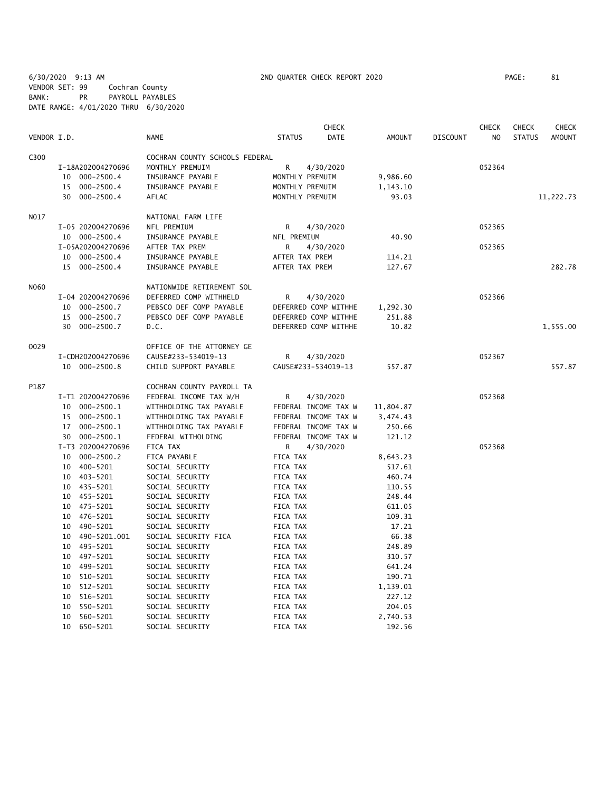6/30/2020 9:13 AM 2ND QUARTER CHECK REPORT 2020 PAGE: 81 VENDOR SET: 99 Cochran County BANK: PR PAYROLL PAYABLES DATE RANGE: 4/01/2020 THRU 6/30/2020

| VENDOR I.D.<br><b>STATUS</b><br><b>DATE</b><br><b>AMOUNT</b><br><b>NAME</b><br><b>DISCOUNT</b><br>N <sub>O</sub><br><b>STATUS</b><br>C300<br>COCHRAN COUNTY SCHOOLS FEDERAL<br>MONTHLY PREMUIM<br>R<br>4/30/2020<br>052364<br>I-18A202004270696<br>10 000-2500.4<br>INSURANCE PAYABLE<br>MONTHLY PREMUIM<br>9,986.60<br>$000 - 2500.4$<br>MONTHLY PREMUIM<br>15<br>INSURANCE PAYABLE<br>1,143.10<br>30<br>000-2500.4<br>AFLAC<br>MONTHLY PREMUIM<br>93.03<br>N017<br>NATIONAL FARM LIFE<br>I-05 202004270696<br>NFL PREMIUM<br>R<br>4/30/2020<br>052365<br>10 000-2500.4<br>40.90<br>INSURANCE PAYABLE<br>NFL PREMIUM<br>I-05A202004270696<br>AFTER TAX PREM<br>4/30/2020<br>052365<br>R<br>10 000-2500.4<br>INSURANCE PAYABLE<br>AFTER TAX PREM<br>114.21<br>15 000-2500.4<br>AFTER TAX PREM<br>INSURANCE PAYABLE<br>127.67<br>N060<br>NATIONWIDE RETIREMENT SOL<br>I-04 202004270696<br>DEFERRED COMP WITHHELD<br>R<br>4/30/2020<br>052366<br>PEBSCO DEF COMP PAYABLE<br>DEFERRED COMP WITHHE<br>10<br>000-2500.7<br>1,292.30<br>$000 - 2500.7$<br>PEBSCO DEF COMP PAYABLE<br>DEFERRED COMP WITHHE<br>251.88<br>15<br>30 000-2500.7<br>D.C.<br>DEFERRED COMP WITHHE<br>10.82<br>0029<br>OFFICE OF THE ATTORNEY GE<br>I-CDH202004270696<br>CAUSE#233-534019-13<br>R<br>4/30/2020<br>052367<br>10 000-2500.8<br>CHILD SUPPORT PAYABLE<br>CAUSE#233-534019-13<br>557.87<br>P187<br>COCHRAN COUNTY PAYROLL TA<br>052368<br>I-T1 202004270696<br>FEDERAL INCOME TAX W/H<br>R<br>4/30/2020<br>000-2500.1<br>WITHHOLDING TAX PAYABLE<br>FEDERAL INCOME TAX W<br>11,804.87<br>10<br>15 000-2500.1<br>FEDERAL INCOME TAX W<br>WITHHOLDING TAX PAYABLE<br>3,474.43<br>17 000-2500.1<br>WITHHOLDING TAX PAYABLE<br>FEDERAL INCOME TAX W<br>250.66<br>30 000-2500.1<br>FEDERAL WITHOLDING<br>FEDERAL INCOME TAX W<br>121.12<br>I-T3 202004270696<br>FICA TAX<br>4/30/2020<br>052368<br>R<br>10 000-2500.2<br>FICA PAYABLE<br>FICA TAX<br>8,643.23<br>400-5201<br>10<br>SOCIAL SECURITY<br>FICA TAX<br>517.61<br>10 403-5201<br>SOCIAL SECURITY<br>FICA TAX<br>460.74 |             |                 |          | <b>CHECK</b> |        | <b>CHECK</b> | <b>CHECK</b> | <b>CHECK</b>  |
|------------------------------------------------------------------------------------------------------------------------------------------------------------------------------------------------------------------------------------------------------------------------------------------------------------------------------------------------------------------------------------------------------------------------------------------------------------------------------------------------------------------------------------------------------------------------------------------------------------------------------------------------------------------------------------------------------------------------------------------------------------------------------------------------------------------------------------------------------------------------------------------------------------------------------------------------------------------------------------------------------------------------------------------------------------------------------------------------------------------------------------------------------------------------------------------------------------------------------------------------------------------------------------------------------------------------------------------------------------------------------------------------------------------------------------------------------------------------------------------------------------------------------------------------------------------------------------------------------------------------------------------------------------------------------------------------------------------------------------------------------------------------------------------------------------------------------------------------------------------------------------------------------------------------------------------------------------------------------------------------------------------------------------------------------------|-------------|-----------------|----------|--------------|--------|--------------|--------------|---------------|
|                                                                                                                                                                                                                                                                                                                                                                                                                                                                                                                                                                                                                                                                                                                                                                                                                                                                                                                                                                                                                                                                                                                                                                                                                                                                                                                                                                                                                                                                                                                                                                                                                                                                                                                                                                                                                                                                                                                                                                                                                                                            |             |                 |          |              |        |              |              | <b>AMOUNT</b> |
|                                                                                                                                                                                                                                                                                                                                                                                                                                                                                                                                                                                                                                                                                                                                                                                                                                                                                                                                                                                                                                                                                                                                                                                                                                                                                                                                                                                                                                                                                                                                                                                                                                                                                                                                                                                                                                                                                                                                                                                                                                                            |             |                 |          |              |        |              |              |               |
|                                                                                                                                                                                                                                                                                                                                                                                                                                                                                                                                                                                                                                                                                                                                                                                                                                                                                                                                                                                                                                                                                                                                                                                                                                                                                                                                                                                                                                                                                                                                                                                                                                                                                                                                                                                                                                                                                                                                                                                                                                                            |             |                 |          |              |        |              |              |               |
|                                                                                                                                                                                                                                                                                                                                                                                                                                                                                                                                                                                                                                                                                                                                                                                                                                                                                                                                                                                                                                                                                                                                                                                                                                                                                                                                                                                                                                                                                                                                                                                                                                                                                                                                                                                                                                                                                                                                                                                                                                                            |             |                 |          |              |        |              |              |               |
|                                                                                                                                                                                                                                                                                                                                                                                                                                                                                                                                                                                                                                                                                                                                                                                                                                                                                                                                                                                                                                                                                                                                                                                                                                                                                                                                                                                                                                                                                                                                                                                                                                                                                                                                                                                                                                                                                                                                                                                                                                                            |             |                 |          |              |        |              |              |               |
|                                                                                                                                                                                                                                                                                                                                                                                                                                                                                                                                                                                                                                                                                                                                                                                                                                                                                                                                                                                                                                                                                                                                                                                                                                                                                                                                                                                                                                                                                                                                                                                                                                                                                                                                                                                                                                                                                                                                                                                                                                                            |             |                 |          |              |        |              |              | 11,222.73     |
|                                                                                                                                                                                                                                                                                                                                                                                                                                                                                                                                                                                                                                                                                                                                                                                                                                                                                                                                                                                                                                                                                                                                                                                                                                                                                                                                                                                                                                                                                                                                                                                                                                                                                                                                                                                                                                                                                                                                                                                                                                                            |             |                 |          |              |        |              |              |               |
|                                                                                                                                                                                                                                                                                                                                                                                                                                                                                                                                                                                                                                                                                                                                                                                                                                                                                                                                                                                                                                                                                                                                                                                                                                                                                                                                                                                                                                                                                                                                                                                                                                                                                                                                                                                                                                                                                                                                                                                                                                                            |             |                 |          |              |        |              |              |               |
|                                                                                                                                                                                                                                                                                                                                                                                                                                                                                                                                                                                                                                                                                                                                                                                                                                                                                                                                                                                                                                                                                                                                                                                                                                                                                                                                                                                                                                                                                                                                                                                                                                                                                                                                                                                                                                                                                                                                                                                                                                                            |             |                 |          |              |        |              |              |               |
|                                                                                                                                                                                                                                                                                                                                                                                                                                                                                                                                                                                                                                                                                                                                                                                                                                                                                                                                                                                                                                                                                                                                                                                                                                                                                                                                                                                                                                                                                                                                                                                                                                                                                                                                                                                                                                                                                                                                                                                                                                                            |             |                 |          |              |        |              |              |               |
|                                                                                                                                                                                                                                                                                                                                                                                                                                                                                                                                                                                                                                                                                                                                                                                                                                                                                                                                                                                                                                                                                                                                                                                                                                                                                                                                                                                                                                                                                                                                                                                                                                                                                                                                                                                                                                                                                                                                                                                                                                                            |             |                 |          |              |        |              |              |               |
|                                                                                                                                                                                                                                                                                                                                                                                                                                                                                                                                                                                                                                                                                                                                                                                                                                                                                                                                                                                                                                                                                                                                                                                                                                                                                                                                                                                                                                                                                                                                                                                                                                                                                                                                                                                                                                                                                                                                                                                                                                                            |             |                 |          |              |        |              |              | 282.78        |
|                                                                                                                                                                                                                                                                                                                                                                                                                                                                                                                                                                                                                                                                                                                                                                                                                                                                                                                                                                                                                                                                                                                                                                                                                                                                                                                                                                                                                                                                                                                                                                                                                                                                                                                                                                                                                                                                                                                                                                                                                                                            |             |                 |          |              |        |              |              |               |
|                                                                                                                                                                                                                                                                                                                                                                                                                                                                                                                                                                                                                                                                                                                                                                                                                                                                                                                                                                                                                                                                                                                                                                                                                                                                                                                                                                                                                                                                                                                                                                                                                                                                                                                                                                                                                                                                                                                                                                                                                                                            |             |                 |          |              |        |              |              |               |
|                                                                                                                                                                                                                                                                                                                                                                                                                                                                                                                                                                                                                                                                                                                                                                                                                                                                                                                                                                                                                                                                                                                                                                                                                                                                                                                                                                                                                                                                                                                                                                                                                                                                                                                                                                                                                                                                                                                                                                                                                                                            |             |                 |          |              |        |              |              |               |
|                                                                                                                                                                                                                                                                                                                                                                                                                                                                                                                                                                                                                                                                                                                                                                                                                                                                                                                                                                                                                                                                                                                                                                                                                                                                                                                                                                                                                                                                                                                                                                                                                                                                                                                                                                                                                                                                                                                                                                                                                                                            |             |                 |          |              |        |              |              |               |
|                                                                                                                                                                                                                                                                                                                                                                                                                                                                                                                                                                                                                                                                                                                                                                                                                                                                                                                                                                                                                                                                                                                                                                                                                                                                                                                                                                                                                                                                                                                                                                                                                                                                                                                                                                                                                                                                                                                                                                                                                                                            |             |                 |          |              |        |              |              | 1,555.00      |
|                                                                                                                                                                                                                                                                                                                                                                                                                                                                                                                                                                                                                                                                                                                                                                                                                                                                                                                                                                                                                                                                                                                                                                                                                                                                                                                                                                                                                                                                                                                                                                                                                                                                                                                                                                                                                                                                                                                                                                                                                                                            |             |                 |          |              |        |              |              |               |
|                                                                                                                                                                                                                                                                                                                                                                                                                                                                                                                                                                                                                                                                                                                                                                                                                                                                                                                                                                                                                                                                                                                                                                                                                                                                                                                                                                                                                                                                                                                                                                                                                                                                                                                                                                                                                                                                                                                                                                                                                                                            |             |                 |          |              |        |              |              |               |
|                                                                                                                                                                                                                                                                                                                                                                                                                                                                                                                                                                                                                                                                                                                                                                                                                                                                                                                                                                                                                                                                                                                                                                                                                                                                                                                                                                                                                                                                                                                                                                                                                                                                                                                                                                                                                                                                                                                                                                                                                                                            |             |                 |          |              |        |              |              | 557.87        |
|                                                                                                                                                                                                                                                                                                                                                                                                                                                                                                                                                                                                                                                                                                                                                                                                                                                                                                                                                                                                                                                                                                                                                                                                                                                                                                                                                                                                                                                                                                                                                                                                                                                                                                                                                                                                                                                                                                                                                                                                                                                            |             |                 |          |              |        |              |              |               |
|                                                                                                                                                                                                                                                                                                                                                                                                                                                                                                                                                                                                                                                                                                                                                                                                                                                                                                                                                                                                                                                                                                                                                                                                                                                                                                                                                                                                                                                                                                                                                                                                                                                                                                                                                                                                                                                                                                                                                                                                                                                            |             |                 |          |              |        |              |              |               |
|                                                                                                                                                                                                                                                                                                                                                                                                                                                                                                                                                                                                                                                                                                                                                                                                                                                                                                                                                                                                                                                                                                                                                                                                                                                                                                                                                                                                                                                                                                                                                                                                                                                                                                                                                                                                                                                                                                                                                                                                                                                            |             |                 |          |              |        |              |              |               |
|                                                                                                                                                                                                                                                                                                                                                                                                                                                                                                                                                                                                                                                                                                                                                                                                                                                                                                                                                                                                                                                                                                                                                                                                                                                                                                                                                                                                                                                                                                                                                                                                                                                                                                                                                                                                                                                                                                                                                                                                                                                            |             |                 |          |              |        |              |              |               |
|                                                                                                                                                                                                                                                                                                                                                                                                                                                                                                                                                                                                                                                                                                                                                                                                                                                                                                                                                                                                                                                                                                                                                                                                                                                                                                                                                                                                                                                                                                                                                                                                                                                                                                                                                                                                                                                                                                                                                                                                                                                            |             |                 |          |              |        |              |              |               |
|                                                                                                                                                                                                                                                                                                                                                                                                                                                                                                                                                                                                                                                                                                                                                                                                                                                                                                                                                                                                                                                                                                                                                                                                                                                                                                                                                                                                                                                                                                                                                                                                                                                                                                                                                                                                                                                                                                                                                                                                                                                            |             |                 |          |              |        |              |              |               |
|                                                                                                                                                                                                                                                                                                                                                                                                                                                                                                                                                                                                                                                                                                                                                                                                                                                                                                                                                                                                                                                                                                                                                                                                                                                                                                                                                                                                                                                                                                                                                                                                                                                                                                                                                                                                                                                                                                                                                                                                                                                            |             |                 |          |              |        |              |              |               |
|                                                                                                                                                                                                                                                                                                                                                                                                                                                                                                                                                                                                                                                                                                                                                                                                                                                                                                                                                                                                                                                                                                                                                                                                                                                                                                                                                                                                                                                                                                                                                                                                                                                                                                                                                                                                                                                                                                                                                                                                                                                            |             |                 |          |              |        |              |              |               |
|                                                                                                                                                                                                                                                                                                                                                                                                                                                                                                                                                                                                                                                                                                                                                                                                                                                                                                                                                                                                                                                                                                                                                                                                                                                                                                                                                                                                                                                                                                                                                                                                                                                                                                                                                                                                                                                                                                                                                                                                                                                            |             |                 |          |              |        |              |              |               |
|                                                                                                                                                                                                                                                                                                                                                                                                                                                                                                                                                                                                                                                                                                                                                                                                                                                                                                                                                                                                                                                                                                                                                                                                                                                                                                                                                                                                                                                                                                                                                                                                                                                                                                                                                                                                                                                                                                                                                                                                                                                            |             |                 |          |              |        |              |              |               |
|                                                                                                                                                                                                                                                                                                                                                                                                                                                                                                                                                                                                                                                                                                                                                                                                                                                                                                                                                                                                                                                                                                                                                                                                                                                                                                                                                                                                                                                                                                                                                                                                                                                                                                                                                                                                                                                                                                                                                                                                                                                            | 10 435-5201 | SOCIAL SECURITY | FICA TAX |              | 110.55 |              |              |               |
| 455-5201<br>SOCIAL SECURITY<br>FICA TAX<br>248.44<br>10                                                                                                                                                                                                                                                                                                                                                                                                                                                                                                                                                                                                                                                                                                                                                                                                                                                                                                                                                                                                                                                                                                                                                                                                                                                                                                                                                                                                                                                                                                                                                                                                                                                                                                                                                                                                                                                                                                                                                                                                    |             |                 |          |              |        |              |              |               |
| 10 475-5201<br>SOCIAL SECURITY<br>FICA TAX<br>611.05                                                                                                                                                                                                                                                                                                                                                                                                                                                                                                                                                                                                                                                                                                                                                                                                                                                                                                                                                                                                                                                                                                                                                                                                                                                                                                                                                                                                                                                                                                                                                                                                                                                                                                                                                                                                                                                                                                                                                                                                       |             |                 |          |              |        |              |              |               |
| 476-5201<br>SOCIAL SECURITY<br>109.31<br>10<br>FICA TAX                                                                                                                                                                                                                                                                                                                                                                                                                                                                                                                                                                                                                                                                                                                                                                                                                                                                                                                                                                                                                                                                                                                                                                                                                                                                                                                                                                                                                                                                                                                                                                                                                                                                                                                                                                                                                                                                                                                                                                                                    |             |                 |          |              |        |              |              |               |
| 490-5201<br>SOCIAL SECURITY<br>FICA TAX<br>17.21<br>10                                                                                                                                                                                                                                                                                                                                                                                                                                                                                                                                                                                                                                                                                                                                                                                                                                                                                                                                                                                                                                                                                                                                                                                                                                                                                                                                                                                                                                                                                                                                                                                                                                                                                                                                                                                                                                                                                                                                                                                                     |             |                 |          |              |        |              |              |               |
| 490-5201.001<br>SOCIAL SECURITY FICA<br>FICA TAX<br>66.38<br>10                                                                                                                                                                                                                                                                                                                                                                                                                                                                                                                                                                                                                                                                                                                                                                                                                                                                                                                                                                                                                                                                                                                                                                                                                                                                                                                                                                                                                                                                                                                                                                                                                                                                                                                                                                                                                                                                                                                                                                                            |             |                 |          |              |        |              |              |               |
| 495-5201<br>SOCIAL SECURITY<br>FICA TAX<br>248.89<br>10<br>497-5201<br>SOCIAL SECURITY<br>FICA TAX<br>310.57<br>10                                                                                                                                                                                                                                                                                                                                                                                                                                                                                                                                                                                                                                                                                                                                                                                                                                                                                                                                                                                                                                                                                                                                                                                                                                                                                                                                                                                                                                                                                                                                                                                                                                                                                                                                                                                                                                                                                                                                         |             |                 |          |              |        |              |              |               |
| 499-5201<br>SOCIAL SECURITY<br>FICA TAX<br>641.24<br>10                                                                                                                                                                                                                                                                                                                                                                                                                                                                                                                                                                                                                                                                                                                                                                                                                                                                                                                                                                                                                                                                                                                                                                                                                                                                                                                                                                                                                                                                                                                                                                                                                                                                                                                                                                                                                                                                                                                                                                                                    |             |                 |          |              |        |              |              |               |
| 510-5201<br>SOCIAL SECURITY<br>10<br>FICA TAX<br>190.71                                                                                                                                                                                                                                                                                                                                                                                                                                                                                                                                                                                                                                                                                                                                                                                                                                                                                                                                                                                                                                                                                                                                                                                                                                                                                                                                                                                                                                                                                                                                                                                                                                                                                                                                                                                                                                                                                                                                                                                                    |             |                 |          |              |        |              |              |               |
| 10<br>512-5201<br>SOCIAL SECURITY<br>FICA TAX<br>1,139.01                                                                                                                                                                                                                                                                                                                                                                                                                                                                                                                                                                                                                                                                                                                                                                                                                                                                                                                                                                                                                                                                                                                                                                                                                                                                                                                                                                                                                                                                                                                                                                                                                                                                                                                                                                                                                                                                                                                                                                                                  |             |                 |          |              |        |              |              |               |
| 516-5201<br>SOCIAL SECURITY<br>FICA TAX<br>227.12<br>10                                                                                                                                                                                                                                                                                                                                                                                                                                                                                                                                                                                                                                                                                                                                                                                                                                                                                                                                                                                                                                                                                                                                                                                                                                                                                                                                                                                                                                                                                                                                                                                                                                                                                                                                                                                                                                                                                                                                                                                                    |             |                 |          |              |        |              |              |               |
| 550-5201<br>FICA TAX<br>10<br>SOCIAL SECURITY<br>204.05                                                                                                                                                                                                                                                                                                                                                                                                                                                                                                                                                                                                                                                                                                                                                                                                                                                                                                                                                                                                                                                                                                                                                                                                                                                                                                                                                                                                                                                                                                                                                                                                                                                                                                                                                                                                                                                                                                                                                                                                    |             |                 |          |              |        |              |              |               |
| 560-5201<br>10<br>SOCIAL SECURITY<br>FICA TAX<br>2,740.53                                                                                                                                                                                                                                                                                                                                                                                                                                                                                                                                                                                                                                                                                                                                                                                                                                                                                                                                                                                                                                                                                                                                                                                                                                                                                                                                                                                                                                                                                                                                                                                                                                                                                                                                                                                                                                                                                                                                                                                                  |             |                 |          |              |        |              |              |               |
| 10<br>650-5201<br><b>FICA TAX</b><br>192.56<br>SOCIAL SECURITY                                                                                                                                                                                                                                                                                                                                                                                                                                                                                                                                                                                                                                                                                                                                                                                                                                                                                                                                                                                                                                                                                                                                                                                                                                                                                                                                                                                                                                                                                                                                                                                                                                                                                                                                                                                                                                                                                                                                                                                             |             |                 |          |              |        |              |              |               |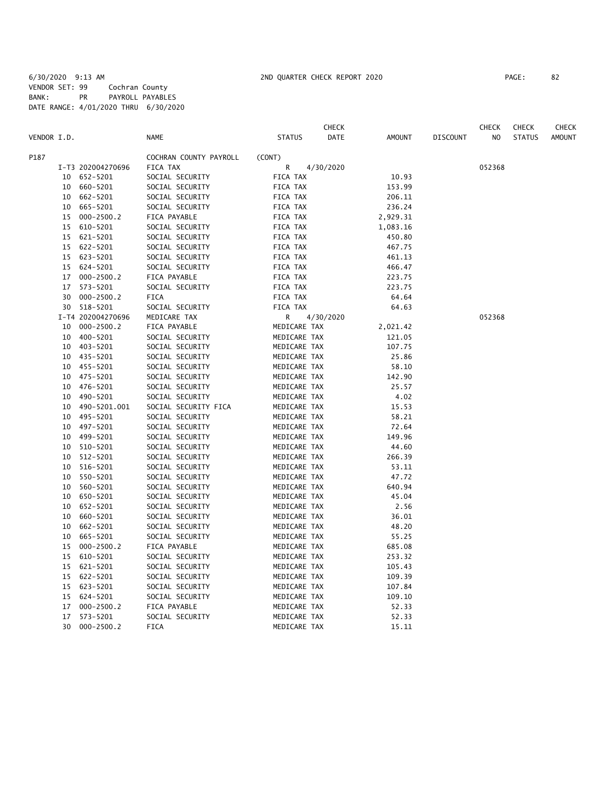|             |    |                   |                        |               | <b>CHECK</b> |               |                 | <b>CHECK</b> | <b>CHECK</b>  | CHECK         |
|-------------|----|-------------------|------------------------|---------------|--------------|---------------|-----------------|--------------|---------------|---------------|
| VENDOR I.D. |    |                   | <b>NAME</b>            | <b>STATUS</b> | DATE         | <b>AMOUNT</b> | <b>DISCOUNT</b> | NO           | <b>STATUS</b> | <b>AMOUNT</b> |
| P187        |    |                   | COCHRAN COUNTY PAYROLL | (CONT)        |              |               |                 |              |               |               |
|             |    | I-T3 202004270696 | FICA TAX               | R             | 4/30/2020    |               |                 | 052368       |               |               |
|             | 10 | 652-5201          | SOCIAL SECURITY        | FICA TAX      |              | 10.93         |                 |              |               |               |
|             | 10 | 660-5201          | SOCIAL SECURITY        | FICA TAX      |              | 153.99        |                 |              |               |               |
|             | 10 | 662-5201          | SOCIAL SECURITY        | FICA TAX      |              | 206.11        |                 |              |               |               |
|             | 10 | 665-5201          | SOCIAL SECURITY        | FICA TAX      |              | 236.24        |                 |              |               |               |
|             | 15 | $000 - 2500.2$    | FICA PAYABLE           | FICA TAX      |              | 2,929.31      |                 |              |               |               |
|             | 15 | 610-5201          | SOCIAL SECURITY        | FICA TAX      |              | 1,083.16      |                 |              |               |               |
|             | 15 | 621-5201          | SOCIAL SECURITY        | FICA TAX      |              | 450.80        |                 |              |               |               |
|             | 15 | 622-5201          | SOCIAL SECURITY        | FICA TAX      |              | 467.75        |                 |              |               |               |
|             | 15 | 623-5201          | SOCIAL SECURITY        | FICA TAX      |              | 461.13        |                 |              |               |               |
|             | 15 | 624-5201          | SOCIAL SECURITY        | FICA TAX      |              | 466.47        |                 |              |               |               |
|             | 17 | $000 - 2500.2$    | FICA PAYABLE           | FICA TAX      |              | 223.75        |                 |              |               |               |
|             | 17 | 573-5201          | SOCIAL SECURITY        | FICA TAX      |              | 223.75        |                 |              |               |               |
|             | 30 | $000 - 2500.2$    | FICA                   | FICA TAX      |              | 64.64         |                 |              |               |               |
|             | 30 | 518-5201          | SOCIAL SECURITY        | FICA TAX      |              | 64.63         |                 |              |               |               |
|             |    | I-T4 202004270696 | MEDICARE TAX           | R             | 4/30/2020    |               |                 | 052368       |               |               |
|             | 10 | $000 - 2500.2$    | FICA PAYABLE           | MEDICARE TAX  |              | 2,021.42      |                 |              |               |               |
|             | 10 | 400-5201          | SOCIAL SECURITY        | MEDICARE TAX  |              | 121.05        |                 |              |               |               |
|             | 10 | 403-5201          | SOCIAL SECURITY        | MEDICARE TAX  |              | 107.75        |                 |              |               |               |
|             | 10 | 435-5201          | SOCIAL SECURITY        | MEDICARE TAX  |              | 25.86         |                 |              |               |               |
|             | 10 | 455-5201          | SOCIAL SECURITY        | MEDICARE TAX  |              | 58.10         |                 |              |               |               |
|             | 10 | 475-5201          | SOCIAL SECURITY        | MEDICARE TAX  |              | 142.90        |                 |              |               |               |
|             | 10 | 476-5201          | SOCIAL SECURITY        | MEDICARE TAX  |              | 25.57         |                 |              |               |               |
|             | 10 | 490-5201          | SOCIAL SECURITY        | MEDICARE TAX  |              | 4.02          |                 |              |               |               |
|             | 10 | 490-5201.001      | SOCIAL SECURITY FICA   | MEDICARE TAX  |              | 15.53         |                 |              |               |               |
|             | 10 | 495-5201          | SOCIAL SECURITY        | MEDICARE TAX  |              | 58.21         |                 |              |               |               |
|             | 10 | 497-5201          | SOCIAL SECURITY        | MEDICARE TAX  |              | 72.64         |                 |              |               |               |
|             | 10 | 499-5201          | SOCIAL SECURITY        | MEDICARE TAX  |              | 149.96        |                 |              |               |               |
|             | 10 | 510-5201          | SOCIAL SECURITY        | MEDICARE TAX  |              | 44.60         |                 |              |               |               |
|             | 10 | 512-5201          | SOCIAL SECURITY        | MEDICARE TAX  |              | 266.39        |                 |              |               |               |
|             | 10 | 516-5201          | SOCIAL SECURITY        | MEDICARE TAX  |              | 53.11         |                 |              |               |               |
|             | 10 | 550-5201          | SOCIAL SECURITY        | MEDICARE TAX  |              | 47.72         |                 |              |               |               |
|             | 10 | 560-5201          | SOCIAL SECURITY        | MEDICARE TAX  |              | 640.94        |                 |              |               |               |
|             | 10 | 650-5201          | SOCIAL SECURITY        | MEDICARE TAX  |              | 45.04         |                 |              |               |               |
|             | 10 | 652-5201          | SOCIAL SECURITY        | MEDICARE TAX  |              | 2.56          |                 |              |               |               |
|             | 10 | 660-5201          | SOCIAL SECURITY        | MEDICARE TAX  |              | 36.01         |                 |              |               |               |
|             | 10 | 662-5201          | SOCIAL SECURITY        | MEDICARE TAX  |              | 48.20         |                 |              |               |               |
|             | 10 | 665-5201          | SOCIAL SECURITY        | MEDICARE TAX  |              | 55.25         |                 |              |               |               |
|             | 15 | $000 - 2500.2$    | FICA PAYABLE           | MEDICARE TAX  |              | 685.08        |                 |              |               |               |
|             | 15 | 610-5201          | SOCIAL SECURITY        | MEDICARE TAX  |              | 253.32        |                 |              |               |               |
|             | 15 | 621-5201          | SOCIAL SECURITY        | MEDICARE TAX  |              | 105.43        |                 |              |               |               |
|             | 15 | 622-5201          | SOCIAL SECURITY        | MEDICARE TAX  |              | 109.39        |                 |              |               |               |
|             | 15 | 623-5201          | SOCIAL SECURITY        | MEDICARE TAX  |              | 107.84        |                 |              |               |               |
|             | 15 | 624-5201          | SOCIAL SECURITY        | MEDICARE TAX  |              | 109.10        |                 |              |               |               |
|             | 17 | $000 - 2500.2$    | FICA PAYABLE           | MEDICARE TAX  |              | 52.33         |                 |              |               |               |
|             | 17 | 573-5201          | SOCIAL SECURITY        | MEDICARE TAX  |              | 52.33         |                 |              |               |               |
|             | 30 | $000 - 2500.2$    | FICA                   | MEDICARE TAX  |              | 15.11         |                 |              |               |               |
|             |    |                   |                        |               |              |               |                 |              |               |               |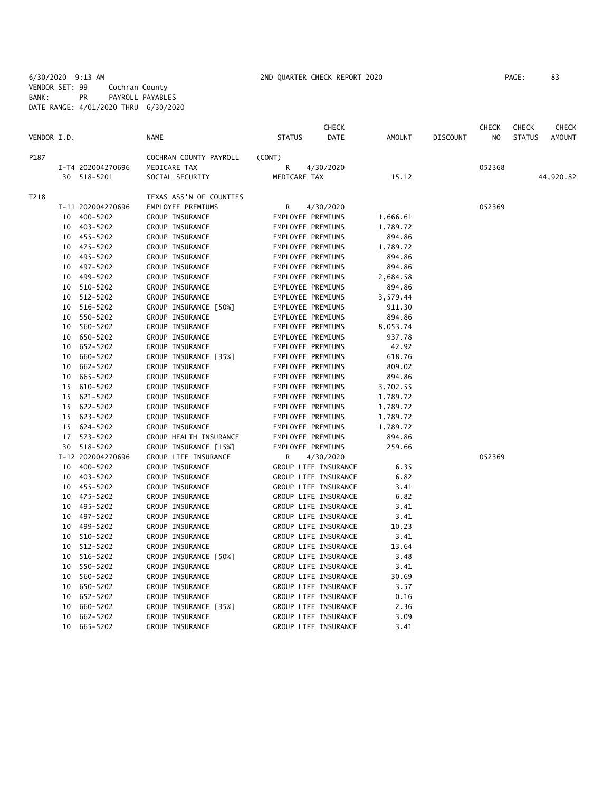6/30/2020 9:13 AM 2ND QUARTER CHECK REPORT 2020 PAGE: 83 VENDOR SET: 99 Cochran County BANK: PR PAYROLL PAYABLES DATE RANGE: 4/01/2020 THRU 6/30/2020

|             |    |                   |                         |                   | <b>CHECK</b>         |               |                 | <b>CHECK</b>   | <b>CHECK</b>  | CHECK         |
|-------------|----|-------------------|-------------------------|-------------------|----------------------|---------------|-----------------|----------------|---------------|---------------|
| VENDOR I.D. |    |                   | <b>NAME</b>             | <b>STATUS</b>     | <b>DATE</b>          | <b>AMOUNT</b> | <b>DISCOUNT</b> | N <sub>O</sub> | <b>STATUS</b> | <b>AMOUNT</b> |
| P187        |    |                   | COCHRAN COUNTY PAYROLL  | (CONT)            |                      |               |                 |                |               |               |
|             |    | I-T4 202004270696 | MEDICARE TAX            | R                 | 4/30/2020            |               |                 | 052368         |               |               |
|             |    | 30 518-5201       | SOCIAL SECURITY         | MEDICARE TAX      |                      | 15.12         |                 |                |               | 44,920.82     |
| T218        |    |                   | TEXAS ASS'N OF COUNTIES |                   |                      |               |                 |                |               |               |
|             |    | I-11 202004270696 | EMPLOYEE PREMIUMS       | $\mathsf{R}$      | 4/30/2020            |               |                 | 052369         |               |               |
|             |    | 10 400-5202       | GROUP INSURANCE         | EMPLOYEE PREMIUMS |                      | 1,666.61      |                 |                |               |               |
|             |    | 10 403-5202       | GROUP INSURANCE         | EMPLOYEE PREMIUMS |                      | 1,789.72      |                 |                |               |               |
|             |    | 10 455-5202       | GROUP INSURANCE         | EMPLOYEE PREMIUMS |                      | 894.86        |                 |                |               |               |
|             |    | 10 475-5202       | GROUP INSURANCE         | EMPLOYEE PREMIUMS |                      | 1,789.72      |                 |                |               |               |
|             |    | 10 495-5202       | GROUP INSURANCE         | EMPLOYEE PREMIUMS |                      | 894.86        |                 |                |               |               |
|             |    | 10 497-5202       | GROUP INSURANCE         | EMPLOYEE PREMIUMS |                      | 894.86        |                 |                |               |               |
|             |    | 10 499-5202       | GROUP INSURANCE         | EMPLOYEE PREMIUMS |                      | 2,684.58      |                 |                |               |               |
|             | 10 | 510-5202          | GROUP INSURANCE         | EMPLOYEE PREMIUMS |                      | 894.86        |                 |                |               |               |
|             | 10 | 512-5202          | GROUP INSURANCE         | EMPLOYEE PREMIUMS |                      | 3,579.44      |                 |                |               |               |
|             | 10 | 516-5202          | GROUP INSURANCE [50%]   | EMPLOYEE PREMIUMS |                      | 911.30        |                 |                |               |               |
|             | 10 | 550-5202          | GROUP INSURANCE         | EMPLOYEE PREMIUMS |                      | 894.86        |                 |                |               |               |
|             | 10 | 560-5202          | GROUP INSURANCE         | EMPLOYEE PREMIUMS |                      | 8,053.74      |                 |                |               |               |
|             | 10 | 650-5202          | GROUP INSURANCE         | EMPLOYEE PREMIUMS |                      | 937.78        |                 |                |               |               |
|             | 10 | 652-5202          | GROUP INSURANCE         | EMPLOYEE PREMIUMS |                      | 42.92         |                 |                |               |               |
|             | 10 | 660-5202          | GROUP INSURANCE [35%]   | EMPLOYEE PREMIUMS |                      | 618.76        |                 |                |               |               |
|             | 10 | 662-5202          | GROUP INSURANCE         | EMPLOYEE PREMIUMS |                      | 809.02        |                 |                |               |               |
|             | 10 | 665-5202          | GROUP INSURANCE         | EMPLOYEE PREMIUMS |                      | 894.86        |                 |                |               |               |
|             | 15 | 610-5202          | GROUP INSURANCE         | EMPLOYEE PREMIUMS |                      | 3,702.55      |                 |                |               |               |
|             | 15 | 621-5202          | GROUP INSURANCE         | EMPLOYEE PREMIUMS |                      | 1,789.72      |                 |                |               |               |
|             |    | 15 622-5202       | GROUP INSURANCE         | EMPLOYEE PREMIUMS |                      | 1,789.72      |                 |                |               |               |
|             | 15 | 623-5202          | GROUP INSURANCE         | EMPLOYEE PREMIUMS |                      | 1,789.72      |                 |                |               |               |
|             |    | 15 624-5202       | GROUP INSURANCE         | EMPLOYEE PREMIUMS |                      | 1,789.72      |                 |                |               |               |
|             | 17 | 573-5202          | GROUP HEALTH INSURANCE  | EMPLOYEE PREMIUMS |                      | 894.86        |                 |                |               |               |
|             | 30 | 518-5202          | GROUP INSURANCE [15%]   | EMPLOYEE PREMIUMS |                      | 259.66        |                 |                |               |               |
|             |    | I-12 202004270696 | GROUP LIFE INSURANCE    | R                 | 4/30/2020            |               |                 | 052369         |               |               |
|             |    | 10 400-5202       | GROUP INSURANCE         |                   | GROUP LIFE INSURANCE | 6.35          |                 |                |               |               |
|             |    | 10 403-5202       | GROUP INSURANCE         |                   | GROUP LIFE INSURANCE | 6.82          |                 |                |               |               |
|             |    | 10 455-5202       | GROUP INSURANCE         |                   | GROUP LIFE INSURANCE | 3.41          |                 |                |               |               |
|             |    | 10 475-5202       | GROUP INSURANCE         |                   | GROUP LIFE INSURANCE | 6.82          |                 |                |               |               |
|             | 10 | 495-5202          | GROUP INSURANCE         |                   | GROUP LIFE INSURANCE | 3.41          |                 |                |               |               |
|             | 10 | 497-5202          | GROUP INSURANCE         |                   | GROUP LIFE INSURANCE | 3.41          |                 |                |               |               |
|             |    | 10 499-5202       | GROUP INSURANCE         |                   | GROUP LIFE INSURANCE | 10.23         |                 |                |               |               |
|             |    | 10 510-5202       | GROUP INSURANCE         |                   | GROUP LIFE INSURANCE | 3.41          |                 |                |               |               |
|             |    | 10 512-5202       | GROUP INSURANCE         |                   | GROUP LIFE INSURANCE | 13.64         |                 |                |               |               |
|             | 10 | 516-5202          | GROUP INSURANCE [50%]   |                   | GROUP LIFE INSURANCE | 3.48          |                 |                |               |               |
|             | 10 | 550-5202          | GROUP INSURANCE         |                   | GROUP LIFE INSURANCE | 3.41          |                 |                |               |               |
|             | 10 | 560-5202          | GROUP INSURANCE         |                   | GROUP LIFE INSURANCE | 30.69         |                 |                |               |               |
|             | 10 | 650-5202          | GROUP INSURANCE         |                   | GROUP LIFE INSURANCE | 3.57          |                 |                |               |               |
|             | 10 | 652-5202          | GROUP INSURANCE         |                   | GROUP LIFE INSURANCE | 0.16          |                 |                |               |               |
|             | 10 | 660-5202          | GROUP INSURANCE [35%]   |                   | GROUP LIFE INSURANCE | 2.36          |                 |                |               |               |
|             | 10 | 662-5202          | GROUP INSURANCE         |                   | GROUP LIFE INSURANCE | 3.09          |                 |                |               |               |
|             | 10 | 665-5202          | GROUP INSURANCE         |                   | GROUP LIFE INSURANCE | 3.41          |                 |                |               |               |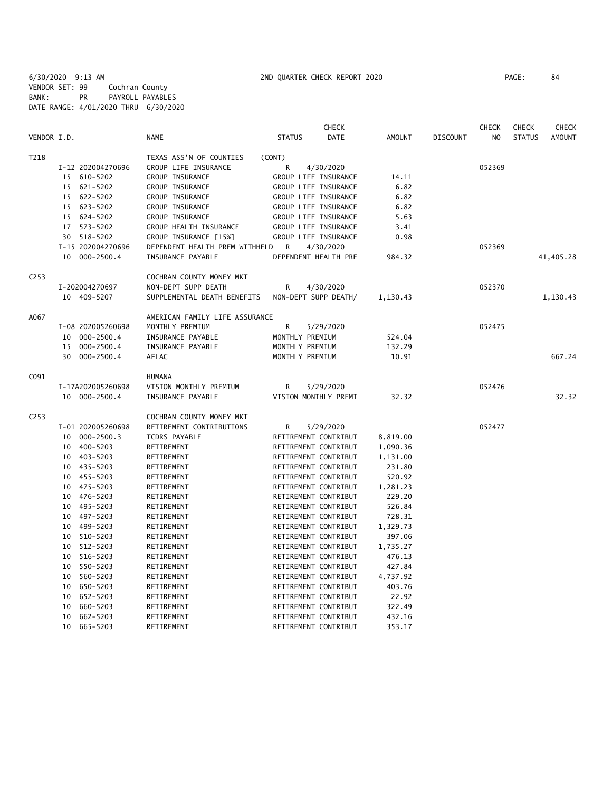6/30/2020 9:13 AM 2ND QUARTER CHECK REPORT 2020 PAGE: 84 VENDOR SET: 99 Cochran County BANK: PR PAYROLL PAYABLES DATE RANGE: 4/01/2020 THRU 6/30/2020

|                  |                      |                                | <b>CHECK</b>                 |               |                 | <b>CHECK</b>   | <b>CHECK</b>  | <b>CHECK</b>  |
|------------------|----------------------|--------------------------------|------------------------------|---------------|-----------------|----------------|---------------|---------------|
| VENDOR I.D.      |                      | <b>NAME</b>                    | <b>STATUS</b><br><b>DATE</b> | <b>AMOUNT</b> | <b>DISCOUNT</b> | N <sub>O</sub> | <b>STATUS</b> | <b>AMOUNT</b> |
| T218             |                      | TEXAS ASS'N OF COUNTIES        | (CONT)                       |               |                 |                |               |               |
|                  | I-12 202004270696    | GROUP LIFE INSURANCE           | R<br>4/30/2020               |               |                 | 052369         |               |               |
|                  | 15<br>610-5202       | GROUP INSURANCE                | GROUP LIFE INSURANCE         | 14.11         |                 |                |               |               |
|                  | 621-5202<br>15       | GROUP INSURANCE                | GROUP LIFE INSURANCE         | 6.82          |                 |                |               |               |
|                  | 622-5202<br>15       | GROUP INSURANCE                | GROUP LIFE INSURANCE         | 6.82          |                 |                |               |               |
|                  | 623-5202<br>15       | <b>GROUP INSURANCE</b>         | GROUP LIFE INSURANCE         | 6.82          |                 |                |               |               |
|                  | 624-5202<br>15       | GROUP INSURANCE                | GROUP LIFE INSURANCE         | 5.63          |                 |                |               |               |
|                  | 573-5202<br>17       | GROUP HEALTH INSURANCE         | GROUP LIFE INSURANCE         | 3.41          |                 |                |               |               |
|                  | 518-5202<br>30       | GROUP INSURANCE [15%]          | GROUP LIFE INSURANCE         | 0.98          |                 |                |               |               |
|                  | I-15 202004270696    | DEPENDENT HEALTH PREM WITHHELD | 4/30/2020<br>R               |               |                 | 052369         |               |               |
|                  | 10 000-2500.4        | INSURANCE PAYABLE              | DEPENDENT HEALTH PRE         | 984.32        |                 |                |               | 41,405.28     |
| C <sub>253</sub> |                      | COCHRAN COUNTY MONEY MKT       |                              |               |                 |                |               |               |
|                  | I-202004270697       | NON-DEPT SUPP DEATH            | R<br>4/30/2020               |               |                 | 052370         |               |               |
|                  | 10 409-5207          | SUPPLEMENTAL DEATH BENEFITS    | NON-DEPT SUPP DEATH/         | 1,130.43      |                 |                |               | 1,130.43      |
| A067             |                      | AMERICAN FAMILY LIFE ASSURANCE |                              |               |                 |                |               |               |
|                  | I-08 202005260698    | MONTHLY PREMIUM                | R<br>5/29/2020               |               |                 | 052475         |               |               |
|                  | $000 - 2500.4$<br>10 | INSURANCE PAYABLE              | MONTHLY PREMIUM              | 524.04        |                 |                |               |               |
|                  | $000 - 2500.4$<br>15 | INSURANCE PAYABLE              | MONTHLY PREMIUM              | 132.29        |                 |                |               |               |
|                  | 30<br>000-2500.4     | AFLAC                          | MONTHLY PREMIUM              | 10.91         |                 |                |               | 667.24        |
| C091             |                      | <b>HUMANA</b>                  |                              |               |                 |                |               |               |
|                  | I-17A202005260698    | VISION MONTHLY PREMIUM         | R<br>5/29/2020               |               |                 | 052476         |               |               |
|                  | 10 000-2500.4        | INSURANCE PAYABLE              | VISION MONTHLY PREMI         | 32.32         |                 |                |               | 32.32         |
| C <sub>253</sub> |                      | COCHRAN COUNTY MONEY MKT       |                              |               |                 |                |               |               |
|                  | I-01 202005260698    | RETIREMENT CONTRIBUTIONS       | R<br>5/29/2020               |               |                 | 052477         |               |               |
|                  | 10<br>$000 - 2500.3$ | <b>TCDRS PAYABLE</b>           | RETIREMENT CONTRIBUT         | 8,819.00      |                 |                |               |               |
|                  | 400-5203<br>10       | RETIREMENT                     | RETIREMENT CONTRIBUT         | 1,090.36      |                 |                |               |               |
|                  | 10 403-5203          | RETIREMENT                     | RETIREMENT CONTRIBUT         | 1,131.00      |                 |                |               |               |
|                  | 435-5203<br>10       | RETIREMENT                     | RETIREMENT CONTRIBUT         | 231.80        |                 |                |               |               |
|                  | 455-5203<br>10       | RETIREMENT                     | RETIREMENT CONTRIBUT         | 520.92        |                 |                |               |               |
|                  | 475-5203<br>10       | RETIREMENT                     | RETIREMENT CONTRIBUT         | 1,281.23      |                 |                |               |               |
|                  | 476-5203<br>10       | RETIREMENT                     | RETIREMENT CONTRIBUT         | 229.20        |                 |                |               |               |
|                  | 495-5203<br>10       | RETIREMENT                     | RETIREMENT CONTRIBUT         | 526.84        |                 |                |               |               |
|                  | 497-5203<br>10       | RETIREMENT                     | RETIREMENT CONTRIBUT         | 728.31        |                 |                |               |               |
|                  | 10<br>499-5203       | RETIREMENT                     | RETIREMENT CONTRIBUT         | 1,329.73      |                 |                |               |               |
|                  | 510-5203<br>10       | RETIREMENT                     | RETIREMENT CONTRIBUT         | 397.06        |                 |                |               |               |
|                  | 10<br>512-5203       | RETIREMENT                     | RETIREMENT CONTRIBUT         | 1,735.27      |                 |                |               |               |
|                  | 516-5203<br>10       | RETIREMENT                     | RETIREMENT CONTRIBUT         | 476.13        |                 |                |               |               |
|                  | 10<br>550-5203       | RETIREMENT                     | RETIREMENT CONTRIBUT         | 427.84        |                 |                |               |               |
|                  | 560-5203<br>10       | RETIREMENT                     | RETIREMENT CONTRIBUT         | 4,737.92      |                 |                |               |               |
|                  | 650-5203<br>10       | RETIREMENT                     | RETIREMENT CONTRIBUT         | 403.76        |                 |                |               |               |
|                  | 652-5203<br>10       | RETIREMENT                     | RETIREMENT CONTRIBUT         | 22.92         |                 |                |               |               |
|                  | 660-5203<br>10       | RETIREMENT                     | RETIREMENT CONTRIBUT         | 322.49        |                 |                |               |               |
|                  | 10<br>662-5203       | RETIREMENT                     | RETIREMENT CONTRIBUT         | 432.16        |                 |                |               |               |
|                  | 10<br>665-5203       | RETIREMENT                     | RETIREMENT CONTRIBUT         | 353.17        |                 |                |               |               |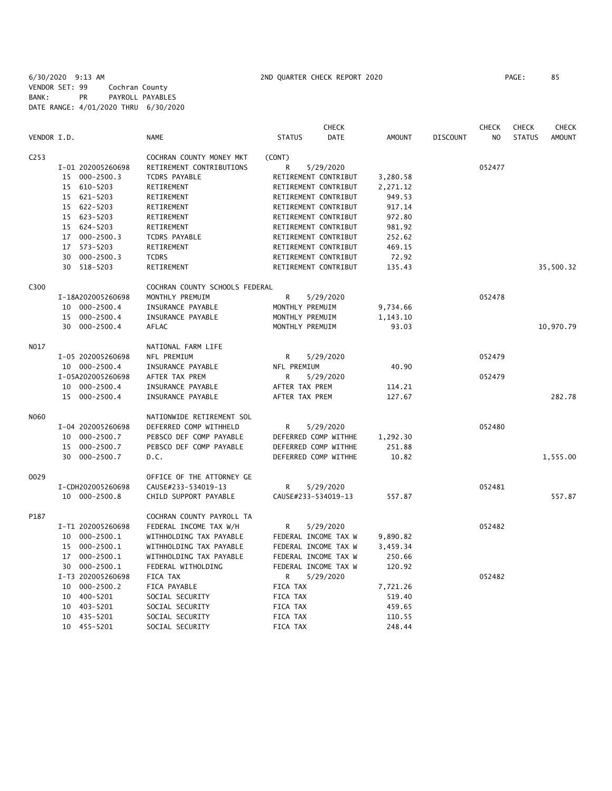6/30/2020 9:13 AM 2ND QUARTER CHECK REPORT 2020 PAGE: 85 VENDOR SET: 99 Cochran County BANK: PR PAYROLL PAYABLES DATE RANGE: 4/01/2020 THRU 6/30/2020

|                  |                      |                                | <b>CHECK</b>                 |               |                 | <b>CHECK</b>   | <b>CHECK</b>  | <b>CHECK</b>  |
|------------------|----------------------|--------------------------------|------------------------------|---------------|-----------------|----------------|---------------|---------------|
| VENDOR I.D.      |                      | <b>NAME</b>                    | <b>STATUS</b><br><b>DATE</b> | <b>AMOUNT</b> | <b>DISCOUNT</b> | N <sub>O</sub> | <b>STATUS</b> | <b>AMOUNT</b> |
| C <sub>253</sub> |                      | COCHRAN COUNTY MONEY MKT       | (CONT)                       |               |                 |                |               |               |
|                  | I-01 202005260698    | RETIREMENT CONTRIBUTIONS       | R<br>5/29/2020               |               |                 | 052477         |               |               |
|                  | 15 000-2500.3        | <b>TCDRS PAYABLE</b>           | RETIREMENT CONTRIBUT         | 3,280.58      |                 |                |               |               |
|                  | 15 610-5203          | RETIREMENT                     | RETIREMENT CONTRIBUT         | 2,271.12      |                 |                |               |               |
|                  | 15 621-5203          | RETIREMENT                     | RETIREMENT CONTRIBUT         | 949.53        |                 |                |               |               |
|                  | 15 622-5203          | RETIREMENT                     | RETIREMENT CONTRIBUT         | 917.14        |                 |                |               |               |
|                  | 15 623-5203          | RETIREMENT                     | RETIREMENT CONTRIBUT         | 972.80        |                 |                |               |               |
|                  | 624-5203<br>15       | RETIREMENT                     | RETIREMENT CONTRIBUT         | 981.92        |                 |                |               |               |
|                  | 17 000-2500.3        | <b>TCDRS PAYABLE</b>           | RETIREMENT CONTRIBUT         | 252.62        |                 |                |               |               |
|                  | 573-5203<br>17       | RETIREMENT                     | RETIREMENT CONTRIBUT         | 469.15        |                 |                |               |               |
|                  | 000-2500.3<br>30     | <b>TCDRS</b>                   | RETIREMENT CONTRIBUT         | 72.92         |                 |                |               |               |
|                  | 30 518-5203          | RETIREMENT                     | RETIREMENT CONTRIBUT         | 135.43        |                 |                |               | 35,500.32     |
| C300             |                      | COCHRAN COUNTY SCHOOLS FEDERAL |                              |               |                 |                |               |               |
|                  | I-18A202005260698    | MONTHLY PREMUIM                | R<br>5/29/2020               |               |                 | 052478         |               |               |
|                  | 10 000-2500.4        | INSURANCE PAYABLE              | MONTHLY PREMUIM              | 9,734.66      |                 |                |               |               |
|                  | 15 000-2500.4        | INSURANCE PAYABLE              | MONTHLY PREMUIM              | 1,143.10      |                 |                |               |               |
|                  | 30 000-2500.4        | AFLAC                          | MONTHLY PREMUIM              | 93.03         |                 |                |               | 10,970.79     |
| N017             |                      | NATIONAL FARM LIFE             |                              |               |                 |                |               |               |
|                  | I-05 202005260698    | NFL PREMIUM                    | R<br>5/29/2020               |               |                 | 052479         |               |               |
|                  | 10 000-2500.4        | INSURANCE PAYABLE              | NFL PREMIUM                  | 40.90         |                 |                |               |               |
|                  | I-05A202005260698    | AFTER TAX PREM                 | R<br>5/29/2020               |               |                 | 052479         |               |               |
|                  | 10 000-2500.4        | INSURANCE PAYABLE              | AFTER TAX PREM               | 114.21        |                 |                |               |               |
|                  | 15 000-2500.4        | INSURANCE PAYABLE              | AFTER TAX PREM               | 127.67        |                 |                |               | 282.78        |
| N060             |                      | NATIONWIDE RETIREMENT SOL      |                              |               |                 |                |               |               |
|                  | I-04 202005260698    | DEFERRED COMP WITHHELD         | R<br>5/29/2020               |               |                 | 052480         |               |               |
|                  | 000-2500.7<br>10     | PEBSCO DEF COMP PAYABLE        | DEFERRED COMP WITHHE         | 1,292.30      |                 |                |               |               |
|                  | $000 - 2500.7$<br>15 | PEBSCO DEF COMP PAYABLE        | DEFERRED COMP WITHHE         | 251.88        |                 |                |               |               |
|                  | 30<br>000-2500.7     | D.C.                           | DEFERRED COMP WITHHE         | 10.82         |                 |                |               | 1,555.00      |
| 0029             |                      | OFFICE OF THE ATTORNEY GE      |                              |               |                 |                |               |               |
|                  | I-CDH202005260698    | CAUSE#233-534019-13            | R<br>5/29/2020               |               |                 | 052481         |               |               |
|                  | 10 000-2500.8        | CHILD SUPPORT PAYABLE          | CAUSE#233-534019-13          | 557.87        |                 |                |               | 557.87        |
| P187             |                      | COCHRAN COUNTY PAYROLL TA      |                              |               |                 |                |               |               |
|                  | I-T1 202005260698    | FEDERAL INCOME TAX W/H         | R<br>5/29/2020               |               |                 | 052482         |               |               |
|                  | 000-2500.1<br>10     | WITHHOLDING TAX PAYABLE        | FEDERAL INCOME TAX W         | 9,890.82      |                 |                |               |               |
|                  | 000-2500.1<br>15     | WITHHOLDING TAX PAYABLE        | FEDERAL INCOME TAX W         | 3,459.34      |                 |                |               |               |
|                  | 17 000-2500.1        | WITHHOLDING TAX PAYABLE        | FEDERAL INCOME TAX W         | 250.66        |                 |                |               |               |
|                  | 30 000-2500.1        | FEDERAL WITHOLDING             | FEDERAL INCOME TAX W         | 120.92        |                 |                |               |               |
|                  | I-T3 202005260698    | FICA TAX                       | 5/29/2020<br>R               |               |                 | 052482         |               |               |
|                  | 10 000-2500.2        | FICA PAYABLE                   | FICA TAX                     | 7,721.26      |                 |                |               |               |
|                  | 10<br>400-5201       | SOCIAL SECURITY                | FICA TAX                     | 519.40        |                 |                |               |               |
|                  | 403-5201<br>10       | SOCIAL SECURITY                | FICA TAX                     | 459.65        |                 |                |               |               |
|                  | 10 435-5201          | SOCIAL SECURITY                | FICA TAX                     | 110.55        |                 |                |               |               |
|                  | 10 455-5201          | SOCIAL SECURITY                | FICA TAX                     | 248.44        |                 |                |               |               |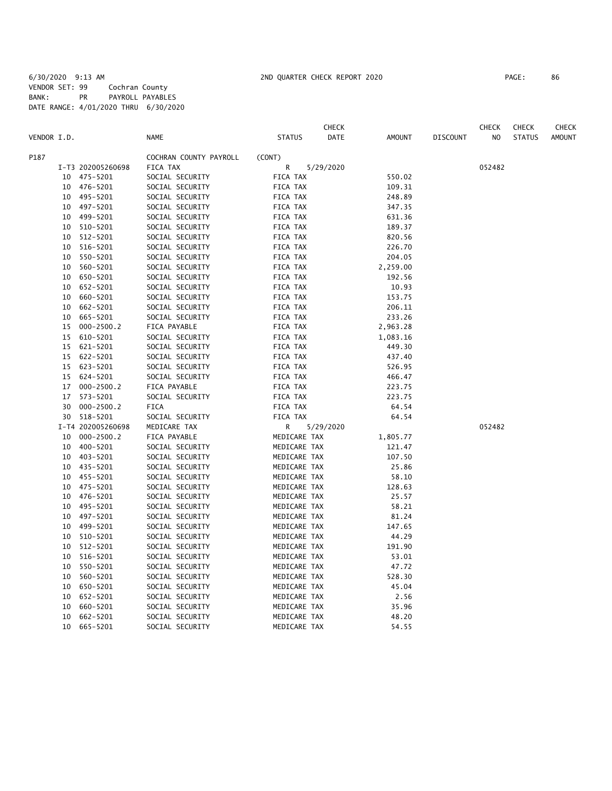|             |    |                   |                        |               | <b>CHECK</b> |               |                 | <b>CHECK</b>   | <b>CHECK</b>  | CHECK         |
|-------------|----|-------------------|------------------------|---------------|--------------|---------------|-----------------|----------------|---------------|---------------|
| VENDOR I.D. |    |                   | <b>NAME</b>            | <b>STATUS</b> | DATE         | <b>AMOUNT</b> | <b>DISCOUNT</b> | N <sub>O</sub> | <b>STATUS</b> | <b>AMOUNT</b> |
| P187        |    |                   | COCHRAN COUNTY PAYROLL | (CONT)        |              |               |                 |                |               |               |
|             |    | I-T3 202005260698 | FICA TAX               | R             | 5/29/2020    |               |                 | 052482         |               |               |
|             | 10 | 475-5201          | SOCIAL SECURITY        | FICA TAX      |              | 550.02        |                 |                |               |               |
|             | 10 | 476-5201          | SOCIAL SECURITY        | FICA TAX      |              | 109.31        |                 |                |               |               |
|             | 10 | 495-5201          | SOCIAL SECURITY        | FICA TAX      |              | 248.89        |                 |                |               |               |
|             | 10 | 497-5201          | SOCIAL SECURITY        | FICA TAX      |              | 347.35        |                 |                |               |               |
|             | 10 | 499-5201          | SOCIAL SECURITY        | FICA TAX      |              | 631.36        |                 |                |               |               |
|             | 10 | 510-5201          | SOCIAL SECURITY        | FICA TAX      |              | 189.37        |                 |                |               |               |
|             | 10 | 512-5201          | SOCIAL SECURITY        | FICA TAX      |              | 820.56        |                 |                |               |               |
|             | 10 | 516-5201          | SOCIAL SECURITY        | FICA TAX      |              | 226.70        |                 |                |               |               |
|             | 10 | 550-5201          | SOCIAL SECURITY        | FICA TAX      |              | 204.05        |                 |                |               |               |
|             | 10 | 560-5201          | SOCIAL SECURITY        | FICA TAX      |              | 2,259.00      |                 |                |               |               |
|             | 10 | 650-5201          | SOCIAL SECURITY        | FICA TAX      |              | 192.56        |                 |                |               |               |
|             | 10 | 652-5201          | SOCIAL SECURITY        | FICA TAX      |              | 10.93         |                 |                |               |               |
|             | 10 | 660-5201          | SOCIAL SECURITY        | FICA TAX      |              | 153.75        |                 |                |               |               |
|             | 10 | 662-5201          | SOCIAL SECURITY        | FICA TAX      |              | 206.11        |                 |                |               |               |
|             | 10 | 665-5201          | SOCIAL SECURITY        | FICA TAX      |              | 233.26        |                 |                |               |               |
|             | 15 | $000 - 2500.2$    | FICA PAYABLE           | FICA TAX      |              | 2,963.28      |                 |                |               |               |
|             | 15 | 610-5201          | SOCIAL SECURITY        | FICA TAX      |              | 1,083.16      |                 |                |               |               |
|             | 15 | 621-5201          | SOCIAL SECURITY        | FICA TAX      |              | 449.30        |                 |                |               |               |
|             | 15 | 622-5201          | SOCIAL SECURITY        | FICA TAX      |              | 437.40        |                 |                |               |               |
|             | 15 | 623-5201          | SOCIAL SECURITY        | FICA TAX      |              | 526.95        |                 |                |               |               |
|             | 15 | 624-5201          | SOCIAL SECURITY        | FICA TAX      |              | 466.47        |                 |                |               |               |
|             | 17 | $000 - 2500.2$    | FICA PAYABLE           | FICA TAX      |              | 223.75        |                 |                |               |               |
|             | 17 | 573-5201          | SOCIAL SECURITY        | FICA TAX      |              | 223.75        |                 |                |               |               |
|             | 30 | $000 - 2500.2$    | <b>FICA</b>            | FICA TAX      |              | 64.54         |                 |                |               |               |
|             | 30 | 518-5201          | SOCIAL SECURITY        | FICA TAX      |              | 64.54         |                 |                |               |               |
|             |    | I-T4 202005260698 | MEDICARE TAX           | R             | 5/29/2020    |               |                 | 052482         |               |               |
|             | 10 | $000 - 2500.2$    | FICA PAYABLE           | MEDICARE TAX  |              | 1,805.77      |                 |                |               |               |
|             | 10 | 400-5201          | SOCIAL SECURITY        | MEDICARE TAX  |              | 121.47        |                 |                |               |               |
|             | 10 | 403-5201          | SOCIAL SECURITY        | MEDICARE TAX  |              | 107.50        |                 |                |               |               |
|             | 10 | 435-5201          | SOCIAL SECURITY        | MEDICARE TAX  |              | 25.86         |                 |                |               |               |
|             | 10 | 455-5201          | SOCIAL SECURITY        | MEDICARE TAX  |              | 58.10         |                 |                |               |               |
|             | 10 | 475-5201          | SOCIAL SECURITY        | MEDICARE TAX  |              | 128.63        |                 |                |               |               |
|             | 10 | 476-5201          | SOCIAL SECURITY        | MEDICARE TAX  |              | 25.57         |                 |                |               |               |
|             | 10 | 495-5201          | SOCIAL SECURITY        | MEDICARE TAX  |              | 58.21         |                 |                |               |               |
|             | 10 | 497-5201          | SOCIAL SECURITY        | MEDICARE TAX  |              | 81.24         |                 |                |               |               |
|             | 10 | 499-5201          | SOCIAL SECURITY        | MEDICARE TAX  |              | 147.65        |                 |                |               |               |
|             | 10 | 510-5201          | SOCIAL SECURITY        | MEDICARE TAX  |              | 44.29         |                 |                |               |               |
|             | 10 | 512-5201          | SOCIAL SECURITY        | MEDICARE TAX  |              | 191.90        |                 |                |               |               |
|             | 10 | 516-5201          | SOCIAL SECURITY        | MEDICARE TAX  |              | 53.01         |                 |                |               |               |
|             | 10 | 550-5201          | SOCIAL SECURITY        | MEDICARE TAX  |              | 47.72         |                 |                |               |               |
|             | 10 | 560-5201          | SOCIAL SECURITY        | MEDICARE TAX  |              | 528.30        |                 |                |               |               |
|             | 10 | 650-5201          | SOCIAL SECURITY        | MEDICARE TAX  |              | 45.04         |                 |                |               |               |
|             | 10 | 652-5201          | SOCIAL SECURITY        | MEDICARE TAX  |              | 2.56          |                 |                |               |               |
|             | 10 | 660-5201          | SOCIAL SECURITY        | MEDICARE TAX  |              | 35.96         |                 |                |               |               |
|             | 10 | 662-5201          | SOCIAL SECURITY        | MEDICARE TAX  |              | 48.20         |                 |                |               |               |
|             | 10 | 665-5201          | SOCIAL SECURITY        | MEDICARE TAX  |              | 54.55         |                 |                |               |               |
|             |    |                   |                        |               |              |               |                 |                |               |               |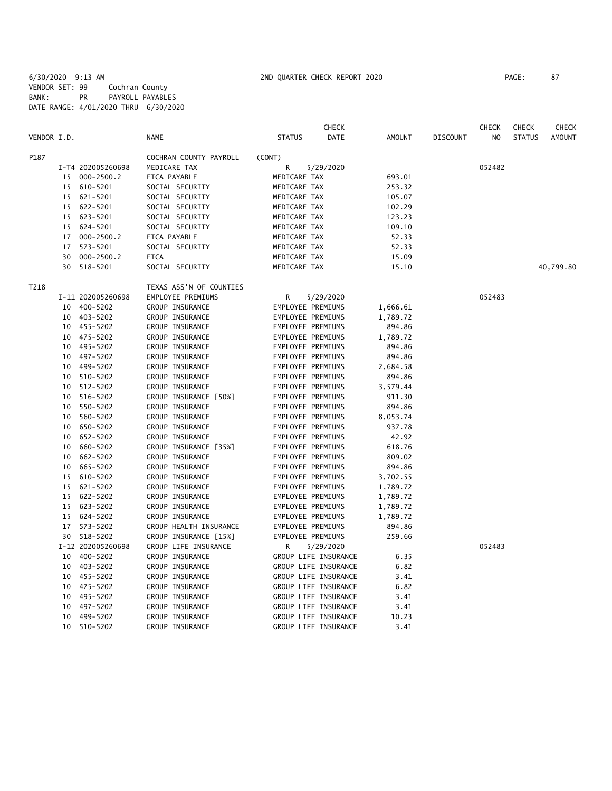6/30/2020 9:13 AM 2ND QUARTER CHECK REPORT 2020 PAGE: 87 VENDOR SET: 99 Cochran County BANK: PR PAYROLL PAYABLES DATE RANGE: 4/01/2020 THRU 6/30/2020

|             |    |                   |                         |                      | <b>CHECK</b>         |          |                 | <b>CHECK</b> | <b>CHECK</b>  | CHECK         |
|-------------|----|-------------------|-------------------------|----------------------|----------------------|----------|-----------------|--------------|---------------|---------------|
| VENDOR I.D. |    |                   | <b>NAME</b>             | <b>STATUS</b>        | DATE                 | AMOUNT   | <b>DISCOUNT</b> | NO.          | <b>STATUS</b> | <b>AMOUNT</b> |
| P187        |    |                   | COCHRAN COUNTY PAYROLL  | (CONT)               |                      |          |                 |              |               |               |
|             |    | I-T4 202005260698 | MEDICARE TAX            | R                    | 5/29/2020            |          |                 | 052482       |               |               |
|             |    | 15 000-2500.2     | FICA PAYABLE            | MEDICARE TAX         |                      | 693.01   |                 |              |               |               |
|             | 15 | 610-5201          | SOCIAL SECURITY         | MEDICARE TAX         |                      | 253.32   |                 |              |               |               |
|             |    | 15 621-5201       | SOCIAL SECURITY         | MEDICARE TAX         |                      | 105.07   |                 |              |               |               |
|             | 15 | 622-5201          | SOCIAL SECURITY         | MEDICARE TAX         |                      | 102.29   |                 |              |               |               |
|             |    | 15 623-5201       | SOCIAL SECURITY         | MEDICARE TAX         |                      | 123.23   |                 |              |               |               |
|             | 15 | 624-5201          | SOCIAL SECURITY         | MEDICARE TAX         |                      | 109.10   |                 |              |               |               |
|             | 17 | $000 - 2500.2$    | FICA PAYABLE            | MEDICARE TAX         |                      | 52.33    |                 |              |               |               |
|             | 17 | 573-5201          | SOCIAL SECURITY         | MEDICARE TAX         |                      | 52.33    |                 |              |               |               |
|             | 30 | $000 - 2500.2$    | <b>FICA</b>             | MEDICARE TAX         |                      | 15.09    |                 |              |               |               |
|             | 30 | 518-5201          | SOCIAL SECURITY         | MEDICARE TAX         |                      | 15.10    |                 |              |               | 40,799.80     |
| T218        |    |                   | TEXAS ASS'N OF COUNTIES |                      |                      |          |                 |              |               |               |
|             |    | I-11 202005260698 | EMPLOYEE PREMIUMS       | R                    | 5/29/2020            |          |                 | 052483       |               |               |
|             |    | 10 400-5202       | GROUP INSURANCE         | EMPLOYEE PREMIUMS    |                      | 1,666.61 |                 |              |               |               |
|             |    | 10 403-5202       | GROUP INSURANCE         | EMPLOYEE PREMIUMS    |                      | 1,789.72 |                 |              |               |               |
|             |    | 10 455-5202       | GROUP INSURANCE         | EMPLOYEE PREMIUMS    |                      | 894.86   |                 |              |               |               |
|             | 10 | 475-5202          | GROUP INSURANCE         | EMPLOYEE PREMIUMS    |                      | 1,789.72 |                 |              |               |               |
|             |    | 10 495-5202       | GROUP INSURANCE         | EMPLOYEE PREMIUMS    |                      | 894.86   |                 |              |               |               |
|             |    | 10 497-5202       | GROUP INSURANCE         | EMPLOYEE PREMIUMS    |                      | 894.86   |                 |              |               |               |
|             |    | 10 499-5202       | GROUP INSURANCE         | EMPLOYEE PREMIUMS    |                      | 2,684.58 |                 |              |               |               |
|             |    | 10 510-5202       | GROUP INSURANCE         | EMPLOYEE PREMIUMS    |                      | 894.86   |                 |              |               |               |
|             |    | 10 512-5202       | GROUP INSURANCE         | EMPLOYEE PREMIUMS    |                      | 3,579.44 |                 |              |               |               |
|             | 10 | 516-5202          | GROUP INSURANCE [50%]   | EMPLOYEE PREMIUMS    |                      | 911.30   |                 |              |               |               |
|             | 10 | 550-5202          | GROUP INSURANCE         | EMPLOYEE PREMIUMS    |                      | 894.86   |                 |              |               |               |
|             | 10 | 560-5202          | GROUP INSURANCE         | EMPLOYEE PREMIUMS    |                      | 8,053.74 |                 |              |               |               |
|             | 10 | 650-5202          | GROUP INSURANCE         | EMPLOYEE PREMIUMS    |                      | 937.78   |                 |              |               |               |
|             | 10 | 652-5202          | GROUP INSURANCE         | EMPLOYEE PREMIUMS    |                      | 42.92    |                 |              |               |               |
|             |    | 10 660-5202       | GROUP INSURANCE [35%]   | EMPLOYEE PREMIUMS    |                      | 618.76   |                 |              |               |               |
|             | 10 | 662-5202          | GROUP INSURANCE         | EMPLOYEE PREMIUMS    |                      | 809.02   |                 |              |               |               |
|             |    | 10 665-5202       | GROUP INSURANCE         | EMPLOYEE PREMIUMS    |                      | 894.86   |                 |              |               |               |
|             | 15 | 610-5202          | GROUP INSURANCE         | EMPLOYEE PREMIUMS    |                      | 3,702.55 |                 |              |               |               |
|             | 15 | 621-5202          | GROUP INSURANCE         | EMPLOYEE PREMIUMS    |                      | 1,789.72 |                 |              |               |               |
|             | 15 | 622-5202          | GROUP INSURANCE         | EMPLOYEE PREMIUMS    |                      | 1,789.72 |                 |              |               |               |
|             | 15 | 623-5202          | GROUP INSURANCE         | EMPLOYEE PREMIUMS    |                      | 1,789.72 |                 |              |               |               |
|             | 15 | 624-5202          | GROUP INSURANCE         | EMPLOYEE PREMIUMS    |                      | 1,789.72 |                 |              |               |               |
|             | 17 | 573-5202          | GROUP HEALTH INSURANCE  | EMPLOYEE PREMIUMS    |                      | 894.86   |                 |              |               |               |
|             |    | 30 518-5202       | GROUP INSURANCE [15%]   | EMPLOYEE PREMIUMS    |                      | 259.66   |                 |              |               |               |
|             |    | I-12 202005260698 | GROUP LIFE INSURANCE    | R                    | 5/29/2020            |          |                 | 052483       |               |               |
|             |    | 10 400-5202       | GROUP INSURANCE         |                      | GROUP LIFE INSURANCE | 6.35     |                 |              |               |               |
|             |    | 10 403-5202       | GROUP INSURANCE         | GROUP LIFE INSURANCE |                      | 6.82     |                 |              |               |               |
|             |    | 10 455-5202       | GROUP INSURANCE         | GROUP LIFE INSURANCE |                      | 3.41     |                 |              |               |               |
|             |    | 10 475-5202       | GROUP INSURANCE         | GROUP LIFE INSURANCE |                      | 6.82     |                 |              |               |               |
|             | 10 | 495-5202          | GROUP INSURANCE         | GROUP LIFE INSURANCE |                      | 3.41     |                 |              |               |               |
|             | 10 | 497-5202          | GROUP INSURANCE         |                      | GROUP LIFE INSURANCE | 3.41     |                 |              |               |               |
|             | 10 | 499-5202          | GROUP INSURANCE         |                      | GROUP LIFE INSURANCE | 10.23    |                 |              |               |               |
|             | 10 | 510-5202          | GROUP INSURANCE         |                      | GROUP LIFE INSURANCE | 3.41     |                 |              |               |               |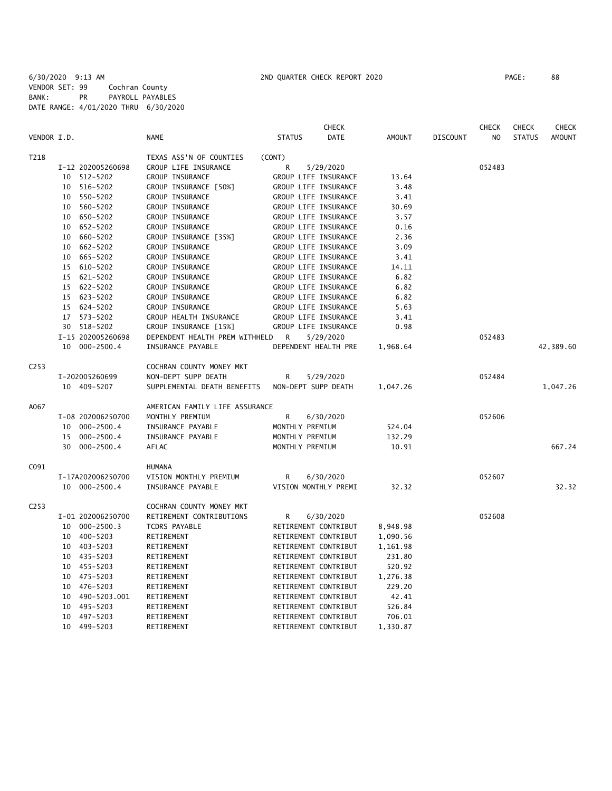6/30/2020 9:13 AM 2ND QUARTER CHECK REPORT 2020 PAGE: 88 VENDOR SET: 99 Cochran County BANK: PR PAYROLL PAYABLES DATE RANGE: 4/01/2020 THRU 6/30/2020

|                  |    |                   |                                |                     | <b>CHECK</b>         |               |                 | <b>CHECK</b>   | <b>CHECK</b>  | <b>CHECK</b>  |
|------------------|----|-------------------|--------------------------------|---------------------|----------------------|---------------|-----------------|----------------|---------------|---------------|
| VENDOR I.D.      |    |                   | <b>NAME</b>                    | <b>STATUS</b>       | <b>DATE</b>          | <b>AMOUNT</b> | <b>DISCOUNT</b> | N <sub>O</sub> | <b>STATUS</b> | <b>AMOUNT</b> |
| T218             |    |                   | TEXAS ASS'N OF COUNTIES        | (CONT)              |                      |               |                 |                |               |               |
|                  |    | I-12 202005260698 | GROUP LIFE INSURANCE           | R                   | 5/29/2020            |               |                 | 052483         |               |               |
|                  | 10 | 512-5202          | GROUP INSURANCE                |                     | GROUP LIFE INSURANCE | 13.64         |                 |                |               |               |
|                  | 10 | 516-5202          | GROUP INSURANCE [50%]          |                     | GROUP LIFE INSURANCE | 3.48          |                 |                |               |               |
|                  | 10 | 550-5202          | GROUP INSURANCE                |                     | GROUP LIFE INSURANCE | 3.41          |                 |                |               |               |
|                  | 10 | 560-5202          | GROUP INSURANCE                |                     | GROUP LIFE INSURANCE | 30.69         |                 |                |               |               |
|                  | 10 | 650-5202          | GROUP INSURANCE                |                     | GROUP LIFE INSURANCE | 3.57          |                 |                |               |               |
|                  | 10 | 652-5202          | GROUP INSURANCE                |                     | GROUP LIFE INSURANCE | 0.16          |                 |                |               |               |
|                  | 10 | 660-5202          | GROUP INSURANCE [35%]          |                     | GROUP LIFE INSURANCE | 2.36          |                 |                |               |               |
|                  | 10 | 662-5202          | GROUP INSURANCE                |                     | GROUP LIFE INSURANCE | 3.09          |                 |                |               |               |
|                  | 10 | 665-5202          | GROUP INSURANCE                |                     | GROUP LIFE INSURANCE | 3.41          |                 |                |               |               |
|                  | 15 | 610-5202          | GROUP INSURANCE                |                     | GROUP LIFE INSURANCE | 14.11         |                 |                |               |               |
|                  | 15 | 621-5202          | GROUP INSURANCE                |                     | GROUP LIFE INSURANCE | 6.82          |                 |                |               |               |
|                  |    | 15 622-5202       | GROUP INSURANCE                |                     | GROUP LIFE INSURANCE | 6.82          |                 |                |               |               |
|                  |    | 15 623-5202       | GROUP INSURANCE                |                     | GROUP LIFE INSURANCE | 6.82          |                 |                |               |               |
|                  |    | 15 624-5202       | GROUP INSURANCE                |                     | GROUP LIFE INSURANCE | 5.63          |                 |                |               |               |
|                  |    | 17 573-5202       | GROUP HEALTH INSURANCE         |                     | GROUP LIFE INSURANCE | 3.41          |                 |                |               |               |
|                  |    | 30 518-5202       | GROUP INSURANCE [15%]          |                     | GROUP LIFE INSURANCE | 0.98          |                 |                |               |               |
|                  |    | I-15 202005260698 | DEPENDENT HEALTH PREM WITHHELD | R                   | 5/29/2020            |               |                 | 052483         |               |               |
|                  | 10 | 000-2500.4        | INSURANCE PAYABLE              |                     | DEPENDENT HEALTH PRE | 1,968.64      |                 |                |               | 42,389.60     |
| C <sub>253</sub> |    |                   | COCHRAN COUNTY MONEY MKT       |                     |                      |               |                 |                |               |               |
|                  |    | I-202005260699    | NON-DEPT SUPP DEATH            | R                   | 5/29/2020            |               |                 | 052484         |               |               |
|                  |    | 10 409-5207       | SUPPLEMENTAL DEATH BENEFITS    | NON-DEPT SUPP DEATH |                      | 1,047.26      |                 |                |               | 1,047.26      |
| A067             |    |                   | AMERICAN FAMILY LIFE ASSURANCE |                     |                      |               |                 |                |               |               |
|                  |    | I-08 202006250700 | MONTHLY PREMIUM                | R                   | 6/30/2020            |               |                 | 052606         |               |               |
|                  | 10 | $000 - 2500.4$    | INSURANCE PAYABLE              | MONTHLY PREMIUM     |                      | 524.04        |                 |                |               |               |
|                  | 15 | $000 - 2500.4$    | INSURANCE PAYABLE              | MONTHLY PREMIUM     |                      | 132.29        |                 |                |               |               |
|                  |    | 30 000-2500.4     | AFLAC                          | MONTHLY PREMIUM     |                      | 10.91         |                 |                |               | 667.24        |
| C091             |    |                   | <b>HUMANA</b>                  |                     |                      |               |                 |                |               |               |
|                  |    | I-17A202006250700 | VISION MONTHLY PREMIUM         | R                   | 6/30/2020            |               |                 | 052607         |               |               |
|                  |    | 10 000-2500.4     | INSURANCE PAYABLE              |                     | VISION MONTHLY PREMI | 32.32         |                 |                |               | 32.32         |
| C <sub>253</sub> |    |                   | COCHRAN COUNTY MONEY MKT       |                     |                      |               |                 |                |               |               |
|                  |    | I-01 202006250700 | RETIREMENT CONTRIBUTIONS       | R                   | 6/30/2020            |               |                 | 052608         |               |               |
|                  |    | 10 000-2500.3     | TCDRS PAYABLE                  |                     | RETIREMENT CONTRIBUT | 8,948.98      |                 |                |               |               |
|                  | 10 | 400-5203          | RETIREMENT                     |                     | RETIREMENT CONTRIBUT | 1,090.56      |                 |                |               |               |
|                  |    | 10 403-5203       | RETIREMENT                     |                     | RETIREMENT CONTRIBUT | 1,161.98      |                 |                |               |               |
|                  | 10 | 435-5203          | RETIREMENT                     |                     | RETIREMENT CONTRIBUT | 231.80        |                 |                |               |               |
|                  | 10 | 455-5203          | RETIREMENT                     |                     | RETIREMENT CONTRIBUT | 520.92        |                 |                |               |               |
|                  | 10 | 475-5203          | RETIREMENT                     |                     | RETIREMENT CONTRIBUT | 1,276.38      |                 |                |               |               |
|                  | 10 | 476-5203          | RETIREMENT                     |                     | RETIREMENT CONTRIBUT | 229.20        |                 |                |               |               |
|                  | 10 | 490-5203.001      | RETIREMENT                     |                     | RETIREMENT CONTRIBUT | 42.41         |                 |                |               |               |
|                  | 10 | 495-5203          | RETIREMENT                     |                     | RETIREMENT CONTRIBUT | 526.84        |                 |                |               |               |
|                  | 10 | 497-5203          | RETIREMENT                     |                     | RETIREMENT CONTRIBUT | 706.01        |                 |                |               |               |
|                  | 10 | 499-5203          | RETIREMENT                     |                     | RETIREMENT CONTRIBUT | 1,330.87      |                 |                |               |               |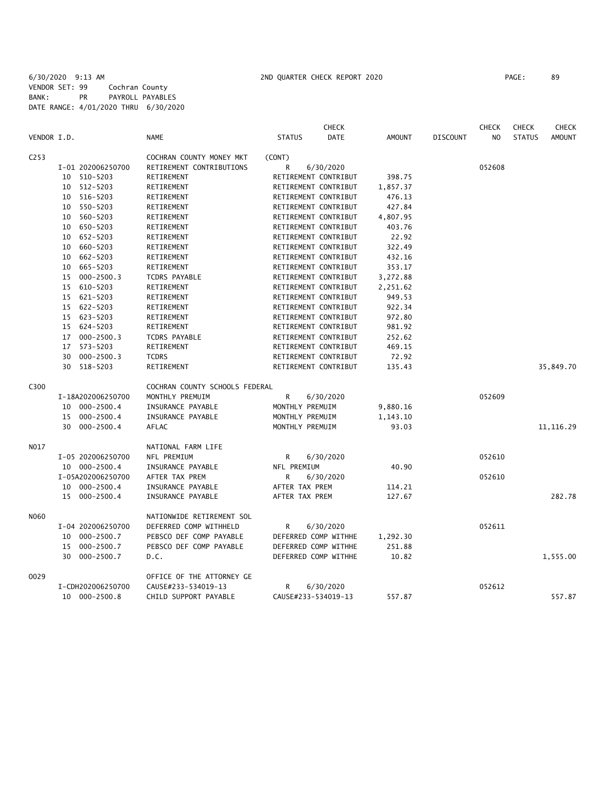|                  |                             |                                | <b>CHECK</b>                 |          |                 | <b>CHECK</b>   | <b>CHECK</b>  | <b>CHECK</b>  |
|------------------|-----------------------------|--------------------------------|------------------------------|----------|-----------------|----------------|---------------|---------------|
| VENDOR I.D.      |                             | <b>NAME</b>                    | <b>STATUS</b><br><b>DATE</b> | AMOUNT   | <b>DISCOUNT</b> | N <sub>O</sub> | <b>STATUS</b> | <b>AMOUNT</b> |
| C <sub>253</sub> |                             | COCHRAN COUNTY MONEY MKT       | (CONT)                       |          |                 |                |               |               |
|                  | I-01 202006250700           | RETIREMENT CONTRIBUTIONS       | R<br>6/30/2020               |          |                 | 052608         |               |               |
|                  | 510-5203<br>10              | RETIREMENT                     | RETIREMENT CONTRIBUT         | 398.75   |                 |                |               |               |
|                  | 512-5203<br>10              | RETIREMENT                     | RETIREMENT CONTRIBUT         | 1,857.37 |                 |                |               |               |
|                  | 516-5203<br>10              | RETIREMENT                     | RETIREMENT CONTRIBUT         | 476.13   |                 |                |               |               |
|                  | 550-5203<br>10              | RETIREMENT                     | RETIREMENT CONTRIBUT         | 427.84   |                 |                |               |               |
|                  | 10 560-5203                 | RETIREMENT                     | RETIREMENT CONTRIBUT         | 4,807.95 |                 |                |               |               |
|                  | 650-5203<br>10              | RETIREMENT                     | RETIREMENT CONTRIBUT         | 403.76   |                 |                |               |               |
|                  | 652-5203<br>10              | RETIREMENT                     | RETIREMENT CONTRIBUT         | 22.92    |                 |                |               |               |
|                  | 660-5203<br>10 <sup>°</sup> | RETIREMENT                     | RETIREMENT CONTRIBUT         | 322.49   |                 |                |               |               |
|                  | 10 662-5203                 | RETIREMENT                     | RETIREMENT CONTRIBUT         | 432.16   |                 |                |               |               |
|                  | 665-5203<br>10              | RETIREMENT                     | RETIREMENT CONTRIBUT         | 353.17   |                 |                |               |               |
|                  | 15 000-2500.3               | TCDRS PAYABLE                  | RETIREMENT CONTRIBUT         | 3,272.88 |                 |                |               |               |
|                  | 610-5203<br>15              | RETIREMENT                     | RETIREMENT CONTRIBUT         | 2,251.62 |                 |                |               |               |
|                  | 15 621-5203                 | RETIREMENT                     | RETIREMENT CONTRIBUT         | 949.53   |                 |                |               |               |
|                  | 15 622-5203                 | RETIREMENT                     | RETIREMENT CONTRIBUT         | 922.34   |                 |                |               |               |
|                  | 15 623-5203                 | RETIREMENT                     | RETIREMENT CONTRIBUT         | 972.80   |                 |                |               |               |
|                  | 624-5203<br>15              | RETIREMENT                     | RETIREMENT CONTRIBUT         | 981.92   |                 |                |               |               |
|                  | 17 000-2500.3               | <b>TCDRS PAYABLE</b>           | RETIREMENT CONTRIBUT         | 252.62   |                 |                |               |               |
|                  | 17 573-5203                 | RETIREMENT                     | RETIREMENT CONTRIBUT         | 469.15   |                 |                |               |               |
|                  | $000 - 2500.3$<br>30        | <b>TCDRS</b>                   | RETIREMENT CONTRIBUT         | 72.92    |                 |                |               |               |
|                  | 518-5203<br>30              | RETIREMENT                     | RETIREMENT CONTRIBUT         | 135.43   |                 |                |               | 35,849.70     |
|                  |                             |                                |                              |          |                 |                |               |               |
| C300             |                             | COCHRAN COUNTY SCHOOLS FEDERAL |                              |          |                 |                |               |               |
|                  | I-18A202006250700           | MONTHLY PREMUIM                | R<br>6/30/2020               |          |                 | 052609         |               |               |
|                  | 10 000-2500.4               | INSURANCE PAYABLE              | MONTHLY PREMUIM              | 9,880.16 |                 |                |               |               |
|                  | 15 000-2500.4               | INSURANCE PAYABLE              | MONTHLY PREMUIM              | 1,143.10 |                 |                |               |               |
|                  | 30<br>000-2500.4            | AFLAC                          | MONTHLY PREMUIM              | 93.03    |                 |                |               | 11, 116.29    |
|                  |                             |                                |                              |          |                 |                |               |               |
| NO17             |                             | NATIONAL FARM LIFE             |                              |          |                 |                |               |               |
|                  | I-05 202006250700           | NFL PREMIUM                    | 6/30/2020<br>R               |          |                 | 052610         |               |               |
|                  | 10 000-2500.4               | INSURANCE PAYABLE              | NFL PREMIUM                  | 40.90    |                 |                |               |               |
|                  | I-05A202006250700           | AFTER TAX PREM                 | R<br>6/30/2020               |          |                 | 052610         |               |               |
|                  | 10 000-2500.4               | INSURANCE PAYABLE              | AFTER TAX PREM               | 114.21   |                 |                |               |               |
|                  | 15 000-2500.4               | INSURANCE PAYABLE              | AFTER TAX PREM               | 127.67   |                 |                |               | 282.78        |
| N060             |                             | NATIONWIDE RETIREMENT SOL      |                              |          |                 |                |               |               |
|                  | I-04 202006250700           | DEFERRED COMP WITHHELD         | R<br>6/30/2020               |          |                 | 052611         |               |               |
|                  | 10 000-2500.7               | PEBSCO DEF COMP PAYABLE        | DEFERRED COMP WITHHE         | 1,292.30 |                 |                |               |               |
|                  | 15 000-2500.7               | PEBSCO DEF COMP PAYABLE        | DEFERRED COMP WITHHE         | 251.88   |                 |                |               |               |
|                  | 30 000-2500.7               | D.C.                           | DEFERRED COMP WITHHE         | 10.82    |                 |                |               | 1,555.00      |
| 0029             |                             | OFFICE OF THE ATTORNEY GE      |                              |          |                 |                |               |               |
|                  | I-CDH202006250700           | CAUSE#233-534019-13            | 6/30/2020<br>R               |          |                 | 052612         |               |               |
|                  | 10 000-2500.8               | CHILD SUPPORT PAYABLE          | CAUSE#233-534019-13          | 557.87   |                 |                |               | 557.87        |
|                  |                             |                                |                              |          |                 |                |               |               |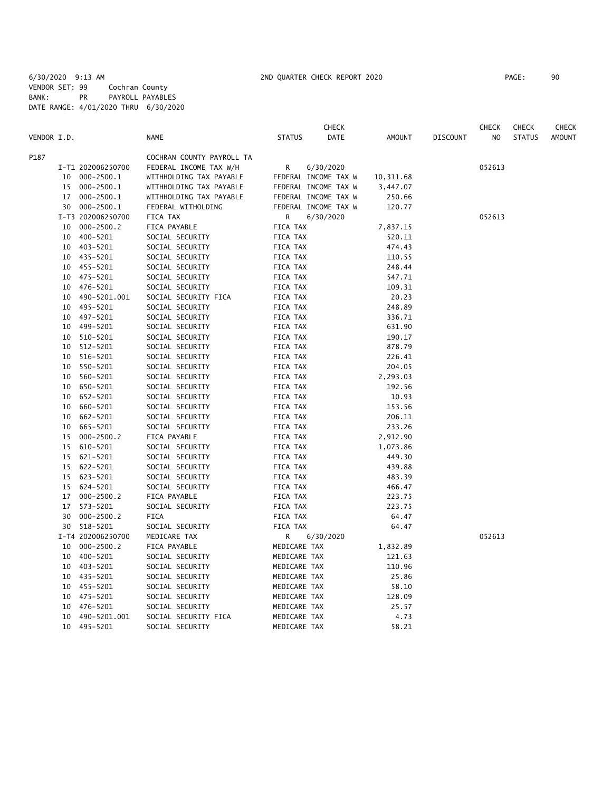|             |    |                   |                           |               | <b>CHECK</b>         |               |                 | <b>CHECK</b>   | <b>CHECK</b>  | CHECK         |
|-------------|----|-------------------|---------------------------|---------------|----------------------|---------------|-----------------|----------------|---------------|---------------|
| VENDOR I.D. |    |                   | <b>NAME</b>               | <b>STATUS</b> | DATE                 | <b>AMOUNT</b> | <b>DISCOUNT</b> | N <sub>O</sub> | <b>STATUS</b> | <b>AMOUNT</b> |
| P187        |    |                   | COCHRAN COUNTY PAYROLL TA |               |                      |               |                 |                |               |               |
|             |    | I-T1 202006250700 | FEDERAL INCOME TAX W/H    | R             | 6/30/2020            |               |                 | 052613         |               |               |
|             | 10 | $000 - 2500.1$    | WITHHOLDING TAX PAYABLE   |               | FEDERAL INCOME TAX W | 10,311.68     |                 |                |               |               |
|             | 15 | 000-2500.1        | WITHHOLDING TAX PAYABLE   |               | FEDERAL INCOME TAX W | 3,447.07      |                 |                |               |               |
|             | 17 | $000 - 2500.1$    | WITHHOLDING TAX PAYABLE   |               | FEDERAL INCOME TAX W | 250.66        |                 |                |               |               |
|             |    | 30 000-2500.1     | FEDERAL WITHOLDING        |               | FEDERAL INCOME TAX W | 120.77        |                 |                |               |               |
|             |    | I-T3 202006250700 | FICA TAX                  | R             | 6/30/2020            |               |                 | 052613         |               |               |
|             | 10 | $000 - 2500.2$    | FICA PAYABLE              | FICA TAX      |                      | 7,837.15      |                 |                |               |               |
|             | 10 | 400-5201          | SOCIAL SECURITY           | FICA TAX      |                      | 520.11        |                 |                |               |               |
|             | 10 | 403-5201          | SOCIAL SECURITY           | FICA TAX      |                      | 474.43        |                 |                |               |               |
|             | 10 | 435-5201          | SOCIAL SECURITY           | FICA TAX      |                      | 110.55        |                 |                |               |               |
|             | 10 | 455-5201          | SOCIAL SECURITY           | FICA TAX      |                      | 248.44        |                 |                |               |               |
|             | 10 | 475-5201          | SOCIAL SECURITY           | FICA TAX      |                      | 547.71        |                 |                |               |               |
|             | 10 | 476-5201          | SOCIAL SECURITY           | FICA TAX      |                      | 109.31        |                 |                |               |               |
|             | 10 | 490-5201.001      | SOCIAL SECURITY FICA      | FICA TAX      |                      | 20.23         |                 |                |               |               |
|             | 10 | 495-5201          | SOCIAL SECURITY           | FICA TAX      |                      | 248.89        |                 |                |               |               |
|             | 10 | 497-5201          | SOCIAL SECURITY           | FICA TAX      |                      | 336.71        |                 |                |               |               |
|             | 10 | 499-5201          | SOCIAL SECURITY           | FICA TAX      |                      | 631.90        |                 |                |               |               |
|             | 10 | 510-5201          | SOCIAL SECURITY           | FICA TAX      |                      | 190.17        |                 |                |               |               |
|             | 10 | 512-5201          | SOCIAL SECURITY           | FICA TAX      |                      | 878.79        |                 |                |               |               |
|             | 10 | 516-5201          | SOCIAL SECURITY           | FICA TAX      |                      | 226.41        |                 |                |               |               |
|             | 10 | 550-5201          | SOCIAL SECURITY           | FICA TAX      |                      | 204.05        |                 |                |               |               |
|             | 10 | 560-5201          | SOCIAL SECURITY           | FICA TAX      |                      | 2,293.03      |                 |                |               |               |
|             | 10 | 650-5201          | SOCIAL SECURITY           | FICA TAX      |                      | 192.56        |                 |                |               |               |
|             | 10 | 652-5201          | SOCIAL SECURITY           | FICA TAX      |                      | 10.93         |                 |                |               |               |
|             | 10 | 660-5201          | SOCIAL SECURITY           | FICA TAX      |                      | 153.56        |                 |                |               |               |
|             | 10 | 662-5201          | SOCIAL SECURITY           | FICA TAX      |                      | 206.11        |                 |                |               |               |
|             | 10 | 665-5201          | SOCIAL SECURITY           | FICA TAX      |                      | 233.26        |                 |                |               |               |
|             | 15 | $000 - 2500.2$    | FICA PAYABLE              | FICA TAX      |                      | 2,912.90      |                 |                |               |               |
|             | 15 | 610-5201          | SOCIAL SECURITY           | FICA TAX      |                      | 1,073.86      |                 |                |               |               |
|             | 15 | 621-5201          | SOCIAL SECURITY           | FICA TAX      |                      | 449.30        |                 |                |               |               |
|             | 15 | 622-5201          | SOCIAL SECURITY           | FICA TAX      |                      | 439.88        |                 |                |               |               |
|             | 15 | 623-5201          | SOCIAL SECURITY           | FICA TAX      |                      | 483.39        |                 |                |               |               |
|             | 15 | 624-5201          | SOCIAL SECURITY           | FICA TAX      |                      | 466.47        |                 |                |               |               |
|             | 17 | $000 - 2500.2$    | FICA PAYABLE              | FICA TAX      |                      | 223.75        |                 |                |               |               |
|             | 17 | 573-5201          | SOCIAL SECURITY           | FICA TAX      |                      | 223.75        |                 |                |               |               |
|             | 30 | $000 - 2500.2$    | <b>FICA</b>               | FICA TAX      |                      | 64.47         |                 |                |               |               |
|             |    | 30 518-5201       | SOCIAL SECURITY           | FICA TAX      |                      | 64.47         |                 |                |               |               |
|             |    | I-T4 202006250700 | MEDICARE TAX              | R             | 6/30/2020            |               |                 | 052613         |               |               |
|             | 10 | $000 - 2500.2$    | FICA PAYABLE              | MEDICARE TAX  |                      | 1,832.89      |                 |                |               |               |
|             | 10 | 400-5201          | SOCIAL SECURITY           | MEDICARE TAX  |                      | 121.63        |                 |                |               |               |
|             | 10 | 403-5201          | SOCIAL SECURITY           | MEDICARE TAX  |                      | 110.96        |                 |                |               |               |
|             | 10 | 435-5201          | SOCIAL SECURITY           | MEDICARE TAX  |                      | 25.86         |                 |                |               |               |
|             | 10 | 455-5201          | SOCIAL SECURITY           | MEDICARE TAX  |                      | 58.10         |                 |                |               |               |
|             | 10 | 475-5201          | SOCIAL SECURITY           | MEDICARE TAX  |                      | 128.09        |                 |                |               |               |
|             | 10 | 476-5201          | SOCIAL SECURITY           | MEDICARE TAX  |                      | 25.57         |                 |                |               |               |
|             | 10 | 490-5201.001      | SOCIAL SECURITY FICA      | MEDICARE TAX  |                      | 4.73          |                 |                |               |               |
|             | 10 | 495-5201          | SOCIAL SECURITY           | MEDICARE TAX  |                      | 58.21         |                 |                |               |               |
|             |    |                   |                           |               |                      |               |                 |                |               |               |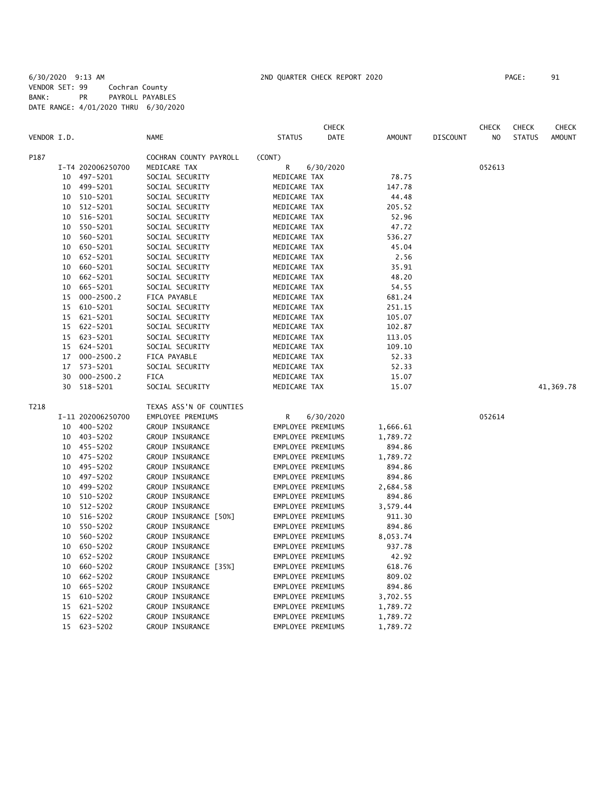6/30/2020 9:13 AM 2ND QUARTER CHECK REPORT 2020 PAGE: 91 VENDOR SET: 99 Cochran County BANK: PR PAYROLL PAYABLES DATE RANGE: 4/01/2020 THRU 6/30/2020

|             |    |                   |                         |                   | CHECK     |               |                 | <b>CHECK</b>   | <b>CHECK</b>  | <b>CHECK</b>  |
|-------------|----|-------------------|-------------------------|-------------------|-----------|---------------|-----------------|----------------|---------------|---------------|
| VENDOR I.D. |    |                   | <b>NAME</b>             | <b>STATUS</b>     | DATE      | <b>AMOUNT</b> | <b>DISCOUNT</b> | N <sub>O</sub> | <b>STATUS</b> | <b>AMOUNT</b> |
| P187        |    |                   | COCHRAN COUNTY PAYROLL  | (CONT)            |           |               |                 |                |               |               |
|             |    | I-T4 202006250700 | MEDICARE TAX            | R                 | 6/30/2020 |               |                 | 052613         |               |               |
|             | 10 | 497-5201          | SOCIAL SECURITY         | MEDICARE TAX      |           | 78.75         |                 |                |               |               |
|             | 10 | 499-5201          | SOCIAL SECURITY         | MEDICARE TAX      |           | 147.78        |                 |                |               |               |
|             | 10 | 510-5201          | SOCIAL SECURITY         | MEDICARE TAX      |           | 44.48         |                 |                |               |               |
|             | 10 | 512-5201          | SOCIAL SECURITY         | MEDICARE TAX      |           | 205.52        |                 |                |               |               |
|             | 10 | 516-5201          | SOCIAL SECURITY         | MEDICARE TAX      |           | 52.96         |                 |                |               |               |
|             | 10 | 550-5201          | SOCIAL SECURITY         | MEDICARE TAX      |           | 47.72         |                 |                |               |               |
|             | 10 | 560-5201          | SOCIAL SECURITY         | MEDICARE TAX      |           | 536.27        |                 |                |               |               |
|             | 10 | 650-5201          | SOCIAL SECURITY         | MEDICARE TAX      |           | 45.04         |                 |                |               |               |
|             | 10 | 652-5201          | SOCIAL SECURITY         | MEDICARE TAX      |           | 2.56          |                 |                |               |               |
|             | 10 | 660-5201          | SOCIAL SECURITY         | MEDICARE TAX      |           | 35.91         |                 |                |               |               |
|             | 10 | 662-5201          | SOCIAL SECURITY         | MEDICARE TAX      |           | 48.20         |                 |                |               |               |
|             | 10 | 665-5201          | SOCIAL SECURITY         | MEDICARE TAX      |           | 54.55         |                 |                |               |               |
|             | 15 | $000 - 2500.2$    | FICA PAYABLE            | MEDICARE TAX      |           | 681.24        |                 |                |               |               |
|             | 15 | 610-5201          | SOCIAL SECURITY         | MEDICARE TAX      |           | 251.15        |                 |                |               |               |
|             | 15 | 621-5201          | SOCIAL SECURITY         | MEDICARE TAX      |           | 105.07        |                 |                |               |               |
|             | 15 | 622-5201          | SOCIAL SECURITY         | MEDICARE TAX      |           | 102.87        |                 |                |               |               |
|             | 15 | 623-5201          | SOCIAL SECURITY         | MEDICARE TAX      |           | 113.05        |                 |                |               |               |
|             | 15 | 624-5201          | SOCIAL SECURITY         | MEDICARE TAX      |           | 109.10        |                 |                |               |               |
|             | 17 | $000 - 2500.2$    | FICA PAYABLE            | MEDICARE TAX      |           | 52.33         |                 |                |               |               |
|             | 17 | 573-5201          | SOCIAL SECURITY         | MEDICARE TAX      |           | 52.33         |                 |                |               |               |
|             | 30 | $000 - 2500.2$    | <b>FICA</b>             | MEDICARE TAX      |           | 15.07         |                 |                |               |               |
|             | 30 | 518-5201          | SOCIAL SECURITY         | MEDICARE TAX      |           | 15.07         |                 |                |               | 41,369.78     |
| T218        |    |                   | TEXAS ASS'N OF COUNTIES |                   |           |               |                 |                |               |               |
|             |    | I-11 202006250700 | EMPLOYEE PREMIUMS       | R                 | 6/30/2020 |               |                 | 052614         |               |               |
|             | 10 | 400-5202          | GROUP INSURANCE         | EMPLOYEE PREMIUMS |           | 1,666.61      |                 |                |               |               |
|             | 10 | 403-5202          | GROUP INSURANCE         | EMPLOYEE PREMIUMS |           | 1,789.72      |                 |                |               |               |
|             | 10 | 455-5202          | GROUP INSURANCE         | EMPLOYEE PREMIUMS |           | 894.86        |                 |                |               |               |
|             | 10 | 475-5202          | GROUP INSURANCE         | EMPLOYEE PREMIUMS |           | 1,789.72      |                 |                |               |               |
|             | 10 | 495-5202          | GROUP INSURANCE         | EMPLOYEE PREMIUMS |           | 894.86        |                 |                |               |               |
|             | 10 | 497-5202          | GROUP INSURANCE         | EMPLOYEE PREMIUMS |           | 894.86        |                 |                |               |               |
|             | 10 | 499-5202          | <b>GROUP INSURANCE</b>  | EMPLOYEE PREMIUMS |           | 2,684.58      |                 |                |               |               |
|             | 10 | 510-5202          | GROUP INSURANCE         | EMPLOYEE PREMIUMS |           | 894.86        |                 |                |               |               |
|             | 10 | 512-5202          | GROUP INSURANCE         | EMPLOYEE PREMIUMS |           | 3,579.44      |                 |                |               |               |
|             | 10 | 516-5202          | GROUP INSURANCE [50%]   | EMPLOYEE PREMIUMS |           | 911.30        |                 |                |               |               |
|             | 10 | 550-5202          | GROUP INSURANCE         | EMPLOYEE PREMIUMS |           | 894.86        |                 |                |               |               |
|             | 10 | 560-5202          | GROUP INSURANCE         | EMPLOYEE PREMIUMS |           | 8,053.74      |                 |                |               |               |
|             | 10 | 650-5202          | GROUP INSURANCE         | EMPLOYEE PREMIUMS |           | 937.78        |                 |                |               |               |
|             | 10 | 652-5202          | GROUP INSURANCE         | EMPLOYEE PREMIUMS |           | 42.92         |                 |                |               |               |
|             | 10 | 660-5202          | GROUP INSURANCE [35%]   | EMPLOYEE PREMIUMS |           | 618.76        |                 |                |               |               |
|             | 10 | 662-5202          | GROUP INSURANCE         | EMPLOYEE PREMIUMS |           | 809.02        |                 |                |               |               |
|             | 10 | 665-5202          | GROUP INSURANCE         | EMPLOYEE PREMIUMS |           | 894.86        |                 |                |               |               |
|             | 15 | 610-5202          | GROUP INSURANCE         | EMPLOYEE PREMIUMS |           | 3,702.55      |                 |                |               |               |
|             | 15 | 621-5202          | GROUP INSURANCE         | EMPLOYEE PREMIUMS |           | 1,789.72      |                 |                |               |               |
|             | 15 | 622-5202          | GROUP INSURANCE         | EMPLOYEE PREMIUMS |           | 1,789.72      |                 |                |               |               |
|             | 15 | $623 - 5202$      | GROUP INSURANCE         | EMPLOYEE PREMIUMS |           | 1,789.72      |                 |                |               |               |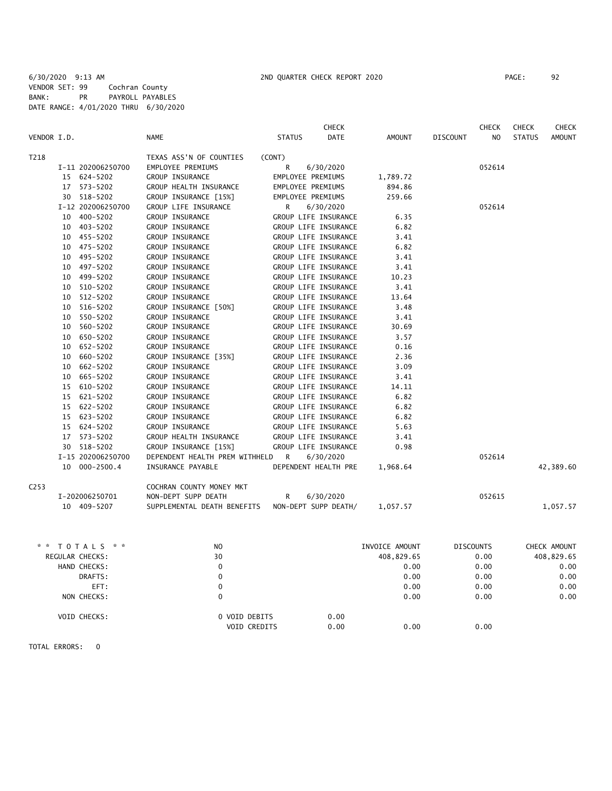|                  |    |                   |                                  |                   | <b>CHECK</b>         |          |                 | <b>CHECK</b>   | <b>CHECK</b>  | <b>CHECK</b>  |
|------------------|----|-------------------|----------------------------------|-------------------|----------------------|----------|-----------------|----------------|---------------|---------------|
| VENDOR I.D.      |    |                   | <b>NAME</b>                      | <b>STATUS</b>     | <b>DATE</b>          | AMOUNT   | <b>DISCOUNT</b> | N <sub>O</sub> | <b>STATUS</b> | <b>AMOUNT</b> |
| T218             |    |                   | TEXAS ASS'N OF COUNTIES          | (CONT)            |                      |          |                 |                |               |               |
|                  |    | I-11 202006250700 | EMPLOYEE PREMIUMS                | R                 | 6/30/2020            |          |                 | 052614         |               |               |
|                  |    | 15 624-5202       | GROUP INSURANCE                  | EMPLOYEE PREMIUMS |                      | 1,789.72 |                 |                |               |               |
|                  |    | 17 573-5202       | GROUP HEALTH INSURANCE           | EMPLOYEE PREMIUMS |                      | 894.86   |                 |                |               |               |
|                  |    | 30 518-5202       | GROUP INSURANCE [15%]            | EMPLOYEE PREMIUMS |                      | 259.66   |                 |                |               |               |
|                  |    | I-12 202006250700 | GROUP LIFE INSURANCE             | R                 | 6/30/2020            |          |                 | 052614         |               |               |
|                  | 10 | 400-5202          | GROUP INSURANCE                  |                   | GROUP LIFE INSURANCE | 6.35     |                 |                |               |               |
|                  |    | 10 403-5202       | GROUP INSURANCE                  |                   | GROUP LIFE INSURANCE | 6.82     |                 |                |               |               |
|                  |    | 10 455-5202       | GROUP INSURANCE                  |                   | GROUP LIFE INSURANCE | 3.41     |                 |                |               |               |
|                  | 10 | 475-5202          | GROUP INSURANCE                  |                   | GROUP LIFE INSURANCE | 6.82     |                 |                |               |               |
|                  | 10 | 495-5202          | GROUP INSURANCE                  |                   | GROUP LIFE INSURANCE | 3.41     |                 |                |               |               |
|                  | 10 | 497-5202          | GROUP INSURANCE                  |                   | GROUP LIFE INSURANCE | 3.41     |                 |                |               |               |
|                  | 10 | 499-5202          | GROUP INSURANCE                  |                   | GROUP LIFE INSURANCE | 10.23    |                 |                |               |               |
|                  | 10 | 510-5202          | GROUP INSURANCE                  |                   | GROUP LIFE INSURANCE | 3.41     |                 |                |               |               |
|                  | 10 | $512 - 5202$      | GROUP INSURANCE                  |                   | GROUP LIFE INSURANCE | 13.64    |                 |                |               |               |
|                  |    | 10 516-5202       | GROUP INSURANCE [50%]            |                   | GROUP LIFE INSURANCE | 3.48     |                 |                |               |               |
|                  | 10 | 550-5202          | GROUP INSURANCE                  |                   | GROUP LIFE INSURANCE | 3.41     |                 |                |               |               |
|                  | 10 | 560-5202          | GROUP INSURANCE                  |                   | GROUP LIFE INSURANCE | 30.69    |                 |                |               |               |
|                  | 10 | 650-5202          | GROUP INSURANCE                  |                   | GROUP LIFE INSURANCE | 3.57     |                 |                |               |               |
|                  | 10 | 652-5202          | GROUP INSURANCE                  |                   | GROUP LIFE INSURANCE | 0.16     |                 |                |               |               |
|                  | 10 | 660-5202          | GROUP INSURANCE [35%]            |                   | GROUP LIFE INSURANCE | 2.36     |                 |                |               |               |
|                  | 10 | 662-5202          | GROUP INSURANCE                  |                   | GROUP LIFE INSURANCE | 3.09     |                 |                |               |               |
|                  | 10 | 665-5202          | GROUP INSURANCE                  |                   | GROUP LIFE INSURANCE | 3.41     |                 |                |               |               |
|                  |    | 15 610-5202       | GROUP INSURANCE                  |                   | GROUP LIFE INSURANCE | 14.11    |                 |                |               |               |
|                  |    | 15 621-5202       | GROUP INSURANCE                  |                   | GROUP LIFE INSURANCE | 6.82     |                 |                |               |               |
|                  |    | 15 622-5202       | GROUP INSURANCE                  |                   | GROUP LIFE INSURANCE | 6.82     |                 |                |               |               |
|                  |    | 15 623-5202       | GROUP INSURANCE                  |                   | GROUP LIFE INSURANCE | 6.82     |                 |                |               |               |
|                  |    | 15 624-5202       | GROUP INSURANCE                  |                   | GROUP LIFE INSURANCE | 5.63     |                 |                |               |               |
|                  | 17 | 573-5202          | GROUP HEALTH INSURANCE           |                   | GROUP LIFE INSURANCE | 3.41     |                 |                |               |               |
|                  |    | 30 518-5202       | GROUP INSURANCE [15%]            |                   | GROUP LIFE INSURANCE | 0.98     |                 |                |               |               |
|                  |    | I-15 202006250700 | DEPENDENT HEALTH PREM WITHHELD R |                   | 6/30/2020            |          |                 | 052614         |               |               |
|                  |    | 10 000-2500.4     | INSURANCE PAYABLE                |                   | DEPENDENT HEALTH PRE | 1,968.64 |                 |                |               | 42,389.60     |
| C <sub>253</sub> |    |                   | COCHRAN COUNTY MONEY MKT         |                   |                      |          |                 |                |               |               |
|                  |    | I-202006250701    | NON-DEPT SUPP DEATH              | R                 | 6/30/2020            |          |                 | 052615         |               |               |
|                  |    | 10 409-5207       | SUPPLEMENTAL DEATH BENEFITS      |                   | NON-DEPT SUPP DEATH/ | 1,057.57 |                 |                |               | 1,057.57      |

| TOTALS * *<br>* * | N <sub>O</sub>                       | INVOICE AMOUNT       | <b>DISCOUNTS</b> | CHECK AMOUNT |
|-------------------|--------------------------------------|----------------------|------------------|--------------|
| REGULAR CHECKS:   | 30                                   | 408,829.65           | 0.00             | 408,829.65   |
| HAND CHECKS:      | 0                                    | 0.00                 | 0.00             | 0.00         |
| DRAFTS:           | 0                                    | 0.00                 | 0.00             | 0.00         |
| EFT:              | 0                                    | 0.00                 | 0.00             | 0.00         |
| NON CHECKS:       | 0                                    | 0.00                 | 0.00             | 0.00         |
| VOID CHECKS:      | 0 VOID DEBITS<br><b>VOID CREDITS</b> | 0.00<br>0.00<br>0.00 | 0.00             |              |

TOTAL ERRORS: 0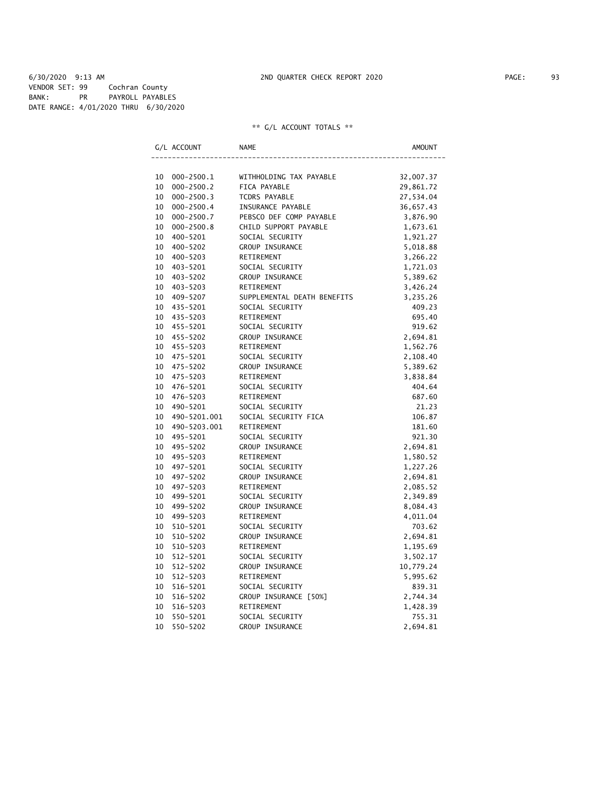6/30/2020 9:13 AM 2ND QUARTER CHECK REPORT 2020 PAGE: 93 VENDOR SET: 99 Cochran County BANK: PR PAYROLL PAYABLES DATE RANGE: 4/01/2020 THRU 6/30/2020

| G/L ACCOUNT          | NAME                        | AMOUNT    |
|----------------------|-----------------------------|-----------|
|                      |                             |           |
| 10<br>000-2500.1     | WITHHOLDING TAX PAYABLE     | 32,007.37 |
| 10<br>$000 - 2500.2$ | FICA PAYABLE                | 29,861.72 |
| 10<br>$000 - 2500.3$ | TCDRS PAYABLE               | 27,534.04 |
| 10<br>$000 - 2500.4$ | INSURANCE PAYABLE           | 36,657.43 |
| $000 - 2500.7$<br>10 | PEBSCO DEF COMP PAYABLE     | 3,876.90  |
| 10<br>$000 - 2500.8$ | CHILD SUPPORT PAYABLE       | 1,673.61  |
| 10<br>400-5201       | SOCIAL SECURITY             | 1,921.27  |
| 10<br>400-5202       | GROUP INSURANCE             | 5,018.88  |
| 10<br>400-5203       | RETIREMENT                  | 3,266.22  |
| 10<br>403-5201       | SOCIAL SECURITY             | 1,721.03  |
| 10<br>403-5202       | GROUP INSURANCE             | 5,389.62  |
| 10<br>403-5203       | RETIREMENT                  | 3,426.24  |
| 10<br>409-5207       | SUPPLEMENTAL DEATH BENEFITS | 3,235.26  |
| 10<br>435-5201       | SOCIAL SECURITY             | 409.23    |
| 10<br>435-5203       | RETIREMENT                  | 695.40    |
| 10<br>455-5201       | SOCIAL SECURITY             | 919.62    |
| 10<br>455-5202       | GROUP INSURANCE             | 2,694.81  |
| 10<br>455-5203       | RETIREMENT                  | 1,562.76  |
| 10<br>475-5201       | SOCIAL SECURITY             | 2,108.40  |
| 10<br>475-5202       | GROUP INSURANCE             | 5,389.62  |
| 10<br>475-5203       | RETIREMENT                  | 3,838.84  |
| 10<br>476-5201       | SOCIAL SECURITY             | 404.64    |
| 10<br>476-5203       | RETIREMENT                  | 687.60    |
| 10<br>490-5201       | SOCIAL SECURITY             | 21.23     |
| 10<br>490-5201.001   | SOCIAL SECURITY FICA        | 106.87    |
| 10<br>490-5203.001   | RETIREMENT                  | 181.60    |
| 10<br>495-5201       | SOCIAL SECURITY             | 921.30    |
| 10<br>495-5202       | <b>GROUP INSURANCE</b>      | 2,694.81  |
| 10<br>495-5203       | RETIREMENT                  | 1,580.52  |
| 10<br>497-5201       | SOCIAL SECURITY             | 1,227.26  |
| 10<br>497-5202       | GROUP INSURANCE             | 2,694.81  |
| 10<br>497-5203       | RETIREMENT                  | 2,085.52  |
| 10<br>499-5201       | SOCIAL SECURITY             | 2,349.89  |
| 10<br>499-5202       | GROUP INSURANCE             | 8,084.43  |
| 10<br>499-5203       | RETIREMENT                  | 4,011.04  |
| 10<br>510-5201       | SOCIAL SECURITY             | 703.62    |
| 10<br>510-5202       | GROUP INSURANCE             | 2,694.81  |
| 10<br>510-5203       | RETIREMENT                  | 1,195.69  |
| 10<br>512-5201       | SOCIAL SECURITY             | 3,502.17  |
| 10<br>512-5202       | GROUP INSURANCE             | 10,779.24 |
| 10<br>$512 - 5203$   | RETIREMENT                  | 5,995.62  |
| 10<br>516-5201       | SOCIAL SECURITY             | 839.31    |
| 10<br>516-5202       | GROUP INSURANCE [50%]       | 2,744.34  |
| 10<br>516-5203       | RETIREMENT                  | 1,428.39  |
| 10<br>550-5201       | SOCIAL SECURITY             | 755.31    |
| 10<br>550-5202       | GROUP INSURANCE             | 2,694.81  |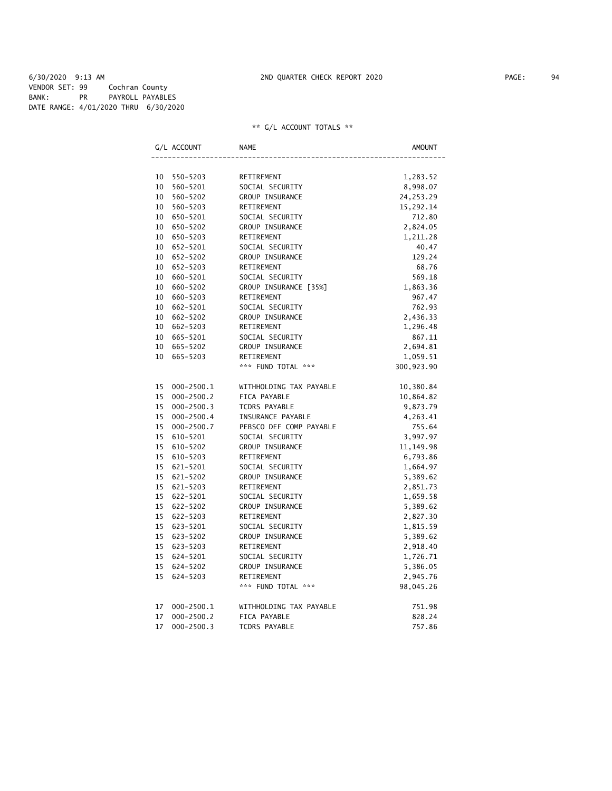6/30/2020 9:13 AM 2ND QUARTER CHECK REPORT 2020 PAGE: 94 VENDOR SET: 99 Cochran County BANK: PR PAYROLL PAYABLES DATE RANGE: 4/01/2020 THRU 6/30/2020

|    | G/L ACCOUNT    | <b>NAME</b><br>AMOUNT   |             |  |
|----|----------------|-------------------------|-------------|--|
|    |                |                         |             |  |
| 10 | 550-5203       | RETIREMENT              | 1,283.52    |  |
| 10 | 560-5201       | SOCIAL SECURITY         | 8,998.07    |  |
| 10 | 560-5202       | GROUP INSURANCE         | 24, 253. 29 |  |
| 10 | 560-5203       | RETIREMENT              | 15,292.14   |  |
| 10 | 650-5201       | SOCIAL SECURITY         | 712.80      |  |
|    | 10 650-5202    | GROUP INSURANCE         | 2,824.05    |  |
| 10 | 650-5203       | RETIREMENT              | 1,211.28    |  |
| 10 | 652-5201       | SOCIAL SECURITY         | 40.47       |  |
| 10 | 652-5202       | GROUP INSURANCE         | 129.24      |  |
| 10 | 652-5203       | RETIREMENT              | 68.76       |  |
| 10 | 660-5201       | SOCIAL SECURITY         | 569.18      |  |
| 10 | 660-5202       | GROUP INSURANCE [35%]   | 1,863.36    |  |
| 10 | 660-5203       | RETIREMENT              | 967.47      |  |
| 10 | 662-5201       | SOCIAL SECURITY         | 762.93      |  |
| 10 | 662-5202       | GROUP INSURANCE         | 2,436.33    |  |
| 10 | 662-5203       | RETIREMENT              | 1,296.48    |  |
| 10 | 665-5201       | SOCIAL SECURITY         | 867.11      |  |
| 10 | 665-5202       | GROUP INSURANCE         | 2,694.81    |  |
|    | 10 665-5203    | RETIREMENT              | 1,059.51    |  |
|    |                | *** FUND TOTAL ***      | 300,923.90  |  |
| 15 | 000-2500.1     | WITHHOLDING TAX PAYABLE | 10,380.84   |  |
| 15 | $000 - 2500.2$ | FICA PAYABLE            | 10,864.82   |  |
| 15 | $000 - 2500.3$ | TCDRS PAYABLE           | 9,873.79    |  |
| 15 | $000 - 2500.4$ | INSURANCE PAYABLE       | 4,263.41    |  |
| 15 | $000 - 2500.7$ | PEBSCO DEF COMP PAYABLE | 755.64      |  |
| 15 | 610-5201       | SOCIAL SECURITY         | 3,997.97    |  |
| 15 | 610-5202       | GROUP INSURANCE         | 11, 149.98  |  |
| 15 | 610-5203       | RETIREMENT              | 6,793.86    |  |
| 15 | 621-5201       | SOCIAL SECURITY         | 1,664.97    |  |
| 15 | 621-5202       | GROUP INSURANCE         | 5,389.62    |  |
|    | 15 621-5203    | RETIREMENT              | 2,851.73    |  |
| 15 | 622-5201       | SOCIAL SECURITY         | 1,659.58    |  |
| 15 | 622-5202       | GROUP INSURANCE         | 5,389.62    |  |
| 15 | 622-5203       | RETIREMENT              | 2,827.30    |  |
| 15 | 623-5201       | SOCIAL SECURITY         | 1,815.59    |  |
| 15 | 623-5202       | GROUP INSURANCE         | 5,389.62    |  |
| 15 | 623-5203       | RETIREMENT              | 2,918.40    |  |
| 15 | 624-5201       | SOCIAL SECURITY         | 1,726.71    |  |
| 15 | 624-5202       | GROUP INSURANCE         | 5,386.05    |  |
| 15 | 624-5203       | RETIREMENT              | 2,945.76    |  |
|    |                | *** FUND TOTAL ***      | 98,045.26   |  |
|    |                |                         |             |  |
| 17 | $000 - 2500.1$ | WITHHOLDING TAX PAYABLE | 751.98      |  |
| 17 | $000 - 2500.2$ | FICA PAYABLE            | 828.24      |  |
| 17 | $000 - 2500.3$ | <b>TCDRS PAYABLE</b>    | 757.86      |  |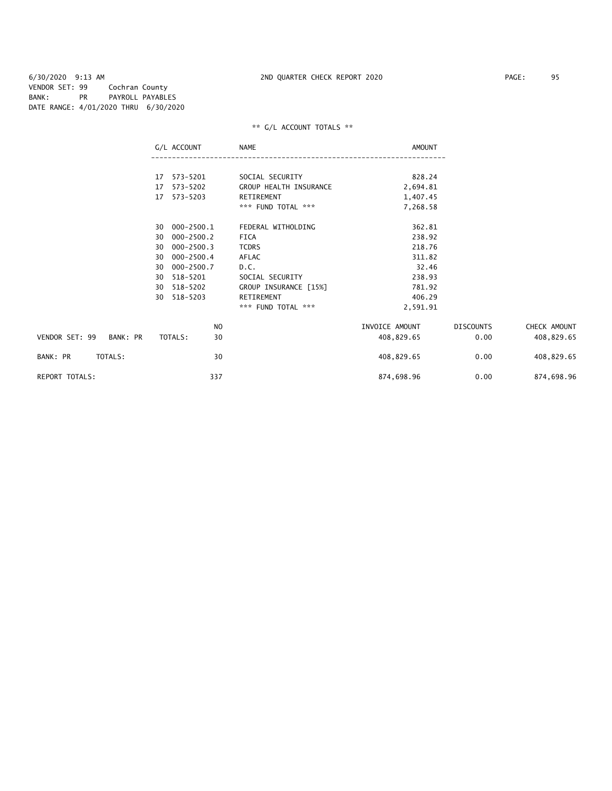6/30/2020 9:13 AM 2ND QUARTER CHECK REPORT 2020 PAGE: 95 VENDOR SET: 99 Cochran County BANK: PR PAYROLL PAYABLES DATE RANGE: 4/01/2020 THRU 6/30/2020

|                            | G/L ACCOUNT          | NAME                   | AMOUNT         |                  |              |
|----------------------------|----------------------|------------------------|----------------|------------------|--------------|
|                            | 17 573-5201          | SOCIAL SECURITY        | 828.24         |                  |              |
|                            | 573-5202<br>17       | GROUP HEALTH INSURANCE | 2,694.81       |                  |              |
|                            | 573-5203<br>17       | RETIREMENT             | 1,407.45       |                  |              |
|                            |                      | *** FUND TOTAL ***     | 7,268.58       |                  |              |
|                            | 30 000-2500.1        | FEDERAL WITHOLDING     | 362.81         |                  |              |
|                            | 000-2500.2<br>30     | FICA                   | 238.92         |                  |              |
|                            | $000 - 2500.3$<br>30 | <b>TCDRS</b>           | 218.76         |                  |              |
|                            | $000 - 2500.4$<br>30 | AFLAC                  | 311.82         |                  |              |
|                            | 000-2500.7<br>30     | D.C.                   | 32.46          |                  |              |
|                            | 518-5201<br>30       | SOCIAL SECURITY        | 238.93         |                  |              |
|                            | 518-5202<br>30       | GROUP INSURANCE [15%]  | 781.92         |                  |              |
|                            | 518-5203<br>30       | RETIREMENT             | 406.29         |                  |              |
|                            |                      | *** FUND TOTAL ***     | 2,591.91       |                  |              |
|                            | NO                   |                        | INVOICE AMOUNT | <b>DISCOUNTS</b> | CHECK AMOUNT |
| VENDOR SET: 99<br>BANK: PR | 30<br>TOTALS:        |                        | 408,829.65     | 0.00             | 408,829.65   |
| TOTALS:<br>BANK: PR        | 30                   |                        | 408,829.65     | 0.00             | 408,829.65   |
| <b>REPORT TOTALS:</b>      | 337                  |                        | 874,698.96     | 0.00             | 874,698.96   |